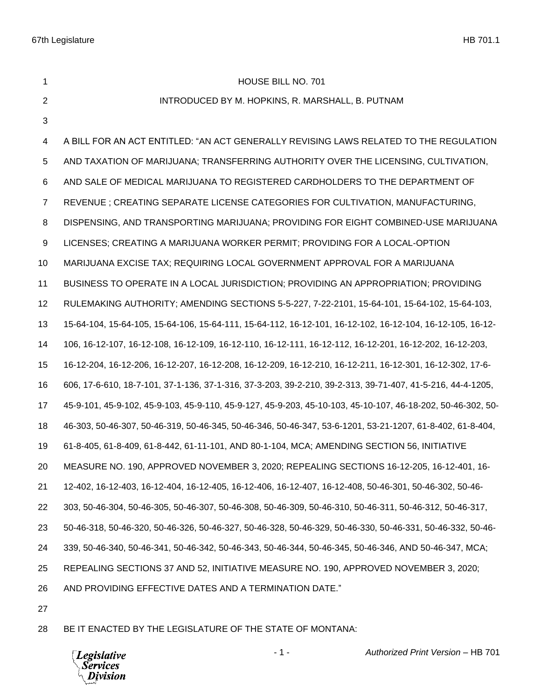1 HOUSE BILL NO. 701 INTRODUCED BY M. HOPKINS, R. MARSHALL, B. PUTNAM A BILL FOR AN ACT ENTITLED: "AN ACT GENERALLY REVISING LAWS RELATED TO THE REGULATION AND TAXATION OF MARIJUANA; TRANSFERRING AUTHORITY OVER THE LICENSING, CULTIVATION, AND SALE OF MEDICAL MARIJUANA TO REGISTERED CARDHOLDERS TO THE DEPARTMENT OF REVENUE ; CREATING SEPARATE LICENSE CATEGORIES FOR CULTIVATION, MANUFACTURING, DISPENSING, AND TRANSPORTING MARIJUANA; PROVIDING FOR EIGHT COMBINED-USE MARIJUANA LICENSES; CREATING A MARIJUANA WORKER PERMIT; PROVIDING FOR A LOCAL-OPTION MARIJUANA EXCISE TAX; REQUIRING LOCAL GOVERNMENT APPROVAL FOR A MARIJUANA BUSINESS TO OPERATE IN A LOCAL JURISDICTION; PROVIDING AN APPROPRIATION; PROVIDING RULEMAKING AUTHORITY; AMENDING SECTIONS 5-5-227, 7-22-2101, 15-64-101, 15-64-102, 15-64-103, 15-64-104, 15-64-105, 15-64-106, 15-64-111, 15-64-112, 16-12-101, 16-12-102, 16-12-104, 16-12-105, 16-12- 106, 16-12-107, 16-12-108, 16-12-109, 16-12-110, 16-12-111, 16-12-112, 16-12-201, 16-12-202, 16-12-203, 16-12-204, 16-12-206, 16-12-207, 16-12-208, 16-12-209, 16-12-210, 16-12-211, 16-12-301, 16-12-302, 17-6- 606, 17-6-610, 18-7-101, 37-1-136, 37-1-316, 37-3-203, 39-2-210, 39-2-313, 39-71-407, 41-5-216, 44-4-1205, 45-9-101, 45-9-102, 45-9-103, 45-9-110, 45-9-127, 45-9-203, 45-10-103, 45-10-107, 46-18-202, 50-46-302, 50- 46-303, 50-46-307, 50-46-319, 50-46-345, 50-46-346, 50-46-347, 53-6-1201, 53-21-1207, 61-8-402, 61-8-404, 61-8-405, 61-8-409, 61-8-442, 61-11-101, AND 80-1-104, MCA; AMENDING SECTION 56, INITIATIVE MEASURE NO. 190, APPROVED NOVEMBER 3, 2020; REPEALING SECTIONS 16-12-205, 16-12-401, 16- 12-402, 16-12-403, 16-12-404, 16-12-405, 16-12-406, 16-12-407, 16-12-408, 50-46-301, 50-46-302, 50-46- 303, 50-46-304, 50-46-305, 50-46-307, 50-46-308, 50-46-309, 50-46-310, 50-46-311, 50-46-312, 50-46-317, 50-46-318, 50-46-320, 50-46-326, 50-46-327, 50-46-328, 50-46-329, 50-46-330, 50-46-331, 50-46-332, 50-46- 339, 50-46-340, 50-46-341, 50-46-342, 50-46-343, 50-46-344, 50-46-345, 50-46-346, AND 50-46-347, MCA; REPEALING SECTIONS 37 AND 52, INITIATIVE MEASURE NO. 190, APPROVED NOVEMBER 3, 2020; AND PROVIDING EFFECTIVE DATES AND A TERMINATION DATE."

BE IT ENACTED BY THE LEGISLATURE OF THE STATE OF MONTANA:

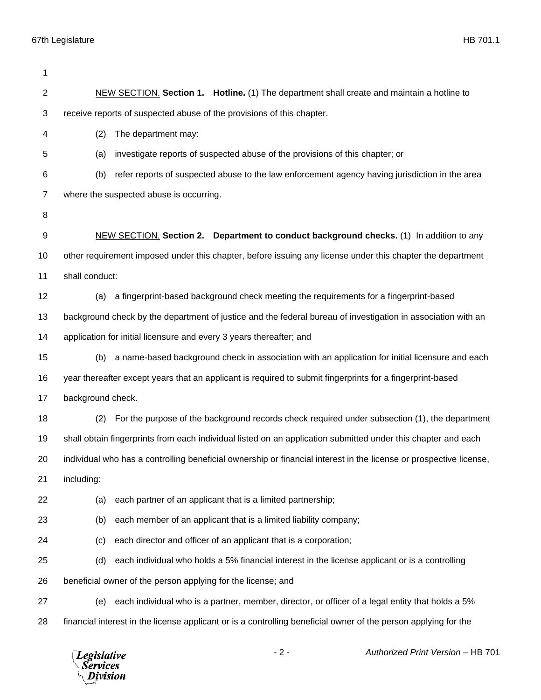| 1              |                                                                                                                    |
|----------------|--------------------------------------------------------------------------------------------------------------------|
| $\overline{c}$ | NEW SECTION. Section 1. Hotline. (1) The department shall create and maintain a hotline to                         |
| 3              | receive reports of suspected abuse of the provisions of this chapter.                                              |
| 4              | (2)<br>The department may:                                                                                         |
| 5              | investigate reports of suspected abuse of the provisions of this chapter; or<br>(a)                                |
| 6              | refer reports of suspected abuse to the law enforcement agency having jurisdiction in the area<br>(b)              |
| 7              | where the suspected abuse is occurring.                                                                            |
| 8              |                                                                                                                    |
| 9              | NEW SECTION. Section 2. Department to conduct background checks. (1) In addition to any                            |
| 10             | other requirement imposed under this chapter, before issuing any license under this chapter the department         |
| 11             | shall conduct:                                                                                                     |
| 12             | a fingerprint-based background check meeting the requirements for a fingerprint-based<br>(a)                       |
| 13             | background check by the department of justice and the federal bureau of investigation in association with an       |
| 14             | application for initial licensure and every 3 years thereafter; and                                                |
| 15             | a name-based background check in association with an application for initial licensure and each<br>(b)             |
| 16             | year thereafter except years that an applicant is required to submit fingerprints for a fingerprint-based          |
| 17             | background check.                                                                                                  |
| 18             | For the purpose of the background records check required under subsection (1), the department<br>(2)               |
| 19             | shall obtain fingerprints from each individual listed on an application submitted under this chapter and each      |
| 20             | individual who has a controlling beneficial ownership or financial interest in the license or prospective license, |
| 21             | including:                                                                                                         |
| 22             | each partner of an applicant that is a limited partnership;<br>(a)                                                 |
| 23             | each member of an applicant that is a limited liability company;<br>(b)                                            |
| 24             | each director and officer of an applicant that is a corporation;<br>(c)                                            |
| 25             | (d)<br>each individual who holds a 5% financial interest in the license applicant or is a controlling              |
| 26             | beneficial owner of the person applying for the license; and                                                       |
| 27             | each individual who is a partner, member, director, or officer of a legal entity that holds a 5%<br>(e)            |
| 28             | financial interest in the license applicant or is a controlling beneficial owner of the person applying for the    |
|                |                                                                                                                    |

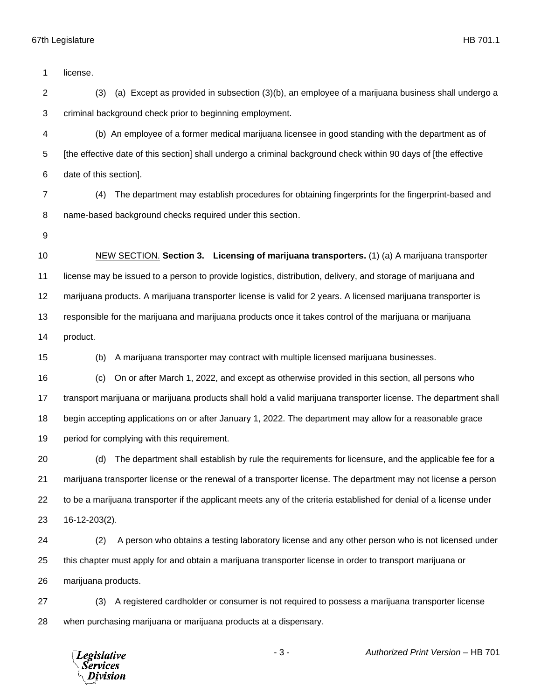license.

 (3) (a) Except as provided in subsection (3)(b), an employee of a marijuana business shall undergo a criminal background check prior to beginning employment.

 (b) An employee of a former medical marijuana licensee in good standing with the department as of [the effective date of this section] shall undergo a criminal background check within 90 days of [the effective date of this section].

- (4) The department may establish procedures for obtaining fingerprints for the fingerprint-based and name-based background checks required under this section.
- 

 NEW SECTION. **Section 3. Licensing of marijuana transporters.** (1) (a) A marijuana transporter license may be issued to a person to provide logistics, distribution, delivery, and storage of marijuana and marijuana products. A marijuana transporter license is valid for 2 years. A licensed marijuana transporter is responsible for the marijuana and marijuana products once it takes control of the marijuana or marijuana product.

(b) A marijuana transporter may contract with multiple licensed marijuana businesses.

 (c) On or after March 1, 2022, and except as otherwise provided in this section, all persons who transport marijuana or marijuana products shall hold a valid marijuana transporter license. The department shall begin accepting applications on or after January 1, 2022. The department may allow for a reasonable grace 19 period for complying with this requirement.

 (d) The department shall establish by rule the requirements for licensure, and the applicable fee for a marijuana transporter license or the renewal of a transporter license. The department may not license a person to be a marijuana transporter if the applicant meets any of the criteria established for denial of a license under 16-12-203(2).

 (2) A person who obtains a testing laboratory license and any other person who is not licensed under this chapter must apply for and obtain a marijuana transporter license in order to transport marijuana or marijuana products.

 (3) A registered cardholder or consumer is not required to possess a marijuana transporter license when purchasing marijuana or marijuana products at a dispensary.

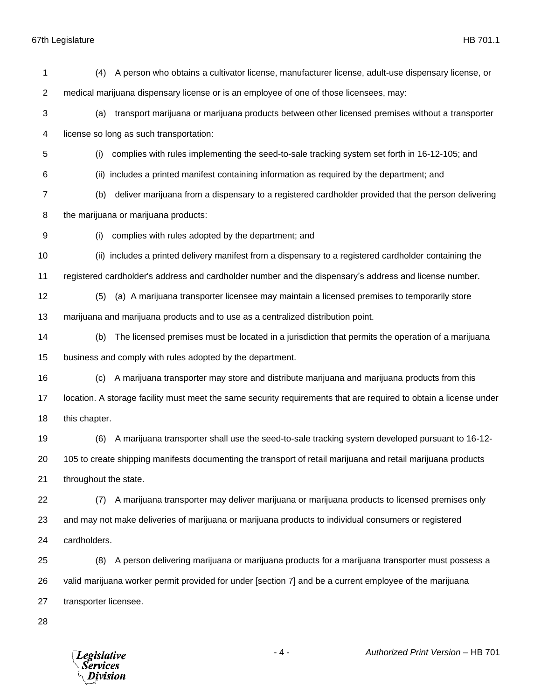| 1              | A person who obtains a cultivator license, manufacturer license, adult-use dispensary license, or<br>(4)          |
|----------------|-------------------------------------------------------------------------------------------------------------------|
| $\overline{2}$ | medical marijuana dispensary license or is an employee of one of those licensees, may:                            |
| $\sqrt{3}$     | transport marijuana or marijuana products between other licensed premises without a transporter<br>(a)            |
| 4              | license so long as such transportation:                                                                           |
| 5              | complies with rules implementing the seed-to-sale tracking system set forth in 16-12-105; and<br>(i)              |
| 6              | includes a printed manifest containing information as required by the department; and<br>(ii)                     |
| $\overline{7}$ | deliver marijuana from a dispensary to a registered cardholder provided that the person delivering<br>(b)         |
| 8              | the marijuana or marijuana products:                                                                              |
| 9              | complies with rules adopted by the department; and<br>(i)                                                         |
| 10             | (ii) includes a printed delivery manifest from a dispensary to a registered cardholder containing the             |
| 11             | registered cardholder's address and cardholder number and the dispensary's address and license number.            |
| 12             | (a) A marijuana transporter licensee may maintain a licensed premises to temporarily store<br>(5)                 |
| 13             | marijuana and marijuana products and to use as a centralized distribution point.                                  |
| 14             | The licensed premises must be located in a jurisdiction that permits the operation of a marijuana<br>(b)          |
| 15             | business and comply with rules adopted by the department.                                                         |
| 16             | A marijuana transporter may store and distribute marijuana and marijuana products from this<br>(c)                |
| 17             | location. A storage facility must meet the same security requirements that are required to obtain a license under |
| 18             | this chapter.                                                                                                     |
| 19             | A marijuana transporter shall use the seed-to-sale tracking system developed pursuant to 16-12-<br>(6)            |
| 20             | 105 to create shipping manifests documenting the transport of retail marijuana and retail marijuana products      |
| 21             | throughout the state.                                                                                             |
| 22             | A marijuana transporter may deliver marijuana or marijuana products to licensed premises only<br>(7)              |
| 23             | and may not make deliveries of marijuana or marijuana products to individual consumers or registered              |
| 24             | cardholders.                                                                                                      |
| 25             | A person delivering marijuana or marijuana products for a marijuana transporter must possess a<br>(8)             |
| 26             | valid marijuana worker permit provided for under [section 7] and be a current employee of the marijuana           |
| 27             | transporter licensee.                                                                                             |
| 28             |                                                                                                                   |

*Legislative*<br>Services<br>*Division* 

- 4 - *Authorized Print Version* – HB 701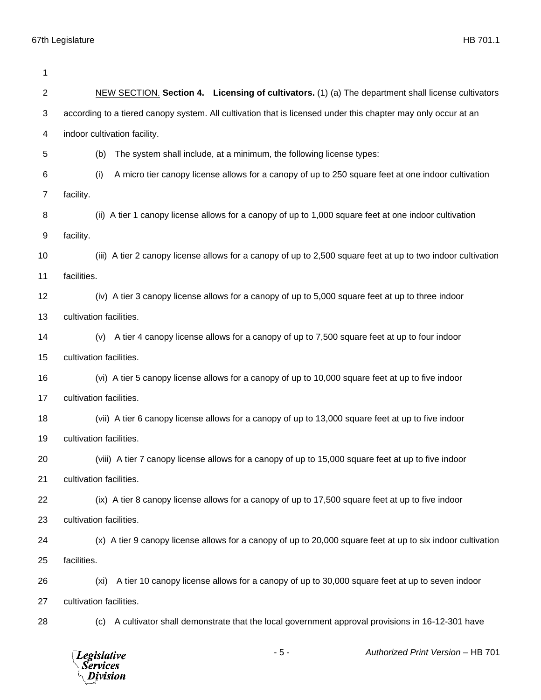| 1  |                                                                                                               |  |
|----|---------------------------------------------------------------------------------------------------------------|--|
| 2  | NEW SECTION. Section 4. Licensing of cultivators. (1) (a) The department shall license cultivators            |  |
| 3  | according to a tiered canopy system. All cultivation that is licensed under this chapter may only occur at an |  |
| 4  | indoor cultivation facility.                                                                                  |  |
| 5  | The system shall include, at a minimum, the following license types:<br>(b)                                   |  |
| 6  | (i)<br>A micro tier canopy license allows for a canopy of up to 250 square feet at one indoor cultivation     |  |
| 7  | facility.                                                                                                     |  |
| 8  | (ii) A tier 1 canopy license allows for a canopy of up to 1,000 square feet at one indoor cultivation         |  |
| 9  | facility.                                                                                                     |  |
| 10 | (iii) A tier 2 canopy license allows for a canopy of up to 2,500 square feet at up to two indoor cultivation  |  |
| 11 | facilities.                                                                                                   |  |
| 12 | (iv) A tier 3 canopy license allows for a canopy of up to 5,000 square feet at up to three indoor             |  |
| 13 | cultivation facilities.                                                                                       |  |
| 14 | A tier 4 canopy license allows for a canopy of up to 7,500 square feet at up to four indoor<br>(v)            |  |
| 15 | cultivation facilities.                                                                                       |  |
| 16 | (vi) A tier 5 canopy license allows for a canopy of up to 10,000 square feet at up to five indoor             |  |
| 17 | cultivation facilities.                                                                                       |  |
| 18 | (vii) A tier 6 canopy license allows for a canopy of up to 13,000 square feet at up to five indoor            |  |
| 19 | cultivation facilities.                                                                                       |  |
| 20 | (viii) A tier 7 canopy license allows for a canopy of up to 15,000 square feet at up to five indoor           |  |
| 21 | cultivation facilities.                                                                                       |  |
| 22 | (ix) A tier 8 canopy license allows for a canopy of up to 17,500 square feet at up to five indoor             |  |
| 23 | cultivation facilities.                                                                                       |  |
| 24 | (x) A tier 9 canopy license allows for a canopy of up to 20,000 square feet at up to six indoor cultivation   |  |
| 25 | facilities.                                                                                                   |  |
| 26 | A tier 10 canopy license allows for a canopy of up to 30,000 square feet at up to seven indoor<br>(xi)        |  |
| 27 | cultivation facilities.                                                                                       |  |
| 28 | A cultivator shall demonstrate that the local government approval provisions in 16-12-301 have<br>(C)         |  |
|    | Authorized Print Version - HB 701<br>$-5-$<br><b>Legislative</b><br>Services<br>Division                      |  |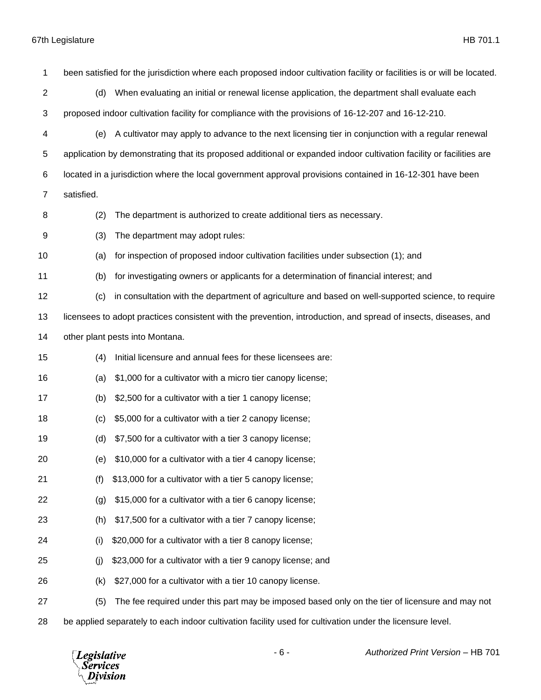been satisfied for the jurisdiction where each proposed indoor cultivation facility or facilities is or will be located. (d) When evaluating an initial or renewal license application, the department shall evaluate each proposed indoor cultivation facility for compliance with the provisions of 16-12-207 and 16-12-210. (e) A cultivator may apply to advance to the next licensing tier in conjunction with a regular renewal application by demonstrating that its proposed additional or expanded indoor cultivation facility or facilities are located in a jurisdiction where the local government approval provisions contained in 16-12-301 have been satisfied. (2) The department is authorized to create additional tiers as necessary. (3) The department may adopt rules: (a) for inspection of proposed indoor cultivation facilities under subsection (1); and (b) for investigating owners or applicants for a determination of financial interest; and (c) in consultation with the department of agriculture and based on well-supported science, to require licensees to adopt practices consistent with the prevention, introduction, and spread of insects, diseases, and other plant pests into Montana. (4) Initial licensure and annual fees for these licensees are: (a) \$1,000 for a cultivator with a micro tier canopy license; (b) \$2,500 for a cultivator with a tier 1 canopy license; (c) \$5,000 for a cultivator with a tier 2 canopy license; (d) \$7,500 for a cultivator with a tier 3 canopy license; (e) \$10,000 for a cultivator with a tier 4 canopy license; (f) \$13,000 for a cultivator with a tier 5 canopy license; (g) \$15,000 for a cultivator with a tier 6 canopy license; (h) \$17,500 for a cultivator with a tier 7 canopy license; (i) \$20,000 for a cultivator with a tier 8 canopy license; (j) \$23,000 for a cultivator with a tier 9 canopy license; and (k) \$27,000 for a cultivator with a tier 10 canopy license. (5) The fee required under this part may be imposed based only on the tier of licensure and may not

be applied separately to each indoor cultivation facility used for cultivation under the licensure level.

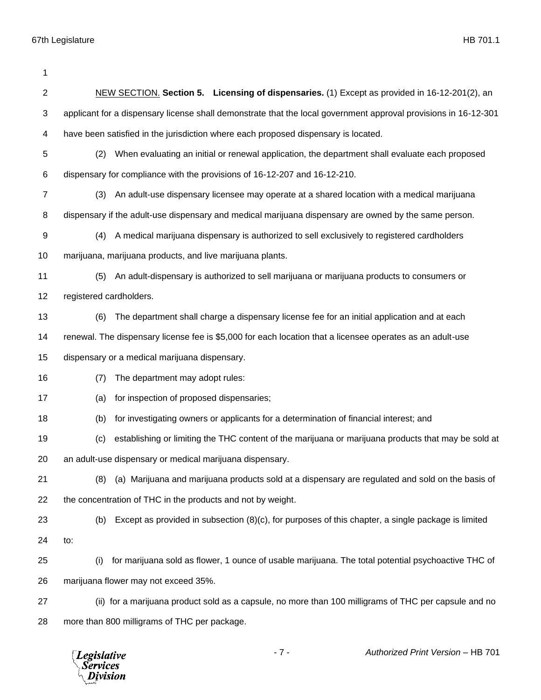| $\mathbf{2}$ | NEW SECTION. Section 5. Licensing of dispensaries. (1) Except as provided in 16-12-201(2), an                   |
|--------------|-----------------------------------------------------------------------------------------------------------------|
| 3            | applicant for a dispensary license shall demonstrate that the local government approval provisions in 16-12-301 |
| 4            | have been satisfied in the jurisdiction where each proposed dispensary is located.                              |
| 5            | When evaluating an initial or renewal application, the department shall evaluate each proposed<br>(2)           |
| 6            | dispensary for compliance with the provisions of 16-12-207 and 16-12-210.                                       |
| 7            | (3) An adult-use dispensary licensee may operate at a shared location with a medical marijuana                  |
| 8            | dispensary if the adult-use dispensary and medical marijuana dispensary are owned by the same person.           |
| 9            | A medical marijuana dispensary is authorized to sell exclusively to registered cardholders<br>(4)               |
| 10           | marijuana, marijuana products, and live marijuana plants.                                                       |
| 11           | An adult-dispensary is authorized to sell marijuana or marijuana products to consumers or<br>(5)                |
| 12           | registered cardholders.                                                                                         |
| 13           | The department shall charge a dispensary license fee for an initial application and at each<br>(6)              |
| 14           | renewal. The dispensary license fee is \$5,000 for each location that a licensee operates as an adult-use       |
| 15           | dispensary or a medical marijuana dispensary.                                                                   |
| 16           | The department may adopt rules:<br>(7)                                                                          |
| 17           | for inspection of proposed dispensaries;<br>(a)                                                                 |
| 18           | for investigating owners or applicants for a determination of financial interest; and<br>(b)                    |
| 19           | establishing or limiting the THC content of the marijuana or marijuana products that may be sold at<br>(c)      |
| 20           | an adult-use dispensary or medical marijuana dispensary.                                                        |
| 21           | (8) (a) Marijuana and marijuana products sold at a dispensary are regulated and sold on the basis of            |
| 22           | the concentration of THC in the products and not by weight.                                                     |
| 23           | Except as provided in subsection $(8)(c)$ , for purposes of this chapter, a single package is limited<br>(b)    |
| 24           | to:                                                                                                             |
| 25           | for marijuana sold as flower, 1 ounce of usable marijuana. The total potential psychoactive THC of<br>(i)       |
| 26           | marijuana flower may not exceed 35%.                                                                            |
| 27           | (ii) for a marijuana product sold as a capsule, no more than 100 milligrams of THC per capsule and no           |
| 28           | more than 800 milligrams of THC per package.                                                                    |
|              |                                                                                                                 |

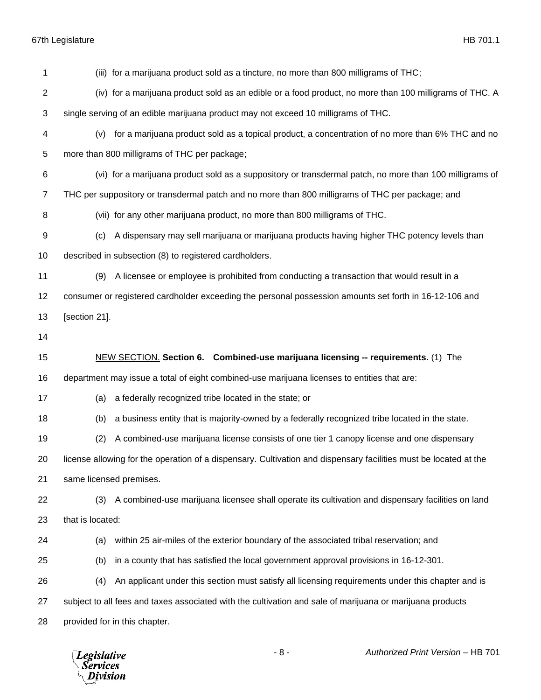| 1              | (iii) for a marijuana product sold as a tincture, no more than 800 milligrams of THC;                            |
|----------------|------------------------------------------------------------------------------------------------------------------|
| 2              | (iv) for a marijuana product sold as an edible or a food product, no more than 100 milligrams of THC. A          |
| 3              | single serving of an edible marijuana product may not exceed 10 milligrams of THC.                               |
| 4              | (v) for a marijuana product sold as a topical product, a concentration of no more than 6% THC and no             |
| 5              | more than 800 milligrams of THC per package;                                                                     |
| 6              | (vi) for a marijuana product sold as a suppository or transdermal patch, no more than 100 milligrams of          |
| $\overline{7}$ | THC per suppository or transdermal patch and no more than 800 milligrams of THC per package; and                 |
| 8              | (vii) for any other marijuana product, no more than 800 milligrams of THC.                                       |
| 9              | A dispensary may sell marijuana or marijuana products having higher THC potency levels than<br>(c)               |
| 10             | described in subsection (8) to registered cardholders.                                                           |
| 11             | A licensee or employee is prohibited from conducting a transaction that would result in a<br>(9)                 |
| 12             | consumer or registered cardholder exceeding the personal possession amounts set forth in 16-12-106 and           |
| 13             | [section 21].                                                                                                    |
| 14             |                                                                                                                  |
| 15             | NEW SECTION. Section 6. Combined-use marijuana licensing -- requirements. (1) The                                |
| 16             | department may issue a total of eight combined-use marijuana licenses to entities that are:                      |
| 17             | a federally recognized tribe located in the state; or<br>(a)                                                     |
| 18             | a business entity that is majority-owned by a federally recognized tribe located in the state.<br>(b)            |
| 19             | A combined-use marijuana license consists of one tier 1 canopy license and one dispensary<br>(2)                 |
| 20             | license allowing for the operation of a dispensary. Cultivation and dispensary facilities must be located at the |
| 21             | same licensed premises.                                                                                          |
| 22             | A combined-use marijuana licensee shall operate its cultivation and dispensary facilities on land<br>(3)         |
| 23             | that is located:                                                                                                 |
| 24             | within 25 air-miles of the exterior boundary of the associated tribal reservation; and<br>(a)                    |
| 25             | in a county that has satisfied the local government approval provisions in 16-12-301.<br>(b)                     |
| 26             | An applicant under this section must satisfy all licensing requirements under this chapter and is<br>(4)         |
| 27             | subject to all fees and taxes associated with the cultivation and sale of marijuana or marijuana products        |
| 28             | provided for in this chapter.                                                                                    |
|                |                                                                                                                  |

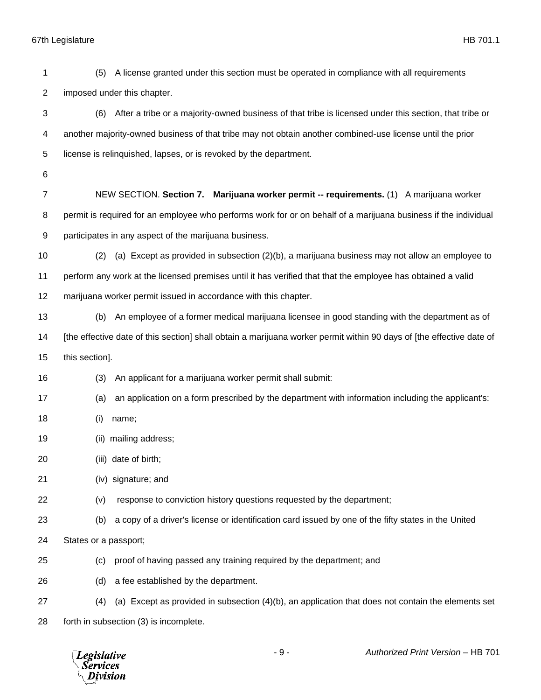| 1                         | A license granted under this section must be operated in compliance with all requirements<br>(5)                     |
|---------------------------|----------------------------------------------------------------------------------------------------------------------|
| $\overline{c}$            | imposed under this chapter.                                                                                          |
| $\ensuremath{\mathsf{3}}$ | After a tribe or a majority-owned business of that tribe is licensed under this section, that tribe or<br>(6)        |
| 4                         | another majority-owned business of that tribe may not obtain another combined-use license until the prior            |
| 5                         | license is relinquished, lapses, or is revoked by the department.                                                    |
| 6                         |                                                                                                                      |
| $\overline{7}$            | NEW SECTION. Section 7. Marijuana worker permit -- requirements. (1) A marijuana worker                              |
| 8                         | permit is required for an employee who performs work for or on behalf of a marijuana business if the individual      |
| 9                         | participates in any aspect of the marijuana business.                                                                |
| 10                        | (a) Except as provided in subsection (2)(b), a marijuana business may not allow an employee to<br>(2)                |
| 11                        | perform any work at the licensed premises until it has verified that that the employee has obtained a valid          |
| 12                        | marijuana worker permit issued in accordance with this chapter.                                                      |
| 13                        | An employee of a former medical marijuana licensee in good standing with the department as of<br>(b)                 |
| 14                        | [the effective date of this section] shall obtain a marijuana worker permit within 90 days of [the effective date of |
| 15                        | this section].                                                                                                       |
| 16                        | An applicant for a marijuana worker permit shall submit:<br>(3)                                                      |
| 17                        | an application on a form prescribed by the department with information including the applicant's:<br>(a)             |
| 18                        | (i)<br>name;                                                                                                         |
| 19                        | (ii) mailing address;                                                                                                |
| 20                        | (iii) date of birth;                                                                                                 |
| 21                        | (iv) signature; and                                                                                                  |
| 22                        | response to conviction history questions requested by the department;<br>(v)                                         |
| 23                        | a copy of a driver's license or identification card issued by one of the fifty states in the United<br>(b)           |
| 24                        | States or a passport;                                                                                                |
| 25                        | proof of having passed any training required by the department; and<br>(c)                                           |
| 26                        | a fee established by the department.<br>(d)                                                                          |
| 27                        | (a) Except as provided in subsection (4)(b), an application that does not contain the elements set<br>(4)            |
| 28                        | forth in subsection (3) is incomplete.                                                                               |

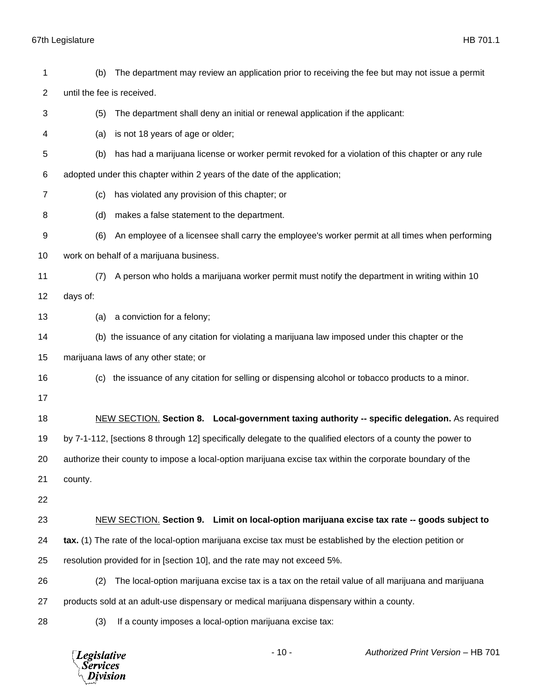| 1  | (b)                        | The department may review an application prior to receiving the fee but may not issue a permit               |
|----|----------------------------|--------------------------------------------------------------------------------------------------------------|
| 2  | until the fee is received. |                                                                                                              |
| 3  | (5)                        | The department shall deny an initial or renewal application if the applicant:                                |
| 4  | (a)                        | is not 18 years of age or older;                                                                             |
| 5  | (b)                        | has had a marijuana license or worker permit revoked for a violation of this chapter or any rule             |
| 6  |                            | adopted under this chapter within 2 years of the date of the application;                                    |
| 7  | (c)                        | has violated any provision of this chapter; or                                                               |
| 8  | (d)                        | makes a false statement to the department.                                                                   |
| 9  | (6)                        | An employee of a licensee shall carry the employee's worker permit at all times when performing              |
| 10 |                            | work on behalf of a marijuana business.                                                                      |
| 11 | (7)                        | A person who holds a marijuana worker permit must notify the department in writing within 10                 |
| 12 | days of:                   |                                                                                                              |
| 13 | (a)                        | a conviction for a felony;                                                                                   |
| 14 |                            | (b) the issuance of any citation for violating a marijuana law imposed under this chapter or the             |
| 15 |                            | marijuana laws of any other state; or                                                                        |
| 16 | (c)                        | the issuance of any citation for selling or dispensing alcohol or tobacco products to a minor.               |
| 17 |                            |                                                                                                              |
| 18 |                            | <b>NEW SECTION.</b> Section 8. Local-government taxing authority -- specific delegation. As required         |
| 19 |                            | by 7-1-112, [sections 8 through 12] specifically delegate to the qualified electors of a county the power to |
| 20 |                            | authorize their county to impose a local-option marijuana excise tax within the corporate boundary of the    |
| 21 | county.                    |                                                                                                              |
| 22 |                            |                                                                                                              |
| 23 |                            | NEW SECTION. Section 9. Limit on local-option marijuana excise tax rate -- goods subject to                  |
| 24 |                            | tax. (1) The rate of the local-option marijuana excise tax must be established by the election petition or   |
| 25 |                            | resolution provided for in [section 10], and the rate may not exceed 5%.                                     |
| 26 | (2)                        | The local-option marijuana excise tax is a tax on the retail value of all marijuana and marijuana            |
| 27 |                            | products sold at an adult-use dispensary or medical marijuana dispensary within a county.                    |
| 28 | (3)                        | If a county imposes a local-option marijuana excise tax:                                                     |
|    |                            |                                                                                                              |

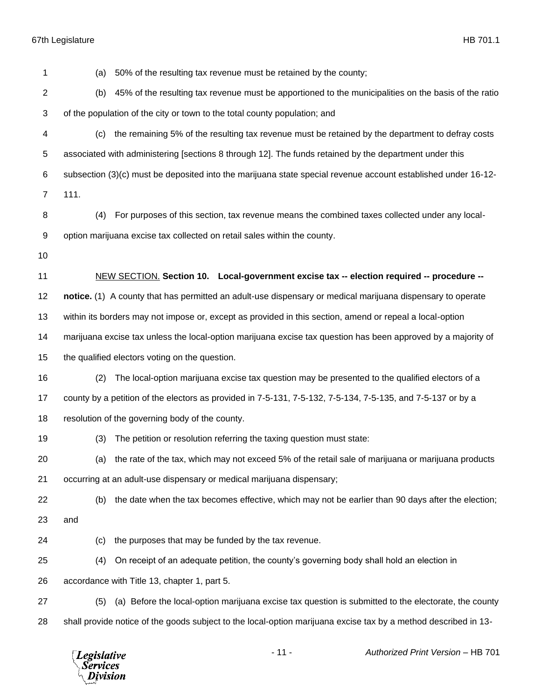| 1                       | 50% of the resulting tax revenue must be retained by the county;<br>(a)                                         |
|-------------------------|-----------------------------------------------------------------------------------------------------------------|
| $\overline{\mathbf{c}}$ | 45% of the resulting tax revenue must be apportioned to the municipalities on the basis of the ratio<br>(b)     |
| 3                       | of the population of the city or town to the total county population; and                                       |
| 4                       | the remaining 5% of the resulting tax revenue must be retained by the department to defray costs<br>(c)         |
| 5                       | associated with administering [sections 8 through 12]. The funds retained by the department under this          |
| 6                       | subsection (3)(c) must be deposited into the marijuana state special revenue account established under 16-12-   |
| $\overline{7}$          | 111.                                                                                                            |
| 8                       | For purposes of this section, tax revenue means the combined taxes collected under any local-<br>(4)            |
| 9                       | option marijuana excise tax collected on retail sales within the county.                                        |
| 10                      |                                                                                                                 |
| 11                      | NEW SECTION. Section 10. Local-government excise tax -- election required -- procedure --                       |
| 12                      | notice. (1) A county that has permitted an adult-use dispensary or medical marijuana dispensary to operate      |
| 13                      | within its borders may not impose or, except as provided in this section, amend or repeal a local-option        |
| 14                      | marijuana excise tax unless the local-option marijuana excise tax question has been approved by a majority of   |
| 15                      | the qualified electors voting on the question.                                                                  |
| 16                      | The local-option marijuana excise tax question may be presented to the qualified electors of a<br>(2)           |
| 17                      | county by a petition of the electors as provided in 7-5-131, 7-5-132, 7-5-134, 7-5-135, and 7-5-137 or by a     |
| 18                      | resolution of the governing body of the county.                                                                 |
| 19                      | The petition or resolution referring the taxing question must state:<br>(3)                                     |
| 20                      | (a) the rate of the tax, which may not exceed 5% of the retail sale of marijuana or marijuana products          |
| 21                      | occurring at an adult-use dispensary or medical marijuana dispensary;                                           |
| 22                      | the date when the tax becomes effective, which may not be earlier than 90 days after the election;<br>(b)       |
| 23                      | and                                                                                                             |
| 24                      | the purposes that may be funded by the tax revenue.<br>(c)                                                      |
| 25                      | On receipt of an adequate petition, the county's governing body shall hold an election in<br>(4)                |
| 26                      | accordance with Title 13, chapter 1, part 5.                                                                    |
| 27                      | (a) Before the local-option marijuana excise tax question is submitted to the electorate, the county<br>(5)     |
| 28                      | shall provide notice of the goods subject to the local-option marijuana excise tax by a method described in 13- |
|                         |                                                                                                                 |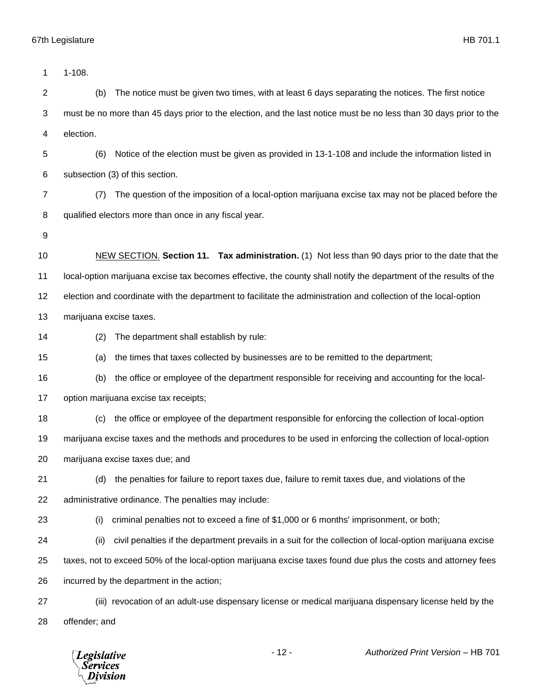| 1              | $1 - 108.$                                                                                                        |
|----------------|-------------------------------------------------------------------------------------------------------------------|
| $\overline{c}$ | The notice must be given two times, with at least 6 days separating the notices. The first notice<br>(b)          |
| 3              | must be no more than 45 days prior to the election, and the last notice must be no less than 30 days prior to the |
| 4              | election.                                                                                                         |
| 5              | Notice of the election must be given as provided in 13-1-108 and include the information listed in<br>(6)         |
| 6              | subsection (3) of this section.                                                                                   |
| 7              | The question of the imposition of a local-option marijuana excise tax may not be placed before the<br>(7)         |
| 8              | qualified electors more than once in any fiscal year.                                                             |
| 9              |                                                                                                                   |
| 10             | NEW SECTION. Section 11. Tax administration. (1) Not less than 90 days prior to the date that the                 |
| 11             | local-option marijuana excise tax becomes effective, the county shall notify the department of the results of the |
| 12             | election and coordinate with the department to facilitate the administration and collection of the local-option   |
| 13             | marijuana excise taxes.                                                                                           |
| 14             | The department shall establish by rule:<br>(2)                                                                    |
| 15             | the times that taxes collected by businesses are to be remitted to the department;<br>(a)                         |
| 16             | the office or employee of the department responsible for receiving and accounting for the local-<br>(b)           |
| 17             | option marijuana excise tax receipts;                                                                             |
| 18             | the office or employee of the department responsible for enforcing the collection of local-option<br>(c)          |
| 19             | marijuana excise taxes and the methods and procedures to be used in enforcing the collection of local-option      |
| 20             | marijuana excise taxes due; and                                                                                   |
| 21             | the penalties for failure to report taxes due, failure to remit taxes due, and violations of the<br>(d)           |
| 22             | administrative ordinance. The penalties may include:                                                              |
| 23             | criminal penalties not to exceed a fine of \$1,000 or 6 months' imprisonment, or both;<br>(i)                     |
| 24             | civil penalties if the department prevails in a suit for the collection of local-option marijuana excise<br>(ii)  |
| 25             | taxes, not to exceed 50% of the local-option marijuana excise taxes found due plus the costs and attorney fees    |
| 26             | incurred by the department in the action;                                                                         |
| 27             | (iii) revocation of an adult-use dispensary license or medical marijuana dispensary license held by the           |
| 28             | offender; and                                                                                                     |
|                |                                                                                                                   |

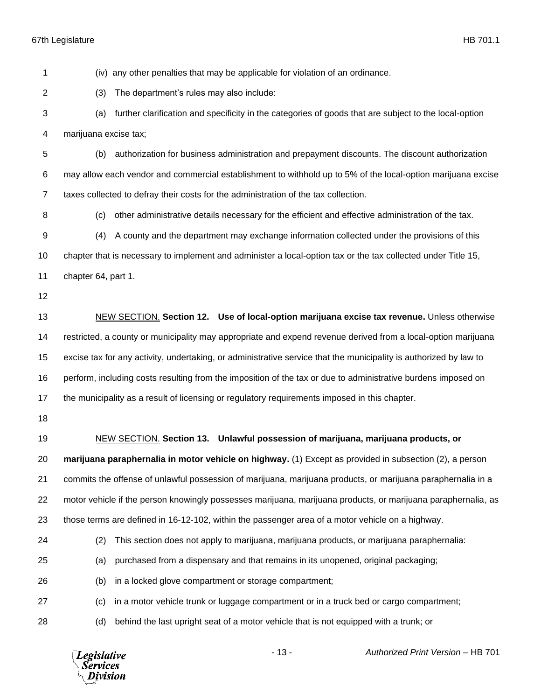(iv) any other penalties that may be applicable for violation of an ordinance. (3) The department's rules may also include: (a) further clarification and specificity in the categories of goods that are subject to the local-option marijuana excise tax; (b) authorization for business administration and prepayment discounts. The discount authorization may allow each vendor and commercial establishment to withhold up to 5% of the local-option marijuana excise taxes collected to defray their costs for the administration of the tax collection. (c) other administrative details necessary for the efficient and effective administration of the tax. (4) A county and the department may exchange information collected under the provisions of this chapter that is necessary to implement and administer a local-option tax or the tax collected under Title 15, chapter 64, part 1. NEW SECTION. **Section 12. Use of local-option marijuana excise tax revenue.** Unless otherwise restricted, a county or municipality may appropriate and expend revenue derived from a local-option marijuana excise tax for any activity, undertaking, or administrative service that the municipality is authorized by law to perform, including costs resulting from the imposition of the tax or due to administrative burdens imposed on the municipality as a result of licensing or regulatory requirements imposed in this chapter. NEW SECTION. **Section 13. Unlawful possession of marijuana, marijuana products, or marijuana paraphernalia in motor vehicle on highway.** (1) Except as provided in subsection (2), a person commits the offense of unlawful possession of marijuana, marijuana products, or marijuana paraphernalia in a motor vehicle if the person knowingly possesses marijuana, marijuana products, or marijuana paraphernalia, as those terms are defined in 16-12-102, within the passenger area of a motor vehicle on a highway. (2) This section does not apply to marijuana, marijuana products, or marijuana paraphernalia: (a) purchased from a dispensary and that remains in its unopened, original packaging; (b) in a locked glove compartment or storage compartment; (c) in a motor vehicle trunk or luggage compartment or in a truck bed or cargo compartment; (d) behind the last upright seat of a motor vehicle that is not equipped with a trunk; or



- 13 - *Authorized Print Version* – HB 701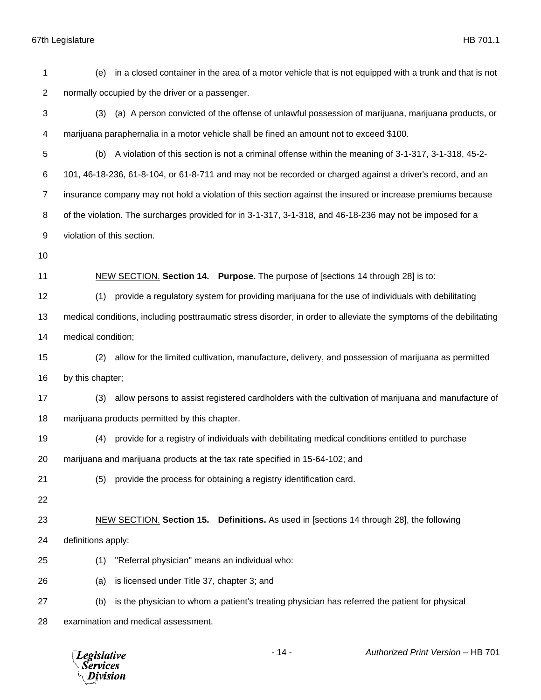| 1                | in a closed container in the area of a motor vehicle that is not equipped with a trunk and that is not<br>(e)       |
|------------------|---------------------------------------------------------------------------------------------------------------------|
| $\boldsymbol{2}$ | normally occupied by the driver or a passenger.                                                                     |
| 3                | (a) A person convicted of the offense of unlawful possession of marijuana, marijuana products, or<br>(3)            |
| $\overline{4}$   | marijuana paraphernalia in a motor vehicle shall be fined an amount not to exceed \$100.                            |
| 5                | (b) A violation of this section is not a criminal offense within the meaning of 3-1-317, 3-1-318, 45-2-             |
| 6                | 101, 46-18-236, 61-8-104, or 61-8-711 and may not be recorded or charged against a driver's record, and an          |
| $\overline{7}$   | insurance company may not hold a violation of this section against the insured or increase premiums because         |
| 8                | of the violation. The surcharges provided for in 3-1-317, 3-1-318, and 46-18-236 may not be imposed for a           |
| 9                | violation of this section.                                                                                          |
| 10               |                                                                                                                     |
| 11               | NEW SECTION. Section 14. Purpose. The purpose of [sections 14 through 28] is to:                                    |
| 12               | provide a regulatory system for providing marijuana for the use of individuals with debilitating<br>(1)             |
| 13               | medical conditions, including posttraumatic stress disorder, in order to alleviate the symptoms of the debilitating |
| 14               | medical condition;                                                                                                  |
| 15               | allow for the limited cultivation, manufacture, delivery, and possession of marijuana as permitted<br>(2)           |
| 16               | by this chapter;                                                                                                    |
| 17               | allow persons to assist registered cardholders with the cultivation of marijuana and manufacture of<br>(3)          |
| 18               | marijuana products permitted by this chapter.                                                                       |
| 19               | provide for a registry of individuals with debilitating medical conditions entitled to purchase<br>(4)              |
| 20               | marijuana and marijuana products at the tax rate specified in 15-64-102; and                                        |
| 21               | provide the process for obtaining a registry identification card.<br>(5)                                            |
| 22               |                                                                                                                     |
| 23               | NEW SECTION. Section 15. Definitions. As used in [sections 14 through 28], the following                            |
| 24               | definitions apply:                                                                                                  |
| 25               | "Referral physician" means an individual who:<br>(1)                                                                |
| 26               | is licensed under Title 37, chapter 3; and<br>(a)                                                                   |
| 27               | is the physician to whom a patient's treating physician has referred the patient for physical<br>(b)                |
| 28               | examination and medical assessment.                                                                                 |
|                  |                                                                                                                     |

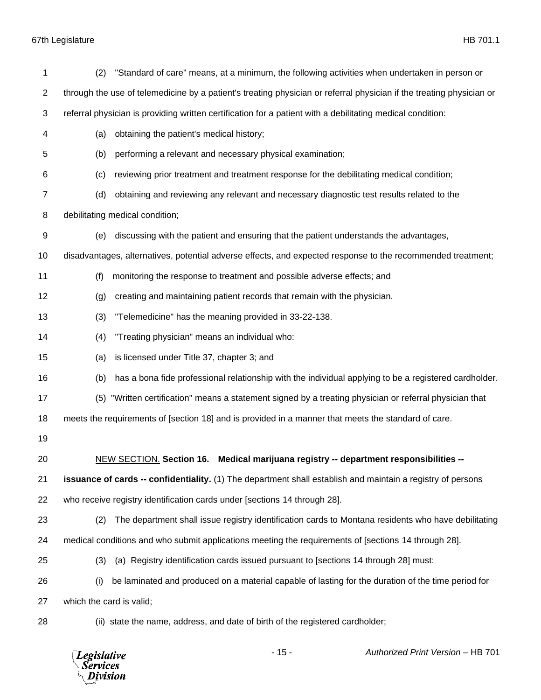| 1  | (2)                      | "Standard of care" means, at a minimum, the following activities when undertaken in person or                        |
|----|--------------------------|----------------------------------------------------------------------------------------------------------------------|
| 2  |                          | through the use of telemedicine by a patient's treating physician or referral physician if the treating physician or |
| 3  |                          | referral physician is providing written certification for a patient with a debilitating medical condition:           |
| 4  | (a)                      | obtaining the patient's medical history;                                                                             |
| 5  | (b)                      | performing a relevant and necessary physical examination;                                                            |
| 6  | (c)                      | reviewing prior treatment and treatment response for the debilitating medical condition;                             |
| 7  | (d)                      | obtaining and reviewing any relevant and necessary diagnostic test results related to the                            |
| 8  |                          | debilitating medical condition;                                                                                      |
| 9  | (e)                      | discussing with the patient and ensuring that the patient understands the advantages,                                |
| 10 |                          | disadvantages, alternatives, potential adverse effects, and expected response to the recommended treatment;          |
| 11 | (f)                      | monitoring the response to treatment and possible adverse effects; and                                               |
| 12 | (g)                      | creating and maintaining patient records that remain with the physician.                                             |
| 13 | (3)                      | "Telemedicine" has the meaning provided in 33-22-138.                                                                |
| 14 | (4)                      | "Treating physician" means an individual who:                                                                        |
| 15 | (a)                      | is licensed under Title 37, chapter 3; and                                                                           |
| 16 | (b)                      | has a bona fide professional relationship with the individual applying to be a registered cardholder.                |
| 17 |                          | (5) "Written certification" means a statement signed by a treating physician or referral physician that              |
| 18 |                          | meets the requirements of [section 18] and is provided in a manner that meets the standard of care.                  |
| 19 |                          |                                                                                                                      |
| 20 |                          | NEW SECTION. Section 16. Medical marijuana registry -- department responsibilities --                                |
| 21 |                          | issuance of cards -- confidentiality. (1) The department shall establish and maintain a registry of persons          |
| 22 |                          | who receive registry identification cards under [sections 14 through 28].                                            |
| 23 | (2)                      | The department shall issue registry identification cards to Montana residents who have debilitating                  |
| 24 |                          | medical conditions and who submit applications meeting the requirements of [sections 14 through 28].                 |
| 25 | (3)                      | (a) Registry identification cards issued pursuant to [sections 14 through 28] must:                                  |
| 26 | (i)                      | be laminated and produced on a material capable of lasting for the duration of the time period for                   |
| 27 | which the card is valid; |                                                                                                                      |
| 28 |                          | (ii) state the name, address, and date of birth of the registered cardholder;                                        |

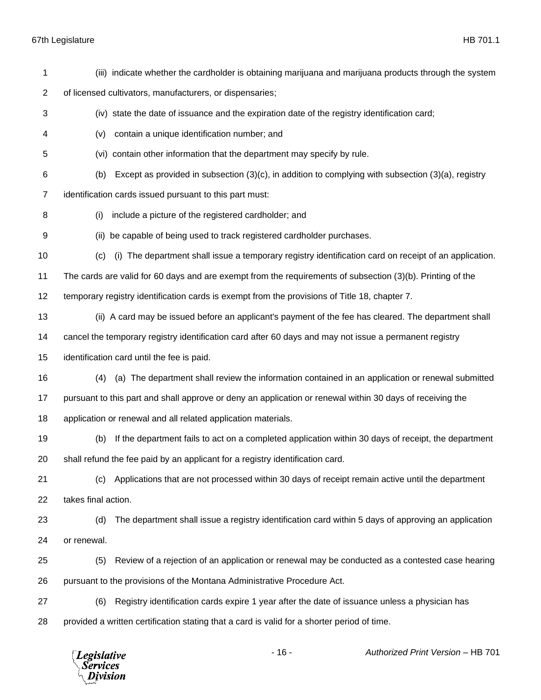*Legislative*<br>Services<br>*Division* 

| 1              | (iii) indicate whether the cardholder is obtaining marijuana and marijuana products through the system          |
|----------------|-----------------------------------------------------------------------------------------------------------------|
| $\overline{2}$ | of licensed cultivators, manufacturers, or dispensaries;                                                        |
| 3              | (iv) state the date of issuance and the expiration date of the registry identification card;                    |
| 4              | contain a unique identification number; and<br>(v)                                                              |
| 5              | (vi) contain other information that the department may specify by rule.                                         |
| 6              | Except as provided in subsection $(3)(c)$ , in addition to complying with subsection $(3)(a)$ , registry<br>(b) |
| 7              | identification cards issued pursuant to this part must:                                                         |
| 8              | include a picture of the registered cardholder; and<br>(i)                                                      |
| 9              | (ii) be capable of being used to track registered cardholder purchases.                                         |
| 10             | (i) The department shall issue a temporary registry identification card on receipt of an application.<br>(c)    |
| 11             | The cards are valid for 60 days and are exempt from the requirements of subsection (3)(b). Printing of the      |
| 12             | temporary registry identification cards is exempt from the provisions of Title 18, chapter 7.                   |
| 13             | (ii) A card may be issued before an applicant's payment of the fee has cleared. The department shall            |
| 14             | cancel the temporary registry identification card after 60 days and may not issue a permanent registry          |
| 15             | identification card until the fee is paid.                                                                      |
| 16             | (a) The department shall review the information contained in an application or renewal submitted<br>(4)         |
| 17             | pursuant to this part and shall approve or deny an application or renewal within 30 days of receiving the       |
| 18             | application or renewal and all related application materials.                                                   |
| 19             | If the department fails to act on a completed application within 30 days of receipt, the department<br>(b)      |
| 20             | shall refund the fee paid by an applicant for a registry identification card.                                   |
| 21             | Applications that are not processed within 30 days of receipt remain active until the department<br>(c)         |
| 22             | takes final action.                                                                                             |
| 23             | (d)<br>The department shall issue a registry identification card within 5 days of approving an application      |
| 24             | or renewal.                                                                                                     |
| 25             | Review of a rejection of an application or renewal may be conducted as a contested case hearing<br>(5)          |
| 26             | pursuant to the provisions of the Montana Administrative Procedure Act.                                         |
| 27             | Registry identification cards expire 1 year after the date of issuance unless a physician has<br>(6)            |
| 28             | provided a written certification stating that a card is valid for a shorter period of time.                     |
|                |                                                                                                                 |

- 16 - *Authorized Print Version* – HB 701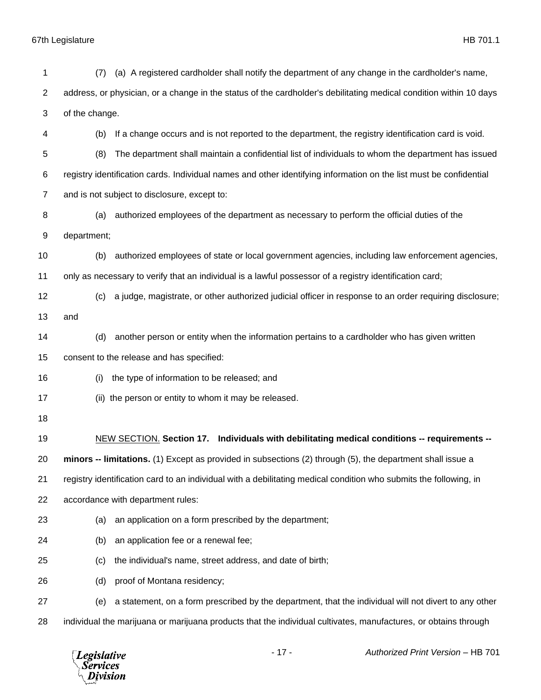| 1              | (7)                                                                                                             | (a) A registered cardholder shall notify the department of any change in the cardholder's name,                    |
|----------------|-----------------------------------------------------------------------------------------------------------------|--------------------------------------------------------------------------------------------------------------------|
| $\overline{c}$ |                                                                                                                 | address, or physician, or a change in the status of the cardholder's debilitating medical condition within 10 days |
| 3              | of the change.                                                                                                  |                                                                                                                    |
| 4              | (b)                                                                                                             | If a change occurs and is not reported to the department, the registry identification card is void.                |
| 5              | (8)                                                                                                             | The department shall maintain a confidential list of individuals to whom the department has issued                 |
| 6              |                                                                                                                 | registry identification cards. Individual names and other identifying information on the list must be confidential |
| $\overline{7}$ |                                                                                                                 | and is not subject to disclosure, except to:                                                                       |
| 8              | (a)                                                                                                             | authorized employees of the department as necessary to perform the official duties of the                          |
| 9              | department;                                                                                                     |                                                                                                                    |
| 10             | (b)                                                                                                             | authorized employees of state or local government agencies, including law enforcement agencies,                    |
| 11             |                                                                                                                 | only as necessary to verify that an individual is a lawful possessor of a registry identification card;            |
| 12             | (c)                                                                                                             | a judge, magistrate, or other authorized judicial officer in response to an order requiring disclosure;            |
| 13             | and                                                                                                             |                                                                                                                    |
| 14             | (d)                                                                                                             | another person or entity when the information pertains to a cardholder who has given written                       |
| 15             |                                                                                                                 | consent to the release and has specified:                                                                          |
| 16             | (i)                                                                                                             | the type of information to be released; and                                                                        |
| 17             |                                                                                                                 | (ii) the person or entity to whom it may be released.                                                              |
| 18             |                                                                                                                 |                                                                                                                    |
| 19             |                                                                                                                 | NEW SECTION. Section 17. Individuals with debilitating medical conditions -- requirements --                       |
| 20             |                                                                                                                 | minors -- limitations. (1) Except as provided in subsections (2) through (5), the department shall issue a         |
| 21             |                                                                                                                 | registry identification card to an individual with a debilitating medical condition who submits the following, in  |
| 22             |                                                                                                                 | accordance with department rules:                                                                                  |
| 23             | (a)                                                                                                             | an application on a form prescribed by the department;                                                             |
| 24             | (b)                                                                                                             | an application fee or a renewal fee;                                                                               |
| 25             | (c)                                                                                                             | the individual's name, street address, and date of birth;                                                          |
| 26             | (d)                                                                                                             | proof of Montana residency;                                                                                        |
| 27             | (e)                                                                                                             | a statement, on a form prescribed by the department, that the individual will not divert to any other              |
| 28             | individual the marijuana or marijuana products that the individual cultivates, manufactures, or obtains through |                                                                                                                    |

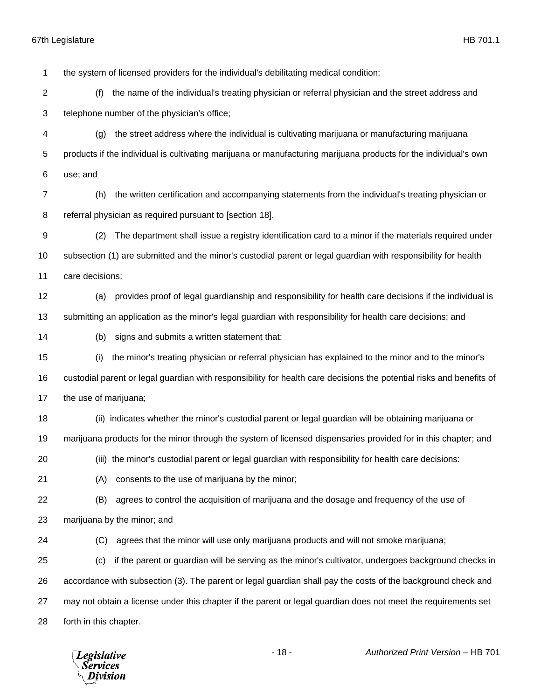the system of licensed providers for the individual's debilitating medical condition; (f) the name of the individual's treating physician or referral physician and the street address and telephone number of the physician's office; (g) the street address where the individual is cultivating marijuana or manufacturing marijuana products if the individual is cultivating marijuana or manufacturing marijuana products for the individual's own use; and (h) the written certification and accompanying statements from the individual's treating physician or referral physician as required pursuant to [section 18]. (2) The department shall issue a registry identification card to a minor if the materials required under subsection (1) are submitted and the minor's custodial parent or legal guardian with responsibility for health care decisions: (a) provides proof of legal guardianship and responsibility for health care decisions if the individual is submitting an application as the minor's legal guardian with responsibility for health care decisions; and (b) signs and submits a written statement that: (i) the minor's treating physician or referral physician has explained to the minor and to the minor's custodial parent or legal guardian with responsibility for health care decisions the potential risks and benefits of the use of marijuana; (ii) indicates whether the minor's custodial parent or legal guardian will be obtaining marijuana or marijuana products for the minor through the system of licensed dispensaries provided for in this chapter; and (iii) the minor's custodial parent or legal guardian with responsibility for health care decisions: (A) consents to the use of marijuana by the minor; (B) agrees to control the acquisition of marijuana and the dosage and frequency of the use of marijuana by the minor; and (C) agrees that the minor will use only marijuana products and will not smoke marijuana; (c) if the parent or guardian will be serving as the minor's cultivator, undergoes background checks in accordance with subsection (3). The parent or legal guardian shall pay the costs of the background check and may not obtain a license under this chapter if the parent or legal guardian does not meet the requirements set forth in this chapter.

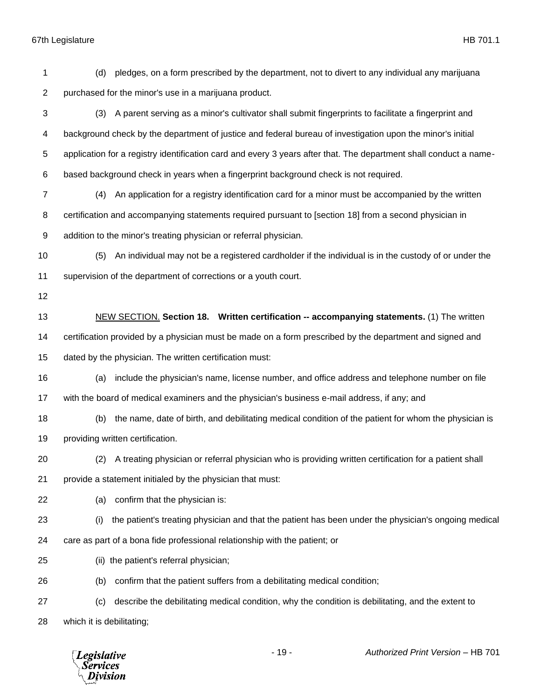(d) pledges, on a form prescribed by the department, not to divert to any individual any marijuana purchased for the minor's use in a marijuana product. (3) A parent serving as a minor's cultivator shall submit fingerprints to facilitate a fingerprint and background check by the department of justice and federal bureau of investigation upon the minor's initial application for a registry identification card and every 3 years after that. The department shall conduct a name- based background check in years when a fingerprint background check is not required. (4) An application for a registry identification card for a minor must be accompanied by the written certification and accompanying statements required pursuant to [section 18] from a second physician in addition to the minor's treating physician or referral physician. (5) An individual may not be a registered cardholder if the individual is in the custody of or under the supervision of the department of corrections or a youth court. NEW SECTION. **Section 18. Written certification -- accompanying statements.** (1) The written certification provided by a physician must be made on a form prescribed by the department and signed and dated by the physician. The written certification must: (a) include the physician's name, license number, and office address and telephone number on file with the board of medical examiners and the physician's business e-mail address, if any; and (b) the name, date of birth, and debilitating medical condition of the patient for whom the physician is providing written certification. (2) A treating physician or referral physician who is providing written certification for a patient shall provide a statement initialed by the physician that must: (a) confirm that the physician is: (i) the patient's treating physician and that the patient has been under the physician's ongoing medical care as part of a bona fide professional relationship with the patient; or (ii) the patient's referral physician; (b) confirm that the patient suffers from a debilitating medical condition; (c) describe the debilitating medical condition, why the condition is debilitating, and the extent to which it is debilitating;

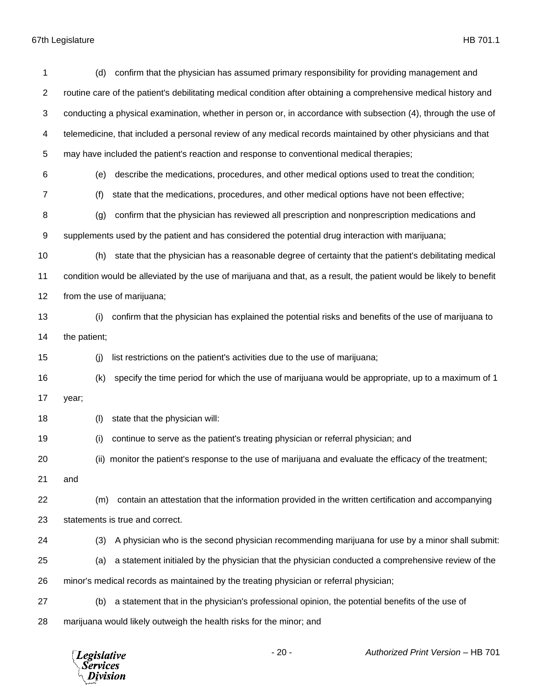| 1                | confirm that the physician has assumed primary responsibility for providing management and<br>(d)                   |
|------------------|---------------------------------------------------------------------------------------------------------------------|
| $\overline{c}$   | routine care of the patient's debilitating medical condition after obtaining a comprehensive medical history and    |
| 3                | conducting a physical examination, whether in person or, in accordance with subsection (4), through the use of      |
| 4                | telemedicine, that included a personal review of any medical records maintained by other physicians and that        |
| 5                | may have included the patient's reaction and response to conventional medical therapies;                            |
| 6                | describe the medications, procedures, and other medical options used to treat the condition;<br>(e)                 |
| $\overline{7}$   | (f)<br>state that the medications, procedures, and other medical options have not been effective;                   |
| 8                | confirm that the physician has reviewed all prescription and nonprescription medications and<br>(g)                 |
| $\boldsymbol{9}$ | supplements used by the patient and has considered the potential drug interaction with marijuana;                   |
| 10               | state that the physician has a reasonable degree of certainty that the patient's debilitating medical<br>(h)        |
| 11               | condition would be alleviated by the use of marijuana and that, as a result, the patient would be likely to benefit |
| 12               | from the use of marijuana;                                                                                          |
| 13               | confirm that the physician has explained the potential risks and benefits of the use of marijuana to<br>(i)         |
| 14               | the patient;                                                                                                        |
| 15               | list restrictions on the patient's activities due to the use of marijuana;<br>(j)                                   |
| 16               | (k)<br>specify the time period for which the use of marijuana would be appropriate, up to a maximum of 1            |
| 17               | year;                                                                                                               |
| 18               | state that the physician will:<br>(1)                                                                               |
| 19               | (i)<br>continue to serve as the patient's treating physician or referral physician; and                             |
| 20               | (ii) monitor the patient's response to the use of marijuana and evaluate the efficacy of the treatment;             |
| 21               | and                                                                                                                 |
| 22               | contain an attestation that the information provided in the written certification and accompanying<br>(m)           |
| 23               | statements is true and correct.                                                                                     |
| 24               | (3)<br>A physician who is the second physician recommending marijuana for use by a minor shall submit:              |
| 25               | a statement initialed by the physician that the physician conducted a comprehensive review of the<br>(a)            |
| 26               | minor's medical records as maintained by the treating physician or referral physician;                              |
| 27               | a statement that in the physician's professional opinion, the potential benefits of the use of<br>(b)               |
| 28               | marijuana would likely outweigh the health risks for the minor; and                                                 |

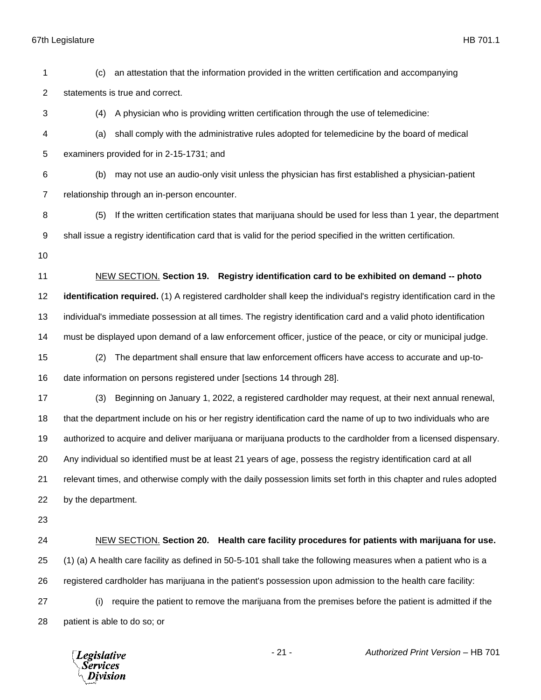67th Legislature HB 701.1 (c) an attestation that the information provided in the written certification and accompanying statements is true and correct. (4) A physician who is providing written certification through the use of telemedicine: (a) shall comply with the administrative rules adopted for telemedicine by the board of medical examiners provided for in 2-15-1731; and (b) may not use an audio-only visit unless the physician has first established a physician-patient relationship through an in-person encounter. (5) If the written certification states that marijuana should be used for less than 1 year, the department shall issue a registry identification card that is valid for the period specified in the written certification. NEW SECTION. **Section 19. Registry identification card to be exhibited on demand -- photo identification required.** (1) A registered cardholder shall keep the individual's registry identification card in the individual's immediate possession at all times. The registry identification card and a valid photo identification must be displayed upon demand of a law enforcement officer, justice of the peace, or city or municipal judge. (2) The department shall ensure that law enforcement officers have access to accurate and up-to- date information on persons registered under [sections 14 through 28]. (3) Beginning on January 1, 2022, a registered cardholder may request, at their next annual renewal, that the department include on his or her registry identification card the name of up to two individuals who are authorized to acquire and deliver marijuana or marijuana products to the cardholder from a licensed dispensary. Any individual so identified must be at least 21 years of age, possess the registry identification card at all relevant times, and otherwise comply with the daily possession limits set forth in this chapter and rules adopted by the department. NEW SECTION. **Section 20. Health care facility procedures for patients with marijuana for use.** (1) (a) A health care facility as defined in 50-5-101 shall take the following measures when a patient who is a registered cardholder has marijuana in the patient's possession upon admission to the health care facility: (i) require the patient to remove the marijuana from the premises before the patient is admitted if the patient is able to do so; or

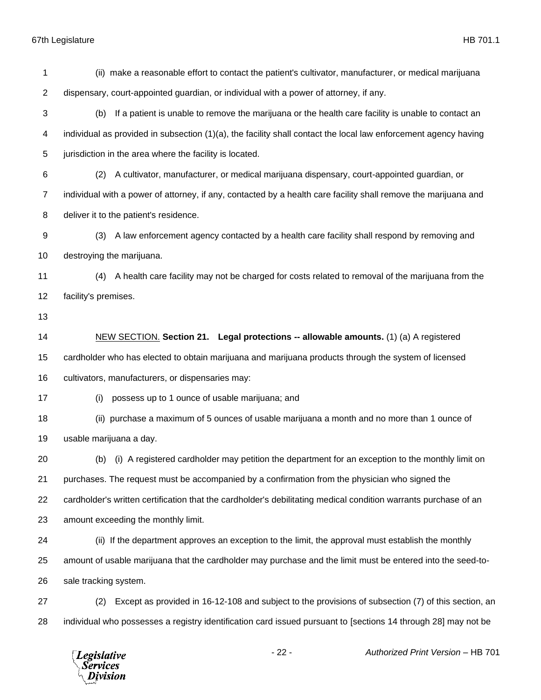(ii) make a reasonable effort to contact the patient's cultivator, manufacturer, or medical marijuana dispensary, court-appointed guardian, or individual with a power of attorney, if any. (b) If a patient is unable to remove the marijuana or the health care facility is unable to contact an individual as provided in subsection (1)(a), the facility shall contact the local law enforcement agency having 5 jurisdiction in the area where the facility is located. (2) A cultivator, manufacturer, or medical marijuana dispensary, court-appointed guardian, or individual with a power of attorney, if any, contacted by a health care facility shall remove the marijuana and deliver it to the patient's residence. (3) A law enforcement agency contacted by a health care facility shall respond by removing and destroying the marijuana. (4) A health care facility may not be charged for costs related to removal of the marijuana from the facility's premises. NEW SECTION. **Section 21. Legal protections -- allowable amounts.** (1) (a) A registered cardholder who has elected to obtain marijuana and marijuana products through the system of licensed cultivators, manufacturers, or dispensaries may: (i) possess up to 1 ounce of usable marijuana; and (ii) purchase a maximum of 5 ounces of usable marijuana a month and no more than 1 ounce of usable marijuana a day. (b) (i) A registered cardholder may petition the department for an exception to the monthly limit on purchases. The request must be accompanied by a confirmation from the physician who signed the cardholder's written certification that the cardholder's debilitating medical condition warrants purchase of an amount exceeding the monthly limit. (ii) If the department approves an exception to the limit, the approval must establish the monthly amount of usable marijuana that the cardholder may purchase and the limit must be entered into the seed-to- sale tracking system. (2) Except as provided in 16-12-108 and subject to the provisions of subsection (7) of this section, an individual who possesses a registry identification card issued pursuant to [sections 14 through 28] may not be

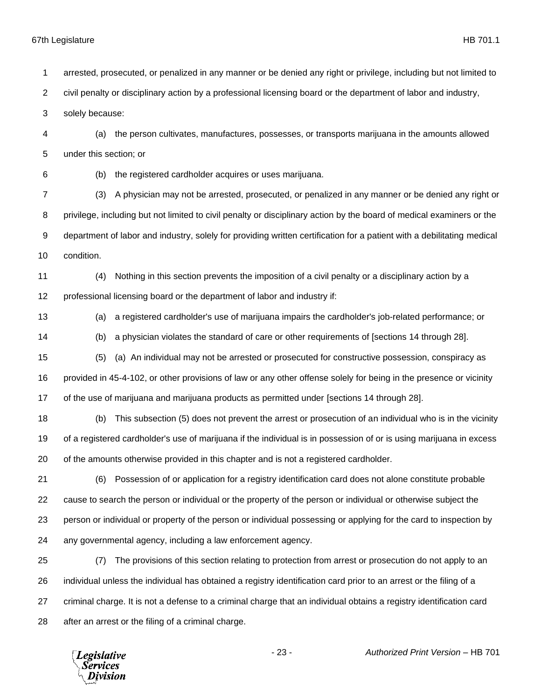arrested, prosecuted, or penalized in any manner or be denied any right or privilege, including but not limited to civil penalty or disciplinary action by a professional licensing board or the department of labor and industry,

solely because:

 (a) the person cultivates, manufactures, possesses, or transports marijuana in the amounts allowed under this section; or

(b) the registered cardholder acquires or uses marijuana.

 (3) A physician may not be arrested, prosecuted, or penalized in any manner or be denied any right or privilege, including but not limited to civil penalty or disciplinary action by the board of medical examiners or the department of labor and industry, solely for providing written certification for a patient with a debilitating medical condition.

 (4) Nothing in this section prevents the imposition of a civil penalty or a disciplinary action by a 12 professional licensing board or the department of labor and industry if:

(a) a registered cardholder's use of marijuana impairs the cardholder's job-related performance; or

(b) a physician violates the standard of care or other requirements of [sections 14 through 28].

 (5) (a) An individual may not be arrested or prosecuted for constructive possession, conspiracy as provided in 45-4-102, or other provisions of law or any other offense solely for being in the presence or vicinity of the use of marijuana and marijuana products as permitted under [sections 14 through 28].

 (b) This subsection (5) does not prevent the arrest or prosecution of an individual who is in the vicinity of a registered cardholder's use of marijuana if the individual is in possession of or is using marijuana in excess of the amounts otherwise provided in this chapter and is not a registered cardholder.

 (6) Possession of or application for a registry identification card does not alone constitute probable cause to search the person or individual or the property of the person or individual or otherwise subject the person or individual or property of the person or individual possessing or applying for the card to inspection by any governmental agency, including a law enforcement agency.

 (7) The provisions of this section relating to protection from arrest or prosecution do not apply to an individual unless the individual has obtained a registry identification card prior to an arrest or the filing of a criminal charge. It is not a defense to a criminal charge that an individual obtains a registry identification card after an arrest or the filing of a criminal charge.

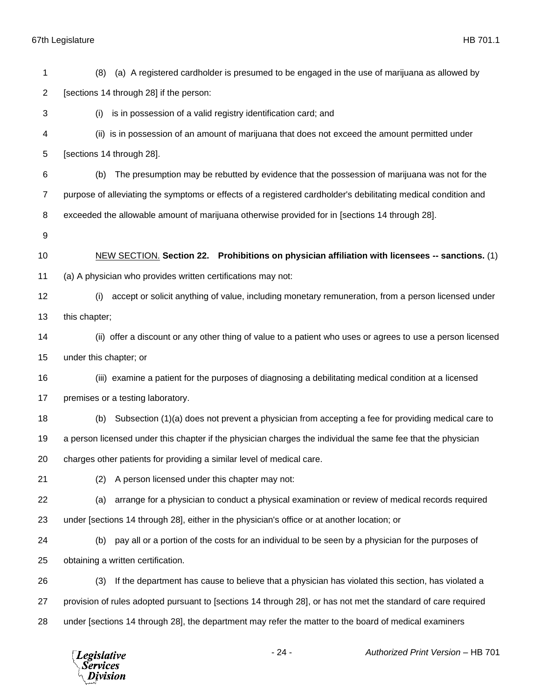(8) (a) A registered cardholder is presumed to be engaged in the use of marijuana as allowed by [sections 14 through 28] if the person: (i) is in possession of a valid registry identification card; and (ii) is in possession of an amount of marijuana that does not exceed the amount permitted under [sections 14 through 28]. (b) The presumption may be rebutted by evidence that the possession of marijuana was not for the purpose of alleviating the symptoms or effects of a registered cardholder's debilitating medical condition and exceeded the allowable amount of marijuana otherwise provided for in [sections 14 through 28]. NEW SECTION. **Section 22. Prohibitions on physician affiliation with licensees -- sanctions.** (1) (a) A physician who provides written certifications may not: (i) accept or solicit anything of value, including monetary remuneration, from a person licensed under this chapter; (ii) offer a discount or any other thing of value to a patient who uses or agrees to use a person licensed under this chapter; or (iii) examine a patient for the purposes of diagnosing a debilitating medical condition at a licensed 17 premises or a testing laboratory. (b) Subsection (1)(a) does not prevent a physician from accepting a fee for providing medical care to a person licensed under this chapter if the physician charges the individual the same fee that the physician charges other patients for providing a similar level of medical care. (2) A person licensed under this chapter may not: (a) arrange for a physician to conduct a physical examination or review of medical records required under [sections 14 through 28], either in the physician's office or at another location; or (b) pay all or a portion of the costs for an individual to be seen by a physician for the purposes of obtaining a written certification. (3) If the department has cause to believe that a physician has violated this section, has violated a provision of rules adopted pursuant to [sections 14 through 28], or has not met the standard of care required under [sections 14 through 28], the department may refer the matter to the board of medical examiners

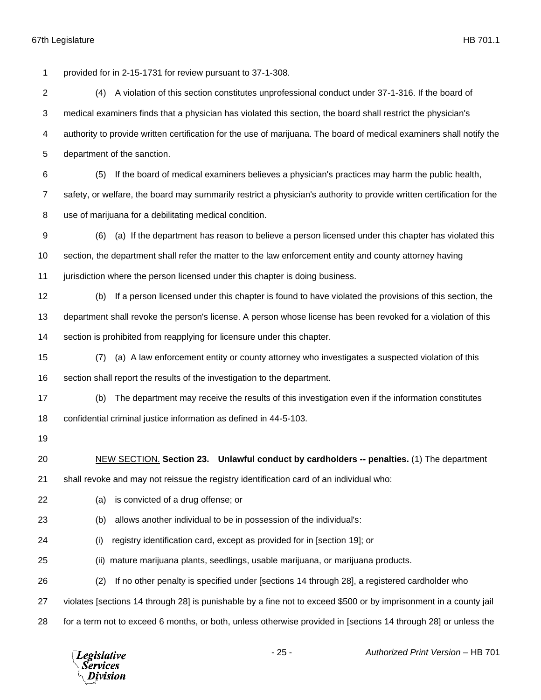provided for in 2-15-1731 for review pursuant to 37-1-308.

- (4) A violation of this section constitutes unprofessional conduct under 37-1-316. If the board of medical examiners finds that a physician has violated this section, the board shall restrict the physician's authority to provide written certification for the use of marijuana. The board of medical examiners shall notify the department of the sanction.
- (5) If the board of medical examiners believes a physician's practices may harm the public health, safety, or welfare, the board may summarily restrict a physician's authority to provide written certification for the use of marijuana for a debilitating medical condition.
- (6) (a) If the department has reason to believe a person licensed under this chapter has violated this section, the department shall refer the matter to the law enforcement entity and county attorney having jurisdiction where the person licensed under this chapter is doing business.
- (b) If a person licensed under this chapter is found to have violated the provisions of this section, the department shall revoke the person's license. A person whose license has been revoked for a violation of this section is prohibited from reapplying for licensure under this chapter.
- (7) (a) A law enforcement entity or county attorney who investigates a suspected violation of this section shall report the results of the investigation to the department.
- (b) The department may receive the results of this investigation even if the information constitutes confidential criminal justice information as defined in 44-5-103.
- 
- NEW SECTION. **Section 23. Unlawful conduct by cardholders -- penalties.** (1) The department
- shall revoke and may not reissue the registry identification card of an individual who:
- (a) is convicted of a drug offense; or
- (b) allows another individual to be in possession of the individual's:
- (i) registry identification card, except as provided for in [section 19]; or
- (ii) mature marijuana plants, seedlings, usable marijuana, or marijuana products.
- (2) If no other penalty is specified under [sections 14 through 28], a registered cardholder who
- violates [sections 14 through 28] is punishable by a fine not to exceed \$500 or by imprisonment in a county jail
- for a term not to exceed 6 months, or both, unless otherwise provided in [sections 14 through 28] or unless the

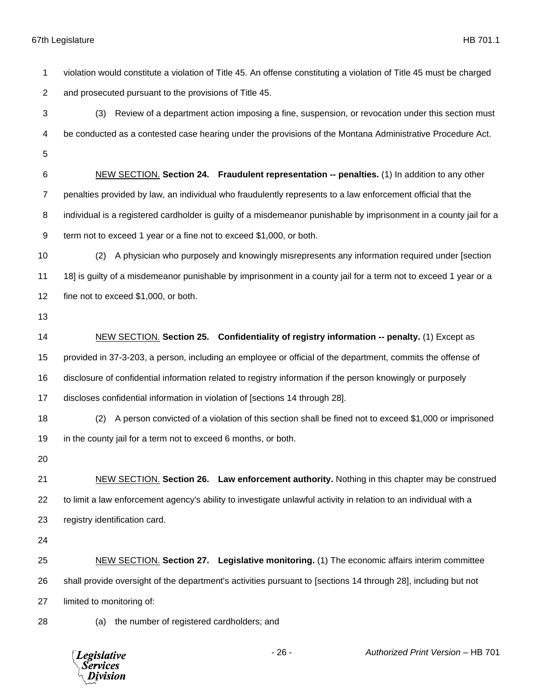67th Legislature HB 701.1 violation would constitute a violation of Title 45. An offense constituting a violation of Title 45 must be charged and prosecuted pursuant to the provisions of Title 45. (3) Review of a department action imposing a fine, suspension, or revocation under this section must be conducted as a contested case hearing under the provisions of the Montana Administrative Procedure Act. NEW SECTION. **Section 24. Fraudulent representation -- penalties.** (1) In addition to any other penalties provided by law, an individual who fraudulently represents to a law enforcement official that the individual is a registered cardholder is guilty of a misdemeanor punishable by imprisonment in a county jail for a term not to exceed 1 year or a fine not to exceed \$1,000, or both. (2) A physician who purposely and knowingly misrepresents any information required under [section 11 18] is guilty of a misdemeanor punishable by imprisonment in a county jail for a term not to exceed 1 year or a fine not to exceed \$1,000, or both. NEW SECTION. **Section 25. Confidentiality of registry information -- penalty.** (1) Except as provided in 37-3-203, a person, including an employee or official of the department, commits the offense of disclosure of confidential information related to registry information if the person knowingly or purposely discloses confidential information in violation of [sections 14 through 28]. (2) A person convicted of a violation of this section shall be fined not to exceed \$1,000 or imprisoned

 NEW SECTION. **Section 26. Law enforcement authority.** Nothing in this chapter may be construed to limit a law enforcement agency's ability to investigate unlawful activity in relation to an individual with a registry identification card.

 NEW SECTION. **Section 27. Legislative monitoring.** (1) The economic affairs interim committee shall provide oversight of the department's activities pursuant to [sections 14 through 28], including but not limited to monitoring of:

(a) the number of registered cardholders; and

in the county jail for a term not to exceed 6 months, or both.

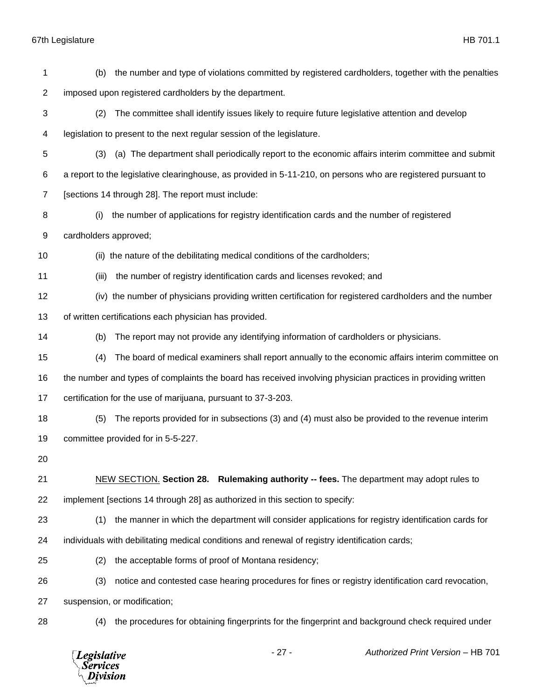| 1              | (b)                   | the number and type of violations committed by registered cardholders, together with the penalties            |
|----------------|-----------------------|---------------------------------------------------------------------------------------------------------------|
| $\overline{2}$ |                       | imposed upon registered cardholders by the department.                                                        |
| 3              | (2)                   | The committee shall identify issues likely to require future legislative attention and develop                |
| 4              |                       | legislation to present to the next regular session of the legislature.                                        |
| 5              | (3)                   | (a) The department shall periodically report to the economic affairs interim committee and submit             |
| 6              |                       | a report to the legislative clearinghouse, as provided in 5-11-210, on persons who are registered pursuant to |
| $\overline{7}$ |                       | [sections 14 through 28]. The report must include:                                                            |
| 8              | (i)                   | the number of applications for registry identification cards and the number of registered                     |
| 9              | cardholders approved; |                                                                                                               |
| 10             |                       | (ii) the nature of the debilitating medical conditions of the cardholders;                                    |
| 11             | (iii)                 | the number of registry identification cards and licenses revoked; and                                         |
| 12             |                       | (iv) the number of physicians providing written certification for registered cardholders and the number       |
| 13             |                       | of written certifications each physician has provided.                                                        |
| 14             | (b)                   | The report may not provide any identifying information of cardholders or physicians.                          |
| 15             | (4)                   | The board of medical examiners shall report annually to the economic affairs interim committee on             |
| 16             |                       | the number and types of complaints the board has received involving physician practices in providing written  |
| 17             |                       | certification for the use of marijuana, pursuant to 37-3-203.                                                 |
| 18             | (5)                   | The reports provided for in subsections (3) and (4) must also be provided to the revenue interim              |
| 19             |                       | committee provided for in 5-5-227.                                                                            |
| 20             |                       |                                                                                                               |
| 21             |                       | NEW SECTION. Section 28. Rulemaking authority -- fees. The department may adopt rules to                      |
| 22             |                       | implement [sections 14 through 28] as authorized in this section to specify:                                  |
| 23             | (1)                   | the manner in which the department will consider applications for registry identification cards for           |
| 24             |                       | individuals with debilitating medical conditions and renewal of registry identification cards;                |
| 25             | (2)                   | the acceptable forms of proof of Montana residency;                                                           |
| 26             | (3)                   | notice and contested case hearing procedures for fines or registry identification card revocation,            |
| 27             |                       | suspension, or modification;                                                                                  |
| 28             | (4)                   | the procedures for obtaining fingerprints for the fingerprint and background check required under             |
|                |                       |                                                                                                               |

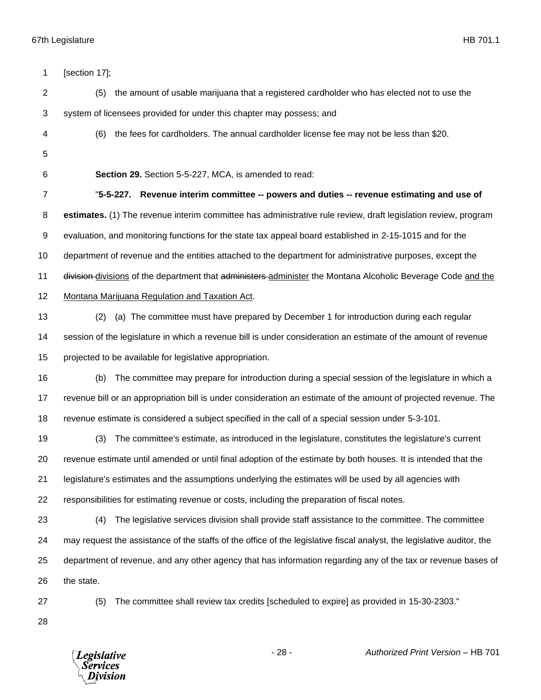| 1  | [section 17];                                                                                                          |
|----|------------------------------------------------------------------------------------------------------------------------|
| 2  | (5)<br>the amount of usable marijuana that a registered cardholder who has elected not to use the                      |
| 3  | system of licensees provided for under this chapter may possess; and                                                   |
| 4  | the fees for cardholders. The annual cardholder license fee may not be less than \$20.<br>(6)                          |
| 5  |                                                                                                                        |
| 6  | Section 29. Section 5-5-227, MCA, is amended to read:                                                                  |
| 7  | "5-5-227. Revenue interim committee -- powers and duties -- revenue estimating and use of                              |
| 8  | estimates. (1) The revenue interim committee has administrative rule review, draft legislation review, program         |
| 9  | evaluation, and monitoring functions for the state tax appeal board established in 2-15-1015 and for the               |
| 10 | department of revenue and the entities attached to the department for administrative purposes, except the              |
| 11 | division-divisions of the department that administers-administer the Montana Alcoholic Beverage Code and the           |
| 12 | Montana Marijuana Regulation and Taxation Act.                                                                         |
| 13 | (a) The committee must have prepared by December 1 for introduction during each regular<br>(2)                         |
| 14 | session of the legislature in which a revenue bill is under consideration an estimate of the amount of revenue         |
| 15 | projected to be available for legislative appropriation.                                                               |
| 16 | The committee may prepare for introduction during a special session of the legislature in which a<br>(b)               |
| 17 | revenue bill or an appropriation bill is under consideration an estimate of the amount of projected revenue. The       |
| 18 | revenue estimate is considered a subject specified in the call of a special session under 5-3-101.                     |
| 19 | The committee's estimate, as introduced in the legislature, constitutes the legislature's current<br>(3)               |
| 20 | revenue estimate until amended or until final adoption of the estimate by both houses. It is intended that the         |
| 21 | legislature's estimates and the assumptions underlying the estimates will be used by all agencies with                 |
| 22 | responsibilities for estimating revenue or costs, including the preparation of fiscal notes.                           |
| 23 | The legislative services division shall provide staff assistance to the committee. The committee<br>(4)                |
| 24 | may request the assistance of the staffs of the office of the legislative fiscal analyst, the legislative auditor, the |
| 25 | department of revenue, and any other agency that has information regarding any of the tax or revenue bases of          |
| 26 | the state.                                                                                                             |
| 27 | The committee shall review tax credits [scheduled to expire] as provided in 15-30-2303."<br>(5)                        |
| 28 |                                                                                                                        |
|    |                                                                                                                        |

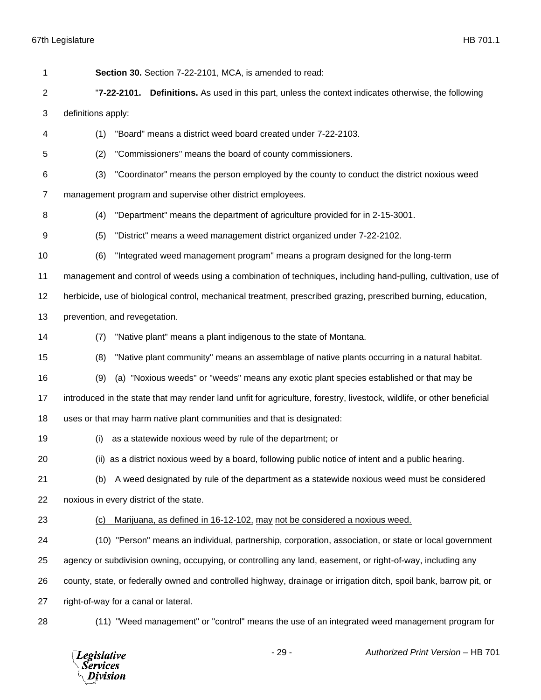| 1              | Section 30. Section 7-22-2101, MCA, is amended to read:                                                                |
|----------------|------------------------------------------------------------------------------------------------------------------------|
| 2              | <b>Definitions.</b> As used in this part, unless the context indicates otherwise, the following<br>"7-22-2101.         |
| 3              | definitions apply:                                                                                                     |
| 4              | "Board" means a district weed board created under 7-22-2103.<br>(1)                                                    |
| 5              | "Commissioners" means the board of county commissioners.<br>(2)                                                        |
| 6              | "Coordinator" means the person employed by the county to conduct the district noxious weed<br>(3)                      |
| $\overline{7}$ | management program and supervise other district employees.                                                             |
| 8              | "Department" means the department of agriculture provided for in 2-15-3001.<br>(4)                                     |
| 9              | "District" means a weed management district organized under 7-22-2102.<br>(5)                                          |
| 10             | (6)<br>"Integrated weed management program" means a program designed for the long-term                                 |
| 11             | management and control of weeds using a combination of techniques, including hand-pulling, cultivation, use of         |
| 12             | herbicide, use of biological control, mechanical treatment, prescribed grazing, prescribed burning, education,         |
| 13             | prevention, and revegetation.                                                                                          |
| 14             | "Native plant" means a plant indigenous to the state of Montana.<br>(7)                                                |
| 15             | "Native plant community" means an assemblage of native plants occurring in a natural habitat.<br>(8)                   |
| 16             | (a) "Noxious weeds" or "weeds" means any exotic plant species established or that may be<br>(9)                        |
| 17             | introduced in the state that may render land unfit for agriculture, forestry, livestock, wildlife, or other beneficial |
| 18             | uses or that may harm native plant communities and that is designated:                                                 |
| 19             | as a statewide noxious weed by rule of the department; or<br>(i)                                                       |
| 20             | (ii) as a district noxious weed by a board, following public notice of intent and a public hearing.                    |
| 21             | A weed designated by rule of the department as a statewide noxious weed must be considered<br>(b)                      |
| 22             | noxious in every district of the state.                                                                                |
| 23             | Marijuana, as defined in 16-12-102, may not be considered a noxious weed.<br>(c)                                       |
| 24             | (10) "Person" means an individual, partnership, corporation, association, or state or local government                 |
| 25             | agency or subdivision owning, occupying, or controlling any land, easement, or right-of-way, including any             |
| 26             | county, state, or federally owned and controlled highway, drainage or irrigation ditch, spoil bank, barrow pit, or     |
| 27             | right-of-way for a canal or lateral.                                                                                   |
| 28             | (11) "Weed management" or "control" means the use of an integrated weed management program for                         |

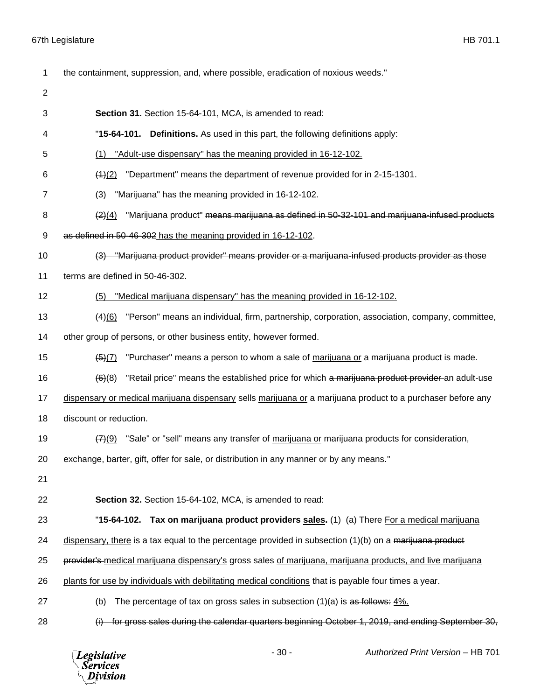the containment, suppression, and, where possible, eradication of noxious weeds." **Section 31.** Section 15-64-101, MCA, is amended to read: "**15-64-101. Definitions.** As used in this part, the following definitions apply: (1) "Adult-use dispensary" has the meaning provided in 16-12-102. (1)(2) "Department" means the department of revenue provided for in 2-15-1301. (3) "Marijuana" has the meaning provided in 16-12-102. 8 (2)(4) "Marijuana product" means marijuana as defined in 50-32-101 and marijuana-infused products as defined in 50-46-302 has the meaning provided in 16-12-102. (3) "Marijuana product provider" means provider or a marijuana-infused products provider as those terms are defined in 50-46-302. (5) "Medical marijuana dispensary" has the meaning provided in 16-12-102. (4)(6) "Person" means an individual, firm, partnership, corporation, association, company, committee, 14 other group of persons, or other business entity, however formed.  $(5)$  (7) "Purchaser" means a person to whom a sale of marijuana or a marijuana product is made.  $(6)(8)$  "Retail price" means the established price for which a marijuana product provider an adult-use 17 dispensary or medical marijuana dispensary sells marijuana or a marijuana product to a purchaser before any discount or reduction.  $(7)$ (9) "Sale" or "sell" means any transfer of marijuana or marijuana products for consideration, exchange, barter, gift, offer for sale, or distribution in any manner or by any means." **Section 32.** Section 15-64-102, MCA, is amended to read: "**15-64-102. Tax on marijuana product providers sales.** (1) (a) There For a medical marijuana 24 dispensary, there is a tax equal to the percentage provided in subsection  $(1)(b)$  on a marijuana product 25 provider's medical marijuana dispensary's gross sales of marijuana, marijuana products, and live marijuana plants for use by individuals with debilitating medical conditions that is payable four times a year. 27 (b) The percentage of tax on gross sales in subsection  $(1)(a)$  is as follows: 4%. (i) for gross sales during the calendar quarters beginning October 1, 2019, and ending September 30,

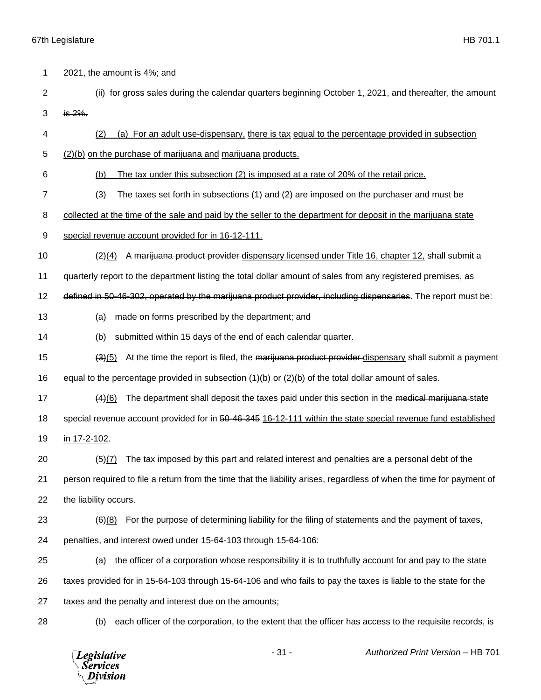1 2021, the amount is 4%; and

- 2 (ii) for gross sales during the calendar quarters beginning October 1, 2021, and thereafter, the amount 3  $i \frac{1}{2}$  is 2%.
- 4 (2) (a) For an adult use-dispensary, there is tax equal to the percentage provided in subsection
- 5 (2)(b) on the purchase of marijuana and marijuana products.
- 6 (b) The tax under this subsection (2) is imposed at a rate of 20% of the retail price.
- 7 (3) The taxes set forth in subsections (1) and (2) are imposed on the purchaser and must be

8 collected at the time of the sale and paid by the seller to the department for deposit in the marijuana state

- 9 special revenue account provided for in 16-12-111.
- 10  $\left( \frac{2}{4} \right)$  A marijuana product provider dispensary licensed under Title 16, chapter 12, shall submit a

11 quarterly report to the department listing the total dollar amount of sales from any registered premises, as

12 defined in 50-46-302, operated by the marijuana product provider, including dispensaries. The report must be:

- 13 (a) made on forms prescribed by the department; and
- 14 (b) submitted within 15 days of the end of each calendar quarter.
- 15 (3)(5) At the time the report is filed, the marijuana product provider dispensary shall submit a payment

16 equal to the percentage provided in subsection (1)(b) or (2)(b) of the total dollar amount of sales.

17  $(4)(6)$  The department shall deposit the taxes paid under this section in the medical marijuana state

18 special revenue account provided for in 50-46-345 16-12-111 within the state special revenue fund established

19 in 17-2-102.

20  $(5)(7)$  The tax imposed by this part and related interest and penalties are a personal debt of the

21 person required to file a return from the time that the liability arises, regardless of when the time for payment of 22 the liability occurs.

23  $(6)(8)$  For the purpose of determining liability for the filing of statements and the payment of taxes,

24 penalties, and interest owed under 15-64-103 through 15-64-106:

25 (a) the officer of a corporation whose responsibility it is to truthfully account for and pay to the state 26 taxes provided for in 15-64-103 through 15-64-106 and who fails to pay the taxes is liable to the state for the 27 taxes and the penalty and interest due on the amounts;

28 (b) each officer of the corporation, to the extent that the officer has access to the requisite records, is

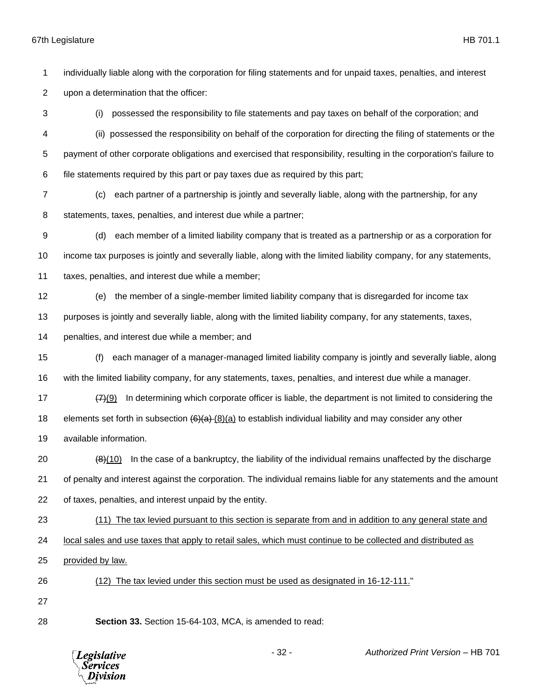individually liable along with the corporation for filing statements and for unpaid taxes, penalties, and interest

upon a determination that the officer:

 (i) possessed the responsibility to file statements and pay taxes on behalf of the corporation; and (ii) possessed the responsibility on behalf of the corporation for directing the filing of statements or the payment of other corporate obligations and exercised that responsibility, resulting in the corporation's failure to file statements required by this part or pay taxes due as required by this part;

 (c) each partner of a partnership is jointly and severally liable, along with the partnership, for any statements, taxes, penalties, and interest due while a partner;

 (d) each member of a limited liability company that is treated as a partnership or as a corporation for income tax purposes is jointly and severally liable, along with the limited liability company, for any statements, taxes, penalties, and interest due while a member;

(e) the member of a single-member limited liability company that is disregarded for income tax

purposes is jointly and severally liable, along with the limited liability company, for any statements, taxes,

penalties, and interest due while a member; and

 (f) each manager of a manager-managed limited liability company is jointly and severally liable, along with the limited liability company, for any statements, taxes, penalties, and interest due while a manager.

17  $\left(7\right)\left(9\right)$  In determining which corporate officer is liable, the department is not limited to considering the 18 elements set forth in subsection  $(6)(a)$  (8)(a) to establish individual liability and may consider any other

available information.

20  $(8)(10)$  In the case of a bankruptcy, the liability of the individual remains unaffected by the discharge of penalty and interest against the corporation. The individual remains liable for any statements and the amount of taxes, penalties, and interest unpaid by the entity.

(11) The tax levied pursuant to this section is separate from and in addition to any general state and

local sales and use taxes that apply to retail sales, which must continue to be collected and distributed as

- provided by law.
- (12) The tax levied under this section must be used as designated in 16-12-111."

**Section 33.** Section 15-64-103, MCA, is amended to read:

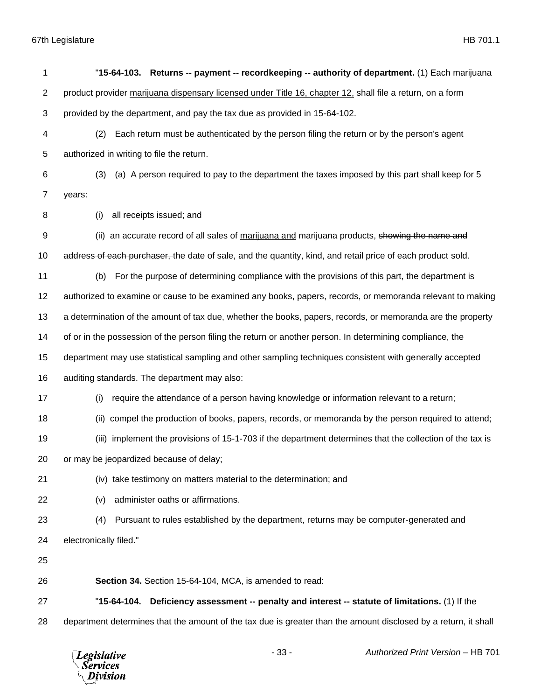| 1              | "15-64-103. Returns -- payment -- recordkeeping -- authority of department. (1) Each marijuana                  |
|----------------|-----------------------------------------------------------------------------------------------------------------|
| $\overline{2}$ | product provider-marijuana dispensary licensed under Title 16, chapter 12, shall file a return, on a form       |
| 3              | provided by the department, and pay the tax due as provided in 15-64-102.                                       |
| 4              | Each return must be authenticated by the person filing the return or by the person's agent<br>(2)               |
| 5              | authorized in writing to file the return.                                                                       |
| 6              | (a) A person required to pay to the department the taxes imposed by this part shall keep for 5<br>(3)           |
| $\overline{7}$ | years:                                                                                                          |
| 8              | all receipts issued; and<br>(i)                                                                                 |
| 9              | (ii) an accurate record of all sales of marijuana and marijuana products, showing the name and                  |
| 10             | address of each purchaser, the date of sale, and the quantity, kind, and retail price of each product sold.     |
| 11             | For the purpose of determining compliance with the provisions of this part, the department is<br>(b)            |
| 12             | authorized to examine or cause to be examined any books, papers, records, or memoranda relevant to making       |
| 13             | a determination of the amount of tax due, whether the books, papers, records, or memoranda are the property     |
| 14             | of or in the possession of the person filing the return or another person. In determining compliance, the       |
| 15             | department may use statistical sampling and other sampling techniques consistent with generally accepted        |
| 16             | auditing standards. The department may also:                                                                    |
| 17             | require the attendance of a person having knowledge or information relevant to a return;<br>(i)                 |
| 18             | compel the production of books, papers, records, or memoranda by the person required to attend;<br>(ii)         |
| 19             | implement the provisions of 15-1-703 if the department determines that the collection of the tax is<br>(iii)    |
| 20             | or may be jeopardized because of delay;                                                                         |
| 21             | (iv) take testimony on matters material to the determination; and                                               |
| 22             | administer oaths or affirmations.<br>(v)                                                                        |
| 23             | Pursuant to rules established by the department, returns may be computer-generated and<br>(4)                   |
| 24             | electronically filed."                                                                                          |
| 25             |                                                                                                                 |
| 26             | Section 34. Section 15-64-104, MCA, is amended to read:                                                         |
| 27             | "15-64-104.<br>Deficiency assessment -- penalty and interest -- statute of limitations. (1) If the              |
| 28             | department determines that the amount of the tax due is greater than the amount disclosed by a return, it shall |
|                |                                                                                                                 |

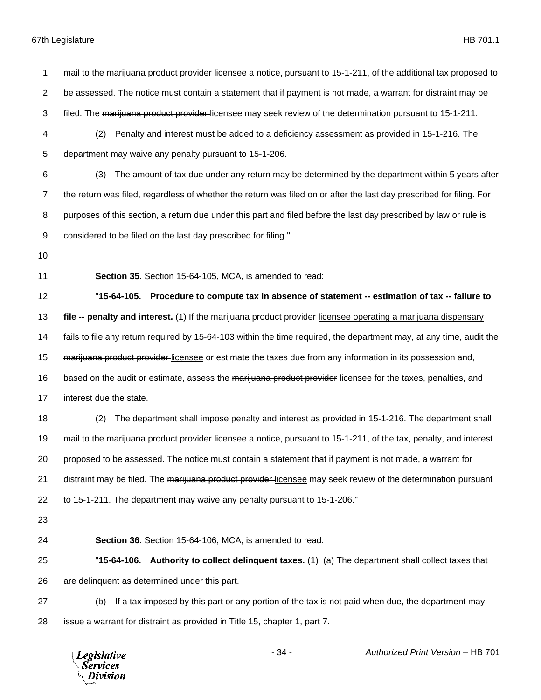1 mail to the marijuana product provider-licensee a notice, pursuant to 15-1-211, of the additional tax proposed to be assessed. The notice must contain a statement that if payment is not made, a warrant for distraint may be 3 filed. The marijuana product provider-licensee may seek review of the determination pursuant to 15-1-211. (2) Penalty and interest must be added to a deficiency assessment as provided in 15-1-216. The department may waive any penalty pursuant to 15-1-206. (3) The amount of tax due under any return may be determined by the department within 5 years after the return was filed, regardless of whether the return was filed on or after the last day prescribed for filing. For purposes of this section, a return due under this part and filed before the last day prescribed by law or rule is considered to be filed on the last day prescribed for filing." **Section 35.** Section 15-64-105, MCA, is amended to read: "**15-64-105. Procedure to compute tax in absence of statement -- estimation of tax -- failure to file -- penalty and interest.** (1) If the marijuana product provider licensee operating a marijuana dispensary fails to file any return required by 15-64-103 within the time required, the department may, at any time, audit the 15 marijuana product provider licensee or estimate the taxes due from any information in its possession and, 16 based on the audit or estimate, assess the marijuana product provider licensee for the taxes, penalties, and interest due the state. (2) The department shall impose penalty and interest as provided in 15-1-216. The department shall 19 mail to the marijuana product provider-licensee a notice, pursuant to 15-1-211, of the tax, penalty, and interest proposed to be assessed. The notice must contain a statement that if payment is not made, a warrant for 21 distraint may be filed. The marijuana product provider-licensee may seek review of the determination pursuant to 15-1-211. The department may waive any penalty pursuant to 15-1-206." **Section 36.** Section 15-64-106, MCA, is amended to read: "**15-64-106. Authority to collect delinquent taxes.** (1) (a) The department shall collect taxes that are delinquent as determined under this part. (b) If a tax imposed by this part or any portion of the tax is not paid when due, the department may issue a warrant for distraint as provided in Title 15, chapter 1, part 7.

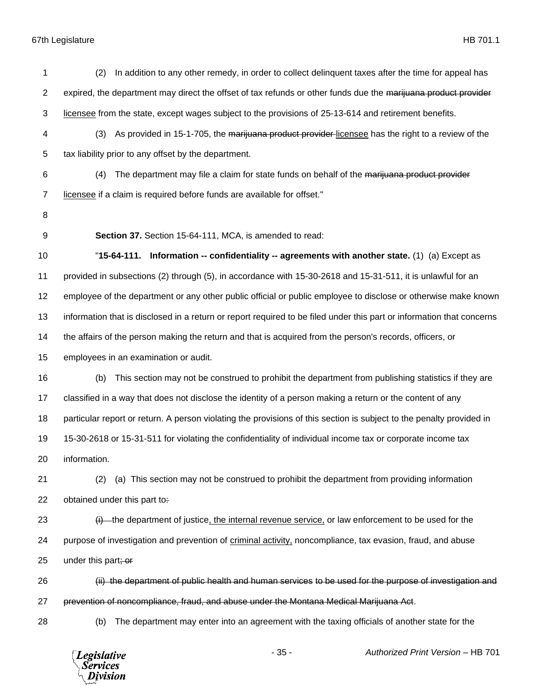| 1              | In addition to any other remedy, in order to collect delinguent taxes after the time for appeal has<br>(2)            |
|----------------|-----------------------------------------------------------------------------------------------------------------------|
| $\overline{2}$ | expired, the department may direct the offset of tax refunds or other funds due the marijuana product provider        |
| 3              | licensee from the state, except wages subject to the provisions of 25-13-614 and retirement benefits.                 |
| 4              | As provided in 15-1-705, the marijuana product provider-licensee has the right to a review of the<br>(3)              |
| 5              | tax liability prior to any offset by the department.                                                                  |
| 6              | The department may file a claim for state funds on behalf of the marijuana product provider<br>(4)                    |
| $\overline{7}$ | licensee if a claim is required before funds are available for offset."                                               |
| 8              |                                                                                                                       |
| 9              | Section 37. Section 15-64-111, MCA, is amended to read:                                                               |
| 10             | "15-64-111. Information -- confidentiality -- agreements with another state. (1) (a) Except as                        |
| 11             | provided in subsections (2) through (5), in accordance with 15-30-2618 and 15-31-511, it is unlawful for an           |
| 12             | employee of the department or any other public official or public employee to disclose or otherwise make known        |
| 13             | information that is disclosed in a return or report required to be filed under this part or information that concerns |
| 14             | the affairs of the person making the return and that is acquired from the person's records, officers, or              |
| 15             | employees in an examination or audit.                                                                                 |
| 16             | This section may not be construed to prohibit the department from publishing statistics if they are<br>(b)            |
| 17             | classified in a way that does not disclose the identity of a person making a return or the content of any             |
| 18             | particular report or return. A person violating the provisions of this section is subject to the penalty provided in  |
| 19             | 15-30-2618 or 15-31-511 for violating the confidentiality of individual income tax or corporate income tax            |
| 20             | information.                                                                                                          |
| 21             | (a) This section may not be construed to prohibit the department from providing information<br>(2)                    |
| 22             | obtained under this part to:                                                                                          |
| 23             | $(i)$ the department of justice, the internal revenue service, or law enforcement to be used for the                  |
| 24             | purpose of investigation and prevention of criminal activity, noncompliance, tax evasion, fraud, and abuse            |
| 25             | under this part; or                                                                                                   |
| 26             | (ii) the department of public health and human services to be used for the purpose of investigation and               |
| 27             | prevention of noncompliance, fraud, and abuse under the Montana Medical Marijuana Act.                                |
| 28             | The department may enter into an agreement with the taxing officials of another state for the<br>(b)                  |
|                | $-35-$<br>Authorized Print Version - HB 701<br><b>Legislative</b><br>Service.<br>ivision                              |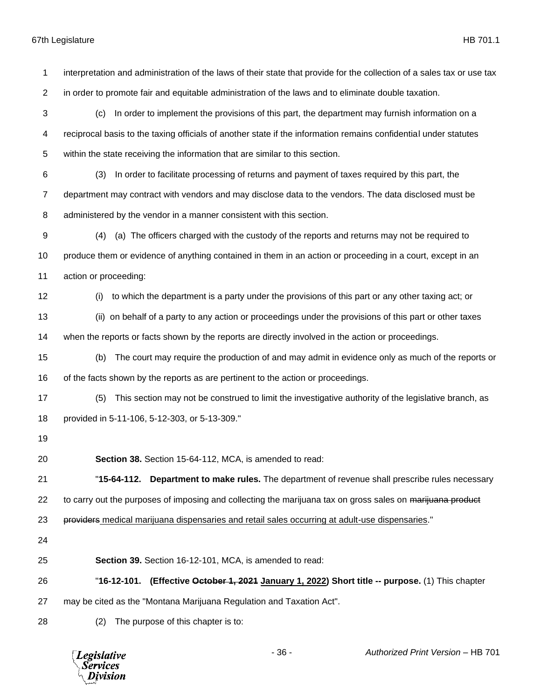interpretation and administration of the laws of their state that provide for the collection of a sales tax or use tax in order to promote fair and equitable administration of the laws and to eliminate double taxation. (c) In order to implement the provisions of this part, the department may furnish information on a reciprocal basis to the taxing officials of another state if the information remains confidential under statutes within the state receiving the information that are similar to this section. (3) In order to facilitate processing of returns and payment of taxes required by this part, the department may contract with vendors and may disclose data to the vendors. The data disclosed must be administered by the vendor in a manner consistent with this section. (4) (a) The officers charged with the custody of the reports and returns may not be required to produce them or evidence of anything contained in them in an action or proceeding in a court, except in an action or proceeding: (i) to which the department is a party under the provisions of this part or any other taxing act; or (ii) on behalf of a party to any action or proceedings under the provisions of this part or other taxes when the reports or facts shown by the reports are directly involved in the action or proceedings. (b) The court may require the production of and may admit in evidence only as much of the reports or of the facts shown by the reports as are pertinent to the action or proceedings. (5) This section may not be construed to limit the investigative authority of the legislative branch, as provided in 5-11-106, 5-12-303, or 5-13-309." **Section 38.** Section 15-64-112, MCA, is amended to read: "**15-64-112. Department to make rules.** The department of revenue shall prescribe rules necessary 22 to carry out the purposes of imposing and collecting the marijuana tax on gross sales on marijuana product 23 providers medical marijuana dispensaries and retail sales occurring at adult-use dispensaries." **Section 39.** Section 16-12-101, MCA, is amended to read: "**16-12-101. (Effective October 1, 2021 January 1, 2022) Short title -- purpose.** (1) This chapter may be cited as the "Montana Marijuana Regulation and Taxation Act". (2) The purpose of this chapter is to:

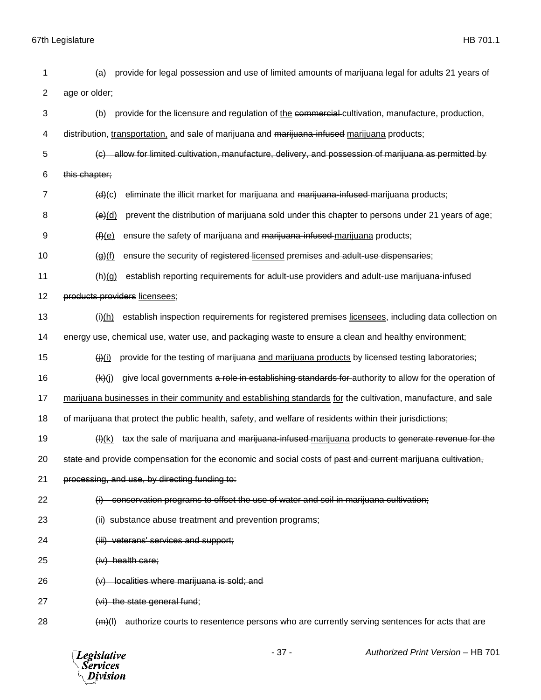2 age or older; 3 (b) provide for the licensure and regulation of the commercial cultivation, manufacture, production, 4 distribution, transportation, and sale of marijuana and marijuana-infused marijuana products; 5 (c) allow for limited cultivation, manufacture, delivery, and possession of marijuana as permitted by 6 this chapter;  $7 \left( d \right)$ (c) eliminate the illicit market for marijuana and marijuana-infused marijuana products;  $8 \left( \Theta \right)$  (d) prevent the distribution of marijuana sold under this chapter to persons under 21 years of age;  $9 \left( f \right)(e)$  ensure the safety of marijuana and <del>marijuana-infused</del> marijuana products; 10 (a)(f) ensure the security of registered licensed premises and adult-use dispensaries; 11 (h)(g) establish reporting requirements for adult-use providers and adult-use marijuana-infused 12 products providers licensees; 13 (ii)(h) establish inspection requirements for registered premises licensees, including data collection on 14 energy use, chemical use, water use, and packaging waste to ensure a clean and healthy environment; 15  $(i)$  provide for the testing of marijuana and marijuana products by licensed testing laboratories; 16  $(k)(j)$  give local governments a role in establishing standards for authority to allow for the operation of 17 marijuana businesses in their community and establishing standards for the cultivation, manufacture, and sale 18 of marijuana that protect the public health, safety, and welfare of residents within their jurisdictions; 19 (H)(k) tax the sale of marijuana and <del>marijuana-infused</del>-marijuana products to generate revenue for the 20 state and provide compensation for the economic and social costs of past and current marijuana cultivation, 21 processing, and use, by directing funding to: 22 (i) conservation programs to offset the use of water and soil in marijuana cultivation: 23 (ii) substance abuse treatment and prevention programs; 24 (iii) veterans' services and support; 25 (iv) health care; 26 (v) localities where marijuana is sold; and 27 (vi) the state general fund;  $(m)(l)$  authorize courts to resentence persons who are currently serving sentences for acts that are - 37 - *Authorized Print Version* – HB 701 **Legislative Services** Division

1 (a) provide for legal possession and use of limited amounts of marijuana legal for adults 21 years of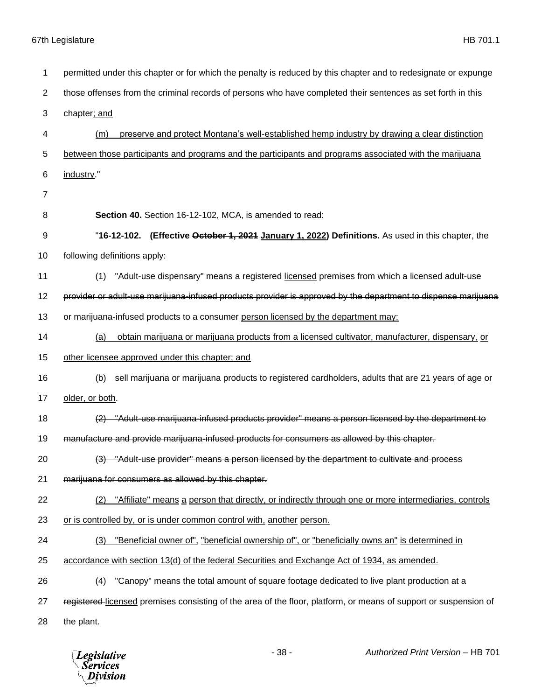| 1  | permitted under this chapter or for which the penalty is reduced by this chapter and to redesignate or expunge   |
|----|------------------------------------------------------------------------------------------------------------------|
| 2  | those offenses from the criminal records of persons who have completed their sentences as set forth in this      |
| 3  | chapter; and                                                                                                     |
| 4  | preserve and protect Montana's well-established hemp industry by drawing a clear distinction<br>(m)              |
| 5  | between those participants and programs and the participants and programs associated with the marijuana          |
| 6  | industry."                                                                                                       |
| 7  |                                                                                                                  |
| 8  | Section 40. Section 16-12-102, MCA, is amended to read:                                                          |
| 9  | "16-12-102. (Effective October 1, 2021 January 1, 2022) Definitions. As used in this chapter, the                |
| 10 | following definitions apply:                                                                                     |
| 11 | "Adult-use dispensary" means a registered-licensed premises from which a licensed adult-use<br>(1)               |
| 12 | provider or adult-use marijuana-infused products provider is approved by the department to dispense marijuana    |
| 13 | or marijuana-infused products to a consumer person licensed by the department may:                               |
| 14 | obtain marijuana or marijuana products from a licensed cultivator, manufacturer, dispensary, or<br>(a)           |
| 15 | other licensee approved under this chapter; and                                                                  |
| 16 | sell marijuana or marijuana products to registered cardholders, adults that are 21 years of age or<br>(b)        |
| 17 | older, or both.                                                                                                  |
| 18 | (2) "Adult-use marijuana-infused products provider" means a person licensed by the department to                 |
| 19 | manufacture and provide marijuana-infused products for consumers as allowed by this chapter.                     |
| 20 | (3) "Adult-use provider" means a person licensed by the department to cultivate and process                      |
| 21 | marijuana for consumers as allowed by this chapter.                                                              |
| 22 | "Affiliate" means a person that directly, or indirectly through one or more intermediaries, controls<br>(2)      |
| 23 | or is controlled by, or is under common control with, another person.                                            |
| 24 | "Beneficial owner of", "beneficial ownership of", or "beneficially owns an" is determined in<br>(3)              |
| 25 | accordance with section 13(d) of the federal Securities and Exchange Act of 1934, as amended.                    |
| 26 | "Canopy" means the total amount of square footage dedicated to live plant production at a<br>(4)                 |
| 27 | registered-licensed premises consisting of the area of the floor, platform, or means of support or suspension of |
| 28 | the plant.                                                                                                       |

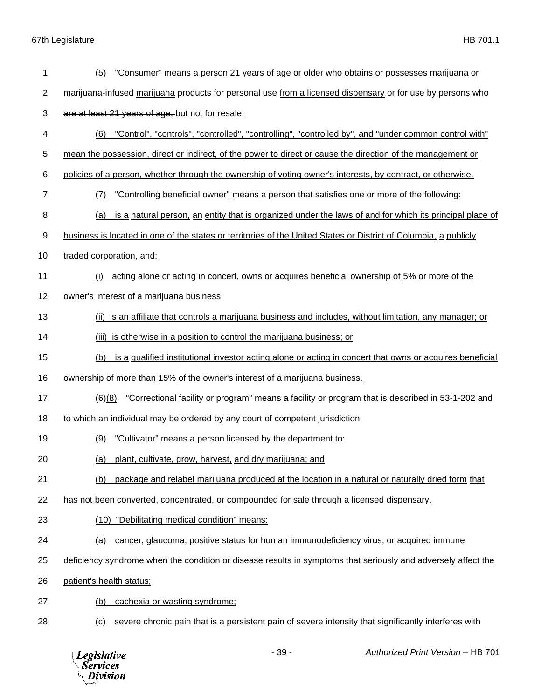| 1              | (5)<br>"Consumer" means a person 21 years of age or older who obtains or possesses marijuana or                        |
|----------------|------------------------------------------------------------------------------------------------------------------------|
| $\overline{2}$ | marijuana-infused-marijuana products for personal use from a licensed dispensary or for use by persons who             |
| 3              | are at least 21 years of age, but not for resale.                                                                      |
| 4              | "Control", "controls", "controlled", "controlling", "controlled by", and "under common control with"<br>(6)            |
| 5              | mean the possession, direct or indirect, of the power to direct or cause the direction of the management or            |
| 6              | policies of a person, whether through the ownership of voting owner's interests, by contract, or otherwise.            |
| 7              | "Controlling beneficial owner" means a person that satisfies one or more of the following:<br>(7)                      |
| 8              | is a natural person, an entity that is organized under the laws of and for which its principal place of<br>(a)         |
| 9              | business is located in one of the states or territories of the United States or District of Columbia, a publicly       |
| 10             | traded corporation, and:                                                                                               |
| 11             | acting alone or acting in concert, owns or acquires beneficial ownership of 5% or more of the<br>(i)                   |
| 12             | owner's interest of a marijuana business;                                                                              |
| 13             | (ii) is an affiliate that controls a marijuana business and includes, without limitation, any manager; or              |
| 14             | is otherwise in a position to control the marijuana business; or<br>(iii)                                              |
| 15             | is a qualified institutional investor acting alone or acting in concert that owns or acquires beneficial<br>(b)        |
| 16             | ownership of more than 15% of the owner's interest of a marijuana business.                                            |
| 17             | "Correctional facility or program" means a facility or program that is described in 53-1-202 and<br>$\frac{(6)(8)}{6}$ |
| 18             | to which an individual may be ordered by any court of competent jurisdiction.                                          |
| 19             | "Cultivator" means a person licensed by the department to:<br>(9)                                                      |
| 20             | (a) plant, cultivate, grow, harvest, and dry marijuana; and                                                            |
| 21             | package and relabel marijuana produced at the location in a natural or naturally dried form that<br>(b)                |
| 22             | has not been converted, concentrated, or compounded for sale through a licensed dispensary.                            |
| 23             | (10) "Debilitating medical condition" means:                                                                           |
| 24             | cancer, glaucoma, positive status for human immunodeficiency virus, or acquired immune<br><u>(a)</u>                   |
| 25             | deficiency syndrome when the condition or disease results in symptoms that seriously and adversely affect the          |
| 26             | patient's health status;                                                                                               |
| 27             | cachexia or wasting syndrome:<br>(b)                                                                                   |
| 28             | severe chronic pain that is a persistent pain of severe intensity that significantly interferes with<br>(c)            |

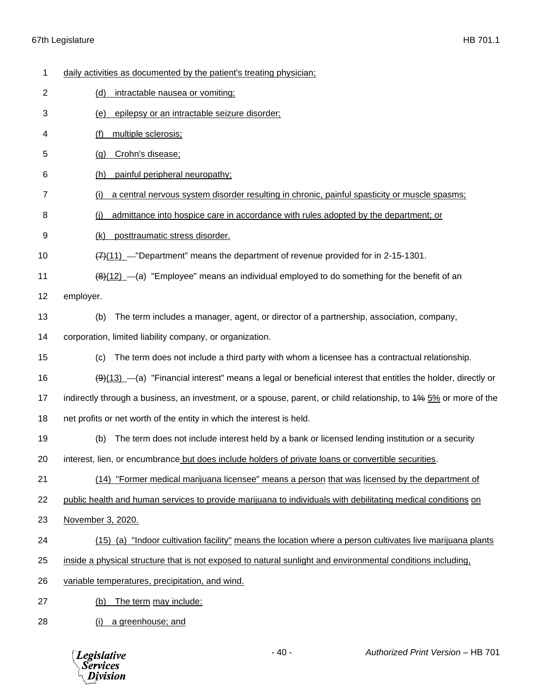| 1              | daily activities as documented by the patient's treating physician;                                                        |
|----------------|----------------------------------------------------------------------------------------------------------------------------|
| $\overline{2}$ | intractable nausea or vomiting;<br>(d)                                                                                     |
| 3              | epilepsy or an intractable seizure disorder;<br>(e)                                                                        |
| 4              | multiple sclerosis;<br>(f)                                                                                                 |
| 5              | Crohn's disease;<br>(g)                                                                                                    |
| 6              | painful peripheral neuropathy;<br>(h)                                                                                      |
| 7              | a central nervous system disorder resulting in chronic, painful spasticity or muscle spasms;                               |
| 8              | admittance into hospice care in accordance with rules adopted by the department; or<br>(i)                                 |
| 9              | posttraumatic stress disorder.<br>(k)                                                                                      |
| 10             | $\frac{77}{11}$ -"Department" means the department of revenue provided for in 2-15-1301.                                   |
| 11             | $\frac{48(12)}{8}$ (a) "Employee" means an individual employed to do something for the benefit of an                       |
| 12             | employer.                                                                                                                  |
| 13             | The term includes a manager, agent, or director of a partnership, association, company,<br>(b)                             |
| 14             | corporation, limited liability company, or organization.                                                                   |
| 15             | The term does not include a third party with whom a licensee has a contractual relationship.<br>(c)                        |
| 16             | $\frac{1}{2}(9)(13)$ - (a) "Financial interest" means a legal or beneficial interest that entitles the holder, directly or |
| 17             | indirectly through a business, an investment, or a spouse, parent, or child relationship, to 4% 5% or more of the          |
| 18             | net profits or net worth of the entity in which the interest is held.                                                      |
| 19             | The term does not include interest held by a bank or licensed lending institution or a security<br>(b)                     |
| 20             | interest, lien, or encumbrance but does include holders of private loans or convertible securities.                        |
| 21             | (14) "Former medical marijuana licensee" means a person that was licensed by the department of                             |
| 22             | public health and human services to provide marijuana to individuals with debilitating medical conditions on               |
| 23             | November 3, 2020.                                                                                                          |
| 24             | (15) (a) "Indoor cultivation facility" means the location where a person cultivates live marijuana plants                  |
| 25             | inside a physical structure that is not exposed to natural sunlight and environmental conditions including,                |
| 26             | variable temperatures, precipitation, and wind.                                                                            |
| 27             | The term may include:<br>(b)                                                                                               |
| 28             | a greenhouse; and<br>(i)                                                                                                   |

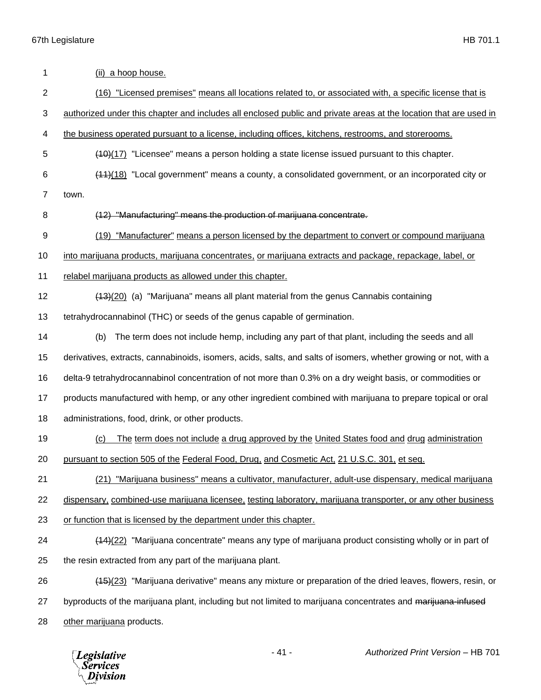| 1              | (ii) a hoop house.                                                                                                |
|----------------|-------------------------------------------------------------------------------------------------------------------|
| $\overline{2}$ | (16) "Licensed premises" means all locations related to, or associated with, a specific license that is           |
| 3              | authorized under this chapter and includes all enclosed public and private areas at the location that are used in |
| 4              | the business operated pursuant to a license, including offices, kitchens, restrooms, and storerooms.              |
| 5              | $(10)(17)$ "Licensee" means a person holding a state license issued pursuant to this chapter.                     |
| 6              | (44)(18) "Local government" means a county, a consolidated government, or an incorporated city or                 |
| 7              | town.                                                                                                             |
| 8              | (12) "Manufacturing" means the production of marijuana concentrate.                                               |
| 9              | (19) "Manufacturer" means a person licensed by the department to convert or compound marijuana                    |
| 10             | into marijuana products, marijuana concentrates, or marijuana extracts and package, repackage, label, or          |
| 11             | relabel marijuana products as allowed under this chapter.                                                         |
| 12             | (43)(20) (a) "Marijuana" means all plant material from the genus Cannabis containing                              |
| 13             | tetrahydrocannabinol (THC) or seeds of the genus capable of germination.                                          |
| 14             | The term does not include hemp, including any part of that plant, including the seeds and all<br>(b)              |
| 15             | derivatives, extracts, cannabinoids, isomers, acids, salts, and salts of isomers, whether growing or not, with a  |
| 16             | delta-9 tetrahydrocannabinol concentration of not more than 0.3% on a dry weight basis, or commodities or         |
| 17             | products manufactured with hemp, or any other ingredient combined with marijuana to prepare topical or oral       |
| 18             | administrations, food, drink, or other products.                                                                  |
| 19             | The term does not include a drug approved by the United States food and drug administration<br>(c)                |
| 20             | pursuant to section 505 of the Federal Food, Drug, and Cosmetic Act, 21 U.S.C. 301, et seq.                       |
| 21             | (21) "Marijuana business" means a cultivator, manufacturer, adult-use dispensary, medical marijuana               |
| 22             | dispensary, combined-use marijuana licensee, testing laboratory, marijuana transporter, or any other business     |
| 23             | or function that is licensed by the department under this chapter.                                                |
| 24             | (14)(22) "Marijuana concentrate" means any type of marijuana product consisting wholly or in part of              |
| 25             | the resin extracted from any part of the marijuana plant.                                                         |
| 26             | (15)(23) "Marijuana derivative" means any mixture or preparation of the dried leaves, flowers, resin, or          |
| 27             | byproducts of the marijuana plant, including but not limited to marijuana concentrates and marijuana-infused      |
| 28             | other marijuana products.                                                                                         |
|                |                                                                                                                   |

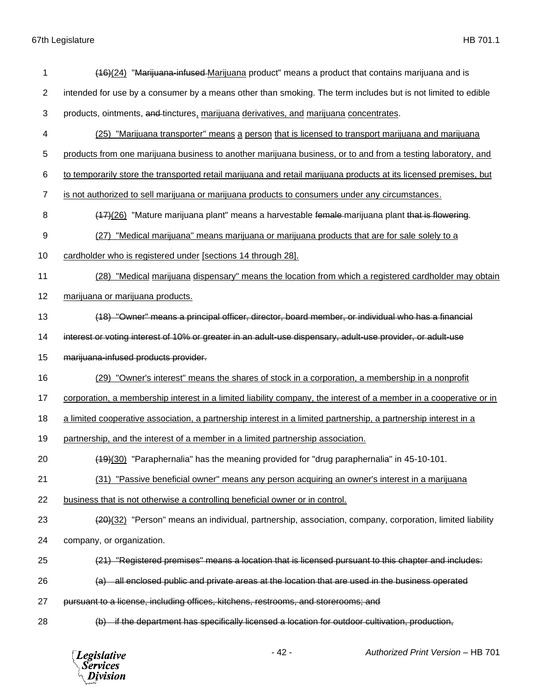| 1              | (16)(24) "Marijuana-infused-Marijuana product" means a product that contains marijuana and is                      |
|----------------|--------------------------------------------------------------------------------------------------------------------|
| $\overline{2}$ | intended for use by a consumer by a means other than smoking. The term includes but is not limited to edible       |
| 3              | products, ointments, and tinctures, marijuana derivatives, and marijuana concentrates.                             |
| 4              | (25) "Marijuana transporter" means a person that is licensed to transport marijuana and marijuana                  |
| 5              | products from one marijuana business to another marijuana business, or to and from a testing laboratory, and       |
| 6              | to temporarily store the transported retail marijuana and retail marijuana products at its licensed premises, but  |
| 7              | is not authorized to sell marijuana or marijuana products to consumers under any circumstances.                    |
| 8              | (17)(26) "Mature marijuana plant" means a harvestable female-marijuana plant that is flowering.                    |
| 9              | "Medical marijuana" means marijuana or marijuana products that are for sale solely to a<br>(27)                    |
| 10             | cardholder who is registered under [sections 14 through 28].                                                       |
| 11             | (28) "Medical marijuana dispensary" means the location from which a registered cardholder may obtain               |
| 12             | marijuana or marijuana products.                                                                                   |
| 13             | (18) "Owner" means a principal officer, director, board member, or individual who has a financial                  |
| 14             | interest or voting interest of 10% or greater in an adult-use dispensary, adult-use provider, or adult-use         |
|                |                                                                                                                    |
| 15             | marijuana-infused products provider.                                                                               |
| 16             | (29) "Owner's interest" means the shares of stock in a corporation, a membership in a nonprofit                    |
| 17             | corporation, a membership interest in a limited liability company, the interest of a member in a cooperative or in |
| 18             | a limited cooperative association, a partnership interest in a limited partnership, a partnership interest in a    |
| 19             | partnership, and the interest of a member in a limited partnership association.                                    |
| 20             | (49)(30) "Paraphernalia" has the meaning provided for "drug paraphernalia" in 45-10-101.                           |
| 21             | (31) "Passive beneficial owner" means any person acquiring an owner's interest in a marijuana                      |
| 22             | business that is not otherwise a controlling beneficial owner or in control.                                       |
| 23             | (20)(32) "Person" means an individual, partnership, association, company, corporation, limited liability           |
| 24             | company, or organization.                                                                                          |
| 25             | (21) "Registered premises" means a location that is licensed pursuant to this chapter and includes:                |
| 26             | (a) all enclosed public and private areas at the location that are used in the business operated                   |
| 27             | pursuant to a license, including offices, kitchens, restrooms, and storerooms; and                                 |
| 28             | (b) if the department has specifically licensed a location for outdoor cultivation, production,                    |

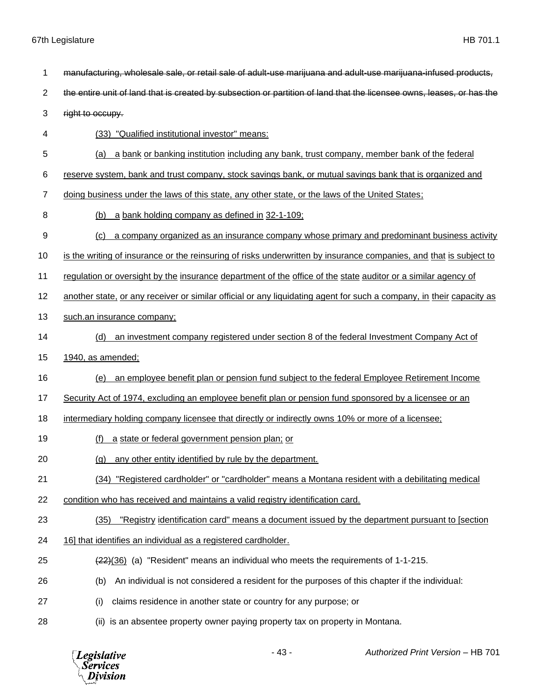- manufacturing, wholesale sale, or retail sale of adult-use marijuana and adult-use marijuana-infused products,
- 2 the entire unit of land that is created by subsection or partition of land that the licensee owns, leases, or has the

right to occupy.

- (33) "Qualified institutional investor" means:
- (a) a bank or banking institution including any bank, trust company, member bank of the federal
- reserve system, bank and trust company, stock savings bank, or mutual savings bank that is organized and
- doing business under the laws of this state, any other state, or the laws of the United States;
- (b) a bank holding company as defined in 32-1-109;
- (c) a company organized as an insurance company whose primary and predominant business activity
- is the writing of insurance or the reinsuring of risks underwritten by insurance companies, and that is subject to
- 11 regulation or oversight by the insurance department of the office of the state auditor or a similar agency of
- another state, or any receiver or similar official or any liquidating agent for such a company, in their capacity as
- such.an insurance company;
- (d) an investment company registered under section 8 of the federal Investment Company Act of
- 1940, as amended;
- (e) an employee benefit plan or pension fund subject to the federal Employee Retirement Income
- 17 Security Act of 1974, excluding an employee benefit plan or pension fund sponsored by a licensee or an
- 18 intermediary holding company licensee that directly or indirectly owns 10% or more of a licensee;
- (f) a state or federal government pension plan; or
- (g) any other entity identified by rule by the department.
- (34) "Registered cardholder" or "cardholder" means a Montana resident with a debilitating medical
- condition who has received and maintains a valid registry identification card.
- (35) "Registry identification card" means a document issued by the department pursuant to [section
- 16] that identifies an individual as a registered cardholder.
- (22)(36) (a) "Resident" means an individual who meets the requirements of 1-1-215.
- (b) An individual is not considered a resident for the purposes of this chapter if the individual:
- (i) claims residence in another state or country for any purpose; or
- (ii) is an absentee property owner paying property tax on property in Montana.

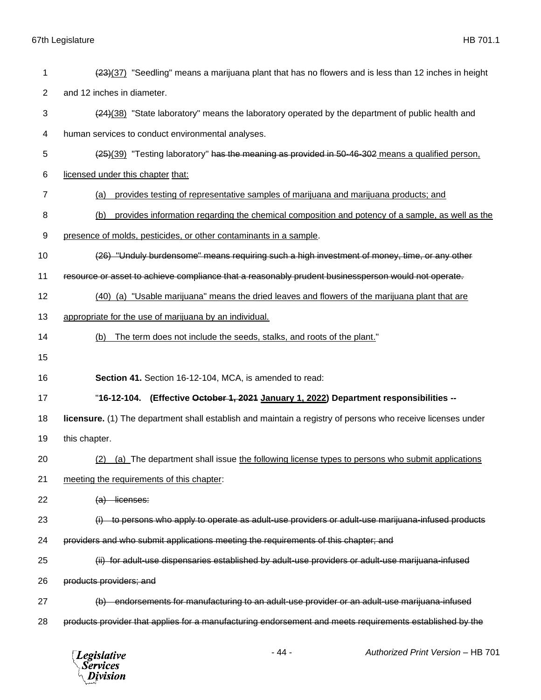| 1  | (23)(37) "Seedling" means a marijuana plant that has no flowers and is less than 12 inches in height        |
|----|-------------------------------------------------------------------------------------------------------------|
| 2  | and 12 inches in diameter.                                                                                  |
| 3  | (24)(38) "State laboratory" means the laboratory operated by the department of public health and            |
| 4  | human services to conduct environmental analyses.                                                           |
| 5  | (25)(39) "Testing laboratory" has the meaning as provided in 50-46-302 means a qualified person,            |
| 6  | licensed under this chapter that:                                                                           |
| 7  | provides testing of representative samples of marijuana and marijuana products; and<br>(a)                  |
| 8  | provides information regarding the chemical composition and potency of a sample, as well as the<br>(b)      |
| 9  | presence of molds, pesticides, or other contaminants in a sample.                                           |
| 10 | (26) "Unduly burdensome" means requiring such a high investment of money, time, or any other                |
| 11 | resource or asset to achieve compliance that a reasonably prudent businessperson would not operate.         |
| 12 | (40) (a) "Usable marijuana" means the dried leaves and flowers of the marijuana plant that are              |
| 13 | appropriate for the use of marijuana by an individual.                                                      |
| 14 | The term does not include the seeds, stalks, and roots of the plant."<br>(b)                                |
| 15 |                                                                                                             |
| 16 | Section 41. Section 16-12-104, MCA, is amended to read:                                                     |
| 17 | "16-12-104. (Effective October 1, 2021 January 1, 2022) Department responsibilities --                      |
| 18 | licensure. (1) The department shall establish and maintain a registry of persons who receive licenses under |
| 19 | this chapter.                                                                                               |
| 20 | (a) The department shall issue the following license types to persons who submit applications<br>(2)        |
| 21 | meeting the requirements of this chapter:                                                                   |
| 22 | $(a)$ licenses:                                                                                             |
| 23 | (i) to persons who apply to operate as adult-use providers or adult-use marijuana-infused products          |
| 24 | providers and who submit applications meeting the requirements of this chapter; and                         |
| 25 | (ii) for adult-use dispensaries established by adult-use providers or adult-use marijuana-infused           |
| 26 | products providers; and                                                                                     |
| 27 | (b) endorsements for manufacturing to an adult-use provider or an adult-use marijuana-infused               |
| 28 | products provider that applies for a manufacturing endorsement and meets requirements established by the    |
|    |                                                                                                             |

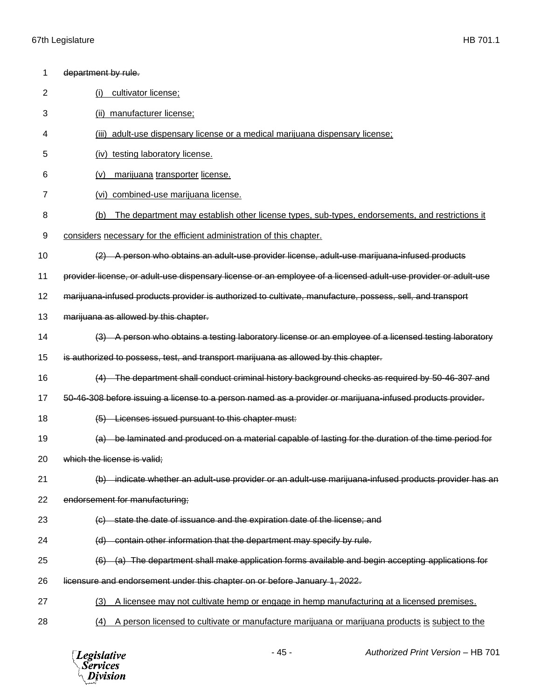| 1  | department by rule.                                                                                            |
|----|----------------------------------------------------------------------------------------------------------------|
| 2  | cultivator license;<br>(i)                                                                                     |
| 3  | manufacturer license;<br>(ii)                                                                                  |
| 4  | adult-use dispensary license or a medical marijuana dispensary license;<br>(iii)                               |
| 5  | (iv) testing laboratory license.                                                                               |
| 6  | marijuana transporter license.<br>(v)                                                                          |
| 7  | combined-use marijuana license.<br>(vi)                                                                        |
| 8  | The department may establish other license types, sub-types, endorsements, and restrictions it<br>(b)          |
| 9  | considers necessary for the efficient administration of this chapter.                                          |
| 10 | (2) A person who obtains an adult-use provider license, adult-use marijuana-infused products                   |
| 11 | provider license, or adult-use dispensary license or an employee of a licensed adult-use provider or adult-use |
| 12 | marijuana-infused products provider is authorized to cultivate, manufacture, possess, sell, and transport      |
| 13 | marijuana as allowed by this chapter.                                                                          |
| 14 | (3) A person who obtains a testing laboratory license or an employee of a licensed testing laboratory          |
| 15 | is authorized to possess, test, and transport marijuana as allowed by this chapter.                            |
| 16 | (4) The department shall conduct criminal history background checks as required by 50-46-307 and               |
| 17 | 50-46-308 before issuing a license to a person named as a provider or marijuana-infused products provider.     |
| 18 | (5) Licenses issued pursuant to this chapter must:                                                             |
| 19 | (a) be laminated and produced on a material capable of lasting for the duration of the time period for         |
| 20 | which the license is valid;                                                                                    |
| 21 | (b) indicate whether an adult use provider or an adult use marijuana infused products provider has an          |
| 22 | endorsement for manufacturing;                                                                                 |
| 23 | (c) state the date of issuance and the expiration date of the license; and                                     |
| 24 | (d) contain other information that the department may specify by rule.                                         |
| 25 | (6) (a) The department shall make application forms available and begin accepting applications for             |
| 26 | licensure and endorsement under this chapter on or before January 1, 2022.                                     |
| 27 | A licensee may not cultivate hemp or engage in hemp manufacturing at a licensed premises.<br>(3)               |
| 28 | A person licensed to cultivate or manufacture marijuana or marijuana products is subject to the<br>(4)         |

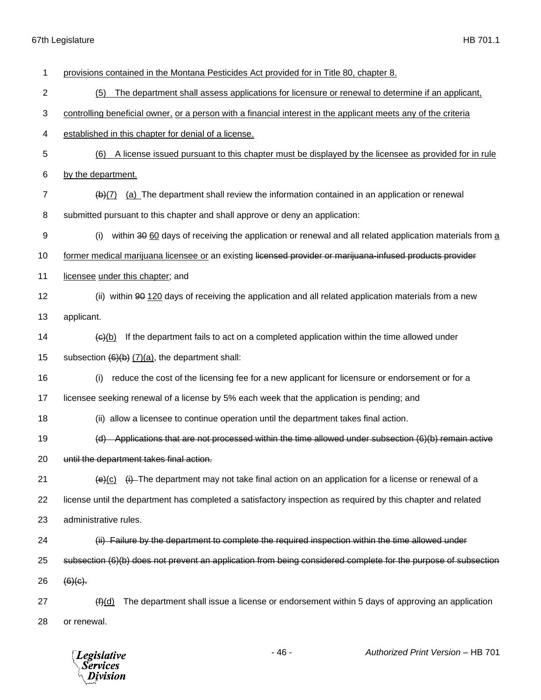| 1              | provisions contained in the Montana Pesticides Act provided for in Title 80, chapter 8.                                 |
|----------------|-------------------------------------------------------------------------------------------------------------------------|
| $\overline{c}$ | The department shall assess applications for licensure or renewal to determine if an applicant,<br>(5)                  |
| 3              | controlling beneficial owner, or a person with a financial interest in the applicant meets any of the criteria          |
| 4              | established in this chapter for denial of a license.                                                                    |
| 5              | (6)<br>A license issued pursuant to this chapter must be displayed by the licensee as provided for in rule              |
| 6              | by the department.                                                                                                      |
| 7              | (a) The department shall review the information contained in an application or renewal<br>$\overline{(b)(7)}$           |
| 8              | submitted pursuant to this chapter and shall approve or deny an application:                                            |
| 9              | within 30 60 days of receiving the application or renewal and all related application materials from a<br>(i)           |
| 10             | former medical marijuana licensee or an existing licensed provider or marijuana-infused products provider               |
| 11             | licensee under this chapter; and                                                                                        |
| 12             | (ii) within 90 120 days of receiving the application and all related application materials from a new                   |
| 13             | applicant.                                                                                                              |
| 14             | If the department fails to act on a completed application within the time allowed under<br>(e)(b)                       |
| 15             | subsection $(6)(b)$ $(7)(a)$ , the department shall:                                                                    |
| 16             | reduce the cost of the licensing fee for a new applicant for licensure or endorsement or for a<br>(i)                   |
| 17             | licensee seeking renewal of a license by 5% each week that the application is pending; and                              |
| 18             | (ii) allow a licensee to continue operation until the department takes final action.                                    |
| 19             | Applications that are not processed within the time allowed under subsection (6)(b) remain active<br>(d)                |
| 20             | until the department takes final action.                                                                                |
| 21             | $\left(\frac{e}{c}\right)$ (i) The department may not take final action on an application for a license or renewal of a |
| 22             | license until the department has completed a satisfactory inspection as required by this chapter and related            |
| 23             | administrative rules.                                                                                                   |
| 24             | (ii) Failure by the department to complete the required inspection within the time allowed under                        |
| 25             | subsection (6)(b) does not prevent an application from being considered complete for the purpose of subsection          |
| 26             | $(6)(c)$ .                                                                                                              |
| 27             | The department shall issue a license or endorsement within 5 days of approving an application<br>(f)(d)                 |
| 28             | or renewal.                                                                                                             |

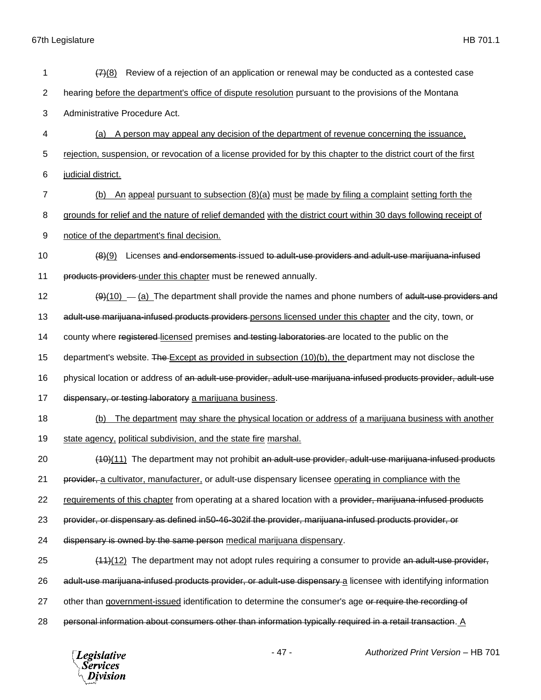| 1              | Review of a rejection of an application or renewal may be conducted as a contested case<br>(7)(8)                 |
|----------------|-------------------------------------------------------------------------------------------------------------------|
| $\overline{2}$ | hearing before the department's office of dispute resolution pursuant to the provisions of the Montana            |
| 3              | Administrative Procedure Act.                                                                                     |
| 4              | A person may appeal any decision of the department of revenue concerning the issuance,<br>(a)                     |
| 5              | rejection, suspension, or revocation of a license provided for by this chapter to the district court of the first |
| 6              | judicial district.                                                                                                |
| 7              | An appeal pursuant to subsection $(8)(a)$ must be made by filing a complaint setting forth the<br>(b)             |
| 8              | grounds for relief and the nature of relief demanded with the district court within 30 days following receipt of  |
| 9              | notice of the department's final decision.                                                                        |
| 10             | Licenses and endorsements-issued to adult-use providers and adult-use marijuana-infused<br>(8)(9)                 |
| 11             | products providers under this chapter must be renewed annually.                                                   |
| 12             | $\frac{(9)(10)}{(2)(10)}$ The department shall provide the names and phone numbers of adult-use providers and     |
| 13             | adult-use marijuana-infused products providers persons licensed under this chapter and the city, town, or         |
| 14             | county where registered licensed premises and testing laboratories are located to the public on the               |
| 15             | department's website. The $Except$ as provided in subsection $(10)(b)$ , the department may not disclose the      |
| 16             | physical location or address of an adult-use provider, adult-use marijuana-infused products provider, adult-use   |
| 17             | dispensary, or testing laboratory a marijuana business.                                                           |
| 18             | The department may share the physical location or address of a marijuana business with another<br>(b)             |
| 19             | state agency, political subdivision, and the state fire marshal.                                                  |
| 20             | (10)(11) The department may not prohibit an adult-use provider, adult-use marijuana-infused products              |
| 21             | provider, a cultivator, manufacturer, or adult-use dispensary licensee operating in compliance with the           |
| 22             | requirements of this chapter from operating at a shared location with a provider, marijuana-infused products      |
| 23             | provider, or dispensary as defined in50-46-302if the provider, marijuana-infused products provider, or            |
| 24             | dispensary is owned by the same person medical marijuana dispensary.                                              |
| 25             | $(11)(12)$ The department may not adopt rules requiring a consumer to provide an adult-use provider,              |
| 26             | adult-use marijuana-infused products provider, or adult-use dispensary a licensee with identifying information    |
| 27             | other than government-issued identification to determine the consumer's age or require the recording of           |
| 28             | personal information about consumers other than information typically required in a retail transaction. A         |
|                | right Use A<br>17                                                                                                 |

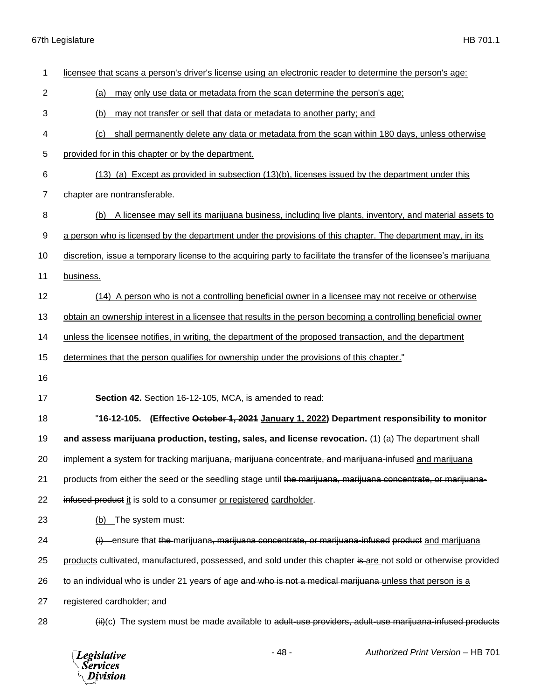| 1              | licensee that scans a person's driver's license using an electronic reader to determine the person's age:           |
|----------------|---------------------------------------------------------------------------------------------------------------------|
| $\overline{2}$ | may only use data or metadata from the scan determine the person's age;<br>(a)                                      |
| 3              | may not transfer or sell that data or metadata to another party; and<br>(b)                                         |
| 4              | shall permanently delete any data or metadata from the scan within 180 days, unless otherwise<br>(c)                |
| 5              | provided for in this chapter or by the department.                                                                  |
| 6              | $(13)$ (a) Except as provided in subsection $(13)(b)$ , licenses issued by the department under this                |
| $\overline{7}$ | chapter are nontransferable.                                                                                        |
| 8              | A licensee may sell its marijuana business, including live plants, inventory, and material assets to<br>(b)         |
| 9              | a person who is licensed by the department under the provisions of this chapter. The department may, in its         |
| 10             | discretion, issue a temporary license to the acquiring party to facilitate the transfer of the licensee's marijuana |
| 11             | business.                                                                                                           |
| 12             | (14) A person who is not a controlling beneficial owner in a licensee may not receive or otherwise                  |
| 13             | obtain an ownership interest in a licensee that results in the person becoming a controlling beneficial owner       |
| 14             | unless the licensee notifies, in writing, the department of the proposed transaction, and the department            |
| 15             | determines that the person qualifies for ownership under the provisions of this chapter."                           |
| 16             |                                                                                                                     |
| 17             | Section 42. Section 16-12-105, MCA, is amended to read:                                                             |
| 18             | "16-12-105. (Effective October 1, 2021 January 1, 2022) Department responsibility to monitor                        |
| 19             | and assess marijuana production, testing, sales, and license revocation. (1) (a) The department shall               |
| 20             | implement a system for tracking marijuana <del>, marijuana concentrate, and marijuana-infused</del> and marijuana   |
| 21             | products from either the seed or the seedling stage until the marijuana, marijuana concentrate, or marijuana-       |
| 22             | infused product it is sold to a consumer or registered cardholder.                                                  |
| 23             | (b) The system must:                                                                                                |
| 24             | $(i)$ ensure that the marijuana, marijuana concentrate, or marijuana-infused product and marijuana                  |
| 25             | products cultivated, manufactured, possessed, and sold under this chapter is are not sold or otherwise provided     |
| 26             | to an individual who is under 21 years of age and who is not a medical marijuana-unless that person is a            |
| 27             | registered cardholder; and                                                                                          |
| 28             | (ii)(c) The system must be made available to adult-use providers, adult-use marijuana-infused products              |

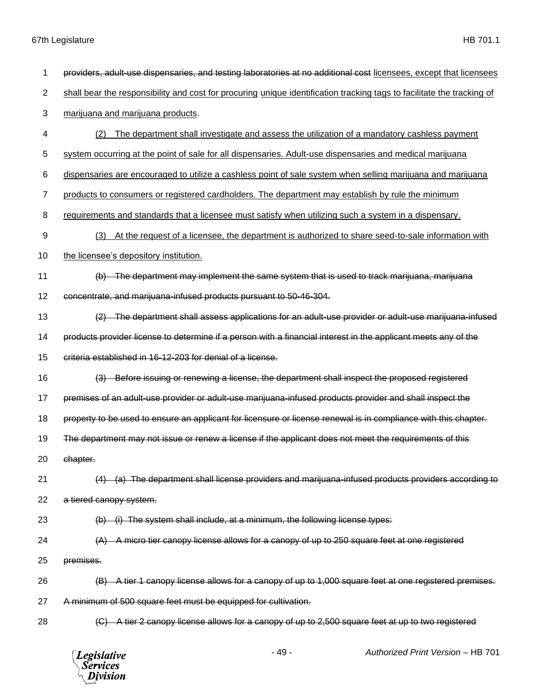| 1              | providers, adult-use dispensaries, and testing laboratories at no additional cost licensees, except that licensees     |
|----------------|------------------------------------------------------------------------------------------------------------------------|
| $\overline{2}$ | shall bear the responsibility and cost for procuring unique identification tracking tags to facilitate the tracking of |
| 3              | marijuana and marijuana products.                                                                                      |
| 4              | The department shall investigate and assess the utilization of a mandatory cashless payment<br>(2)                     |
| 5              | system occurring at the point of sale for all dispensaries. Adult-use dispensaries and medical marijuana               |
| 6              | dispensaries are encouraged to utilize a cashless point of sale system when selling marijuana and marijuana            |
| 7              | products to consumers or registered cardholders. The department may establish by rule the minimum                      |
| 8              | requirements and standards that a licensee must satisfy when utilizing such a system in a dispensary.                  |
| 9              | At the request of a licensee, the department is authorized to share seed-to-sale information with<br>(3)               |
| 10             | the licensee's depository institution.                                                                                 |
| 11             | (b) The department may implement the same system that is used to track marijuana, marijuana                            |
| 12             | concentrate, and marijuana-infused products pursuant to 50-46-304.                                                     |
| 13             | (2) The department shall assess applications for an adult-use provider or adult-use marijuana-infused                  |
| 14             | products provider license to determine if a person with a financial interest in the applicant meets any of the         |
| 15             | criteria established in 16-12-203 for denial of a license.                                                             |
| 16             | (3) Before issuing or renewing a license, the department shall inspect the proposed registered                         |
| 17             | premises of an adult-use provider or adult-use marijuana-infused products provider and shall inspect the               |
| 18             | property to be used to ensure an applicant for licensure or license renewal is in compliance with this chapter.        |
| 19             | The department may not issue or renew a license if the applicant does not meet the requirements of this                |
| 20             | chapter.                                                                                                               |
| 21             | (a) The department shall license providers and marijuana infused products providers according to                       |
| 22             | a tiered canopy system.                                                                                                |
| 23             | (i) The system shall include, at a minimum, the following license types:<br>(b)                                        |
| 24             | A micro tier canopy license allows for a canopy of up to 250 square feet at one registered                             |
| 25             | premises.                                                                                                              |
| 26             | (B) A tier 1 canopy license allows for a canopy of up to 1,000 square feet at one registered premises.                 |
| 27             | A minimum of 500 square feet must be equipped for cultivation.                                                         |
| 28             | A tier 2 canopy license allows for a canopy of up to 2,500 square feet at up to two registered                         |
|                | $-49-$<br><b>Authorized Print Version - HB 701</b><br><b>Legislative</b><br><b>Services</b><br>Division                |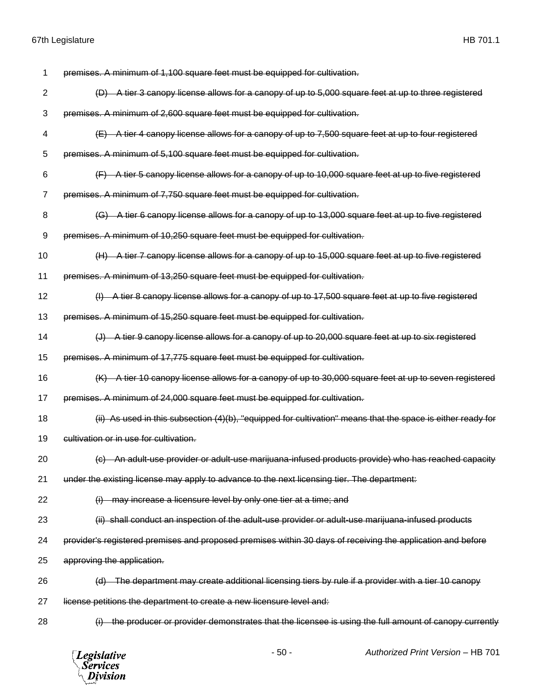| 1              | premises. A minimum of 1,100 square feet must be equipped for cultivation.                                      |
|----------------|-----------------------------------------------------------------------------------------------------------------|
| $\overline{2}$ | (D) A tier 3 canopy license allows for a canopy of up to 5,000 square feet at up to three registered            |
| 3              | premises. A minimum of 2,600 square feet must be equipped for cultivation.                                      |
| 4              | (E) A tier 4 canopy license allows for a canopy of up to 7,500 square feet at up to four registered             |
| 5              | premises. A minimum of 5,100 square feet must be equipped for cultivation.                                      |
| 6              | (F) A tier 5 canopy license allows for a canopy of up to 10,000 square feet at up to five registered            |
| 7              | premises. A minimum of 7,750 square feet must be equipped for cultivation.                                      |
| 8              | A tier 6 canopy license allows for a canopy of up to 13,000 square feet at up to five registered<br>(G)         |
| 9              | premises. A minimum of 10,250 square feet must be equipped for cultivation.                                     |
| 10             | (H) A tier 7 canopy license allows for a canopy of up to 15,000 square feet at up to five registered            |
| 11             | premises. A minimum of 13,250 square feet must be equipped for cultivation.                                     |
| 12             | (I) A tier 8 canopy license allows for a canopy of up to 17,500 square feet at up to five registered            |
| 13             | premises. A minimum of 15,250 square feet must be equipped for cultivation.                                     |
| 14             | A tier 9 canopy license allows for a canopy of up to 20,000 square feet at up to six registered                 |
| 15             | premises. A minimum of 17,775 square feet must be equipped for cultivation.                                     |
| 16             | (K) A tier 10 canopy license allows for a canopy of up to 30,000 square feet at up to seven registered          |
| 17             | premises. A minimum of 24,000 square feet must be equipped for cultivation.                                     |
| 18             | $(i)$ As used in this subsection $(4)(b)$ , "equipped for cultivation" means that the space is either ready for |
| 19             | cultivation or in use for cultivation.                                                                          |
| 20             | (c) An adult-use provider or adult-use marijuana-infused products provide) who has reached capacity             |
| 21             | under the existing license may apply to advance to the next licensing tier. The department:                     |
| 22             | (i) may increase a licensure level by only one tier at a time; and                                              |
| 23             | (ii) shall conduct an inspection of the adult-use provider or adult-use marijuana-infused products              |
| 24             | provider's registered premises and proposed premises within 30 days of receiving the application and before     |
| 25             | approving the application.                                                                                      |
|                |                                                                                                                 |
| 26             | (d) The department may create additional licensing tiers by rule if a provider with a tier 10 canopy            |
| 27             | license petitions the department to create a new licensure level and:                                           |
| 28             | the producer or provider demonstrates that the licensee is using the full amount of canopy currently            |

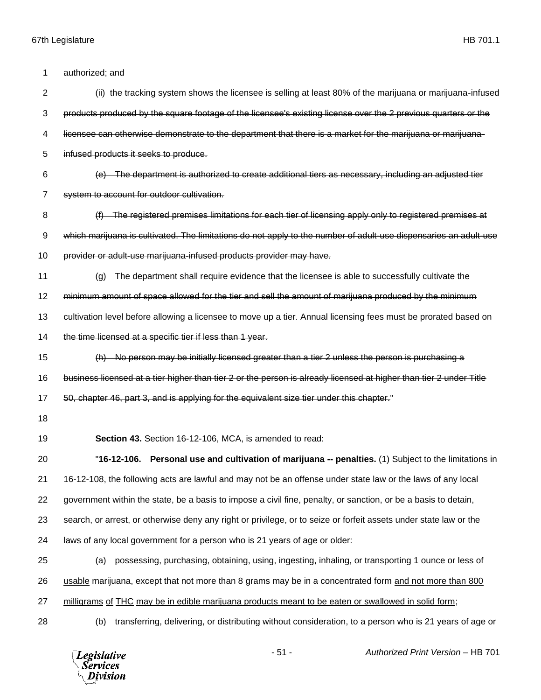| 1              | authorized; and                                                                                                    |
|----------------|--------------------------------------------------------------------------------------------------------------------|
| $\overline{2}$ | (ii) the tracking system shows the licensee is selling at least 80% of the marijuana or marijuana-infused          |
| 3              | products produced by the square footage of the licensee's existing license over the 2 previous quarters or the     |
| 4              | licensee can otherwise demonstrate to the department that there is a market for the marijuana or marijuana-        |
| 5              | infused products it seeks to produce.                                                                              |
| 6              | (e) The department is authorized to create additional tiers as necessary, including an adjusted tier               |
| 7              | system to account for outdoor cultivation.                                                                         |
| 8              | (f) The registered premises limitations for each tier of licensing apply only to registered premises at            |
| 9              | which marijuana is cultivated. The limitations do not apply to the number of adult-use dispensaries an adult-use   |
| 10             | provider or adult-use marijuana-infused products provider may have.                                                |
| 11             | (g) The department shall require evidence that the licensee is able to successfully cultivate the                  |
| 12             | minimum amount of space allowed for the tier and sell the amount of marijuana produced by the minimum              |
| 13             | cultivation level before allowing a licensee to move up a tier. Annual licensing fees must be prorated based on    |
| 14             | the time licensed at a specific tier if less than 1 year.                                                          |
| 15             | No person may be initially licensed greater than a tier 2 unless the person is purchasing a                        |
| 16             | business licensed at a tier higher than tier 2 or the person is already licensed at higher than tier 2 under Title |
| 17             | 50, chapter 46, part 3, and is applying for the equivalent size tier under this chapter."                          |
| 18             |                                                                                                                    |
| 19             | Section 43. Section 16-12-106, MCA, is amended to read:                                                            |
| 20             | "16-12-106. Personal use and cultivation of marijuana -- penalties. (1) Subject to the limitations in              |
| 21             | 16-12-108, the following acts are lawful and may not be an offense under state law or the laws of any local        |
| 22             | government within the state, be a basis to impose a civil fine, penalty, or sanction, or be a basis to detain,     |
| 23             | search, or arrest, or otherwise deny any right or privilege, or to seize or forfeit assets under state law or the  |
| 24             | laws of any local government for a person who is 21 years of age or older:                                         |
| 25             | possessing, purchasing, obtaining, using, ingesting, inhaling, or transporting 1 ounce or less of<br>(a)           |
| 26             | usable marijuana, except that not more than 8 grams may be in a concentrated form and not more than 800            |
| 27             | milligrams of THC may be in edible marijuana products meant to be eaten or swallowed in solid form;                |
| 28             | transferring, delivering, or distributing without consideration, to a person who is 21 years of age or<br>(b)      |
|                | $-51 -$<br>Authorized Print Version - HB 701<br><b>Legislative</b><br><b>Services</b><br><b>Division</b>           |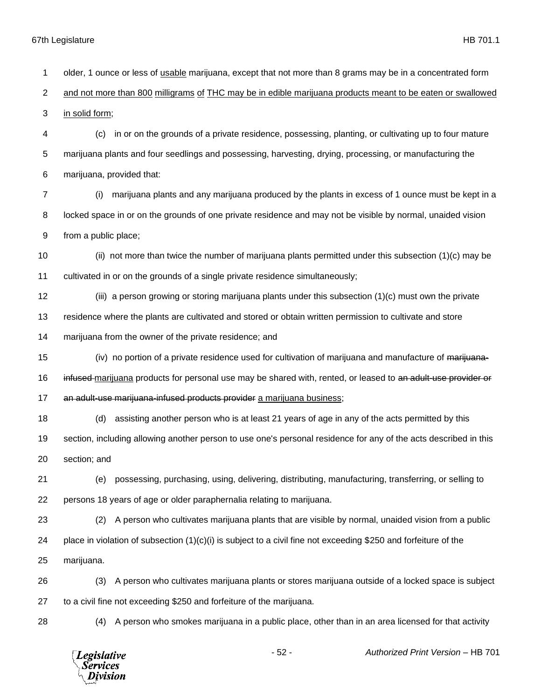older, 1 ounce or less of usable marijuana, except that not more than 8 grams may be in a concentrated form and not more than 800 milligrams of THC may be in edible marijuana products meant to be eaten or swallowed in solid form; (c) in or on the grounds of a private residence, possessing, planting, or cultivating up to four mature marijuana plants and four seedlings and possessing, harvesting, drying, processing, or manufacturing the marijuana, provided that: (i) marijuana plants and any marijuana produced by the plants in excess of 1 ounce must be kept in a locked space in or on the grounds of one private residence and may not be visible by normal, unaided vision from a public place; (ii) not more than twice the number of marijuana plants permitted under this subsection (1)(c) may be cultivated in or on the grounds of a single private residence simultaneously; (iii) a person growing or storing marijuana plants under this subsection (1)(c) must own the private residence where the plants are cultivated and stored or obtain written permission to cultivate and store marijuana from the owner of the private residence; and 15 (iv) no portion of a private residence used for cultivation of marijuana and manufacture of marijuana-16 infused marijuana products for personal use may be shared with, rented, or leased to an adult-use provider or 17 an adult-use marijuana-infused products provider a marijuana business; (d) assisting another person who is at least 21 years of age in any of the acts permitted by this section, including allowing another person to use one's personal residence for any of the acts described in this section; and (e) possessing, purchasing, using, delivering, distributing, manufacturing, transferring, or selling to persons 18 years of age or older paraphernalia relating to marijuana. (2) A person who cultivates marijuana plants that are visible by normal, unaided vision from a public 24 place in violation of subsection  $(1)(c)(i)$  is subject to a civil fine not exceeding \$250 and forfeiture of the marijuana. (3) A person who cultivates marijuana plants or stores marijuana outside of a locked space is subject to a civil fine not exceeding \$250 and forfeiture of the marijuana. (4) A person who smokes marijuana in a public place, other than in an area licensed for that activity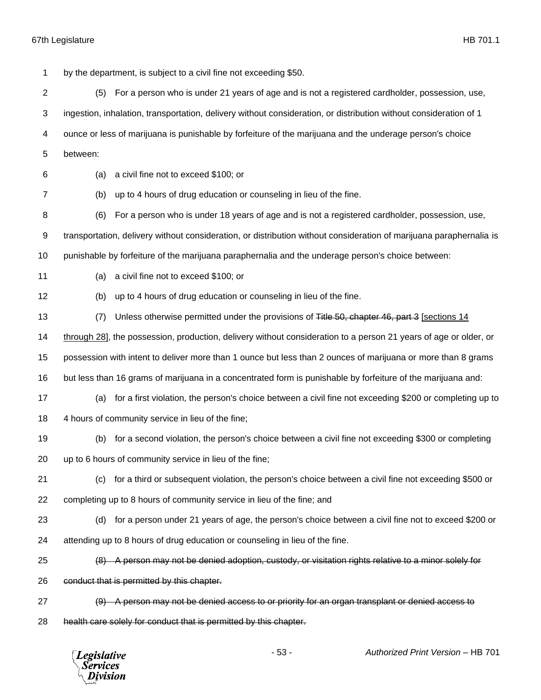by the department, is subject to a civil fine not exceeding \$50. (5) For a person who is under 21 years of age and is not a registered cardholder, possession, use, ingestion, inhalation, transportation, delivery without consideration, or distribution without consideration of 1 ounce or less of marijuana is punishable by forfeiture of the marijuana and the underage person's choice between: (a) a civil fine not to exceed \$100; or (b) up to 4 hours of drug education or counseling in lieu of the fine. (6) For a person who is under 18 years of age and is not a registered cardholder, possession, use, transportation, delivery without consideration, or distribution without consideration of marijuana paraphernalia is punishable by forfeiture of the marijuana paraphernalia and the underage person's choice between: (a) a civil fine not to exceed \$100; or (b) up to 4 hours of drug education or counseling in lieu of the fine. 13 (7) Unless otherwise permitted under the provisions of Title 50, chapter 46, part 3 [sections 14 through 28], the possession, production, delivery without consideration to a person 21 years of age or older, or possession with intent to deliver more than 1 ounce but less than 2 ounces of marijuana or more than 8 grams but less than 16 grams of marijuana in a concentrated form is punishable by forfeiture of the marijuana and: (a) for a first violation, the person's choice between a civil fine not exceeding \$200 or completing up to 4 hours of community service in lieu of the fine; (b) for a second violation, the person's choice between a civil fine not exceeding \$300 or completing up to 6 hours of community service in lieu of the fine; (c) for a third or subsequent violation, the person's choice between a civil fine not exceeding \$500 or completing up to 8 hours of community service in lieu of the fine; and (d) for a person under 21 years of age, the person's choice between a civil fine not to exceed \$200 or attending up to 8 hours of drug education or counseling in lieu of the fine. (8) A person may not be denied adoption, custody, or visitation rights relative to a minor solely for 26 conduct that is permitted by this chapter. (9) A person may not be denied access to or priority for an organ transplant or denied access to 28 health care solely for conduct that is permitted by this chapter.

**Legislative** *Services* Division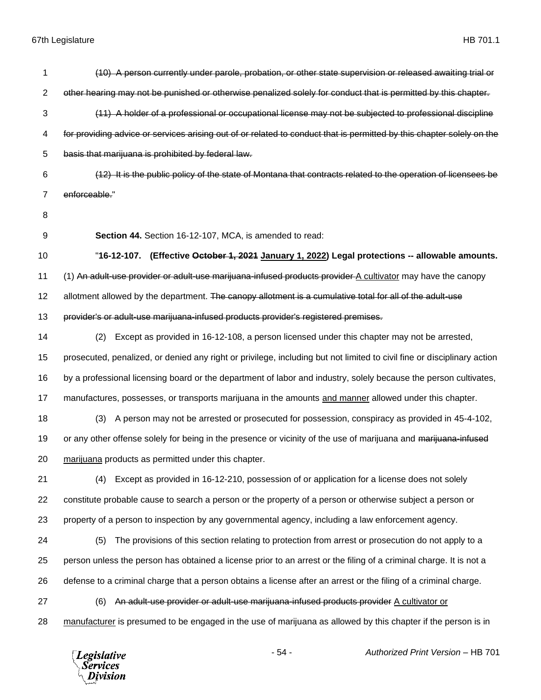| 1  | (10) A person currently under parole, probation, or other state supervision or released awaiting trial or               |
|----|-------------------------------------------------------------------------------------------------------------------------|
| 2  | other hearing may not be punished or otherwise penalized solely for conduct that is permitted by this chapter.          |
| 3  | (11) A holder of a professional or occupational license may not be subjected to professional discipline                 |
| 4  | for providing advice or services arising out of or related to conduct that is permitted by this chapter solely on the   |
| 5  | basis that marijuana is prohibited by federal law.                                                                      |
| 6  | (12) It is the public policy of the state of Montana that contracts related to the operation of licensees be            |
| 7  | enforceable."                                                                                                           |
| 8  |                                                                                                                         |
| 9  | Section 44. Section 16-12-107, MCA, is amended to read:                                                                 |
| 10 | "16-12-107. (Effective October 1, 2021 January 1, 2022) Legal protections -- allowable amounts.                         |
| 11 | (1) An adult-use provider or adult-use marijuana-infused products provider A cultivator may have the canopy             |
| 12 | allotment allowed by the department. The canopy allotment is a cumulative total for all of the adult-use                |
| 13 | provider's or adult-use marijuana-infused products provider's registered premises.                                      |
| 14 | Except as provided in 16-12-108, a person licensed under this chapter may not be arrested,<br>(2)                       |
| 15 | prosecuted, penalized, or denied any right or privilege, including but not limited to civil fine or disciplinary action |
| 16 | by a professional licensing board or the department of labor and industry, solely because the person cultivates,        |
| 17 | manufactures, possesses, or transports marijuana in the amounts and manner allowed under this chapter.                  |
| 18 | A person may not be arrested or prosecuted for possession, conspiracy as provided in 45-4-102,<br>(3)                   |
| 19 | or any other offense solely for being in the presence or vicinity of the use of marijuana and marijuana-infused         |
| 20 | marijuana products as permitted under this chapter.                                                                     |
| 21 | Except as provided in 16-12-210, possession of or application for a license does not solely<br>(4)                      |
| 22 | constitute probable cause to search a person or the property of a person or otherwise subject a person or               |
| 23 | property of a person to inspection by any governmental agency, including a law enforcement agency.                      |
| 24 | The provisions of this section relating to protection from arrest or prosecution do not apply to a<br>(5)               |
| 25 | person unless the person has obtained a license prior to an arrest or the filing of a criminal charge. It is not a      |
| 26 | defense to a criminal charge that a person obtains a license after an arrest or the filing of a criminal charge.        |
| 27 | An adult-use provider or adult-use marijuana-infused products provider A cultivator or<br>(6)                           |
| 28 | manufacturer is presumed to be engaged in the use of marijuana as allowed by this chapter if the person is in           |
|    | $-54-$<br>Authorized Print Version - HB 701<br><b>Legislative</b><br>Services<br>vision                                 |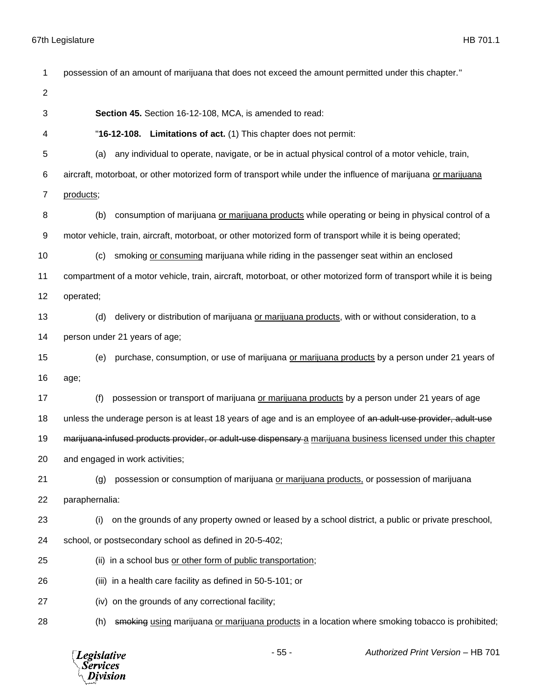| 1              | possession of an amount of marijuana that does not exceed the amount permitted under this chapter."                |
|----------------|--------------------------------------------------------------------------------------------------------------------|
| $\overline{2}$ |                                                                                                                    |
| 3              | Section 45. Section 16-12-108, MCA, is amended to read:                                                            |
| 4              | "16-12-108. Limitations of act. (1) This chapter does not permit:                                                  |
| 5              | any individual to operate, navigate, or be in actual physical control of a motor vehicle, train,<br>(a)            |
| 6              | aircraft, motorboat, or other motorized form of transport while under the influence of marijuana or marijuana      |
| $\overline{7}$ | products;                                                                                                          |
| 8              | consumption of marijuana or marijuana products while operating or being in physical control of a<br>(b)            |
| 9              | motor vehicle, train, aircraft, motorboat, or other motorized form of transport while it is being operated;        |
| 10             | smoking or consuming marijuana while riding in the passenger seat within an enclosed<br>(c)                        |
| 11             | compartment of a motor vehicle, train, aircraft, motorboat, or other motorized form of transport while it is being |
| 12             | operated;                                                                                                          |
| 13             | delivery or distribution of marijuana or marijuana products, with or without consideration, to a<br>(d)            |
| 14             | person under 21 years of age;                                                                                      |
| 15             | purchase, consumption, or use of marijuana or marijuana products by a person under 21 years of<br>(e)              |
| 16             | age;                                                                                                               |
| 17             | (f)<br>possession or transport of marijuana or marijuana products by a person under 21 years of age                |
| 18             | unless the underage person is at least 18 years of age and is an employee of an adult-use provider, adult-use      |
| 19             | marijuana-infused products provider, or adult-use dispensary a marijuana business licensed under this chapter      |
| 20             | and engaged in work activities;                                                                                    |
| 21             | possession or consumption of marijuana or marijuana products, or possession of marijuana<br>(g)                    |
| 22             | paraphernalia:                                                                                                     |
| 23             | on the grounds of any property owned or leased by a school district, a public or private preschool,<br>(i)         |
| 24             | school, or postsecondary school as defined in 20-5-402;                                                            |
| 25             | (ii) in a school bus or other form of public transportation;                                                       |
| 26             | (iii) in a health care facility as defined in 50-5-101; or                                                         |
| 27             | (iv) on the grounds of any correctional facility;                                                                  |
| 28             | smoking using marijuana or marijuana products in a location where smoking tobacco is prohibited;<br>(h)            |

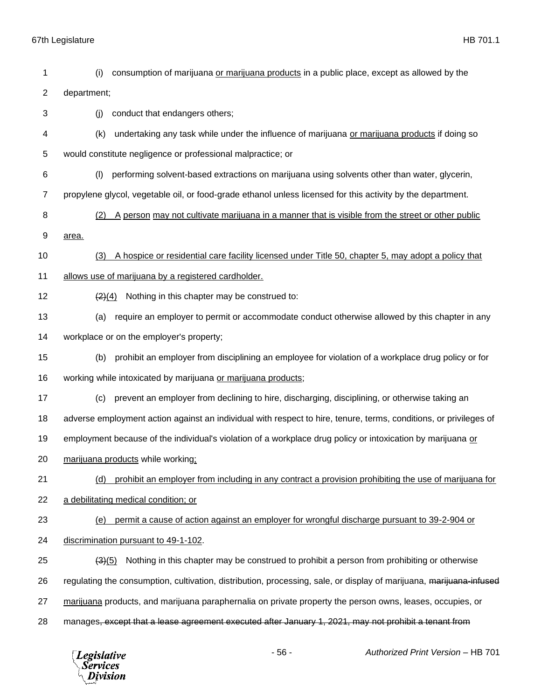| 1  | consumption of marijuana or marijuana products in a public place, except as allowed by the<br>(i)                   |
|----|---------------------------------------------------------------------------------------------------------------------|
| 2  | department;                                                                                                         |
| 3  | conduct that endangers others;<br>(i)                                                                               |
| 4  | undertaking any task while under the influence of marijuana or marijuana products if doing so<br>(k)                |
| 5  | would constitute negligence or professional malpractice; or                                                         |
| 6  | performing solvent-based extractions on marijuana using solvents other than water, glycerin,<br>(1)                 |
| 7  | propylene glycol, vegetable oil, or food-grade ethanol unless licensed for this activity by the department.         |
| 8  | A person may not cultivate marijuana in a manner that is visible from the street or other public<br>(2)             |
| 9  | area.                                                                                                               |
| 10 | A hospice or residential care facility licensed under Title 50, chapter 5, may adopt a policy that<br>(3)           |
| 11 | allows use of marijuana by a registered cardholder.                                                                 |
| 12 | Nothing in this chapter may be construed to:<br>$\left( 2\right) (4)$                                               |
| 13 | require an employer to permit or accommodate conduct otherwise allowed by this chapter in any<br>(a)                |
| 14 | workplace or on the employer's property;                                                                            |
| 15 | prohibit an employer from disciplining an employee for violation of a workplace drug policy or for<br>(b)           |
| 16 | working while intoxicated by marijuana or marijuana products;                                                       |
| 17 | prevent an employer from declining to hire, discharging, disciplining, or otherwise taking an<br>(c)                |
| 18 | adverse employment action against an individual with respect to hire, tenure, terms, conditions, or privileges of   |
| 19 | employment because of the individual's violation of a workplace drug policy or intoxication by marijuana or         |
| 20 | marijuana products while working;                                                                                   |
| 21 | prohibit an employer from including in any contract a provision prohibiting the use of marijuana for<br>(d)         |
| 22 | a debilitating medical condition; or                                                                                |
| 23 | permit a cause of action against an employer for wrongful discharge pursuant to 39-2-904 or<br>(e)                  |
| 24 | discrimination pursuant to 49-1-102.                                                                                |
| 25 | Nothing in this chapter may be construed to prohibit a person from prohibiting or otherwise<br>(3)(5)               |
| 26 | regulating the consumption, cultivation, distribution, processing, sale, or display of marijuana, marijuana-infused |
| 27 | marijuana products, and marijuana paraphernalia on private property the person owns, leases, occupies, or           |
| 28 | manages, except that a lease agreement executed after January 1, 2021, may not prohibit a tenant from               |
|    |                                                                                                                     |

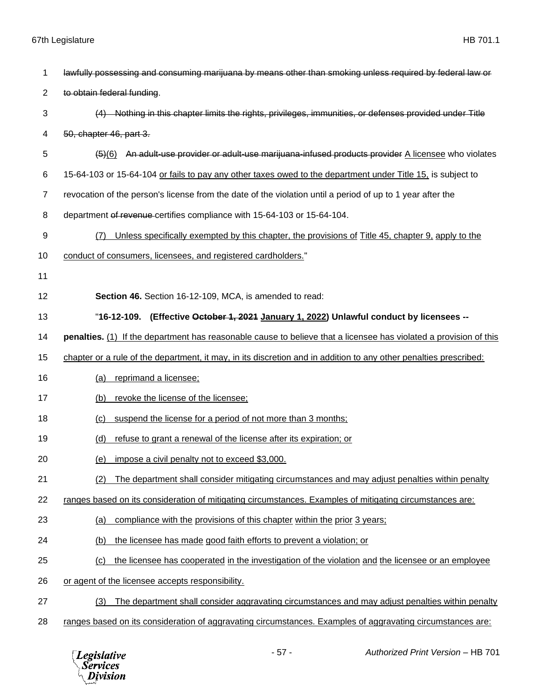| 1              | lawfully possessing and consuming marijuana by means other than smoking unless required by federal law or         |
|----------------|-------------------------------------------------------------------------------------------------------------------|
| $\overline{2}$ | to obtain federal funding.                                                                                        |
| 3              | (4) Nothing in this chapter limits the rights, privileges, immunities, or defenses provided under Title           |
| 4              | 50, chapter 46, part 3.                                                                                           |
| 5              | An adult-use provider or adult-use marijuana-infused products provider A licensee who violates<br>(5)(6)          |
| 6              | 15-64-103 or 15-64-104 or fails to pay any other taxes owed to the department under Title 15, is subject to       |
| $\overline{7}$ | revocation of the person's license from the date of the violation until a period of up to 1 year after the        |
| 8              | department of revenue certifies compliance with 15-64-103 or 15-64-104.                                           |
| 9              | Unless specifically exempted by this chapter, the provisions of Title 45, chapter 9, apply to the<br>(7)          |
| 10             | conduct of consumers, licensees, and registered cardholders."                                                     |
| 11             |                                                                                                                   |
| 12             | Section 46. Section 16-12-109, MCA, is amended to read:                                                           |
| 13             | "16-12-109. (Effective <del>October 1, 2021</del> January 1, 2022) Unlawful conduct by licensees --               |
| 14             | penalties. (1) If the department has reasonable cause to believe that a licensee has violated a provision of this |
| 15             | chapter or a rule of the department, it may, in its discretion and in addition to any other penalties prescribed: |
| 16             | (a)<br>reprimand a licensee;                                                                                      |
| 17             | revoke the license of the licensee;<br>(b)                                                                        |
| 18             | suspend the license for a period of not more than 3 months;<br>(c)                                                |
| 19             | refuse to grant a renewal of the license after its expiration; or<br>(d)                                          |
| 20             | (e) impose a civil penalty not to exceed \$3,000.                                                                 |
| 21             | The department shall consider mitigating circumstances and may adjust penalties within penalty<br>(2)             |
| 22             | ranges based on its consideration of mitigating circumstances. Examples of mitigating circumstances are:          |
| 23             | compliance with the provisions of this chapter within the prior 3 years;<br>(a)                                   |
| 24             | the licensee has made good faith efforts to prevent a violation; or<br>(b)                                        |
| 25             | the licensee has cooperated in the investigation of the violation and the licensee or an employee<br>(c)          |
| 26             | or agent of the licensee accepts responsibility.                                                                  |
| 27             | The department shall consider aggravating circumstances and may adjust penalties within penalty<br>(3)            |
| 28             | ranges based on its consideration of aggravating circumstances. Examples of aggravating circumstances are:        |
|                |                                                                                                                   |

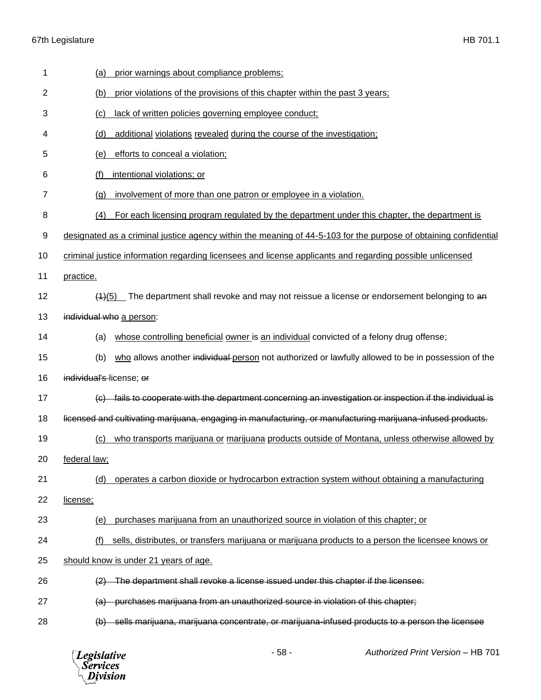| 1  | prior warnings about compliance problems;<br>(a)                                                                 |
|----|------------------------------------------------------------------------------------------------------------------|
| 2  | prior violations of the provisions of this chapter within the past 3 years;<br>(b)                               |
| 3  | lack of written policies governing employee conduct;<br>(c)                                                      |
| 4  | additional violations revealed during the course of the investigation;<br>(d)                                    |
| 5  | (e)<br>efforts to conceal a violation;                                                                           |
| 6  | intentional violations; or<br>(f)                                                                                |
| 7  | involvement of more than one patron or employee in a violation.<br>(q)                                           |
| 8  | (4)<br>For each licensing program regulated by the department under this chapter, the department is              |
| 9  | designated as a criminal justice agency within the meaning of 44-5-103 for the purpose of obtaining confidential |
| 10 | criminal justice information regarding licensees and license applicants and regarding possible unlicensed        |
| 11 | practice.                                                                                                        |
| 12 | $(4)(5)$ The department shall revoke and may not reissue a license or endorsement belonging to an                |
| 13 | individual who a person:                                                                                         |
| 14 | whose controlling beneficial owner is an individual convicted of a felony drug offense;<br>(a)                   |
| 15 | who allows another individual person not authorized or lawfully allowed to be in possession of the<br>(b)        |
| 16 | individual's license; or                                                                                         |
| 17 | (c) fails to cooperate with the department concerning an investigation or inspection if the individual is        |
| 18 | licensed and cultivating marijuana, engaging in manufacturing, or manufacturing marijuana-infused products.      |
| 19 | who transports marijuana or marijuana products outside of Montana, unless otherwise allowed by<br>(c)            |
| 20 | federal law;                                                                                                     |
| 21 | (d)<br>operates a carbon dioxide or hydrocarbon extraction system without obtaining a manufacturing              |
| 22 | license;                                                                                                         |
| 23 | purchases marijuana from an unauthorized source in violation of this chapter; or<br>(e)                          |
| 24 | sells, distributes, or transfers marijuana or marijuana products to a person the licensee knows or<br>(f)        |
| 25 | should know is under 21 years of age.                                                                            |
| 26 | The department shall revoke a license issued under this chapter if the licensee:                                 |
| 27 | (a) purchases marijuana from an unauthorized source in violation of this chapter;                                |
| 28 | (b) sells marijuana, marijuana concentrate, or marijuana-infused products to a person the licensee               |
|    |                                                                                                                  |

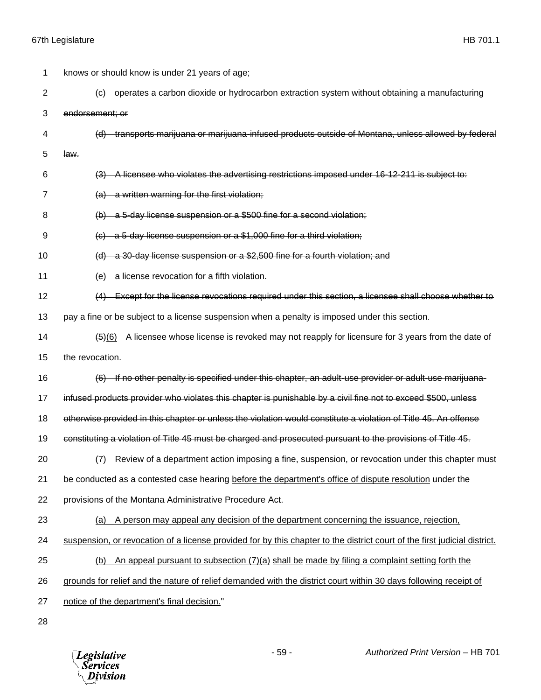| 1              | knows or should know is under 21 years of age;                                                                            |
|----------------|---------------------------------------------------------------------------------------------------------------------------|
| $\overline{2}$ | (c) operates a carbon dioxide or hydrocarbon extraction system without obtaining a manufacturing                          |
| 3              | endorsement; or                                                                                                           |
| 4              | (d) transports marijuana or marijuana-infused products outside of Montana, unless allowed by federal                      |
| 5              | law.                                                                                                                      |
| 6              | (3) A licensee who violates the advertising restrictions imposed under 16-12-211 is subject to:                           |
| 7              | (a) a written warning for the first violation;                                                                            |
| 8              | (b) a 5-day license suspension or a \$500 fine for a second violation;                                                    |
| 9              | $\left($ c) a 5-day license suspension or a \$1,000 fine for a third violation;                                           |
| 10             | (d) a 30-day license suspension or a \$2,500 fine for a fourth violation; and                                             |
| 11             | (e) a license revocation for a fifth violation.                                                                           |
| 12             | (4) Except for the license revocations required under this section, a licensee shall choose whether to                    |
| 13             | pay a fine or be subject to a license suspension when a penalty is imposed under this section.                            |
| 14             | A licensee whose license is revoked may not reapply for licensure for 3 years from the date of<br>$\left( 6 \right) (6)$  |
| 15             | the revocation.                                                                                                           |
| 16             | (6) If no other penalty is specified under this chapter, an adult-use provider or adult-use marijuana-                    |
| 17             | infused products provider who violates this chapter is punishable by a civil fine not to exceed \$500, unless             |
| 18             | otherwise provided in this chapter or unless the violation would constitute a violation of Title 45. An offense           |
| 19             | constituting a violation of Title 45 must be charged and prosecuted pursuant to the provisions of Title 45.               |
| 20             | Review of a department action imposing a fine, suspension, or revocation under this chapter must<br>(7)                   |
| 21             | be conducted as a contested case hearing before the department's office of dispute resolution under the                   |
| 22             | provisions of the Montana Administrative Procedure Act.                                                                   |
| 23             | (a) A person may appeal any decision of the department concerning the issuance, rejection,                                |
| 24             | suspension, or revocation of a license provided for by this chapter to the district court of the first judicial district. |
| 25             | An appeal pursuant to subsection (7)(a) shall be made by filing a complaint setting forth the<br>(b)                      |
| 26             | grounds for relief and the nature of relief demanded with the district court within 30 days following receipt of          |
| 27             | notice of the department's final decision."                                                                               |
| 28             |                                                                                                                           |

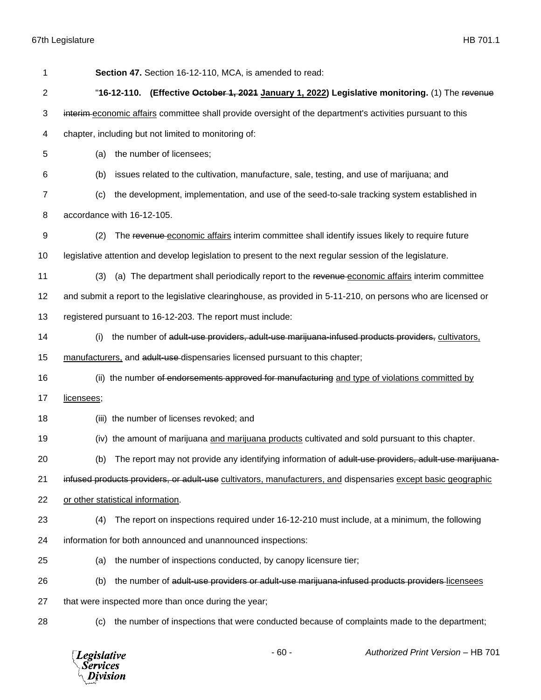| 1              | Section 47. Section 16-12-110, MCA, is amended to read:                                                       |
|----------------|---------------------------------------------------------------------------------------------------------------|
| $\overline{2}$ | "16-12-110. (Effective October 1, 2021 January 1, 2022) Legislative monitoring. (1) The revenue               |
| 3              | interim-economic affairs committee shall provide oversight of the department's activities pursuant to this    |
| 4              | chapter, including but not limited to monitoring of:                                                          |
| 5              | the number of licensees;<br>(a)                                                                               |
| 6              | (b)<br>issues related to the cultivation, manufacture, sale, testing, and use of marijuana; and               |
| $\overline{7}$ | the development, implementation, and use of the seed-to-sale tracking system established in<br>(c)            |
| 8              | accordance with 16-12-105.                                                                                    |
| 9              | (2)<br>The revenue economic affairs interim committee shall identify issues likely to require future          |
| 10             | legislative attention and develop legislation to present to the next regular session of the legislature.      |
| 11             | (a) The department shall periodically report to the revenue-economic affairs interim committee<br>(3)         |
| 12             | and submit a report to the legislative clearinghouse, as provided in 5-11-210, on persons who are licensed or |
| 13             | registered pursuant to 16-12-203. The report must include:                                                    |
| 14             | the number of adult-use providers, adult-use marijuana-infused products providers, cultivators,<br>(i)        |
| 15             | manufacturers, and adult-use dispensaries licensed pursuant to this chapter;                                  |
| 16             | (ii) the number of endorsements approved for manufacturing and type of violations committed by                |
| 17             | licensees;                                                                                                    |
| 18             | (iii) the number of licenses revoked; and                                                                     |
| 19             | (iv) the amount of marijuana and marijuana products cultivated and sold pursuant to this chapter.             |
| 20             | (b) The report may not provide any identifying information of adult-use providers, adult-use marijuana-       |
| 21             | infused products providers, or adult-use cultivators, manufacturers, and dispensaries except basic geographic |
| 22             | or other statistical information.                                                                             |
| 23             | The report on inspections required under 16-12-210 must include, at a minimum, the following<br>(4)           |
| 24             | information for both announced and unannounced inspections:                                                   |
| 25             | the number of inspections conducted, by canopy licensure tier;<br>(a)                                         |
| 26             | the number of adult-use providers or adult-use marijuana-infused products providers-licensees<br>(b)          |
| 27             | that were inspected more than once during the year;                                                           |
| 28             | the number of inspections that were conducted because of complaints made to the department;<br>(c)            |
|                |                                                                                                               |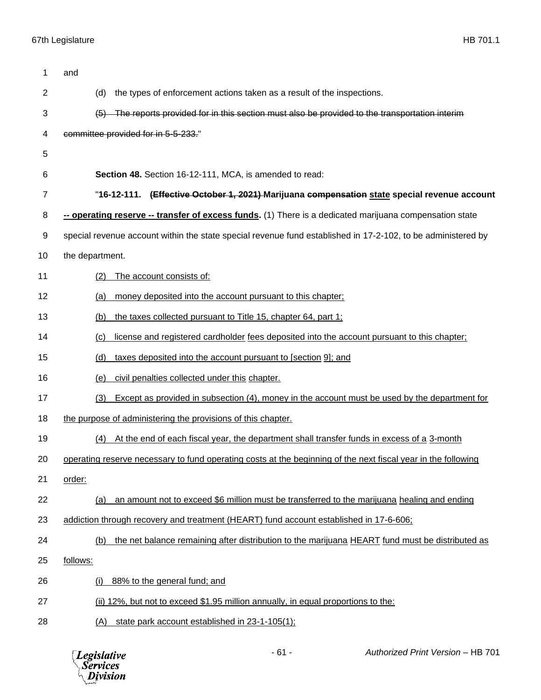| 1              | and                                                                                                           |
|----------------|---------------------------------------------------------------------------------------------------------------|
| $\overline{2}$ | the types of enforcement actions taken as a result of the inspections.<br>(d)                                 |
| 3              | (5) The reports provided for in this section must also be provided to the transportation interim              |
| 4              | committee provided for in 5-5-233."                                                                           |
| 5              |                                                                                                               |
| 6              | Section 48. Section 16-12-111, MCA, is amended to read:                                                       |
| 7              | "16-12-111. (Effective October 1, 2021) Marijuana compensation state special revenue account                  |
| 8              | -- operating reserve -- transfer of excess funds. (1) There is a dedicated marijuana compensation state       |
| 9              | special revenue account within the state special revenue fund established in 17-2-102, to be administered by  |
| 10             | the department.                                                                                               |
| 11             | The account consists of:<br>(2)                                                                               |
| 12             | money deposited into the account pursuant to this chapter;<br>(a)                                             |
| 13             | the taxes collected pursuant to Title 15, chapter 64, part 1;<br>(b)                                          |
| 14             | license and registered cardholder fees deposited into the account pursuant to this chapter;<br>(c)            |
| 15             | (d)<br>taxes deposited into the account pursuant to [section 9]; and                                          |
| 16             | civil penalties collected under this chapter.<br>(e)                                                          |
| 17             | (3)<br>Except as provided in subsection (4), money in the account must be used by the department for          |
| 18             | the purpose of administering the provisions of this chapter.                                                  |
| 19             | At the end of each fiscal year, the department shall transfer funds in excess of a 3-month<br>(4)             |
| 20             | operating reserve necessary to fund operating costs at the beginning of the next fiscal year in the following |
| 21             | order:                                                                                                        |
| 22             | an amount not to exceed \$6 million must be transferred to the marijuana healing and ending<br>(a)            |
| 23             | addiction through recovery and treatment (HEART) fund account established in 17-6-606;                        |
| 24             | the net balance remaining after distribution to the marijuana HEART fund must be distributed as<br>(b)        |
| 25             | follows:                                                                                                      |
| 26             | 88% to the general fund; and<br>(i)                                                                           |
| 27             | (ii) 12%, but not to exceed \$1.95 million annually, in equal proportions to the:                             |
| 28             | state park account established in 23-1-105(1);<br>(A)                                                         |

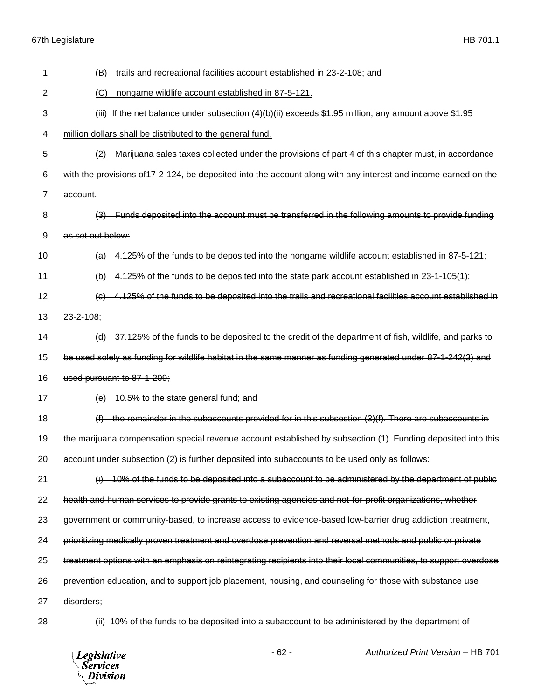| 1  | trails and recreational facilities account established in 23-2-108; and<br>(B)                                   |
|----|------------------------------------------------------------------------------------------------------------------|
| 2  | nongame wildlife account established in 87-5-121.<br>(C)                                                         |
| 3  | If the net balance under subsection $(4)(b)(ii)$ exceeds \$1.95 million, any amount above \$1.95<br>(iii)        |
| 4  | million dollars shall be distributed to the general fund.                                                        |
| 5  | (2) Marijuana sales taxes collected under the provisions of part 4 of this chapter must, in accordance           |
| 6  | with the provisions of 17-2-124, be deposited into the account along with any interest and income earned on the  |
| 7  | account.                                                                                                         |
| 8  | (3) Funds deposited into the account must be transferred in the following amounts to provide funding             |
| 9  | as set out below:                                                                                                |
| 10 | (a) 4.125% of the funds to be deposited into the nongame wildlife account established in 87-5-121;               |
| 11 | (b) $4.125\%$ of the funds to be deposited into the state park account established in 23-1-105(1);               |
| 12 | (c) 4.125% of the funds to be deposited into the trails and recreational facilities account established in       |
| 13 | $23 - 2 - 108$ ;                                                                                                 |
| 14 | (d) 37.125% of the funds to be deposited to the credit of the department of fish, wildlife, and parks to         |
| 15 | be used solely as funding for wildlife habitat in the same manner as funding generated under 87-1-242(3) and     |
| 16 | used pursuant to 87-1-209;                                                                                       |
| 17 | (e) 10.5% to the state general fund; and                                                                         |
| 18 | $(f)$ the remainder in the subaccounts provided for in this subsection $(3)(f)$ . There are subaccounts in       |
| 19 | the marijuana compensation special revenue account established by subsection (1). Funding deposited into this    |
| 20 | account under subsection (2) is further deposited into subaccounts to be used only as follows:                   |
| 21 | 10% of the funds to be deposited into a subaccount to be administered by the department of public<br>$\Theta$    |
| 22 | health and human services to provide grants to existing agencies and not-for-profit organizations, whether       |
| 23 | government or community-based, to increase access to evidence-based low-barrier drug addiction treatment,        |
| 24 | prioritizing medically proven treatment and overdose prevention and reversal methods and public or private       |
| 25 | treatment options with an emphasis on reintegrating recipients into their local communities, to support overdose |
| 26 | prevention education, and to support job placement, housing, and counseling for those with substance use         |
| 27 | disorders;                                                                                                       |
| 28 | (ii) 10% of the funds to be deposited into a subaccount to be administered by the department of                  |

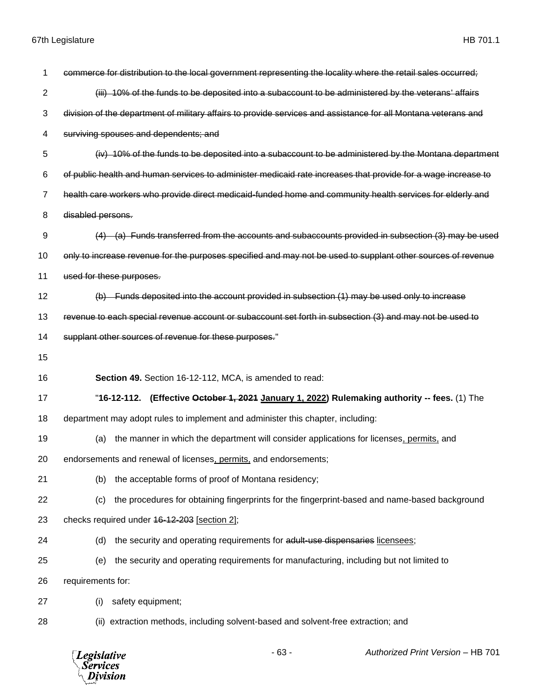*Legislative*<br>Services<br>*Division* 

| 1              | commerce for distribution to the local government representing the locality where the retail sales occurred;   |
|----------------|----------------------------------------------------------------------------------------------------------------|
| $\overline{2}$ | (iii) 10% of the funds to be deposited into a subaccount to be administered by the veterans' affairs           |
| 3              | division of the department of military affairs to provide services and assistance for all Montana veterans and |
| 4              | surviving spouses and dependents; and                                                                          |
| 5              | (iv) 10% of the funds to be deposited into a subaccount to be administered by the Montana department           |
| 6              | of public health and human services to administer medicaid rate increases that provide for a wage increase to  |
| 7              | health care workers who provide direct medicaid-funded home and community health services for elderly and      |
| 8              | disabled persons.                                                                                              |
| 9              | (a) Funds transferred from the accounts and subaccounts provided in subsection $(3)$ may be used               |
| 10             | only to increase revenue for the purposes specified and may not be used to supplant other sources of revenue   |
| 11             | used for these purposes.                                                                                       |
| 12             | (b) Funds deposited into the account provided in subsection (1) may be used only to increase                   |
| 13             | revenue to each special revenue account or subaccount set forth in subsection (3) and may not be used to       |
| 14             | supplant other sources of revenue for these purposes."                                                         |
| 15             |                                                                                                                |
| 16             | Section 49. Section 16-12-112, MCA, is amended to read:                                                        |
| 17             | "16-12-112. (Effective October 1, 2021 January 1, 2022) Rulemaking authority -- fees. (1) The                  |
| 18             | department may adopt rules to implement and administer this chapter, including:                                |
| 19             | the manner in which the department will consider applications for licenses, permits, and<br>(a)                |
| 20             | endorsements and renewal of licenses, permits, and endorsements;                                               |
| 21             | the acceptable forms of proof of Montana residency;<br>(b)                                                     |
| 22             | the procedures for obtaining fingerprints for the fingerprint-based and name-based background<br>(c)           |
| 23             | checks required under 46-12-203 [section 2];                                                                   |
| 24             | (d)<br>the security and operating requirements for adult-use dispensaries licensees;                           |
| 25             | the security and operating requirements for manufacturing, including but not limited to<br>(e)                 |
| 26             | requirements for:                                                                                              |
| 27             | safety equipment;<br>(i)                                                                                       |
| 28             | extraction methods, including solvent-based and solvent-free extraction; and<br>(ii)                           |
|                |                                                                                                                |

- 63 - *Authorized Print Version* – HB 701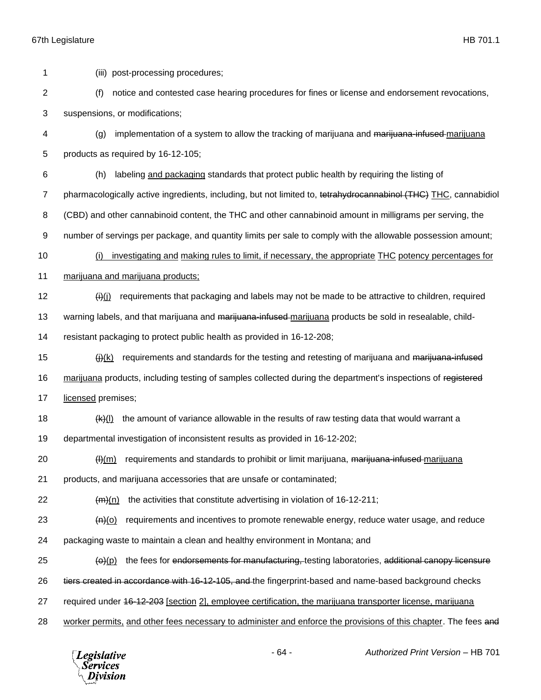(iii) post-processing procedures; (f) notice and contested case hearing procedures for fines or license and endorsement revocations, suspensions, or modifications; (g) implementation of a system to allow the tracking of marijuana and marijuana-infused marijuana products as required by 16-12-105; (h) labeling and packaging standards that protect public health by requiring the listing of 7 pharmacologically active ingredients, including, but not limited to, tetrahydrocannabinol (THC) THC, cannabidiol (CBD) and other cannabinoid content, the THC and other cannabinoid amount in milligrams per serving, the number of servings per package, and quantity limits per sale to comply with the allowable possession amount; (i) investigating and making rules to limit, if necessary, the appropriate THC potency percentages for marijuana and marijuana products;  $\frac{f(i)}{f(j)}$  requirements that packaging and labels may not be made to be attractive to children, required 13 warning labels, and that marijuana and <del>marijuana-infused</del>-marijuana products be sold in resealable, child- resistant packaging to protect public health as provided in 16-12-208;  $(i)$  (i)(k) requirements and standards for the testing and retesting of marijuana and marijuana-infused 16 marijuana products, including testing of samples collected during the department's inspections of registered 17 licensed premises;  $\frac{f(k)(l)}{l}$  the amount of variance allowable in the results of raw testing data that would warrant a departmental investigation of inconsistent results as provided in 16-12-202; ( $\theta$ )(m) requirements and standards to prohibit or limit marijuana, <del>marijuana-infused</del> marijuana products, and marijuana accessories that are unsafe or contaminated;  $(m)$  (m) the activities that constitute advertising in violation of 16-12-211;  $\left\langle n\right\rangle$ (o) requirements and incentives to promote renewable energy, reduce water usage, and reduce packaging waste to maintain a clean and healthy environment in Montana; and ( $\Theta$ ) the fees for endorsements for manufacturing, testing laboratories, additional canopy licensure 26 tiers created in accordance with 16-12-105, and the fingerprint-based and name-based background checks 27 required under 46-12-203 [section 2], employee certification, the marijuana transporter license, marijuana 28 worker permits, and other fees necessary to administer and enforce the provisions of this chapter. The fees and

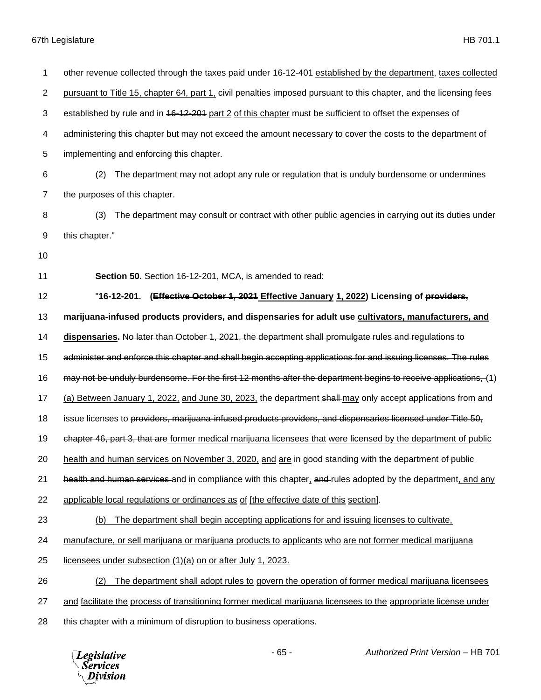| 1              | other revenue collected through the taxes paid under 16-12-401 established by the department, taxes collected      |
|----------------|--------------------------------------------------------------------------------------------------------------------|
| $\overline{2}$ | pursuant to Title 15, chapter 64, part 1, civil penalties imposed pursuant to this chapter, and the licensing fees |
| 3              | established by rule and in 46-12-201 part 2 of this chapter must be sufficient to offset the expenses of           |
| 4              | administering this chapter but may not exceed the amount necessary to cover the costs to the department of         |
| 5              | implementing and enforcing this chapter.                                                                           |
| 6              | The department may not adopt any rule or regulation that is unduly burdensome or undermines<br>(2)                 |
| $\overline{7}$ | the purposes of this chapter.                                                                                      |
| 8              | The department may consult or contract with other public agencies in carrying out its duties under<br>(3)          |
| 9              | this chapter."                                                                                                     |
| 10             |                                                                                                                    |
| 11             | Section 50. Section 16-12-201, MCA, is amended to read:                                                            |
| 12             | "16-12-201. (Effective October 1, 2021 Effective January 1, 2022) Licensing of providers,                          |
| 13             | marijuana-infused products providers, and dispensaries for adult use cultivators, manufacturers, and               |
| 14             | dispensaries. No later than October 1, 2021, the department shall promulgate rules and regulations to              |
| 15             | administer and enforce this chapter and shall begin accepting applications for and issuing licenses. The rules     |
| 16             | may not be unduly burdensome. For the first 12 months after the department begins to receive applications, (1)     |
| 17             | (a) Between January 1, 2022, and June 30, 2023, the department shall may only accept applications from and         |
| 18             | issue licenses to providers, marijuana infused products providers, and dispensaries licensed under Title 50,       |
| 19             | chapter 46, part 3, that are former medical marijuana licensees that were licensed by the department of public     |
| 20             | health and human services on November 3, 2020, and are in good standing with the department of public              |
| 21             | health and human services and in compliance with this chapter, and rules adopted by the department, and any        |
| 22             | applicable local regulations or ordinances as of [the effective date of this section].                             |
| 23             | The department shall begin accepting applications for and issuing licenses to cultivate,<br>(b)                    |
| 24             | manufacture, or sell marijuana or marijuana products to applicants who are not former medical marijuana            |
| 25             | licensees under subsection (1)(a) on or after July 1, 2023.                                                        |
| 26             | The department shall adopt rules to govern the operation of former medical marijuana licensees<br>(2)              |
| 27             | and facilitate the process of transitioning former medical marijuana licensees to the appropriate license under    |
| 28             | this chapter with a minimum of disruption to business operations.                                                  |

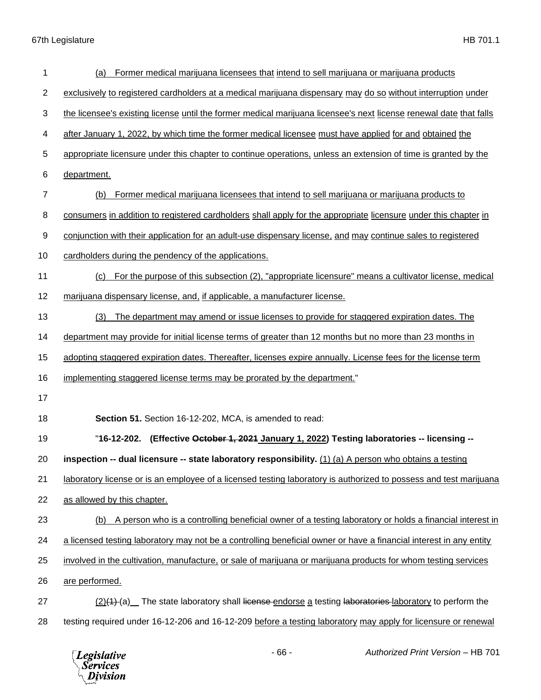| 1  | Former medical marijuana licensees that intend to sell marijuana or marijuana products<br>(a)                      |
|----|--------------------------------------------------------------------------------------------------------------------|
| 2  | exclusively to registered cardholders at a medical marijuana dispensary may do so without interruption under       |
| 3  | the licensee's existing license until the former medical marijuana licensee's next license renewal date that falls |
| 4  | after January 1, 2022, by which time the former medical licensee must have applied for and obtained the            |
| 5  | appropriate licensure under this chapter to continue operations, unless an extension of time is granted by the     |
| 6  | department.                                                                                                        |
| 7  | Former medical marijuana licensees that intend to sell marijuana or marijuana products to<br>(b)                   |
| 8  | consumers in addition to registered cardholders shall apply for the appropriate licensure under this chapter in    |
| 9  | conjunction with their application for an adult-use dispensary license, and may continue sales to registered       |
| 10 | cardholders during the pendency of the applications.                                                               |
| 11 | For the purpose of this subsection (2), "appropriate licensure" means a cultivator license, medical<br>(c)         |
| 12 | marijuana dispensary license, and, if applicable, a manufacturer license.                                          |
| 13 | The department may amend or issue licenses to provide for staggered expiration dates. The<br>(3)                   |
| 14 | department may provide for initial license terms of greater than 12 months but no more than 23 months in           |
| 15 | adopting staggered expiration dates. Thereafter, licenses expire annually. License fees for the license term       |
| 16 | implementing staggered license terms may be prorated by the department."                                           |
| 17 |                                                                                                                    |
| 18 | Section 51. Section 16-12-202, MCA, is amended to read:                                                            |
| 19 | "16-12-202. (Effective October 1, 2021 January 1, 2022) Testing laboratories -- licensing --                       |
| 20 | inspection -- dual licensure -- state laboratory responsibility. (1) (a) A person who obtains a testing            |
| 21 | laboratory license or is an employee of a licensed testing laboratory is authorized to possess and test marijuana  |
| 22 | as allowed by this chapter.                                                                                        |
| 23 | A person who is a controlling beneficial owner of a testing laboratory or holds a financial interest in<br>(b)     |
| 24 | a licensed testing laboratory may not be a controlling beneficial owner or have a financial interest in any entity |
| 25 | involved in the cultivation, manufacture, or sale of marijuana or marijuana products for whom testing services     |
| 26 | are performed.                                                                                                     |
| 27 | (2)(4)-(a) The state laboratory shall license endorse a testing laboratories-laboratory to perform the             |
| 28 | testing required under 16-12-206 and 16-12-209 before a testing laboratory may apply for licensure or renewal      |

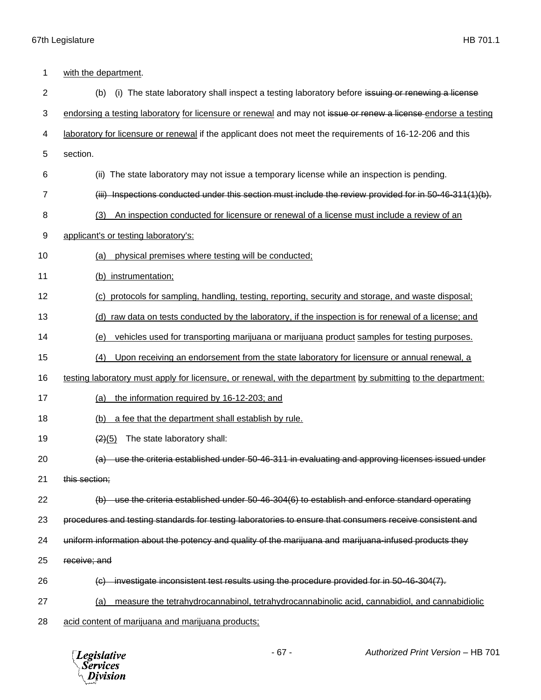| 1              | with the department.                                                                                           |
|----------------|----------------------------------------------------------------------------------------------------------------|
| $\overline{2}$ | (b)<br>(i) The state laboratory shall inspect a testing laboratory before is suing or renewing a license       |
| 3              | endorsing a testing laboratory for licensure or renewal and may not issue or renew a license endorse a testing |
| 4              | laboratory for licensure or renewal if the applicant does not meet the requirements of 16-12-206 and this      |
| 5              | section.                                                                                                       |
| 6              | The state laboratory may not issue a temporary license while an inspection is pending.<br>(ii)                 |
| 7              | $(iii)$ Inspections conducted under this section must include the review provided for in 50-46-311(1)(b).      |
| 8              | An inspection conducted for licensure or renewal of a license must include a review of an<br>(3)               |
| 9              | applicant's or testing laboratory's:                                                                           |
| 10             | physical premises where testing will be conducted;<br>(a)                                                      |
| 11             | (b) instrumentation;                                                                                           |
| 12             | protocols for sampling, handling, testing, reporting, security and storage, and waste disposal;<br>(C)         |
| 13             | raw data on tests conducted by the laboratory, if the inspection is for renewal of a license; and<br>(d)       |
| 14             | vehicles used for transporting marijuana or marijuana product samples for testing purposes.<br>(e)             |
| 15             | Upon receiving an endorsement from the state laboratory for licensure or annual renewal, a<br>(4)              |
| 16             | testing laboratory must apply for licensure, or renewal, with the department by submitting to the department:  |
| 17             | the information required by 16-12-203; and<br>(a)                                                              |
| 18             | a fee that the department shall establish by rule.<br>(b)                                                      |
| 19             | The state laboratory shall:<br>$\left( 2\right) (5)$                                                           |
| 20             | (a) use the criteria established under 50-46-311 in evaluating and approving licenses issued under             |
| 21             | this section;                                                                                                  |
| 22             | (b) use the criteria established under 50-46-304(6) to establish and enforce standard operating                |
| 23             | procedures and testing standards for testing laboratories to ensure that consumers receive consistent and      |
| 24             | uniform information about the potency and quality of the marijuana and marijuana-infused products they         |
| 25             | receive; and                                                                                                   |
| 26             | (c) investigate inconsistent test results using the procedure provided for in 50-46-304(7).                    |
| 27             | measure the tetrahydrocannabinol, tetrahydrocannabinolic acid, cannabidiol, and cannabidiolic<br><u>(a)</u>    |
| 28             | acid content of marijuana and marijuana products;                                                              |

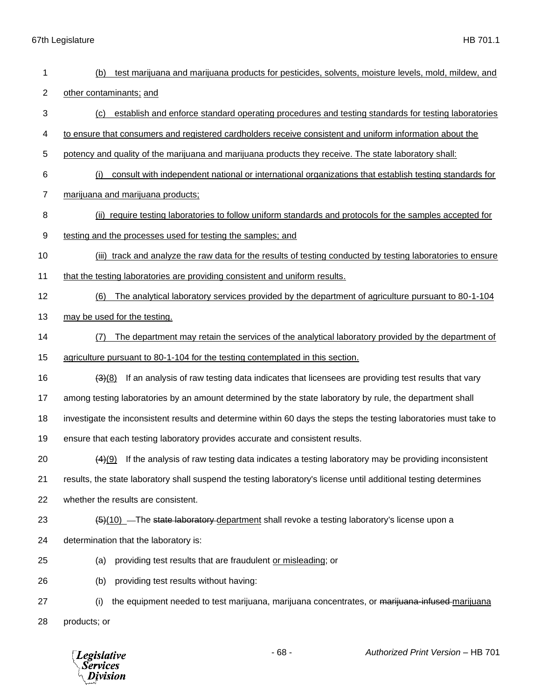| 1              | test marijuana and marijuana products for pesticides, solvents, moisture levels, mold, mildew, and<br>(b)         |
|----------------|-------------------------------------------------------------------------------------------------------------------|
| $\overline{2}$ | other contaminants; and                                                                                           |
| 3              | establish and enforce standard operating procedures and testing standards for testing laboratories<br>(c)         |
| 4              | to ensure that consumers and registered cardholders receive consistent and uniform information about the          |
| 5              | potency and quality of the marijuana and marijuana products they receive. The state laboratory shall:             |
| 6              | (i)<br>consult with independent national or international organizations that establish testing standards for      |
| $\overline{7}$ | marijuana and marijuana products;                                                                                 |
| 8              | (ii) require testing laboratories to follow uniform standards and protocols for the samples accepted for          |
| 9              | testing and the processes used for testing the samples; and                                                       |
| 10             | (iii) track and analyze the raw data for the results of testing conducted by testing laboratories to ensure       |
| 11             | that the testing laboratories are providing consistent and uniform results.                                       |
| 12             | The analytical laboratory services provided by the department of agriculture pursuant to 80-1-104<br>(6)          |
| 13             | may be used for the testing.                                                                                      |
| 14             | The department may retain the services of the analytical laboratory provided by the department of<br>(7)          |
| 15             | agriculture pursuant to 80-1-104 for the testing contemplated in this section.                                    |
| 16             | If an analysis of raw testing data indicates that licensees are providing test results that vary<br>(3)(8)        |
| 17             | among testing laboratories by an amount determined by the state laboratory by rule, the department shall          |
| 18             | investigate the inconsistent results and determine within 60 days the steps the testing laboratories must take to |
| 19             | ensure that each testing laboratory provides accurate and consistent results.                                     |
| 20             | $(4)(9)$ If the analysis of raw testing data indicates a testing laboratory may be providing inconsistent         |
| 21             | results, the state laboratory shall suspend the testing laboratory's license until additional testing determines  |
| 22             | whether the results are consistent.                                                                               |
| 23             | $\frac{5(10)}{2}$ -The state laboratory department shall revoke a testing laboratory's license upon a             |
| 24             | determination that the laboratory is:                                                                             |
| 25             | providing test results that are fraudulent or misleading; or<br>(a)                                               |
| 26             | providing test results without having:<br>(b)                                                                     |
| 27             | the equipment needed to test marijuana, marijuana concentrates, or marijuana-infused-marijuana<br>(i)             |
| 28             | products; or                                                                                                      |
|                |                                                                                                                   |

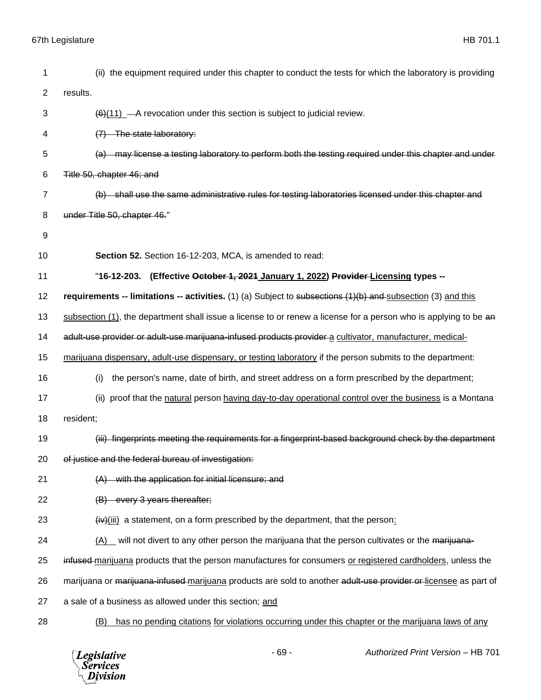| 1              | (ii) the equipment required under this chapter to conduct the tests for which the laboratory is providing        |
|----------------|------------------------------------------------------------------------------------------------------------------|
| $\overline{c}$ | results.                                                                                                         |
| 3              | $\left(\frac{6}{11}\right)$ - A revocation under this section is subject to judicial review.                     |
| 4              | (7) The state laboratory:                                                                                        |
| 5              | (a) may license a testing laboratory to perform both the testing required under this chapter and under           |
| 6              | Title 50, chapter 46; and                                                                                        |
| 7              | (b) shall use the same administrative rules for testing laboratories licensed under this chapter and             |
| 8              | under Title 50, chapter 46."                                                                                     |
| 9              |                                                                                                                  |
| 10             | Section 52. Section 16-12-203, MCA, is amended to read:                                                          |
| 11             | "16-12-203. (Effective October 1, 2021 January 1, 2022) Provider-Licensing types --                              |
| 12             | requirements -- limitations -- activities. $(1)$ (a) Subject to subsections $(1)(b)$ and subsection (3) and this |
| 13             | subsection (1), the department shall issue a license to or renew a license for a person who is applying to be an |
| 14             | adult-use provider or adult-use marijuana-infused products provider a cultivator, manufacturer, medical-         |
| 15             | marijuana dispensary, adult-use dispensary, or testing laboratory if the person submits to the department:       |
| 16             | the person's name, date of birth, and street address on a form prescribed by the department;<br>(i)              |
| 17             | (ii) proof that the natural person having day-to-day operational control over the business is a Montana          |
| 18             | resident;                                                                                                        |
| 19             | (iii) fingerprints meeting the requirements for a fingerprint-based background check by the department           |
| 20             | of justice and the federal bureau of investigation:                                                              |
| 21             | $(A)$ with the application for initial licensure; and                                                            |
| 22             | (B) every 3 years thereafter;                                                                                    |
| 23             | $(i\mathbf{v})(iii)$ a statement, on a form prescribed by the department, that the person:                       |
| 24             | $(A)$ will not divert to any other person the marijuana that the person cultivates or the marijuana-             |
| 25             | infused marijuana products that the person manufactures for consumers or registered cardholders, unless the      |
| 26             | marijuana or marijuana-infused-marijuana products are sold to another adult-use provider or licensee as part of  |
| 27             | a sale of a business as allowed under this section; and                                                          |
| 28             | has no pending citations for violations occurring under this chapter or the marijuana laws of any<br>(B)         |

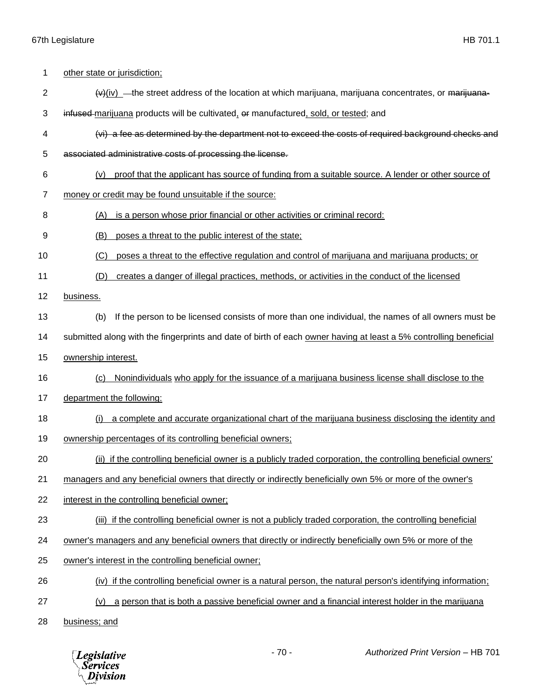| 1  | other state or jurisdiction;                                                                                              |
|----|---------------------------------------------------------------------------------------------------------------------------|
| 2  | $\left(\frac{v}{w}\right)$ — the street address of the location at which marijuana, marijuana concentrates, or marijuana- |
| 3  | infused marijuana products will be cultivated, or manufactured, sold, or tested; and                                      |
| 4  | (vi) a fee as determined by the department not to exceed the costs of required background checks and                      |
| 5  | associated administrative costs of processing the license.                                                                |
| 6  | proof that the applicant has source of funding from a suitable source. A lender or other source of<br>(v)                 |
| 7  | money or credit may be found unsuitable if the source:                                                                    |
| 8  | is a person whose prior financial or other activities or criminal record:<br>(A)                                          |
| 9  | (B)<br>poses a threat to the public interest of the state;                                                                |
| 10 | poses a threat to the effective regulation and control of marijuana and marijuana products; or<br>(C)                     |
| 11 | creates a danger of illegal practices, methods, or activities in the conduct of the licensed<br>(D)                       |
| 12 | business.                                                                                                                 |
| 13 | If the person to be licensed consists of more than one individual, the names of all owners must be<br>(b)                 |
| 14 | submitted along with the fingerprints and date of birth of each owner having at least a 5% controlling beneficial         |
| 15 | ownership interest.                                                                                                       |
| 16 | Nonindividuals who apply for the issuance of a marijuana business license shall disclose to the<br>(c)                    |
| 17 | department the following:                                                                                                 |
| 18 | a complete and accurate organizational chart of the marijuana business disclosing the identity and<br>(i)                 |
| 19 | ownership percentages of its controlling beneficial owners;                                                               |
| 20 | (ii) if the controlling beneficial owner is a publicly traded corporation, the controlling beneficial owners'             |
| 21 | managers and any beneficial owners that directly or indirectly beneficially own 5% or more of the owner's                 |
| 22 | interest in the controlling beneficial owner;                                                                             |
| 23 | (iii) if the controlling beneficial owner is not a publicly traded corporation, the controlling beneficial                |
| 24 | owner's managers and any beneficial owners that directly or indirectly beneficially own 5% or more of the                 |
| 25 | owner's interest in the controlling beneficial owner;                                                                     |
| 26 | (iv) if the controlling beneficial owner is a natural person, the natural person's identifying information;               |
| 27 | a person that is both a passive beneficial owner and a financial interest holder in the marijuana<br>(v)                  |
| 28 | business; and                                                                                                             |

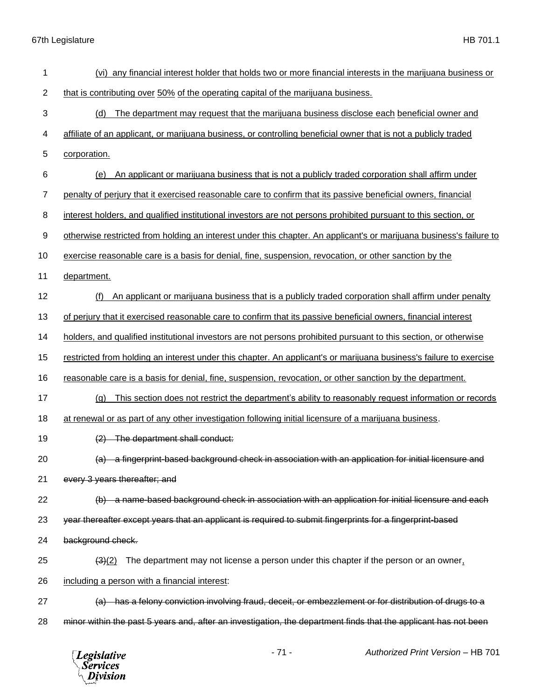| 1              | (vi) any financial interest holder that holds two or more financial interests in the marijuana business or          |
|----------------|---------------------------------------------------------------------------------------------------------------------|
| $\overline{2}$ | that is contributing over 50% of the operating capital of the marijuana business.                                   |
| 3              | (d)<br>The department may request that the marijuana business disclose each beneficial owner and                    |
| 4              | affiliate of an applicant, or marijuana business, or controlling beneficial owner that is not a publicly traded     |
| 5              | corporation.                                                                                                        |
| 6              | An applicant or marijuana business that is not a publicly traded corporation shall affirm under<br>(e)              |
| $\overline{7}$ | penalty of perjury that it exercised reasonable care to confirm that its passive beneficial owners, financial       |
| 8              | interest holders, and qualified institutional investors are not persons prohibited pursuant to this section, or     |
| 9              | otherwise restricted from holding an interest under this chapter. An applicant's or marijuana business's failure to |
| 10             | exercise reasonable care is a basis for denial, fine, suspension, revocation, or other sanction by the              |
| 11             | department.                                                                                                         |
| 12             | An applicant or marijuana business that is a publicly traded corporation shall affirm under penalty<br>(f)          |
| 13             | of perjury that it exercised reasonable care to confirm that its passive beneficial owners, financial interest      |
| 14             | holders, and qualified institutional investors are not persons prohibited pursuant to this section, or otherwise    |
| 15             | restricted from holding an interest under this chapter. An applicant's or marijuana business's failure to exercise  |
| 16             | reasonable care is a basis for denial, fine, suspension, revocation, or other sanction by the department.           |
| 17             | This section does not restrict the department's ability to reasonably request information or records<br>(a)         |
| 18             | at renewal or as part of any other investigation following initial licensure of a marijuana business.               |
| 19             | The department shall conduct:                                                                                       |
| 20             | (a) a fingerprint-based background check in association with an application for initial licensure and               |
| 21             | every 3 years thereafter; and                                                                                       |
| 22             | (b) a name-based background check in association with an application for initial licensure and each                 |
| 23             | year thereafter except years that an applicant is required to submit fingerprints for a fingerprint-based           |
| 24             | background check.                                                                                                   |
| 25             | The department may not license a person under this chapter if the person or an owner,<br>$\left( 3\right) (2)$      |
| 26             | including a person with a financial interest:                                                                       |
| 27             | (a) has a felony conviction involving fraud, deceit, or embezzlement or for distribution of drugs to a              |
| 28             | minor within the past 5 years and, after an investigation, the department finds that the applicant has not been     |
|                |                                                                                                                     |

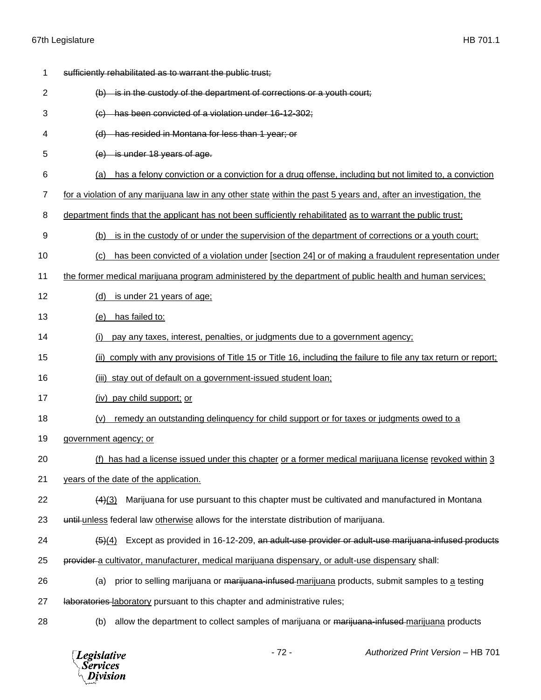| 1  | sufficiently rehabilitated as to warrant the public trust;                                                               |
|----|--------------------------------------------------------------------------------------------------------------------------|
| 2  | $(b)$ is in the custody of the department of corrections or a youth court;                                               |
| 3  | (c) has been convicted of a violation under 16-12-302;                                                                   |
| 4  | (d) has resided in Montana for less than 1 year; or                                                                      |
| 5  | $(e)$ is under 18 years of age.                                                                                          |
| 6  | has a felony conviction or a conviction for a drug offense, including but not limited to, a conviction<br>(a)            |
| 7  | for a violation of any marijuana law in any other state within the past 5 years and, after an investigation, the         |
| 8  | department finds that the applicant has not been sufficiently rehabilitated as to warrant the public trust;              |
| 9  | is in the custody of or under the supervision of the department of corrections or a youth court;<br>(b)                  |
| 10 | has been convicted of a violation under [section 24] or of making a fraudulent representation under<br>(c)               |
| 11 | the former medical marijuana program administered by the department of public health and human services;                 |
| 12 | is under 21 years of age;<br>(d)                                                                                         |
| 13 | has failed to:<br>(e)                                                                                                    |
| 14 | pay any taxes, interest, penalties, or judgments due to a government agency;<br>(i)                                      |
| 15 | comply with any provisions of Title 15 or Title 16, including the failure to file any tax return or report;<br>(ii)      |
| 16 | (iii) stay out of default on a government-issued student loan;                                                           |
| 17 | (iv) pay child support; or                                                                                               |
| 18 | remedy an outstanding delinguency for child support or for taxes or judgments owed to a<br>(v)                           |
| 19 | government agency; or                                                                                                    |
| 20 | (f) has had a license issued under this chapter or a former medical marijuana license revoked within 3                   |
| 21 | years of the date of the application.                                                                                    |
| 22 | Marijuana for use pursuant to this chapter must be cultivated and manufactured in Montana<br>(4)(3)                      |
| 23 | until-unless federal law otherwise allows for the interstate distribution of marijuana.                                  |
| 24 | Except as provided in 16-12-209, an adult-use provider or adult-use marijuana-infused products<br>$\left( 5 \right) (4)$ |
| 25 | provider a cultivator, manufacturer, medical marijuana dispensary, or adult-use dispensary shall:                        |
| 26 | prior to selling marijuana or marijuana-infused-marijuana products, submit samples to a testing<br>(a)                   |
| 27 | laboratories laboratory pursuant to this chapter and administrative rules;                                               |
| 28 | allow the department to collect samples of marijuana or marijuana-infused-marijuana products<br>(b)                      |

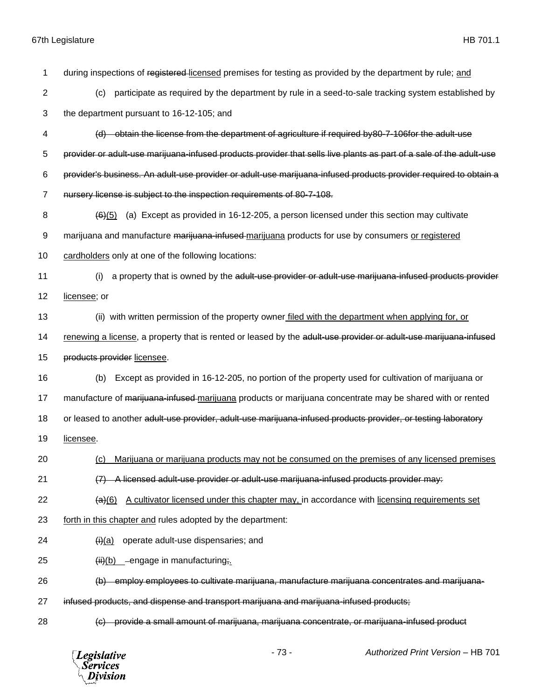| 1              | during inspections of registered-licensed premises for testing as provided by the department by rule; and            |
|----------------|----------------------------------------------------------------------------------------------------------------------|
| 2              | participate as required by the department by rule in a seed-to-sale tracking system established by<br>(c)            |
| 3              | the department pursuant to 16-12-105; and                                                                            |
| 4              | (d) obtain the license from the department of agriculture if required by80-7-106for the adult-use                    |
| 5              | provider or adult-use marijuana-infused products provider that sells live plants as part of a sale of the adult-use  |
| 6              | provider's business. An adult-use provider or adult-use marijuana-infused products provider required to obtain a     |
| $\overline{7}$ | nursery license is subject to the inspection requirements of 80-7-108.                                               |
| 8              | $\left(\frac{6}{6}\right)$ (a) Except as provided in 16-12-205, a person licensed under this section may cultivate   |
| 9              | marijuana and manufacture marijuana-infused-marijuana products for use by consumers or registered                    |
| 10             | cardholders only at one of the following locations:                                                                  |
| 11             | a property that is owned by the adult-use provider or adult-use marijuana-infused products provider<br>(i)           |
| 12             | licensee; or                                                                                                         |
| 13             | (ii) with written permission of the property owner filed with the department when applying for, or                   |
| 14             | renewing a license, a property that is rented or leased by the adult-use provider or adult-use marijuana-infused     |
| 15             | products provider licensee.                                                                                          |
| 16             | Except as provided in 16-12-205, no portion of the property used for cultivation of marijuana or<br>(b)              |
| 17             | manufacture of marijuana-infused-marijuana products or marijuana concentrate may be shared with or rented            |
| 18             | or leased to another adult-use provider, adult-use marijuana-infused products provider, or testing laboratory        |
| 19             | licensee.                                                                                                            |
| 20             | Marijuana or marijuana products may not be consumed on the premises of any licensed premises<br>(c)                  |
| 21             | -A licensed adult-use provider or adult-use marijuana-infused products provider may:                                 |
| 22             | A cultivator licensed under this chapter may, in accordance with licensing requirements set<br>$\left( a\right) (6)$ |
| 23             | forth in this chapter and rules adopted by the department:                                                           |
| 24             | operate adult-use dispensaries; and<br>$\theta$ (i)(a)                                                               |
| 25             | (ii)(b) engage in manufacturing;                                                                                     |
| 26             | (b) employ employees to cultivate marijuana, manufacture marijuana concentrates and marijuana-                       |
| 27             | infused products, and dispense and transport marijuana and marijuana-infused products;                               |
| 28             | (c) provide a small amount of marijuana, marijuana concentrate, or marijuana-infused product                         |

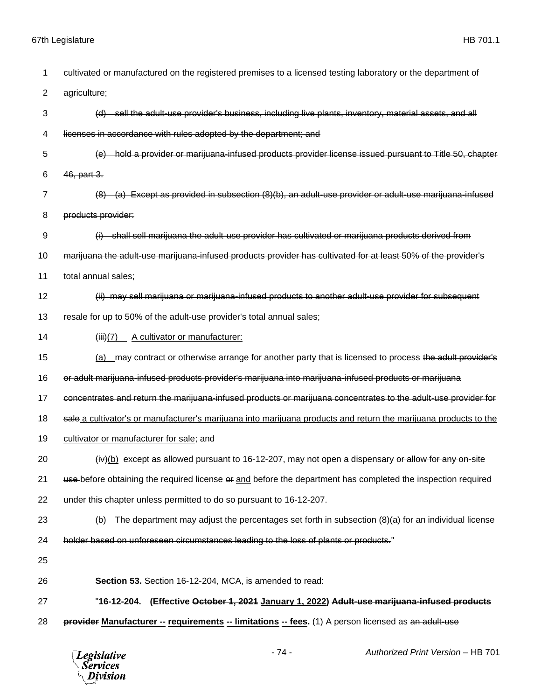| 1  | cultivated or manufactured on the registered premises to a licensed testing laboratory or the department of           |
|----|-----------------------------------------------------------------------------------------------------------------------|
| 2  | agriculture;                                                                                                          |
| 3  | (d) sell the adult-use provider's business, including live plants, inventory, material assets, and all                |
| 4  | licenses in accordance with rules adopted by the department; and                                                      |
| 5  | hold a provider or marijuana-infused products provider license issued pursuant to Title 50, chapter<br><del>(e)</del> |
| 6  | 46, part 3.                                                                                                           |
| 7  | Except as provided in subsection (8)(b), an adult-use provider or adult-use marijuana-infused<br><del>(a)</del>       |
| 8  | products provider:                                                                                                    |
| 9  | (i) shall sell marijuana the adult-use provider has cultivated or marijuana products derived from                     |
| 10 | marijuana the adult-use marijuana-infused products provider has cultivated for at least 50% of the provider's         |
| 11 | total annual sales;                                                                                                   |
| 12 | (ii) may sell marijuana or marijuana-infused products to another adult-use provider for subsequent                    |
| 13 | resale for up to 50% of the adult-use provider's total annual sales;                                                  |
| 14 | A cultivator or manufacturer:<br>(iii)(7)                                                                             |
| 15 | (a) may contract or otherwise arrange for another party that is licensed to process the adult provider's              |
| 16 | or adult marijuana-infused products provider's marijuana into marijuana-infused products or marijuana                 |
| 17 | concentrates and return the marijuana-infused products or marijuana concentrates to the adult-use provider for        |
| 18 | sale a cultivator's or manufacturer's marijuana into marijuana products and return the marijuana products to the      |
| 19 | cultivator or manufacturer for sale; and                                                                              |
| 20 | $(iv)(b)$ except as allowed pursuant to 16-12-207, may not open a dispensary or allow for any on-site                 |
| 21 | use before obtaining the required license or and before the department has completed the inspection required          |
| 22 | under this chapter unless permitted to do so pursuant to 16-12-207.                                                   |
| 23 | $(b)$ The department may adjust the percentages set forth in subsection $(8)(a)$ for an individual license            |
| 24 | holder based on unforeseen circumstances leading to the loss of plants or products."                                  |
| 25 |                                                                                                                       |
| 26 | Section 53. Section 16-12-204, MCA, is amended to read:                                                               |
| 27 | "16-12-204. (Effective October 1, 2021 January 1, 2022) Adult-use marijuana-infused products                          |
| 28 | provider Manufacturer -- requirements -- limitations -- fees. (1) A person licensed as an adult-use                   |
|    | $-74-$<br>Authorized Print Version - HB 701<br><b>Legislative</b><br>Services<br>ivision                              |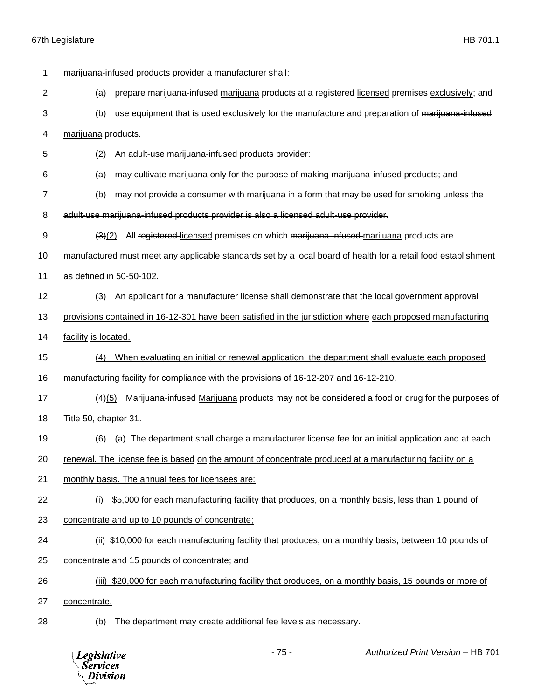| 1              | marijuana-infused products provider a manufacturer shall:                                                      |
|----------------|----------------------------------------------------------------------------------------------------------------|
| $\overline{2}$ | (a)<br>prepare marijuana-infused marijuana products at a registered-licensed premises exclusively; and         |
| 3              | use equipment that is used exclusively for the manufacture and preparation of marijuana-infused<br>(b)         |
| 4              | marijuana products.                                                                                            |
| 5              | An adult-use marijuana-infused products provider:                                                              |
| 6              | may cultivate marijuana only for the purpose of making marijuana-infused products; and<br>(a)                  |
| 7              | may not provide a consumer with marijuana in a form that may be used for smoking unless the<br>(b)             |
| 8              | adult-use marijuana-infused products provider is also a licensed adult-use provider.                           |
| 9              | All registered-licensed premises on which marijuana-infused-marijuana products are<br>(3)(2)                   |
| 10             | manufactured must meet any applicable standards set by a local board of health for a retail food establishment |
| 11             | as defined in 50-50-102.                                                                                       |
| 12             | An applicant for a manufacturer license shall demonstrate that the local government approval<br>(3)            |
| 13             | provisions contained in 16-12-301 have been satisfied in the jurisdiction where each proposed manufacturing    |
| 14             | facility is located.                                                                                           |
| 15             | When evaluating an initial or renewal application, the department shall evaluate each proposed<br>(4)          |
| 16             | manufacturing facility for compliance with the provisions of 16-12-207 and 16-12-210.                          |
| 17             | Marijuana-infused-Marijuana products may not be considered a food or drug for the purposes of<br>(4)(5)        |
| 18             | Title 50, chapter 31.                                                                                          |
| 19             | (a) The department shall charge a manufacturer license fee for an initial application and at each<br>(6)       |
| 20             | renewal. The license fee is based on the amount of concentrate produced at a manufacturing facility on a       |
| 21             | monthly basis. The annual fees for licensees are:                                                              |
| 22             | \$5,000 for each manufacturing facility that produces, on a monthly basis, less than 1 pound of<br>(i)         |
| 23             | concentrate and up to 10 pounds of concentrate;                                                                |
| 24             | (ii) \$10,000 for each manufacturing facility that produces, on a monthly basis, between 10 pounds of          |
| 25             | concentrate and 15 pounds of concentrate; and                                                                  |
| 26             | (iii) \$20,000 for each manufacturing facility that produces, on a monthly basis, 15 pounds or more of         |
| 27             | concentrate.                                                                                                   |
| 28             | The department may create additional fee levels as necessary.<br>(b)                                           |

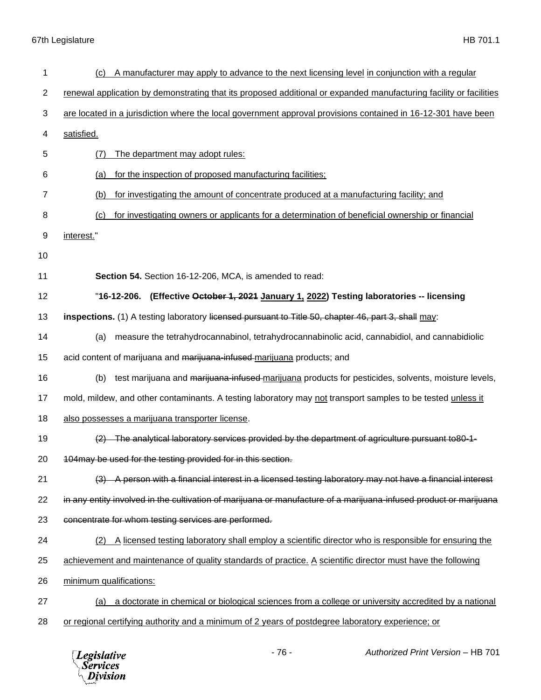| 1  | A manufacturer may apply to advance to the next licensing level in conjunction with a regular<br>(c)               |
|----|--------------------------------------------------------------------------------------------------------------------|
| 2  | renewal application by demonstrating that its proposed additional or expanded manufacturing facility or facilities |
| 3  | are located in a jurisdiction where the local government approval provisions contained in 16-12-301 have been      |
| 4  | satisfied.                                                                                                         |
| 5  | The department may adopt rules:<br>(7)                                                                             |
| 6  | for the inspection of proposed manufacturing facilities;<br>(a)                                                    |
| 7  | for investigating the amount of concentrate produced at a manufacturing facility; and<br>(b)                       |
| 8  | for investigating owners or applicants for a determination of beneficial ownership or financial<br>(c)             |
| 9  | interest."                                                                                                         |
| 10 |                                                                                                                    |
| 11 | Section 54. Section 16-12-206, MCA, is amended to read:                                                            |
| 12 | "16-12-206. (Effective October 1, 2021 January 1, 2022) Testing laboratories -- licensing                          |
| 13 | inspections. (1) A testing laboratory licensed pursuant to Title 50, chapter 46, part 3, shall may:                |
| 14 | measure the tetrahydrocannabinol, tetrahydrocannabinolic acid, cannabidiol, and cannabidiolic<br>(a)               |
| 15 | acid content of marijuana and marijuana-infused-marijuana products; and                                            |
| 16 | test marijuana and marijuana-infused-marijuana products for pesticides, solvents, moisture levels,<br>(b)          |
| 17 | mold, mildew, and other contaminants. A testing laboratory may not transport samples to be tested unless it        |
| 18 | also possesses a marijuana transporter license.                                                                    |
| 19 | (2) The analytical laboratory services provided by the department of agriculture pursuant to 80-1-                 |
| 20 | 104may be used for the testing provided for in this section.                                                       |
| 21 | A person with a financial interest in a licensed testing laboratory may not have a financial interest              |
| 22 | in any entity involved in the cultivation of marijuana or manufacture of a marijuana-infused product or marijuana  |
| 23 | concentrate for whom testing services are performed.                                                               |
| 24 | A licensed testing laboratory shall employ a scientific director who is responsible for ensuring the<br>(2)        |
| 25 | achievement and maintenance of quality standards of practice. A scientific director must have the following        |
| 26 | minimum qualifications:                                                                                            |
| 27 | a doctorate in chemical or biological sciences from a college or university accredited by a national<br>(a)        |
| 28 | or regional certifying authority and a minimum of 2 years of postdegree laboratory experience; or                  |

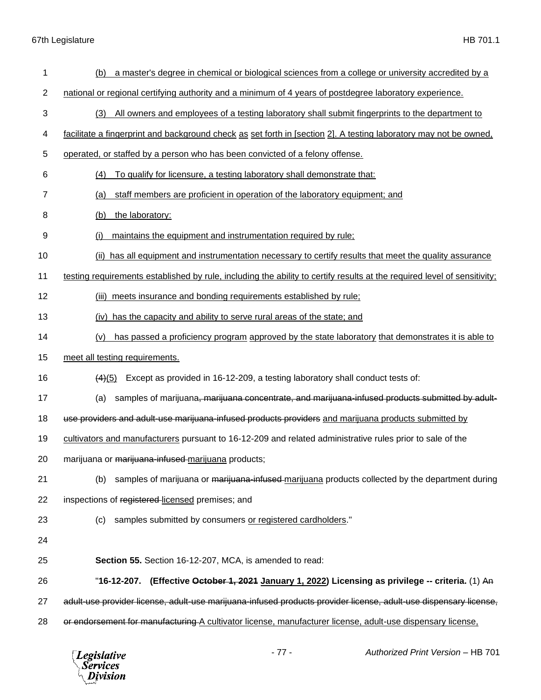| 1              | a master's degree in chemical or biological sciences from a college or university accredited by a<br>(b)                 |
|----------------|--------------------------------------------------------------------------------------------------------------------------|
| $\overline{2}$ | national or regional certifying authority and a minimum of 4 years of postdegree laboratory experience.                  |
| 3              | All owners and employees of a testing laboratory shall submit fingerprints to the department to<br>(3)                   |
| 4              | facilitate a fingerprint and background check as set forth in [section 2]. A testing laboratory may not be owned,        |
| 5              | operated, or staffed by a person who has been convicted of a felony offense.                                             |
| 6              | To qualify for licensure, a testing laboratory shall demonstrate that:<br>(4)                                            |
| 7              | staff members are proficient in operation of the laboratory equipment; and<br>(a)                                        |
| 8              | the laboratory:<br>(b)                                                                                                   |
| 9              | maintains the equipment and instrumentation required by rule;<br>(i)                                                     |
| 10             | (ii) has all equipment and instrumentation necessary to certify results that meet the quality assurance                  |
| 11             | testing requirements established by rule, including the ability to certify results at the required level of sensitivity; |
| 12             | (iii) meets insurance and bonding requirements established by rule;                                                      |
| 13             | has the capacity and ability to serve rural areas of the state; and<br>(iv)                                              |
| 14             | has passed a proficiency program approved by the state laboratory that demonstrates it is able to<br>(v)                 |
| 15             | meet all testing requirements.                                                                                           |
| 16             | Except as provided in 16-12-209, a testing laboratory shall conduct tests of:<br>(4)(5)                                  |
| 17             | samples of marijuana, marijuana concentrate, and marijuana-infused products submitted by adult-<br>(a)                   |
| 18             | use providers and adult use marijuana infused products providers and marijuana products submitted by                     |
| 19             | cultivators and manufacturers pursuant to 16-12-209 and related administrative rules prior to sale of the                |
| 20             | marijuana or marijuana-infused-marijuana products;                                                                       |
| 21             | samples of marijuana or marijuana infused marijuana products collected by the department during<br>(b)                   |
| 22             | inspections of registered licensed premises; and                                                                         |
| 23             | samples submitted by consumers or registered cardholders."<br>(c)                                                        |
| 24             |                                                                                                                          |
| 25             | Section 55. Section 16-12-207, MCA, is amended to read:                                                                  |
| 26             | 16-12-207. (Effective <del>October 1, 2021</del> <u>January 1, 2022</u> ) Licensing as privilege -- criteria. (1) An "   |
| 27             | adult-use provider license, adult-use marijuana-infused products provider license, adult-use dispensary license,         |
| 28             | or endorsement for manufacturing A cultivator license, manufacturer license, adult-use dispensary license,               |

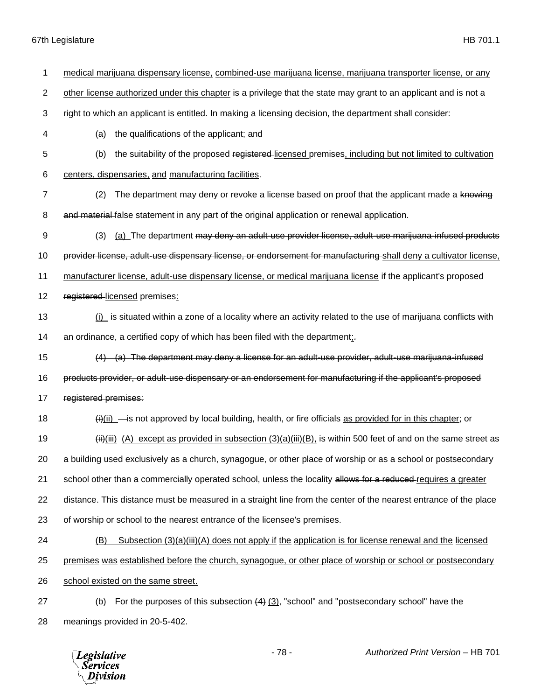| 1              | medical marijuana dispensary license, combined-use marijuana license, marijuana transporter license, or any                  |
|----------------|------------------------------------------------------------------------------------------------------------------------------|
| $\overline{c}$ | other license authorized under this chapter is a privilege that the state may grant to an applicant and is not a             |
| 3              | right to which an applicant is entitled. In making a licensing decision, the department shall consider:                      |
| 4              | the qualifications of the applicant; and<br>(a)                                                                              |
| 5              | (b)<br>the suitability of the proposed registered-licensed premises, including but not limited to cultivation                |
| 6              | centers, dispensaries, and manufacturing facilities.                                                                         |
| $\overline{7}$ | The department may deny or revoke a license based on proof that the applicant made a knowing<br>(2)                          |
| 8              | and material false statement in any part of the original application or renewal application.                                 |
| 9              | (3)<br>(a) The department may deny an adult-use provider license, adult-use marijuana-infused products                       |
| 10             | provider license, adult-use dispensary license, or endorsement for manufacturing-shall deny a cultivator license,            |
| 11             | manufacturer license, adult-use dispensary license, or medical marijuana license if the applicant's proposed                 |
| 12             | registered-licensed premises:                                                                                                |
| 13             | $(i)$ is situated within a zone of a locality where an activity related to the use of marijuana conflicts with               |
| 14             | an ordinance, a certified copy of which has been filed with the department;                                                  |
| 15             | $(4)$ (a) The department may deny a license for an adult-use provider, adult-use marijuana-infused                           |
| 16             | products provider, or adult-use dispensary or an endorsement for manufacturing if the applicant's proposed                   |
| 17             | registered premises:                                                                                                         |
| 18             | $\frac{H_{i}(ii)}{I}$ is not approved by local building, health, or fire officials as provided for in this chapter; or       |
| 19             | $\frac{H_i}{H_i}$ (iii) (A) except as provided in subsection (3)(a)(iii)(B), is within 500 feet of and on the same street as |
| 20             | a building used exclusively as a church, synagogue, or other place of worship or as a school or postsecondary                |
| 21             | school other than a commercially operated school, unless the locality allows for a reduced-requires a greater                |
| 22             | distance. This distance must be measured in a straight line from the center of the nearest entrance of the place             |
| 23             | of worship or school to the nearest entrance of the licensee's premises.                                                     |
| 24             | Subsection $(3)(a)(iii)(A)$ does not apply if the application is for license renewal and the licensed<br>(B)                 |
| 25             | premises was established before the church, synagogue, or other place of worship or school or postsecondary                  |
| 26             | school existed on the same street.                                                                                           |
| 27             | For the purposes of this subsection $(4)$ $(3)$ , "school" and "postsecondary school" have the<br>(b)                        |
| 28             | meanings provided in 20-5-402.                                                                                               |

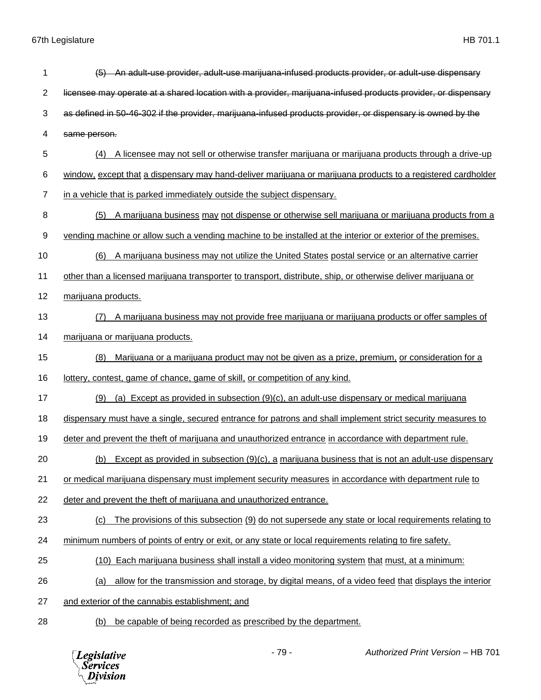| 1              | (5) An adult-use provider, adult-use marijuana-infused products provider, or adult-use dispensary                  |
|----------------|--------------------------------------------------------------------------------------------------------------------|
| $\overline{2}$ | licensee may operate at a shared location with a provider, marijuana-infused products provider, or dispensary      |
| 3              | as defined in 50-46-302 if the provider, marijuana-infused products provider, or dispensary is owned by the        |
| 4              | same person.                                                                                                       |
| 5              | A licensee may not sell or otherwise transfer marijuana or marijuana products through a drive-up                   |
| 6              | window, except that a dispensary may hand-deliver marijuana or marijuana products to a registered cardholder       |
| $\overline{7}$ | in a vehicle that is parked immediately outside the subject dispensary.                                            |
| 8              | A marijuana business may not dispense or otherwise sell marijuana or marijuana products from a<br>(5)              |
| 9              | vending machine or allow such a vending machine to be installed at the interior or exterior of the premises.       |
| 10             | A marijuana business may not utilize the United States postal service or an alternative carrier<br>(6)             |
| 11             | other than a licensed marijuana transporter to transport, distribute, ship, or otherwise deliver marijuana or      |
| 12             | marijuana products.                                                                                                |
| 13             | A marijuana business may not provide free marijuana or marijuana products or offer samples of<br>(7)               |
| 14             | marijuana or marijuana products.                                                                                   |
| 15             | (8)<br>Marijuana or a marijuana product may not be given as a prize, premium, or consideration for a               |
| 16             | lottery, contest, game of chance, game of skill, or competition of any kind.                                       |
| 17             | (a) Except as provided in subsection $(9)(c)$ , an adult-use dispensary or medical marijuana<br>(9)                |
| 18             | dispensary must have a single, secured entrance for patrons and shall implement strict security measures to        |
| 19             | deter and prevent the theft of marijuana and unauthorized entrance in accordance with department rule.             |
| 20             | (b) Except as provided in subsection (9)(c), a marijuana business that is not an adult-use dispensary              |
| 21             | or medical marijuana dispensary must implement security measures in accordance with department rule to             |
| 22             | deter and prevent the theft of marijuana and unauthorized entrance.                                                |
| 23             | The provisions of this subsection (9) do not supersede any state or local requirements relating to<br>(c)          |
| 24             | minimum numbers of points of entry or exit, or any state or local requirements relating to fire safety.            |
| 25             | (10) Each marijuana business shall install a video monitoring system that must, at a minimum:                      |
| 26             | allow for the transmission and storage, by digital means, of a video feed that displays the interior<br><u>(a)</u> |
| 27             | and exterior of the cannabis establishment; and                                                                    |
| 28             | be capable of being recorded as prescribed by the department.<br>(b)                                               |

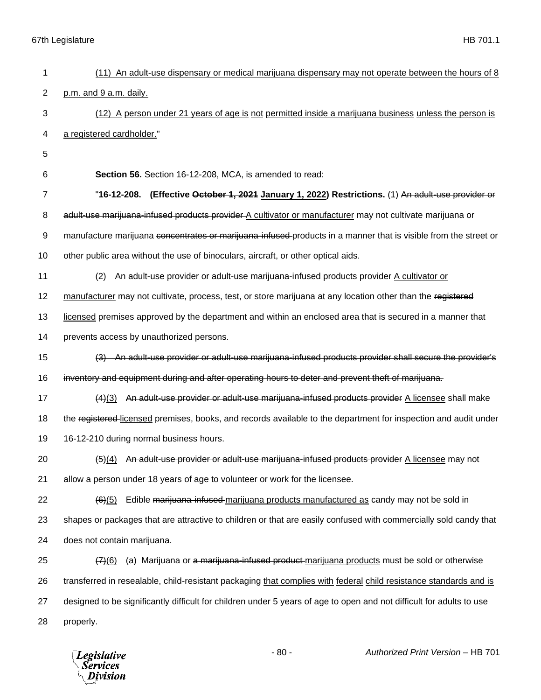| 1  | (11) An adult-use dispensary or medical marijuana dispensary may not operate between the hours of 8                  |
|----|----------------------------------------------------------------------------------------------------------------------|
| 2  | p.m. and 9 a.m. daily.                                                                                               |
| 3  | (12) A person under 21 years of age is not permitted inside a marijuana business unless the person is                |
| 4  | a registered cardholder."                                                                                            |
| 5  |                                                                                                                      |
| 6  | Section 56. Section 16-12-208, MCA, is amended to read:                                                              |
| 7  | "16-12-208. (Effective October 1, 2021 January 1, 2022) Restrictions. (1) An adult-use provider or                   |
| 8  | adult-use marijuana-infused products provider A cultivator or manufacturer may not cultivate marijuana or            |
| 9  | manufacture marijuana concentrates or marijuana-infused-products in a manner that is visible from the street or      |
| 10 | other public area without the use of binoculars, aircraft, or other optical aids.                                    |
| 11 | An adult-use provider or adult-use marijuana-infused products provider A cultivator or<br>(2)                        |
| 12 | manufacturer may not cultivate, process, test, or store marijuana at any location other than the registered          |
| 13 | licensed premises approved by the department and within an enclosed area that is secured in a manner that            |
| 14 | prevents access by unauthorized persons.                                                                             |
| 15 | (3) An adult-use provider or adult-use marijuana-infused products provider shall secure the provider's               |
| 16 | inventory and equipment during and after operating hours to deter and prevent theft of marijuana.                    |
| 17 | (4)(3) An adult-use provider or adult-use marijuana-infused products provider A licensee shall make                  |
| 18 | the registered-licensed premises, books, and records available to the department for inspection and audit under      |
| 19 | 16-12-210 during normal business hours.                                                                              |
| 20 | (5)(4) An adult-use provider or adult-use marijuana-infused products provider A licensee may not                     |
| 21 | allow a person under 18 years of age to volunteer or work for the licensee.                                          |
| 22 | Edible marijuana-infused-marijuana products manufactured as candy may not be sold in<br>(6)(5)                       |
| 23 | shapes or packages that are attractive to children or that are easily confused with commercially sold candy that     |
| 24 | does not contain marijuana.                                                                                          |
| 25 | (a) Marijuana or a marijuana-infused product marijuana products must be sold or otherwise<br>(7)(6)                  |
| 26 | transferred in resealable, child-resistant packaging that complies with federal child resistance standards and is    |
| 27 | designed to be significantly difficult for children under 5 years of age to open and not difficult for adults to use |
| 28 | properly.                                                                                                            |
|    |                                                                                                                      |

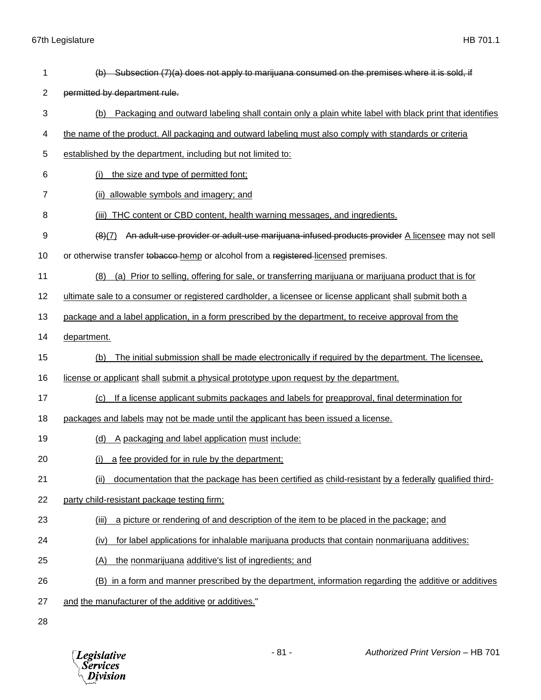Division

 (b) Subsection (7)(a) does not apply to marijuana consumed on the premises where it is sold, if permitted by department rule. (b) Packaging and outward labeling shall contain only a plain white label with black print that identifies the name of the product. All packaging and outward labeling must also comply with standards or criteria established by the department, including but not limited to: (i) the size and type of permitted font; (ii) allowable symbols and imagery; and 8 (iii) THC content or CBD content, health warning messages, and ingredients. (8)(7) An adult-use provider or adult-use marijuana-infused products provider A licensee may not sell 10 or otherwise transfer to bacco-hemp or alcohol from a registered-licensed premises. (8) (a) Prior to selling, offering for sale, or transferring marijuana or marijuana product that is for ultimate sale to a consumer or registered cardholder, a licensee or license applicant shall submit both a package and a label application, in a form prescribed by the department, to receive approval from the department. (b) The initial submission shall be made electronically if required by the department. The licensee, license or applicant shall submit a physical prototype upon request by the department. (c) If a license applicant submits packages and labels for preapproval, final determination for 18 packages and labels may not be made until the applicant has been issued a license. (d) A packaging and label application must include: (i) a fee provided for in rule by the department; (ii) documentation that the package has been certified as child-resistant by a federally qualified third- party child-resistant package testing firm; (iii) a picture or rendering of and description of the item to be placed in the package; and (iv) for label applications for inhalable marijuana products that contain nonmarijuana additives: (A) the nonmarijuana additive's list of ingredients; and (B) in a form and manner prescribed by the department, information regarding the additive or additives and the manufacturer of the additive or additives." - 81 - *Authorized Print Version* – HB 701 **Legislative** *Services*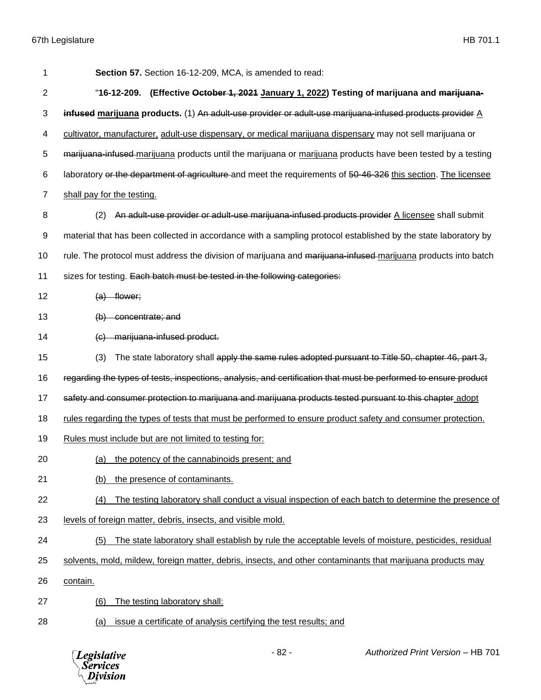| 1              | Section 57. Section 16-12-209, MCA, is amended to read:                                                         |
|----------------|-----------------------------------------------------------------------------------------------------------------|
| 2              | "16-12-209. (Effective October 1, 2021 January 1, 2022) Testing of marijuana and marijuana-                     |
| 3              | infused marijuana products. (1) An adult-use provider or adult-use marijuana-infused products provider A        |
| 4              | cultivator, manufacturer, adult-use dispensary, or medical marijuana dispensary may not sell marijuana or       |
| 5              | marijuana-infused marijuana products until the marijuana or marijuana products have been tested by a testing    |
| 6              | laboratory or the department of agriculture and meet the requirements of 50-46-326 this section. The licensee   |
| $\overline{7}$ | shall pay for the testing.                                                                                      |
| 8              | An adult-use provider or adult-use marijuana-infused products provider A licensee shall submit<br>(2)           |
| 9              | material that has been collected in accordance with a sampling protocol established by the state laboratory by  |
| 10             | rule. The protocol must address the division of marijuana and marijuana-infused-marijuana products into batch   |
| 11             | sizes for testing. Each batch must be tested in the following categories:                                       |
| 12             | $(a)$ flower;                                                                                                   |
| 13             | $(b)$ concentrate; and                                                                                          |
| 14             | (c) marijuana-infused product.                                                                                  |
| 15             | The state laboratory shall apply the same rules adopted pursuant to Title 50, chapter 46, part 3,<br>(3)        |
| 16             | regarding the types of tests, inspections, analysis, and certification that must be performed to ensure product |
| 17             | safety and consumer protection to marijuana and marijuana products tested pursuant to this chapter adopt        |
| 18             | rules regarding the types of tests that must be performed to ensure product safety and consumer protection.     |
| 19             | Rules must include but are not limited to testing for:                                                          |
| 20             | (a) the potency of the cannabinoids present; and                                                                |
| 21             | the presence of contaminants.<br>(b)                                                                            |
| 22             | The testing laboratory shall conduct a visual inspection of each batch to determine the presence of<br>(4)      |
| 23             | levels of foreign matter, debris, insects, and visible mold.                                                    |
| 24             | The state laboratory shall establish by rule the acceptable levels of moisture, pesticides, residual<br>(5)     |
| 25             | solvents, mold, mildew, foreign matter, debris, insects, and other contaminants that marijuana products may     |
| 26             | contain.                                                                                                        |
| 27             | The testing laboratory shall:<br>(6)                                                                            |
| 28             | issue a certificate of analysis certifying the test results; and<br><u>(a)</u>                                  |
|                |                                                                                                                 |

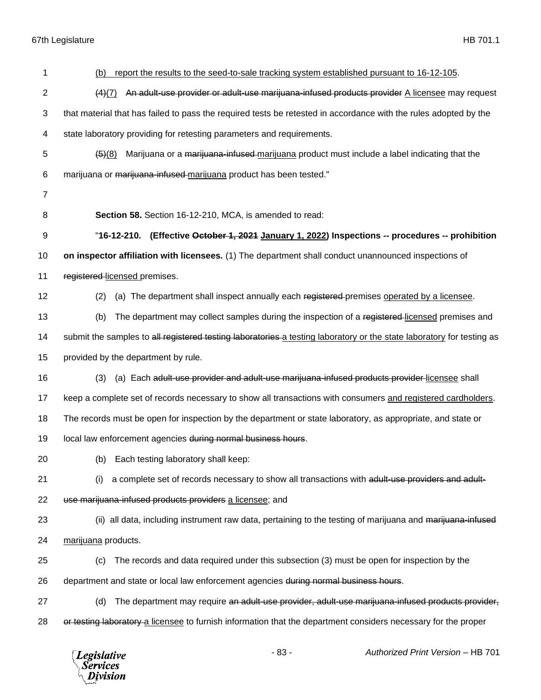| 1              | report the results to the seed-to-sale tracking system established pursuant to 16-12-105.<br>(b)                      |
|----------------|-----------------------------------------------------------------------------------------------------------------------|
| $\overline{2}$ | An adult-use provider or adult-use marijuana-infused products provider A licensee may request<br>(4)(7)               |
| 3              | that material that has failed to pass the required tests be retested in accordance with the rules adopted by the      |
| 4              | state laboratory providing for retesting parameters and requirements.                                                 |
| 5              | Marijuana or a marijuana-infused marijuana product must include a label indicating that the<br>(5)(8)                 |
| 6              | marijuana or marijuana-infused-marijuana product has been tested."                                                    |
| $\overline{7}$ |                                                                                                                       |
| 8              | Section 58. Section 16-12-210, MCA, is amended to read:                                                               |
| 9              | "16-12-210. (Effective October 1, 2021 January 1, 2022) Inspections -- procedures -- prohibition                      |
| 10             | on inspector affiliation with licensees. (1) The department shall conduct unannounced inspections of                  |
| 11             | registered-licensed premises.                                                                                         |
| 12             | (a) The department shall inspect annually each registered premises operated by a licensee.<br>(2)                     |
| 13             | The department may collect samples during the inspection of a registered-licensed premises and<br>(b)                 |
| 14             | submit the samples to all registered testing laboratories a testing laboratory or the state laboratory for testing as |
| 15             | provided by the department by rule.                                                                                   |
| 16             | (a) Each adult-use provider and adult-use marijuana-infused products provider-licensee shall<br>(3)                   |
| 17             | keep a complete set of records necessary to show all transactions with consumers and registered cardholders.          |
| 18             | The records must be open for inspection by the department or state laboratory, as appropriate, and state or           |
| 19             | local law enforcement agencies during normal business hours.                                                          |
| 20             | (b) Each testing laboratory shall keep:                                                                               |
| 21             | a complete set of records necessary to show all transactions with adult-use providers and adult-<br>(i)               |
| 22             | use marijuana-infused products providers a licensee; and                                                              |
| 23             | (ii) all data, including instrument raw data, pertaining to the testing of marijuana and marijuana-infused            |
| 24             | marijuana products.                                                                                                   |
| 25             | The records and data required under this subsection (3) must be open for inspection by the<br>(c)                     |
| 26             | department and state or local law enforcement agencies during normal business hours.                                  |
| 27             | The department may require an adult-use provider, adult-use marijuana-infused products provider,<br>(d)               |
| 28             | or testing laboratory a licensee to furnish information that the department considers necessary for the proper        |
|                | $-83-$<br>Authorized Print Version - HB 701<br><b>Legislative</b><br><b>Services</b><br>Division                      |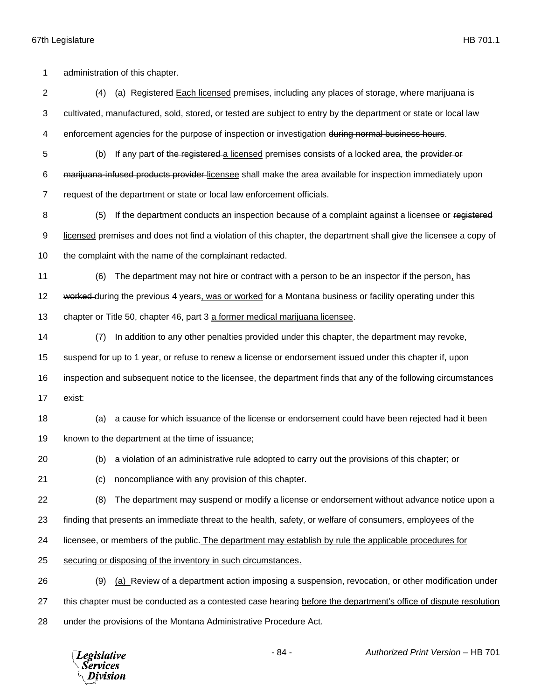administration of this chapter. 2 (4) (a) Registered Each licensed premises, including any places of storage, where marijuana is cultivated, manufactured, sold, stored, or tested are subject to entry by the department or state or local law 4 enforcement agencies for the purpose of inspection or investigation during normal business hours. 5 (b) If any part of the registered a licensed premises consists of a locked area, the provider or marijuana-infused products provider licensee shall make the area available for inspection immediately upon request of the department or state or local law enforcement officials. 8 (5) If the department conducts an inspection because of a complaint against a licensee or registered 9 licensed premises and does not find a violation of this chapter, the department shall give the licensee a copy of 10 the complaint with the name of the complainant redacted. 11 (6) The department may not hire or contract with a person to be an inspector if the person, has 12 worked during the previous 4 years, was or worked for a Montana business or facility operating under this 13 chapter or Title 50, chapter 46, part 3 a former medical marijuana licensee. (7) In addition to any other penalties provided under this chapter, the department may revoke, suspend for up to 1 year, or refuse to renew a license or endorsement issued under this chapter if, upon inspection and subsequent notice to the licensee, the department finds that any of the following circumstances exist: (a) a cause for which issuance of the license or endorsement could have been rejected had it been known to the department at the time of issuance; (b) a violation of an administrative rule adopted to carry out the provisions of this chapter; or (c) noncompliance with any provision of this chapter. (8) The department may suspend or modify a license or endorsement without advance notice upon a finding that presents an immediate threat to the health, safety, or welfare of consumers, employees of the licensee, or members of the public. The department may establish by rule the applicable procedures for securing or disposing of the inventory in such circumstances. (9) (a) Review of a department action imposing a suspension, revocation, or other modification under this chapter must be conducted as a contested case hearing before the department's office of dispute resolution under the provisions of the Montana Administrative Procedure Act.

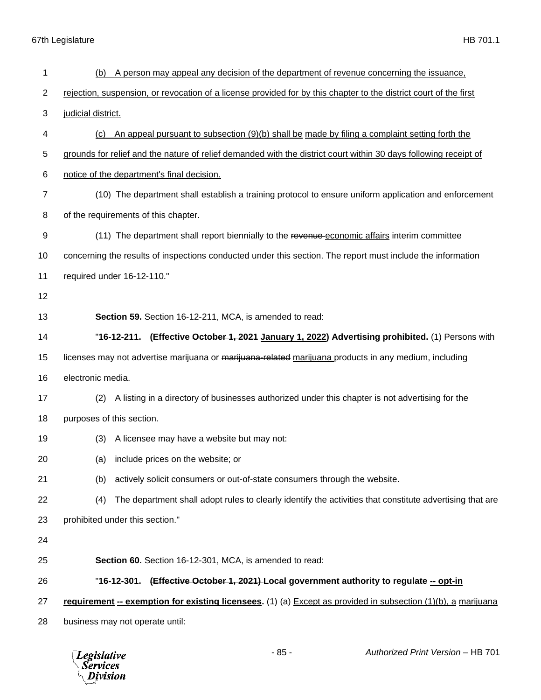| 1              | A person may appeal any decision of the department of revenue concerning the issuance,<br>(b)                     |
|----------------|-------------------------------------------------------------------------------------------------------------------|
| $\overline{c}$ | rejection, suspension, or revocation of a license provided for by this chapter to the district court of the first |
| 3              | judicial district.                                                                                                |
| 4              | An appeal pursuant to subsection (9)(b) shall be made by filing a complaint setting forth the<br>(C)              |
| 5              | grounds for relief and the nature of relief demanded with the district court within 30 days following receipt of  |
| 6              | notice of the department's final decision.                                                                        |
| $\overline{7}$ | (10) The department shall establish a training protocol to ensure uniform application and enforcement             |
| 8              | of the requirements of this chapter.                                                                              |
| 9              | (11) The department shall report biennially to the revenue economic affairs interim committee                     |
| 10             | concerning the results of inspections conducted under this section. The report must include the information       |
| 11             | required under 16-12-110."                                                                                        |
| 12             |                                                                                                                   |
| 13             | Section 59. Section 16-12-211, MCA, is amended to read:                                                           |
| 14             | "16-12-211. (Effective October 1, 2021 January 1, 2022) Advertising prohibited. (1) Persons with                  |
| 15             | licenses may not advertise marijuana or marijuana-related marijuana products in any medium, including             |
| 16             | electronic media.                                                                                                 |
| 17             | A listing in a directory of businesses authorized under this chapter is not advertising for the<br>(2)            |
| 18             | purposes of this section.                                                                                         |
| 19             | (3)<br>A licensee may have a website but may not:                                                                 |
| 20             | (a) include prices on the website; or                                                                             |
| 21             | actively solicit consumers or out-of-state consumers through the website.<br>(b)                                  |
| 22             | The department shall adopt rules to clearly identify the activities that constitute advertising that are<br>(4)   |
| 23             | prohibited under this section."                                                                                   |
| 24             |                                                                                                                   |
| 25             | Section 60. Section 16-12-301, MCA, is amended to read:                                                           |
| 26             | "16-12-301. (Effective October 1, 2021) Local government authority to regulate -- opt-in                          |
| 27             | requirement -- exemption for existing licensees. (1) (a) Except as provided in subsection (1)(b), a marijuana     |
| 28             | business may not operate until:                                                                                   |

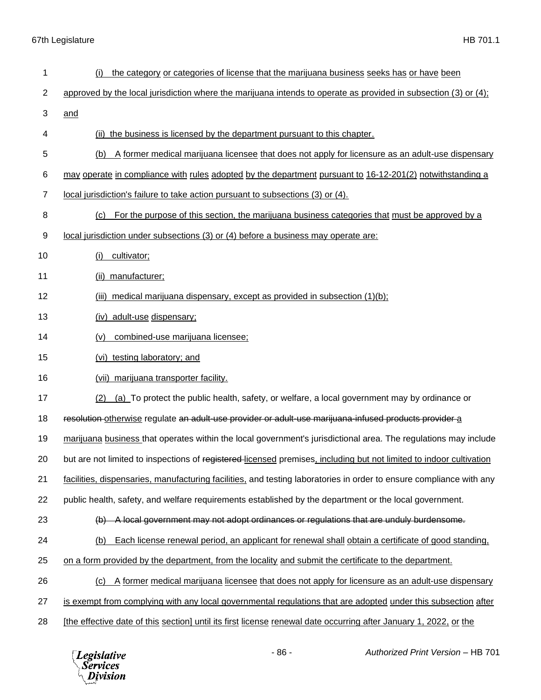| 1              | the category or categories of license that the marijuana business seeks has or have been<br>(i)                     |
|----------------|---------------------------------------------------------------------------------------------------------------------|
| $\mathbf{2}$   | approved by the local jurisdiction where the marijuana intends to operate as provided in subsection (3) or (4);     |
| 3              | and                                                                                                                 |
| 4              | (ii) the business is licensed by the department pursuant to this chapter.                                           |
| 5              | A former medical marijuana licensee that does not apply for licensure as an adult-use dispensary<br>(b)             |
| 6              | may operate in compliance with rules adopted by the department pursuant to 16-12-201(2) notwithstanding a           |
| $\overline{7}$ | local jurisdiction's failure to take action pursuant to subsections (3) or (4).                                     |
| 8              | For the purpose of this section, the marijuana business categories that must be approved by a<br>(c)                |
| 9              | local jurisdiction under subsections (3) or (4) before a business may operate are:                                  |
| 10             | cultivator;<br>(i)                                                                                                  |
| 11             | (ii) manufacturer;                                                                                                  |
| 12             | medical marijuana dispensary, except as provided in subsection (1)(b);<br>(iii)                                     |
| 13             | (iv) adult-use dispensary;                                                                                          |
| 14             | combined-use marijuana licensee;<br>(v)                                                                             |
| 15             | (vi) testing laboratory; and                                                                                        |
| 16             | (vii) marijuana transporter facility.                                                                               |
| 17             | (a) To protect the public health, safety, or welfare, a local government may by ordinance or<br>(2)                 |
| 18             | resolution otherwise regulate an adult use provider or adult use marijuana infused products provider a              |
| 19             | marijuana business that operates within the local government's jurisdictional area. The regulations may include     |
| 20             | but are not limited to inspections of registered-licensed premises, including but not limited to indoor cultivation |
| 21             | facilities, dispensaries, manufacturing facilities, and testing laboratories in order to ensure compliance with any |
| 22             | public health, safety, and welfare requirements established by the department or the local government.              |
| 23             | -A local government may not adopt ordinances or regulations that are unduly burdensome.<br>$\Theta$                 |
| 24             | Each license renewal period, an applicant for renewal shall obtain a certificate of good standing.<br>(b)           |
| 25             | on a form provided by the department, from the locality and submit the certificate to the department.               |
| 26             | A former medical marijuana licensee that does not apply for licensure as an adult-use dispensary<br>(C)             |
| 27             | is exempt from complying with any local governmental regulations that are adopted under this subsection after       |
| 28             | [the effective date of this section] until its first license renewal date occurring after January 1, 2022, or the   |

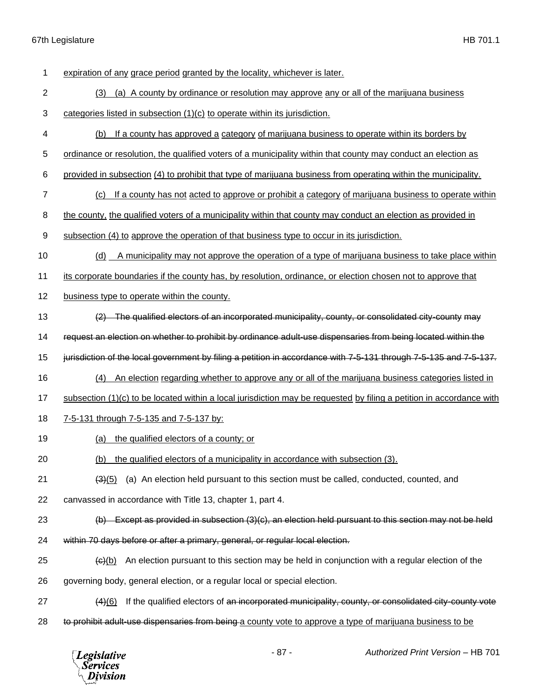*Legislative*<br>Services<br>*Division* 

| 1              | expiration of any grace period granted by the locality, whichever is later.                                                |
|----------------|----------------------------------------------------------------------------------------------------------------------------|
| $\overline{2}$ | (a) A county by ordinance or resolution may approve any or all of the marijuana business<br>(3)                            |
| 3              | categories listed in subsection (1)(c) to operate within its jurisdiction.                                                 |
| $\overline{4}$ | If a county has approved a category of marijuana business to operate within its borders by<br>(b)                          |
| 5              | ordinance or resolution, the qualified voters of a municipality within that county may conduct an election as              |
| 6              | provided in subsection (4) to prohibit that type of marijuana business from operating within the municipality.             |
| 7              | If a county has not acted to approve or prohibit a category of marijuana business to operate within<br>(c)                 |
| 8              | the county, the qualified voters of a municipality within that county may conduct an election as provided in               |
| 9              | subsection (4) to approve the operation of that business type to occur in its jurisdiction.                                |
| 10             | A municipality may not approve the operation of a type of marijuana business to take place within<br>(d)                   |
| 11             | its corporate boundaries if the county has, by resolution, ordinance, or election chosen not to approve that               |
| 12             | business type to operate within the county.                                                                                |
| 13             | (2) The qualified electors of an incorporated municipality, county, or consolidated city-county may                        |
| 14             | request an election on whether to prohibit by ordinance adult-use dispensaries from being located within the               |
| 15             | jurisdiction of the local government by filing a petition in accordance with 7-5-131 through 7-5-135 and 7-5-137.          |
| 16             | An election regarding whether to approve any or all of the marijuana business categories listed in<br>(4)                  |
| 17             | subsection $(1)(c)$ to be located within a local jurisdiction may be requested by filing a petition in accordance with     |
| 18             | 7-5-131 through 7-5-135 and 7-5-137 by:                                                                                    |
| 19             | the qualified electors of a county; or<br>(a)                                                                              |
| 20             | (b) the qualified electors of a municipality in accordance with subsection (3).                                            |
| 21             | (a) An election held pursuant to this section must be called, conducted, counted, and<br>$\left(3\right)\left(5\right)$    |
| 22             | canvassed in accordance with Title 13, chapter 1, part 4.                                                                  |
| 23             | (b) Except as provided in subsection (3)(c), an election held pursuant to this section may not be held                     |
| 24             | within 70 days before or after a primary, general, or regular local election.                                              |
| 25             | An election pursuant to this section may be held in conjunction with a regular election of the<br>$\left(\theta\right)(b)$ |
| 26             | governing body, general election, or a regular local or special election.                                                  |
| 27             | If the qualified electors of an incorporated municipality, county, or consolidated city-county vote<br>(4)(6)              |
| 28             | to prohibit adult-use dispensaries from being a county vote to approve a type of marijuana business to be                  |

- 87 - *Authorized Print Version* – HB 701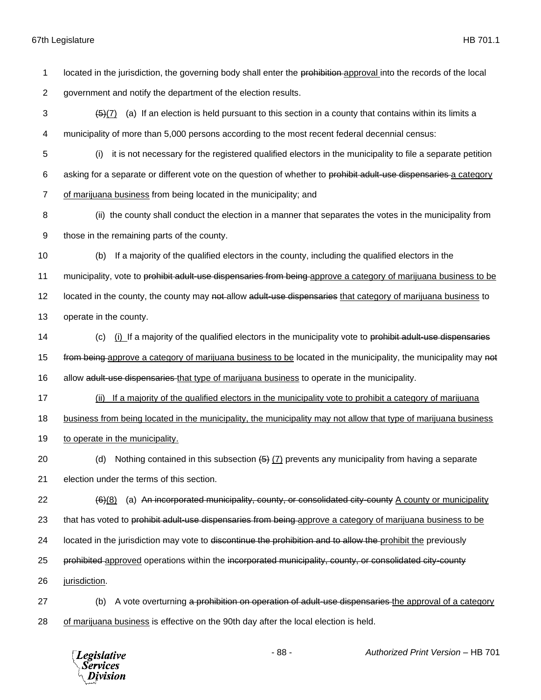| 1  | located in the jurisdiction, the governing body shall enter the prohibition approval into the records of the local         |  |  |  |
|----|----------------------------------------------------------------------------------------------------------------------------|--|--|--|
| 2  | government and notify the department of the election results.                                                              |  |  |  |
| 3  | (a) If an election is held pursuant to this section in a county that contains within its limits a<br>$\left( 5\right) (7)$ |  |  |  |
| 4  | municipality of more than 5,000 persons according to the most recent federal decennial census:                             |  |  |  |
| 5  | it is not necessary for the registered qualified electors in the municipality to file a separate petition<br>(i)           |  |  |  |
| 6  | asking for a separate or different vote on the question of whether to prohibit adult-use dispensaries a category           |  |  |  |
| 7  | of marijuana business from being located in the municipality; and                                                          |  |  |  |
| 8  | (ii) the county shall conduct the election in a manner that separates the votes in the municipality from                   |  |  |  |
| 9  | those in the remaining parts of the county.                                                                                |  |  |  |
| 10 | If a majority of the qualified electors in the county, including the qualified electors in the<br>(b)                      |  |  |  |
| 11 | municipality, vote to prohibit adult-use dispensaries from being-approve a category of marijuana business to be            |  |  |  |
| 12 | located in the county, the county may not-allow adult-use dispensaries that category of marijuana business to              |  |  |  |
| 13 | operate in the county.                                                                                                     |  |  |  |
| 14 | (i) If a majority of the qualified electors in the municipality vote to prohibit adult-use dispensaries<br>(c)             |  |  |  |
| 15 | from being approve a category of marijuana business to be located in the municipality, the municipality may not            |  |  |  |
| 16 | allow adult-use dispensaries-that type of marijuana business to operate in the municipality.                               |  |  |  |
| 17 | If a majority of the qualified electors in the municipality vote to prohibit a category of marijuana<br>(ii)               |  |  |  |
| 18 | business from being located in the municipality, the municipality may not allow that type of marijuana business            |  |  |  |
| 19 | to operate in the municipality.                                                                                            |  |  |  |
| 20 | Nothing contained in this subsection $(5)$ $(7)$ prevents any municipality from having a separate<br>(d)                   |  |  |  |
| 21 | election under the terms of this section.                                                                                  |  |  |  |
| 22 | (a) An incorporated municipality, county, or consolidated city-county A county or municipality<br>$\frac{(6)(8)}{6}$       |  |  |  |
| 23 | that has voted to prohibit adult-use dispensaries from being approve a category of marijuana business to be                |  |  |  |
| 24 | located in the jurisdiction may vote to discontinue the prohibition and to allow the prohibit the previously               |  |  |  |
| 25 | prohibited approved operations within the incorporated municipality, county, or consolidated city-county                   |  |  |  |
| 26 | jurisdiction.                                                                                                              |  |  |  |
| 27 | A vote overturning a prohibition on operation of adult-use dispensaries the approval of a category<br>(b)                  |  |  |  |
| 28 | of marijuana business is effective on the 90th day after the local election is held.                                       |  |  |  |
|    |                                                                                                                            |  |  |  |

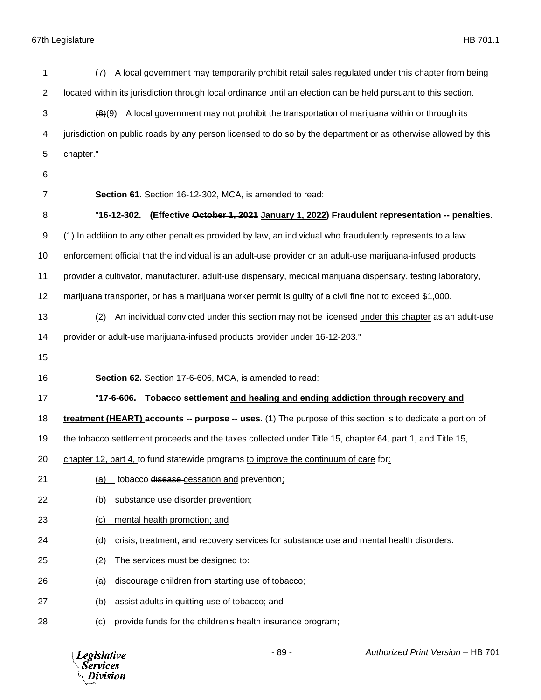| 1              | (7) A local government may temporarily prohibit retail sales regulated under this chapter from being            |
|----------------|-----------------------------------------------------------------------------------------------------------------|
| $\overline{2}$ | located within its jurisdiction through local ordinance until an election can be held pursuant to this section. |
| 3              | A local government may not prohibit the transportation of marijuana within or through its<br>(8)(9)             |
| 4              | jurisdiction on public roads by any person licensed to do so by the department or as otherwise allowed by this  |
| 5              | chapter."                                                                                                       |
| 6              |                                                                                                                 |
| $\overline{7}$ | Section 61. Section 16-12-302, MCA, is amended to read:                                                         |
| 8              | "16-12-302. (Effective October 1, 2021 January 1, 2022) Fraudulent representation -- penalties.                 |
| 9              | (1) In addition to any other penalties provided by law, an individual who fraudulently represents to a law      |
| 10             | enforcement official that the individual is an adult-use provider or an adult-use marijuana-infused products    |
| 11             | provider a cultivator, manufacturer, adult-use dispensary, medical marijuana dispensary, testing laboratory,    |
| 12             | marijuana transporter, or has a marijuana worker permit is guilty of a civil fine not to exceed \$1,000.        |
| 13             | An individual convicted under this section may not be licensed under this chapter as an adult-use<br>(2)        |
| 14             | provider or adult-use marijuana-infused products provider under 16-12-203."                                     |
| 15             |                                                                                                                 |
| 16             | Section 62. Section 17-6-606, MCA, is amended to read:                                                          |
| 17             | "17-6-606. Tobacco settlement and healing and ending addiction through recovery and                             |
| 18             | treatment (HEART) accounts -- purpose -- uses. (1) The purpose of this section is to dedicate a portion of      |
| 19             | the tobacco settlement proceeds and the taxes collected under Title 15, chapter 64, part 1, and Title 15,       |
| 20             | chapter 12, part 4, to fund statewide programs to improve the continuum of care for:                            |
| 21             | (a) tobacco disease cessation and prevention:                                                                   |
| 22             | substance use disorder prevention;<br>(b)                                                                       |
| 23             | mental health promotion; and<br>(c)                                                                             |
| 24             | crisis, treatment, and recovery services for substance use and mental health disorders.<br>(d)                  |
| 25             | (2)<br>The services must be designed to:                                                                        |
| 26             | discourage children from starting use of tobacco;<br>(a)                                                        |
| 27             | (b)<br>assist adults in quitting use of tobacco; and                                                            |
| 28             | provide funds for the children's health insurance program;<br>(c)                                               |

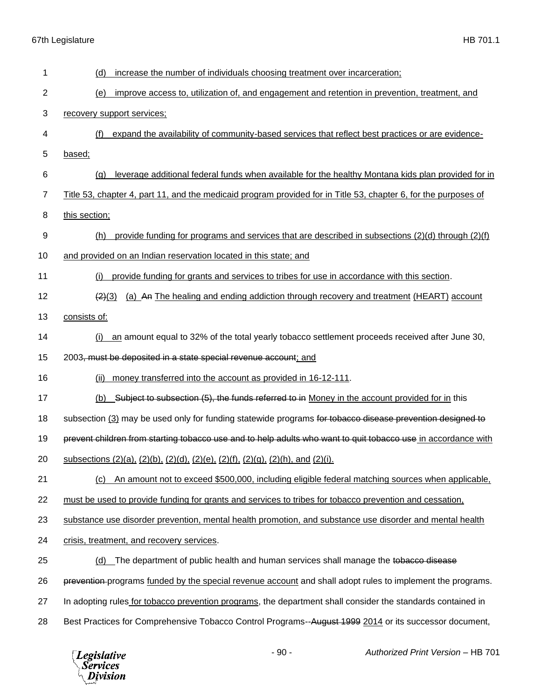| 1              | increase the number of individuals choosing treatment over incarceration;<br>(d)                                |
|----------------|-----------------------------------------------------------------------------------------------------------------|
| $\overline{2}$ | improve access to, utilization of, and engagement and retention in prevention, treatment, and<br><u>(e)</u>     |
| 3              | recovery support services;                                                                                      |
| 4              | (f)<br>expand the availability of community-based services that reflect best practices or are evidence-         |
| 5              | based;                                                                                                          |
| 6              | leverage additional federal funds when available for the healthy Montana kids plan provided for in<br>(q)       |
| 7              | Title 53, chapter 4, part 11, and the medicaid program provided for in Title 53, chapter 6, for the purposes of |
| 8              | this section;                                                                                                   |
| 9              | provide funding for programs and services that are described in subsections $(2)(d)$ through $(2)(f)$<br>(h)    |
| 10             | and provided on an Indian reservation located in this state; and                                                |
| 11             | provide funding for grants and services to tribes for use in accordance with this section.<br>(i)               |
| 12             | (a) An The healing and ending addiction through recovery and treatment (HEART) account<br>(2)(3)                |
| 13             | consists of:                                                                                                    |
| 14             | an amount equal to 32% of the total yearly tobacco settlement proceeds received after June 30,<br>(i)           |
| 15             | 2003, must be deposited in a state special revenue account; and                                                 |
| 16             | (ii)<br>money transferred into the account as provided in 16-12-111.                                            |
| 17             | (b) Subject to subsection (5), the funds referred to in Money in the account provided for in this               |
| 18             | subsection (3) may be used only for funding statewide programs for tobacco disease prevention designed to       |
| 19             | prevent children from starting tobacco use and to help adults who want to quit tobacco use in accordance with   |
| 20             | subsections (2)(a), (2)(b), (2)(d), (2)(e), (2)(f), (2)(g), (2)(h), and (2)(i).                                 |
| 21             | An amount not to exceed \$500,000, including eligible federal matching sources when applicable,<br>(c)          |
| 22             | must be used to provide funding for grants and services to tribes for tobacco prevention and cessation,         |
| 23             | substance use disorder prevention, mental health promotion, and substance use disorder and mental health        |
| 24             | crisis, treatment, and recovery services.                                                                       |
| 25             | (d) The department of public health and human services shall manage the tobacco disease                         |
| 26             | prevention-programs funded by the special revenue account and shall adopt rules to implement the programs.      |
| 27             | In adopting rules for tobacco prevention programs, the department shall consider the standards contained in     |
| 28             | Best Practices for Comprehensive Tobacco Control Programs--August 1999 2014 or its successor document,          |

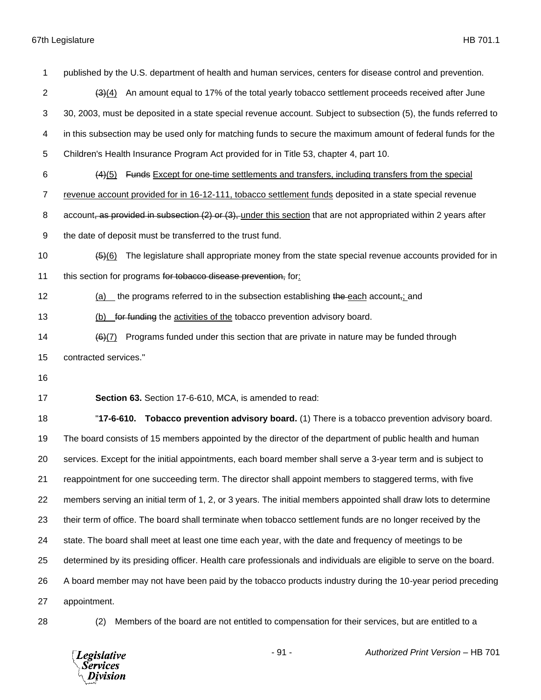published by the U.S. department of health and human services, centers for disease control and prevention. 2 (3)(4) An amount equal to 17% of the total yearly tobacco settlement proceeds received after June 30, 2003, must be deposited in a state special revenue account. Subject to subsection (5), the funds referred to in this subsection may be used only for matching funds to secure the maximum amount of federal funds for the Children's Health Insurance Program Act provided for in Title 53, chapter 4, part 10. (4)(5) Funds Except for one-time settlements and transfers, including transfers from the special revenue account provided for in 16-12-111, tobacco settlement funds deposited in a state special revenue 8 account, as provided in subsection (2) or (3), under this section that are not appropriated within 2 years after the date of deposit must be transferred to the trust fund. (5)(6) The legislature shall appropriate money from the state special revenue accounts provided for in 11 this section for programs for tobacco disease prevention, for: 12 (a) the programs referred to in the subsection establishing the each account<sub>i</sub>; and 13 (b) for funding the activities of the tobacco prevention advisory board.  $(6)(7)$  Programs funded under this section that are private in nature may be funded through contracted services." **Section 63.** Section 17-6-610, MCA, is amended to read: "**17-6-610. Tobacco prevention advisory board.** (1) There is a tobacco prevention advisory board. The board consists of 15 members appointed by the director of the department of public health and human services. Except for the initial appointments, each board member shall serve a 3-year term and is subject to reappointment for one succeeding term. The director shall appoint members to staggered terms, with five members serving an initial term of 1, 2, or 3 years. The initial members appointed shall draw lots to determine their term of office. The board shall terminate when tobacco settlement funds are no longer received by the state. The board shall meet at least one time each year, with the date and frequency of meetings to be determined by its presiding officer. Health care professionals and individuals are eligible to serve on the board. A board member may not have been paid by the tobacco products industry during the 10-year period preceding appointment. (2) Members of the board are not entitled to compensation for their services, but are entitled to a

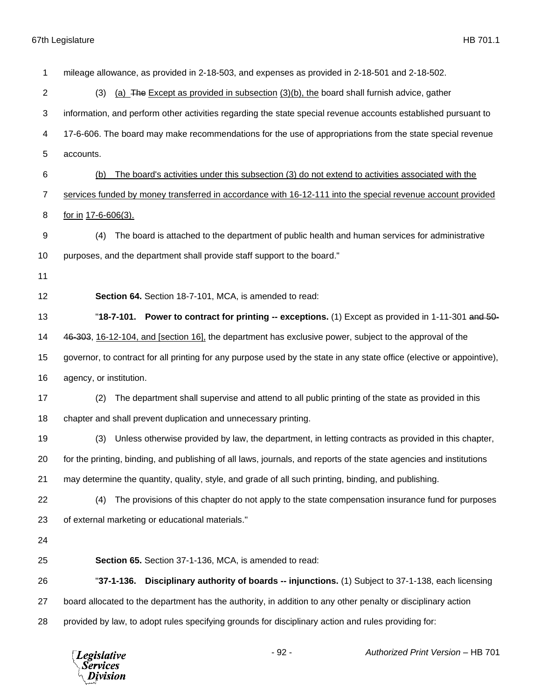| 1              | mileage allowance, as provided in 2-18-503, and expenses as provided in 2-18-501 and 2-18-502.                         |
|----------------|------------------------------------------------------------------------------------------------------------------------|
| $\overline{c}$ | (a) The Except as provided in subsection (3)(b), the board shall furnish advice, gather<br>(3)                         |
| 3              | information, and perform other activities regarding the state special revenue accounts established pursuant to         |
| 4              | 17-6-606. The board may make recommendations for the use of appropriations from the state special revenue              |
| 5              | accounts.                                                                                                              |
| 6              | The board's activities under this subsection (3) do not extend to activities associated with the<br>(b)                |
| 7              | services funded by money transferred in accordance with 16-12-111 into the special revenue account provided            |
| 8              | for in 17-6-606(3).                                                                                                    |
| 9              | The board is attached to the department of public health and human services for administrative<br>(4)                  |
| 10             | purposes, and the department shall provide staff support to the board."                                                |
| 11             |                                                                                                                        |
| 12             | Section 64. Section 18-7-101, MCA, is amended to read:                                                                 |
| 13             | "18-7-101. Power to contract for printing -- exceptions. (1) Except as provided in 1-11-301 and 50-                    |
| 14             | 46-303, 16-12-104, and [section 16], the department has exclusive power, subject to the approval of the                |
| 15             | governor, to contract for all printing for any purpose used by the state in any state office (elective or appointive), |
| 16             | agency, or institution.                                                                                                |
| 17             | The department shall supervise and attend to all public printing of the state as provided in this<br>(2)               |
| 18             | chapter and shall prevent duplication and unnecessary printing.                                                        |
| 19             | Unless otherwise provided by law, the department, in letting contracts as provided in this chapter,<br>(3)             |
| 20             | for the printing, binding, and publishing of all laws, journals, and reports of the state agencies and institutions    |
| 21             | may determine the quantity, quality, style, and grade of all such printing, binding, and publishing.                   |
| 22             | The provisions of this chapter do not apply to the state compensation insurance fund for purposes<br>(4)               |
| 23             | of external marketing or educational materials."                                                                       |
| 24             |                                                                                                                        |
| 25             | Section 65. Section 37-1-136, MCA, is amended to read:                                                                 |
| 26             | "37-1-136. Disciplinary authority of boards -- injunctions. (1) Subject to 37-1-138, each licensing                    |
| 27             | board allocated to the department has the authority, in addition to any other penalty or disciplinary action           |
| 28             | provided by law, to adopt rules specifying grounds for disciplinary action and rules providing for:                    |
|                |                                                                                                                        |

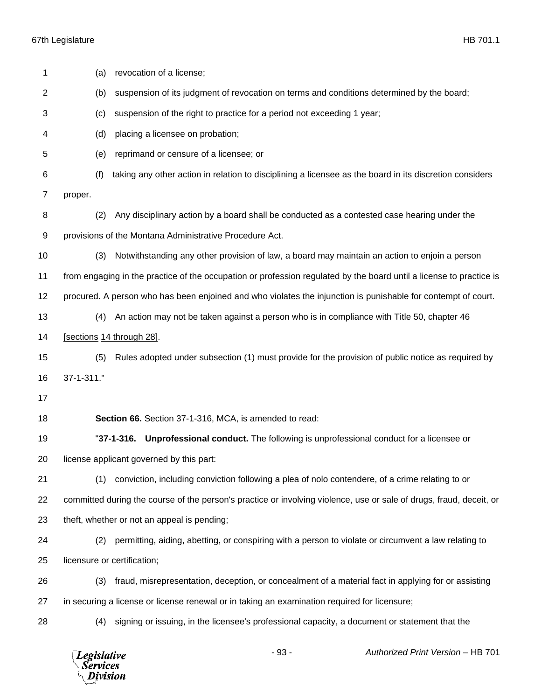| 1  | (a)                                                                                                                 | revocation of a license;                                                                                      |  |  |
|----|---------------------------------------------------------------------------------------------------------------------|---------------------------------------------------------------------------------------------------------------|--|--|
| 2  | (b)                                                                                                                 | suspension of its judgment of revocation on terms and conditions determined by the board;                     |  |  |
| 3  | (c)                                                                                                                 | suspension of the right to practice for a period not exceeding 1 year;                                        |  |  |
| 4  | (d)                                                                                                                 | placing a licensee on probation;                                                                              |  |  |
| 5  | (e)                                                                                                                 | reprimand or censure of a licensee; or                                                                        |  |  |
| 6  | (f)                                                                                                                 | taking any other action in relation to disciplining a licensee as the board in its discretion considers       |  |  |
| 7  | proper.                                                                                                             |                                                                                                               |  |  |
| 8  | (2)                                                                                                                 | Any disciplinary action by a board shall be conducted as a contested case hearing under the                   |  |  |
| 9  | provisions of the Montana Administrative Procedure Act.                                                             |                                                                                                               |  |  |
| 10 | (3)                                                                                                                 | Notwithstanding any other provision of law, a board may maintain an action to enjoin a person                 |  |  |
| 11 | from engaging in the practice of the occupation or profession regulated by the board until a license to practice is |                                                                                                               |  |  |
| 12 |                                                                                                                     | procured. A person who has been enjoined and who violates the injunction is punishable for contempt of court. |  |  |
| 13 | (4)                                                                                                                 | An action may not be taken against a person who is in compliance with Title 50, chapter 46                    |  |  |
| 14 | [sections 14 through 28].                                                                                           |                                                                                                               |  |  |
| 15 | (5)                                                                                                                 | Rules adopted under subsection (1) must provide for the provision of public notice as required by             |  |  |
| 16 | 37-1-311."                                                                                                          |                                                                                                               |  |  |
| 17 |                                                                                                                     |                                                                                                               |  |  |
| 18 |                                                                                                                     | Section 66. Section 37-1-316, MCA, is amended to read:                                                        |  |  |
| 19 |                                                                                                                     | <b>Unprofessional conduct.</b> The following is unprofessional conduct for a licensee or<br>$"37-1-316.$      |  |  |
| 20 |                                                                                                                     | license applicant governed by this part:                                                                      |  |  |
| 21 | (1)                                                                                                                 | conviction, including conviction following a plea of nolo contendere, of a crime relating to or               |  |  |
| 22 | committed during the course of the person's practice or involving violence, use or sale of drugs, fraud, deceit, or |                                                                                                               |  |  |
| 23 | theft, whether or not an appeal is pending;                                                                         |                                                                                                               |  |  |
| 24 | (2)                                                                                                                 | permitting, aiding, abetting, or conspiring with a person to violate or circumvent a law relating to          |  |  |
| 25 | licensure or certification;                                                                                         |                                                                                                               |  |  |
| 26 | (3)                                                                                                                 | fraud, misrepresentation, deception, or concealment of a material fact in applying for or assisting           |  |  |
| 27 |                                                                                                                     | in securing a license or license renewal or in taking an examination required for licensure;                  |  |  |
| 28 | (4)                                                                                                                 | signing or issuing, in the licensee's professional capacity, a document or statement that the                 |  |  |
|    |                                                                                                                     |                                                                                                               |  |  |

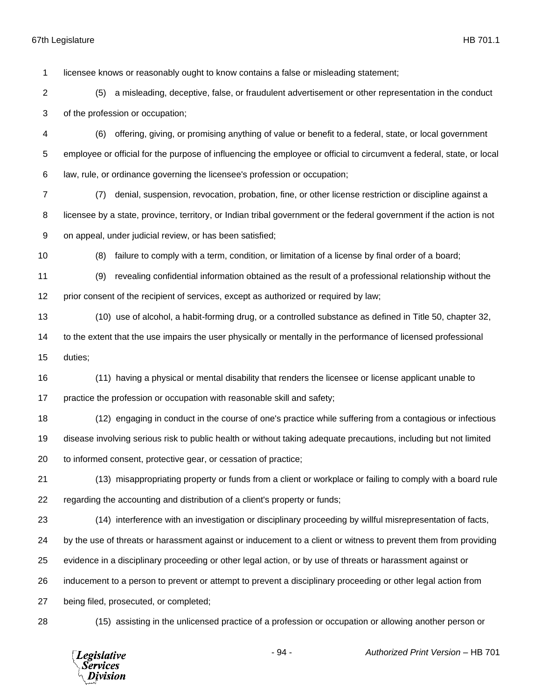licensee knows or reasonably ought to know contains a false or misleading statement;

- (5) a misleading, deceptive, false, or fraudulent advertisement or other representation in the conduct of the profession or occupation;
- (6) offering, giving, or promising anything of value or benefit to a federal, state, or local government employee or official for the purpose of influencing the employee or official to circumvent a federal, state, or local law, rule, or ordinance governing the licensee's profession or occupation;
- (7) denial, suspension, revocation, probation, fine, or other license restriction or discipline against a licensee by a state, province, territory, or Indian tribal government or the federal government if the action is not on appeal, under judicial review, or has been satisfied;
- 

(8) failure to comply with a term, condition, or limitation of a license by final order of a board;

 (9) revealing confidential information obtained as the result of a professional relationship without the prior consent of the recipient of services, except as authorized or required by law;

(10) use of alcohol, a habit-forming drug, or a controlled substance as defined in Title 50, chapter 32,

 to the extent that the use impairs the user physically or mentally in the performance of licensed professional duties;

 (11) having a physical or mental disability that renders the licensee or license applicant unable to 17 practice the profession or occupation with reasonable skill and safety;

 (12) engaging in conduct in the course of one's practice while suffering from a contagious or infectious disease involving serious risk to public health or without taking adequate precautions, including but not limited to informed consent, protective gear, or cessation of practice;

 (13) misappropriating property or funds from a client or workplace or failing to comply with a board rule regarding the accounting and distribution of a client's property or funds;

(14) interference with an investigation or disciplinary proceeding by willful misrepresentation of facts,

by the use of threats or harassment against or inducement to a client or witness to prevent them from providing

evidence in a disciplinary proceeding or other legal action, or by use of threats or harassment against or

inducement to a person to prevent or attempt to prevent a disciplinary proceeding or other legal action from

being filed, prosecuted, or completed;

(15) assisting in the unlicensed practice of a profession or occupation or allowing another person or

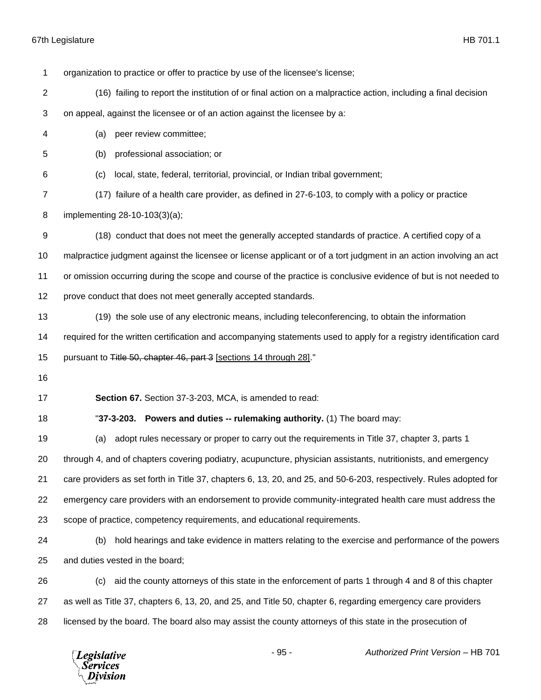| 1                | organization to practice or offer to practice by use of the licensee's license;                                     |  |  |  |
|------------------|---------------------------------------------------------------------------------------------------------------------|--|--|--|
| 2                | (16) failing to report the institution of or final action on a malpractice action, including a final decision       |  |  |  |
| 3                | on appeal, against the licensee or of an action against the licensee by a:                                          |  |  |  |
| 4                | peer review committee;<br>(a)                                                                                       |  |  |  |
| 5                | professional association; or<br>(b)                                                                                 |  |  |  |
| 6                | local, state, federal, territorial, provincial, or Indian tribal government;<br>(c)                                 |  |  |  |
| 7                | (17) failure of a health care provider, as defined in 27-6-103, to comply with a policy or practice                 |  |  |  |
| 8                | implementing 28-10-103(3)(a);                                                                                       |  |  |  |
| $\boldsymbol{9}$ | (18) conduct that does not meet the generally accepted standards of practice. A certified copy of a                 |  |  |  |
| 10               | malpractice judgment against the licensee or license applicant or of a tort judgment in an action involving an act  |  |  |  |
| 11               | or omission occurring during the scope and course of the practice is conclusive evidence of but is not needed to    |  |  |  |
| 12               | prove conduct that does not meet generally accepted standards.                                                      |  |  |  |
| 13               | (19) the sole use of any electronic means, including teleconferencing, to obtain the information                    |  |  |  |
| 14               | required for the written certification and accompanying statements used to apply for a registry identification card |  |  |  |
| 15               | pursuant to Title 50, chapter 46, part 3 [sections 14 through 28]."                                                 |  |  |  |
| 16               |                                                                                                                     |  |  |  |
| 17               | Section 67. Section 37-3-203, MCA, is amended to read:                                                              |  |  |  |
| 18               | "37-3-203. Powers and duties -- rulemaking authority. (1) The board may:                                            |  |  |  |
| 19               | adopt rules necessary or proper to carry out the requirements in Title 37, chapter 3, parts 1<br>(a)                |  |  |  |
| 20               | through 4, and of chapters covering podiatry, acupuncture, physician assistants, nutritionists, and emergency       |  |  |  |
| 21               | care providers as set forth in Title 37, chapters 6, 13, 20, and 25, and 50-6-203, respectively. Rules adopted for  |  |  |  |
| 22               | emergency care providers with an endorsement to provide community-integrated health care must address the           |  |  |  |
| 23               | scope of practice, competency requirements, and educational requirements.                                           |  |  |  |
| 24               | hold hearings and take evidence in matters relating to the exercise and performance of the powers<br>(b)            |  |  |  |
| 25               | and duties vested in the board;                                                                                     |  |  |  |
| 26               | aid the county attorneys of this state in the enforcement of parts 1 through 4 and 8 of this chapter<br>(c)         |  |  |  |
| 27               | as well as Title 37, chapters 6, 13, 20, and 25, and Title 50, chapter 6, regarding emergency care providers        |  |  |  |
| 28               | licensed by the board. The board also may assist the county attorneys of this state in the prosecution of           |  |  |  |
|                  |                                                                                                                     |  |  |  |

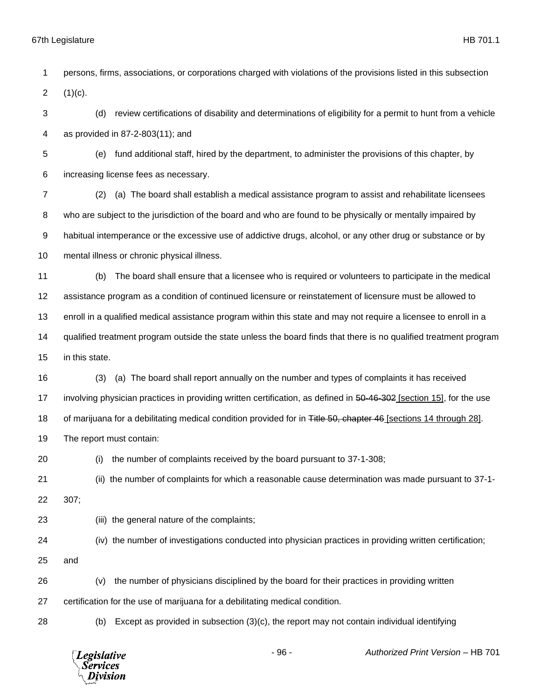persons, firms, associations, or corporations charged with violations of the provisions listed in this subsection 2  $(1)(c)$ . (d) review certifications of disability and determinations of eligibility for a permit to hunt from a vehicle as provided in 87-2-803(11); and (e) fund additional staff, hired by the department, to administer the provisions of this chapter, by increasing license fees as necessary. (2) (a) The board shall establish a medical assistance program to assist and rehabilitate licensees who are subject to the jurisdiction of the board and who are found to be physically or mentally impaired by habitual intemperance or the excessive use of addictive drugs, alcohol, or any other drug or substance or by mental illness or chronic physical illness. (b) The board shall ensure that a licensee who is required or volunteers to participate in the medical assistance program as a condition of continued licensure or reinstatement of licensure must be allowed to enroll in a qualified medical assistance program within this state and may not require a licensee to enroll in a qualified treatment program outside the state unless the board finds that there is no qualified treatment program in this state. (3) (a) The board shall report annually on the number and types of complaints it has received 17 involving physician practices in providing written certification, as defined in 50-46-302 [section 15], for the use 18 of marijuana for a debilitating medical condition provided for in Title 50, chapter 46 [sections 14 through 28]. The report must contain: (i) the number of complaints received by the board pursuant to 37-1-308; (ii) the number of complaints for which a reasonable cause determination was made pursuant to 37-1- 307; (iii) the general nature of the complaints; (iv) the number of investigations conducted into physician practices in providing written certification; and (v) the number of physicians disciplined by the board for their practices in providing written certification for the use of marijuana for a debilitating medical condition. (b) Except as provided in subsection (3)(c), the report may not contain individual identifying



- 96 - *Authorized Print Version* – HB 701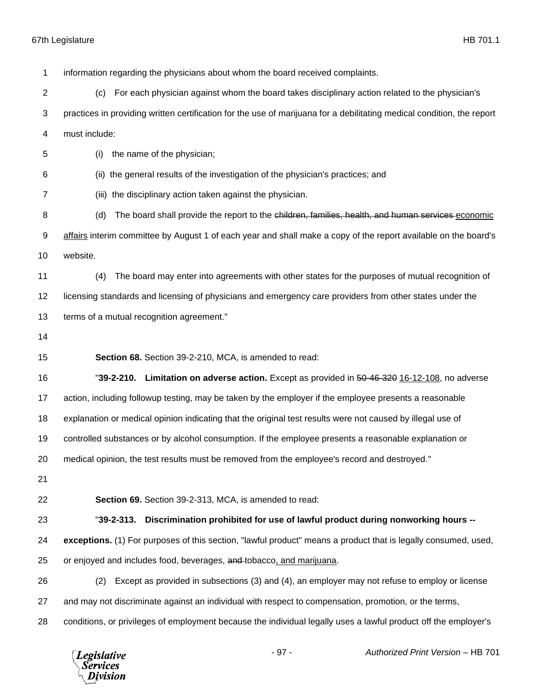information regarding the physicians about whom the board received complaints. (c) For each physician against whom the board takes disciplinary action related to the physician's practices in providing written certification for the use of marijuana for a debilitating medical condition, the report must include: (i) the name of the physician; (ii) the general results of the investigation of the physician's practices; and (iii) the disciplinary action taken against the physician. 8 (d) The board shall provide the report to the children, families, health, and human services economic affairs interim committee by August 1 of each year and shall make a copy of the report available on the board's website. (4) The board may enter into agreements with other states for the purposes of mutual recognition of licensing standards and licensing of physicians and emergency care providers from other states under the terms of a mutual recognition agreement." **Section 68.** Section 39-2-210, MCA, is amended to read: "**39-2-210. Limitation on adverse action.** Except as provided in 50-46-320 16-12-108, no adverse action, including followup testing, may be taken by the employer if the employee presents a reasonable explanation or medical opinion indicating that the original test results were not caused by illegal use of controlled substances or by alcohol consumption. If the employee presents a reasonable explanation or medical opinion, the test results must be removed from the employee's record and destroyed." **Section 69.** Section 39-2-313, MCA, is amended to read: "**39-2-313. Discrimination prohibited for use of lawful product during nonworking hours -- exceptions.** (1) For purposes of this section, "lawful product" means a product that is legally consumed, used, 25 or enjoyed and includes food, beverages, and tobacco, and marijuana. (2) Except as provided in subsections (3) and (4), an employer may not refuse to employ or license and may not discriminate against an individual with respect to compensation, promotion, or the terms, conditions, or privileges of employment because the individual legally uses a lawful product off the employer's

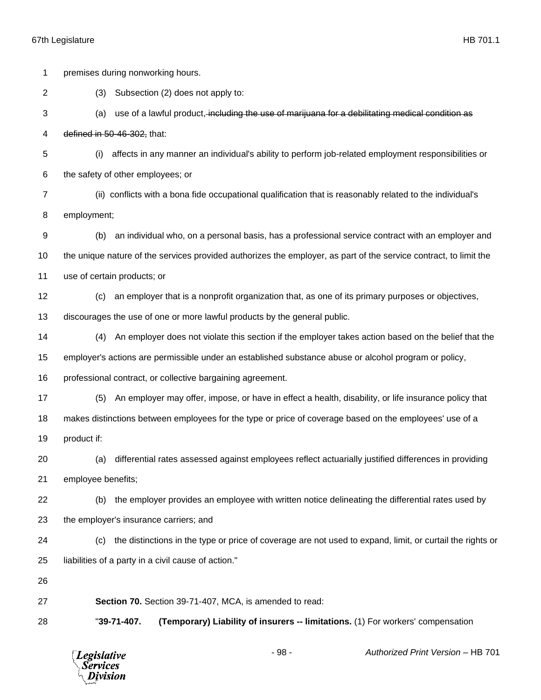|                | <b>Legislative</b><br><b>Services</b><br>Division                                                       |                                                                                                                   |                                                     | $-98-$                                                                    | Authorized Print Version - HB 701                                                                         |
|----------------|---------------------------------------------------------------------------------------------------------|-------------------------------------------------------------------------------------------------------------------|-----------------------------------------------------|---------------------------------------------------------------------------|-----------------------------------------------------------------------------------------------------------|
| 28             |                                                                                                         | "39-71-407.                                                                                                       |                                                     |                                                                           | (Temporary) Liability of insurers -- limitations. (1) For workers' compensation                           |
| 27             | Section 70. Section 39-71-407, MCA, is amended to read:                                                 |                                                                                                                   |                                                     |                                                                           |                                                                                                           |
| 26             |                                                                                                         |                                                                                                                   |                                                     |                                                                           |                                                                                                           |
| 25             |                                                                                                         |                                                                                                                   | liabilities of a party in a civil cause of action." |                                                                           |                                                                                                           |
| 24             | (C)                                                                                                     |                                                                                                                   |                                                     |                                                                           | the distinctions in the type or price of coverage are not used to expand, limit, or curtail the rights or |
| 23             | the employer's insurance carriers; and                                                                  |                                                                                                                   |                                                     |                                                                           |                                                                                                           |
| 22             | (b)                                                                                                     |                                                                                                                   |                                                     |                                                                           | the employer provides an employee with written notice delineating the differential rates used by          |
| 21             | employee benefits;                                                                                      |                                                                                                                   |                                                     |                                                                           |                                                                                                           |
| 20             | (a)                                                                                                     |                                                                                                                   |                                                     |                                                                           | differential rates assessed against employees reflect actuarially justified differences in providing      |
| 19             | product if:                                                                                             |                                                                                                                   |                                                     |                                                                           |                                                                                                           |
| 18             | makes distinctions between employees for the type or price of coverage based on the employees' use of a |                                                                                                                   |                                                     |                                                                           |                                                                                                           |
| 17             | (5)                                                                                                     |                                                                                                                   |                                                     |                                                                           | An employer may offer, impose, or have in effect a health, disability, or life insurance policy that      |
| 16             |                                                                                                         | professional contract, or collective bargaining agreement.                                                        |                                                     |                                                                           |                                                                                                           |
| 15             |                                                                                                         | employer's actions are permissible under an established substance abuse or alcohol program or policy,             |                                                     |                                                                           |                                                                                                           |
| 14             | (4)                                                                                                     |                                                                                                                   |                                                     |                                                                           | An employer does not violate this section if the employer takes action based on the belief that the       |
| 13             |                                                                                                         |                                                                                                                   |                                                     | discourages the use of one or more lawful products by the general public. |                                                                                                           |
| $12 \,$        | (c)                                                                                                     |                                                                                                                   |                                                     |                                                                           | an employer that is a nonprofit organization that, as one of its primary purposes or objectives,          |
| 11             | use of certain products; or                                                                             |                                                                                                                   |                                                     |                                                                           |                                                                                                           |
| 10             |                                                                                                         | the unique nature of the services provided authorizes the employer, as part of the service contract, to limit the |                                                     |                                                                           |                                                                                                           |
| 9              | (b)                                                                                                     |                                                                                                                   |                                                     |                                                                           | an individual who, on a personal basis, has a professional service contract with an employer and          |
| 8              | employment;                                                                                             |                                                                                                                   |                                                     |                                                                           |                                                                                                           |
| $\overline{7}$ |                                                                                                         |                                                                                                                   |                                                     |                                                                           | (ii) conflicts with a bona fide occupational qualification that is reasonably related to the individual's |
| 6              | the safety of other employees; or                                                                       |                                                                                                                   |                                                     |                                                                           |                                                                                                           |
| 5              | (i)                                                                                                     | affects in any manner an individual's ability to perform job-related employment responsibilities or               |                                                     |                                                                           |                                                                                                           |
| 4              | defined in 50-46-302, that:                                                                             |                                                                                                                   |                                                     |                                                                           |                                                                                                           |
| 3              | (a)                                                                                                     |                                                                                                                   |                                                     |                                                                           | use of a lawful product, including the use of marijuana for a debilitating medical condition as           |
| 1<br>2         | premises during nonworking hours.<br>Subsection (2) does not apply to:<br>(3)                           |                                                                                                                   |                                                     |                                                                           |                                                                                                           |
|                |                                                                                                         |                                                                                                                   |                                                     |                                                                           |                                                                                                           |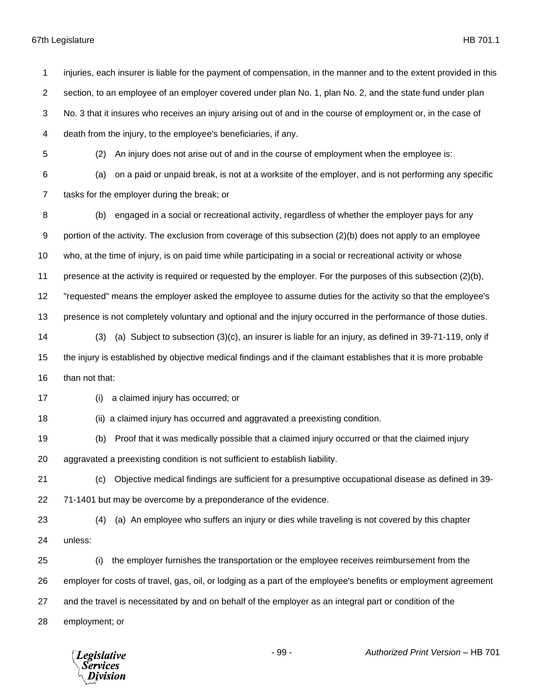injuries, each insurer is liable for the payment of compensation, in the manner and to the extent provided in this section, to an employee of an employer covered under plan No. 1, plan No. 2, and the state fund under plan No. 3 that it insures who receives an injury arising out of and in the course of employment or, in the case of death from the injury, to the employee's beneficiaries, if any. (2) An injury does not arise out of and in the course of employment when the employee is: (a) on a paid or unpaid break, is not at a worksite of the employer, and is not performing any specific tasks for the employer during the break; or (b) engaged in a social or recreational activity, regardless of whether the employer pays for any portion of the activity. The exclusion from coverage of this subsection (2)(b) does not apply to an employee who, at the time of injury, is on paid time while participating in a social or recreational activity or whose presence at the activity is required or requested by the employer. For the purposes of this subsection (2)(b), "requested" means the employer asked the employee to assume duties for the activity so that the employee's presence is not completely voluntary and optional and the injury occurred in the performance of those duties. (3) (a) Subject to subsection (3)(c), an insurer is liable for an injury, as defined in 39-71-119, only if the injury is established by objective medical findings and if the claimant establishes that it is more probable than not that: (i) a claimed injury has occurred; or (ii) a claimed injury has occurred and aggravated a preexisting condition. (b) Proof that it was medically possible that a claimed injury occurred or that the claimed injury aggravated a preexisting condition is not sufficient to establish liability. (c) Objective medical findings are sufficient for a presumptive occupational disease as defined in 39- 71-1401 but may be overcome by a preponderance of the evidence. (4) (a) An employee who suffers an injury or dies while traveling is not covered by this chapter unless: (i) the employer furnishes the transportation or the employee receives reimbursement from the employer for costs of travel, gas, oil, or lodging as a part of the employee's benefits or employment agreement and the travel is necessitated by and on behalf of the employer as an integral part or condition of the employment; or

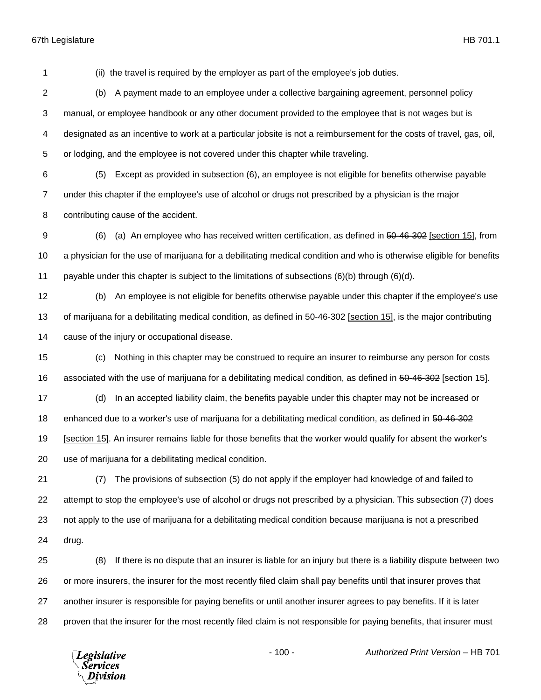(ii) the travel is required by the employer as part of the employee's job duties.

 (b) A payment made to an employee under a collective bargaining agreement, personnel policy manual, or employee handbook or any other document provided to the employee that is not wages but is designated as an incentive to work at a particular jobsite is not a reimbursement for the costs of travel, gas, oil, or lodging, and the employee is not covered under this chapter while traveling.

 (5) Except as provided in subsection (6), an employee is not eligible for benefits otherwise payable under this chapter if the employee's use of alcohol or drugs not prescribed by a physician is the major contributing cause of the accident.

9 (6) (a) An employee who has received written certification, as defined in 50-46-302 [section 15], from a physician for the use of marijuana for a debilitating medical condition and who is otherwise eligible for benefits payable under this chapter is subject to the limitations of subsections (6)(b) through (6)(d).

 (b) An employee is not eligible for benefits otherwise payable under this chapter if the employee's use 13 of marijuana for a debilitating medical condition, as defined in 50-46-302 [section 15], is the major contributing cause of the injury or occupational disease.

 (c) Nothing in this chapter may be construed to require an insurer to reimburse any person for costs associated with the use of marijuana for a debilitating medical condition, as defined in 50-46-302 [section 15].

 (d) In an accepted liability claim, the benefits payable under this chapter may not be increased or 18 enhanced due to a worker's use of marijuana for a debilitating medical condition, as defined in 50-46-302 [section 15]. An insurer remains liable for those benefits that the worker would qualify for absent the worker's use of marijuana for a debilitating medical condition.

 (7) The provisions of subsection (5) do not apply if the employer had knowledge of and failed to attempt to stop the employee's use of alcohol or drugs not prescribed by a physician. This subsection (7) does not apply to the use of marijuana for a debilitating medical condition because marijuana is not a prescribed drug.

 (8) If there is no dispute that an insurer is liable for an injury but there is a liability dispute between two or more insurers, the insurer for the most recently filed claim shall pay benefits until that insurer proves that another insurer is responsible for paying benefits or until another insurer agrees to pay benefits. If it is later proven that the insurer for the most recently filed claim is not responsible for paying benefits, that insurer must

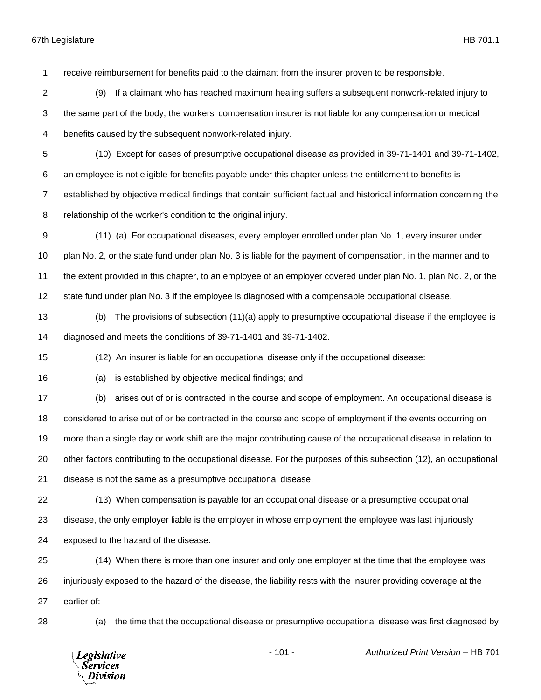receive reimbursement for benefits paid to the claimant from the insurer proven to be responsible.

- (9) If a claimant who has reached maximum healing suffers a subsequent nonwork-related injury to the same part of the body, the workers' compensation insurer is not liable for any compensation or medical benefits caused by the subsequent nonwork-related injury.
- (10) Except for cases of presumptive occupational disease as provided in 39-71-1401 and 39-71-1402,
- an employee is not eligible for benefits payable under this chapter unless the entitlement to benefits is

established by objective medical findings that contain sufficient factual and historical information concerning the

- relationship of the worker's condition to the original injury.
- (11) (a) For occupational diseases, every employer enrolled under plan No. 1, every insurer under plan No. 2, or the state fund under plan No. 3 is liable for the payment of compensation, in the manner and to the extent provided in this chapter, to an employee of an employer covered under plan No. 1, plan No. 2, or the state fund under plan No. 3 if the employee is diagnosed with a compensable occupational disease.
- (b) The provisions of subsection (11)(a) apply to presumptive occupational disease if the employee is diagnosed and meets the conditions of 39-71-1401 and 39-71-1402.

(12) An insurer is liable for an occupational disease only if the occupational disease:

- (a) is established by objective medical findings; and
- (b) arises out of or is contracted in the course and scope of employment. An occupational disease is considered to arise out of or be contracted in the course and scope of employment if the events occurring on more than a single day or work shift are the major contributing cause of the occupational disease in relation to other factors contributing to the occupational disease. For the purposes of this subsection (12), an occupational disease is not the same as a presumptive occupational disease.
- (13) When compensation is payable for an occupational disease or a presumptive occupational disease, the only employer liable is the employer in whose employment the employee was last injuriously exposed to the hazard of the disease.
- (14) When there is more than one insurer and only one employer at the time that the employee was injuriously exposed to the hazard of the disease, the liability rests with the insurer providing coverage at the earlier of:
- 

(a) the time that the occupational disease or presumptive occupational disease was first diagnosed by

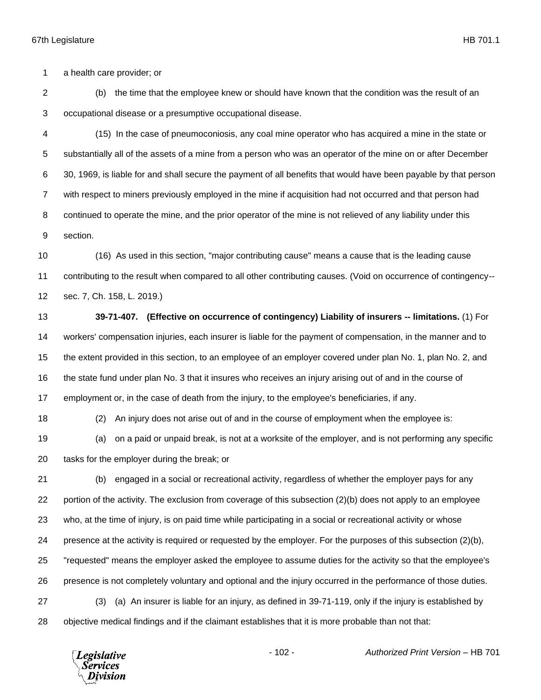a health care provider; or

 (b) the time that the employee knew or should have known that the condition was the result of an occupational disease or a presumptive occupational disease.

 (15) In the case of pneumoconiosis, any coal mine operator who has acquired a mine in the state or substantially all of the assets of a mine from a person who was an operator of the mine on or after December 30, 1969, is liable for and shall secure the payment of all benefits that would have been payable by that person with respect to miners previously employed in the mine if acquisition had not occurred and that person had continued to operate the mine, and the prior operator of the mine is not relieved of any liability under this section.

 (16) As used in this section, "major contributing cause" means a cause that is the leading cause contributing to the result when compared to all other contributing causes. (Void on occurrence of contingency-- sec. 7, Ch. 158, L. 2019.)

 **39-71-407. (Effective on occurrence of contingency) Liability of insurers -- limitations.** (1) For workers' compensation injuries, each insurer is liable for the payment of compensation, in the manner and to the extent provided in this section, to an employee of an employer covered under plan No. 1, plan No. 2, and the state fund under plan No. 3 that it insures who receives an injury arising out of and in the course of employment or, in the case of death from the injury, to the employee's beneficiaries, if any.

(2) An injury does not arise out of and in the course of employment when the employee is:

 (a) on a paid or unpaid break, is not at a worksite of the employer, and is not performing any specific tasks for the employer during the break; or

 (b) engaged in a social or recreational activity, regardless of whether the employer pays for any portion of the activity. The exclusion from coverage of this subsection (2)(b) does not apply to an employee who, at the time of injury, is on paid time while participating in a social or recreational activity or whose 24 presence at the activity is required or requested by the employer. For the purposes of this subsection (2)(b), "requested" means the employer asked the employee to assume duties for the activity so that the employee's presence is not completely voluntary and optional and the injury occurred in the performance of those duties. (3) (a) An insurer is liable for an injury, as defined in 39-71-119, only if the injury is established by objective medical findings and if the claimant establishes that it is more probable than not that:

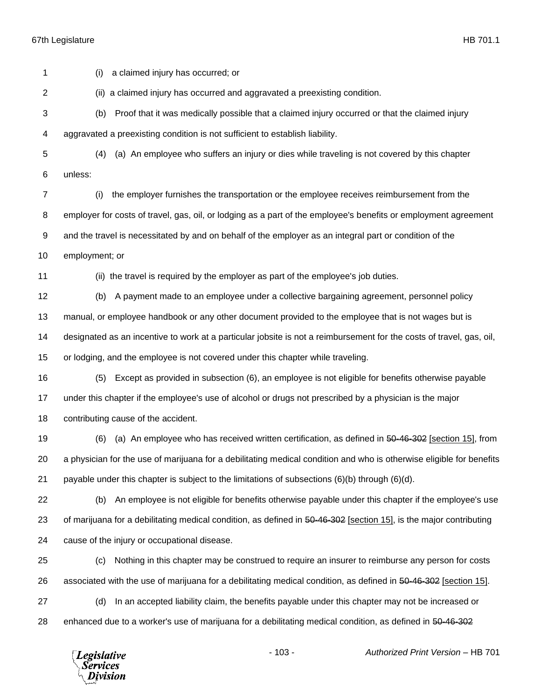**Legislative** *Services* Division

 (i) a claimed injury has occurred; or (ii) a claimed injury has occurred and aggravated a preexisting condition. (b) Proof that it was medically possible that a claimed injury occurred or that the claimed injury aggravated a preexisting condition is not sufficient to establish liability. (4) (a) An employee who suffers an injury or dies while traveling is not covered by this chapter unless: (i) the employer furnishes the transportation or the employee receives reimbursement from the employer for costs of travel, gas, oil, or lodging as a part of the employee's benefits or employment agreement and the travel is necessitated by and on behalf of the employer as an integral part or condition of the employment; or (ii) the travel is required by the employer as part of the employee's job duties. (b) A payment made to an employee under a collective bargaining agreement, personnel policy manual, or employee handbook or any other document provided to the employee that is not wages but is designated as an incentive to work at a particular jobsite is not a reimbursement for the costs of travel, gas, oil, or lodging, and the employee is not covered under this chapter while traveling. (5) Except as provided in subsection (6), an employee is not eligible for benefits otherwise payable under this chapter if the employee's use of alcohol or drugs not prescribed by a physician is the major contributing cause of the accident. (6) (a) An employee who has received written certification, as defined in 50-46-302 [section 15], from a physician for the use of marijuana for a debilitating medical condition and who is otherwise eligible for benefits 21 payable under this chapter is subject to the limitations of subsections  $(6)(b)$  through  $(6)(d)$ . (b) An employee is not eligible for benefits otherwise payable under this chapter if the employee's use 23 of marijuana for a debilitating medical condition, as defined in 50-46-302 [section 15], is the major contributing cause of the injury or occupational disease. (c) Nothing in this chapter may be construed to require an insurer to reimburse any person for costs 26 associated with the use of marijuana for a debilitating medical condition, as defined in 50-46-302 [section 15]. (d) In an accepted liability claim, the benefits payable under this chapter may not be increased or enhanced due to a worker's use of marijuana for a debilitating medical condition, as defined in 50-46-302

- 103 - *Authorized Print Version* – HB 701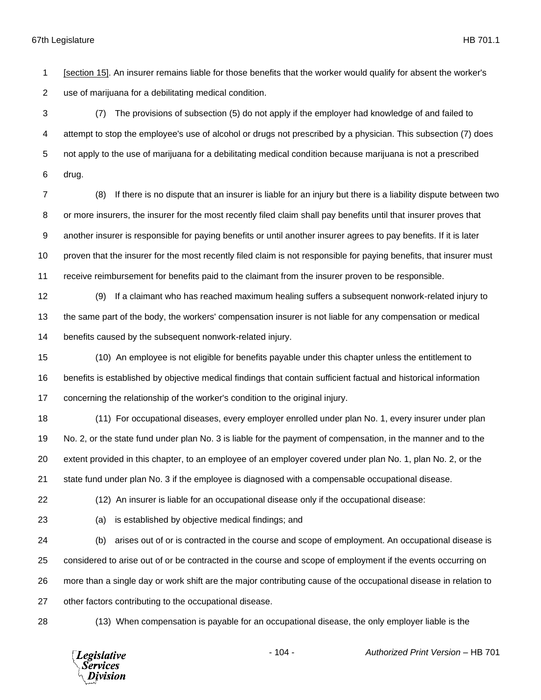[section 15]. An insurer remains liable for those benefits that the worker would qualify for absent the worker's use of marijuana for a debilitating medical condition.

 (7) The provisions of subsection (5) do not apply if the employer had knowledge of and failed to attempt to stop the employee's use of alcohol or drugs not prescribed by a physician. This subsection (7) does not apply to the use of marijuana for a debilitating medical condition because marijuana is not a prescribed drug.

 (8) If there is no dispute that an insurer is liable for an injury but there is a liability dispute between two or more insurers, the insurer for the most recently filed claim shall pay benefits until that insurer proves that another insurer is responsible for paying benefits or until another insurer agrees to pay benefits. If it is later 10 proven that the insurer for the most recently filed claim is not responsible for paying benefits, that insurer must receive reimbursement for benefits paid to the claimant from the insurer proven to be responsible.

 (9) If a claimant who has reached maximum healing suffers a subsequent nonwork-related injury to the same part of the body, the workers' compensation insurer is not liable for any compensation or medical benefits caused by the subsequent nonwork-related injury.

 (10) An employee is not eligible for benefits payable under this chapter unless the entitlement to benefits is established by objective medical findings that contain sufficient factual and historical information concerning the relationship of the worker's condition to the original injury.

 (11) For occupational diseases, every employer enrolled under plan No. 1, every insurer under plan No. 2, or the state fund under plan No. 3 is liable for the payment of compensation, in the manner and to the extent provided in this chapter, to an employee of an employer covered under plan No. 1, plan No. 2, or the state fund under plan No. 3 if the employee is diagnosed with a compensable occupational disease.

(12) An insurer is liable for an occupational disease only if the occupational disease:

(a) is established by objective medical findings; and

 (b) arises out of or is contracted in the course and scope of employment. An occupational disease is considered to arise out of or be contracted in the course and scope of employment if the events occurring on more than a single day or work shift are the major contributing cause of the occupational disease in relation to other factors contributing to the occupational disease.

(13) When compensation is payable for an occupational disease, the only employer liable is the

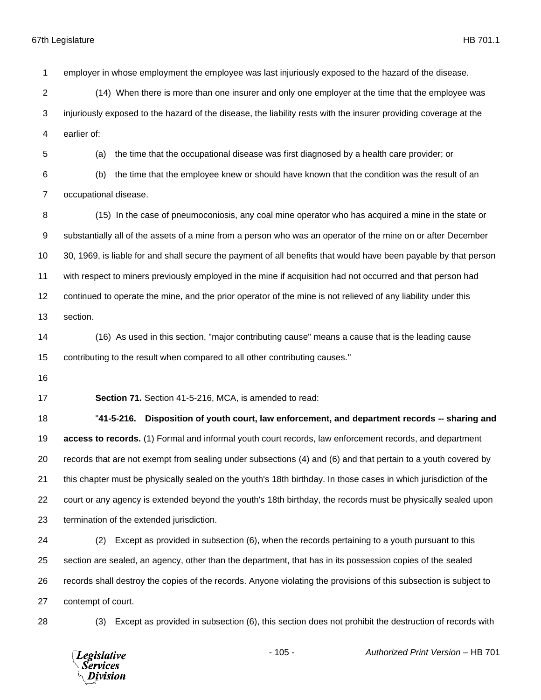employer in whose employment the employee was last injuriously exposed to the hazard of the disease.

- (14) When there is more than one insurer and only one employer at the time that the employee was injuriously exposed to the hazard of the disease, the liability rests with the insurer providing coverage at the earlier of:
- (a) the time that the occupational disease was first diagnosed by a health care provider; or
- (b) the time that the employee knew or should have known that the condition was the result of an occupational disease.
- 8 (15) In the case of pneumoconiosis, any coal mine operator who has acquired a mine in the state or substantially all of the assets of a mine from a person who was an operator of the mine on or after December 30, 1969, is liable for and shall secure the payment of all benefits that would have been payable by that person with respect to miners previously employed in the mine if acquisition had not occurred and that person had continued to operate the mine, and the prior operator of the mine is not relieved of any liability under this section.
- (16) As used in this section, "major contributing cause" means a cause that is the leading cause contributing to the result when compared to all other contributing causes."
- 

**Section 71.** Section 41-5-216, MCA, is amended to read:

 "**41-5-216. Disposition of youth court, law enforcement, and department records -- sharing and access to records.** (1) Formal and informal youth court records, law enforcement records, and department records that are not exempt from sealing under subsections (4) and (6) and that pertain to a youth covered by this chapter must be physically sealed on the youth's 18th birthday. In those cases in which jurisdiction of the court or any agency is extended beyond the youth's 18th birthday, the records must be physically sealed upon termination of the extended jurisdiction.

- (2) Except as provided in subsection (6), when the records pertaining to a youth pursuant to this section are sealed, an agency, other than the department, that has in its possession copies of the sealed records shall destroy the copies of the records. Anyone violating the provisions of this subsection is subject to contempt of court.
- 

(3) Except as provided in subsection (6), this section does not prohibit the destruction of records with

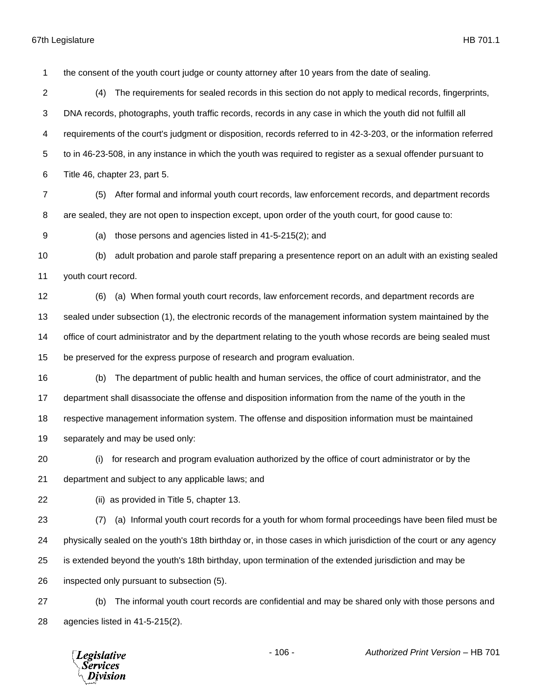the consent of the youth court judge or county attorney after 10 years from the date of sealing.

 (4) The requirements for sealed records in this section do not apply to medical records, fingerprints, DNA records, photographs, youth traffic records, records in any case in which the youth did not fulfill all requirements of the court's judgment or disposition, records referred to in 42-3-203, or the information referred to in 46-23-508, in any instance in which the youth was required to register as a sexual offender pursuant to Title 46, chapter 23, part 5.

 (5) After formal and informal youth court records, law enforcement records, and department records are sealed, they are not open to inspection except, upon order of the youth court, for good cause to:

(a) those persons and agencies listed in 41-5-215(2); and

 (b) adult probation and parole staff preparing a presentence report on an adult with an existing sealed youth court record.

 (6) (a) When formal youth court records, law enforcement records, and department records are sealed under subsection (1), the electronic records of the management information system maintained by the office of court administrator and by the department relating to the youth whose records are being sealed must be preserved for the express purpose of research and program evaluation.

 (b) The department of public health and human services, the office of court administrator, and the department shall disassociate the offense and disposition information from the name of the youth in the respective management information system. The offense and disposition information must be maintained separately and may be used only:

(i) for research and program evaluation authorized by the office of court administrator or by the

department and subject to any applicable laws; and

(ii) as provided in Title 5, chapter 13.

 (7) (a) Informal youth court records for a youth for whom formal proceedings have been filed must be physically sealed on the youth's 18th birthday or, in those cases in which jurisdiction of the court or any agency is extended beyond the youth's 18th birthday, upon termination of the extended jurisdiction and may be inspected only pursuant to subsection (5).

 (b) The informal youth court records are confidential and may be shared only with those persons and agencies listed in 41-5-215(2).

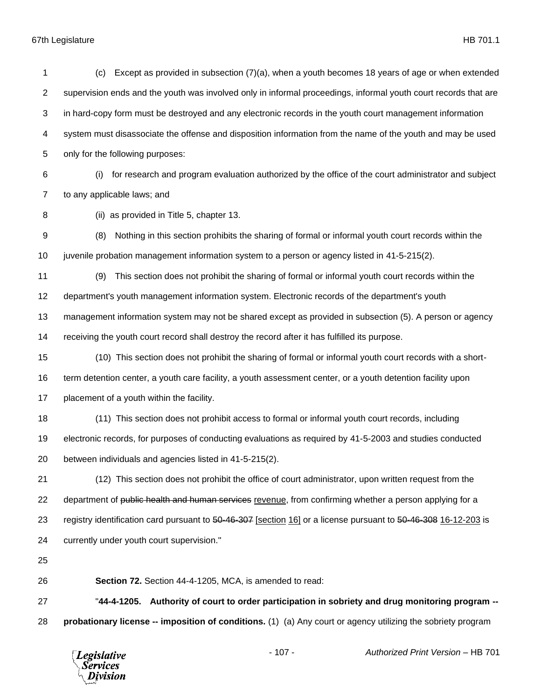| 1                | Except as provided in subsection $(7)(a)$ , when a youth becomes 18 years of age or when extended<br>(c)        |  |  |  |
|------------------|-----------------------------------------------------------------------------------------------------------------|--|--|--|
| $\overline{c}$   | supervision ends and the youth was involved only in informal proceedings, informal youth court records that are |  |  |  |
| 3                | in hard-copy form must be destroyed and any electronic records in the youth court management information        |  |  |  |
| 4                | system must disassociate the offense and disposition information from the name of the youth and may be used     |  |  |  |
| 5                | only for the following purposes:                                                                                |  |  |  |
| 6                | for research and program evaluation authorized by the office of the court administrator and subject<br>(i)      |  |  |  |
| $\overline{7}$   | to any applicable laws; and                                                                                     |  |  |  |
| 8                | (ii) as provided in Title 5, chapter 13.                                                                        |  |  |  |
| $\boldsymbol{9}$ | Nothing in this section prohibits the sharing of formal or informal youth court records within the<br>(8)       |  |  |  |
| 10               | juvenile probation management information system to a person or agency listed in 41-5-215(2).                   |  |  |  |
| 11               | This section does not prohibit the sharing of formal or informal youth court records within the<br>(9)          |  |  |  |
| 12               | department's youth management information system. Electronic records of the department's youth                  |  |  |  |
| 13               | management information system may not be shared except as provided in subsection (5). A person or agency        |  |  |  |
| 14               | receiving the youth court record shall destroy the record after it has fulfilled its purpose.                   |  |  |  |
| 15               | (10) This section does not prohibit the sharing of formal or informal youth court records with a short-         |  |  |  |
| 16               | term detention center, a youth care facility, a youth assessment center, or a youth detention facility upon     |  |  |  |
| 17               | placement of a youth within the facility.                                                                       |  |  |  |
| 18               | (11) This section does not prohibit access to formal or informal youth court records, including                 |  |  |  |
| 19               | electronic records, for purposes of conducting evaluations as required by 41-5-2003 and studies conducted       |  |  |  |
| 20               | between individuals and agencies listed in 41-5-215(2).                                                         |  |  |  |
| 21               | (12) This section does not prohibit the office of court administrator, upon written request from the            |  |  |  |
| 22               | department of public health and human services revenue, from confirming whether a person applying for a         |  |  |  |
| 23               | registry identification card pursuant to 50-46-307 [section 16] or a license pursuant to 50-46-308 16-12-203 is |  |  |  |
| 24               | currently under youth court supervision."                                                                       |  |  |  |
| 25               |                                                                                                                 |  |  |  |
| 26               | Section 72. Section 44-4-1205, MCA, is amended to read:                                                         |  |  |  |
| 27               | "44-4-1205. Authority of court to order participation in sobriety and drug monitoring program --                |  |  |  |
| 28               | probationary license -- imposition of conditions. (1) (a) Any court or agency utilizing the sobriety program    |  |  |  |

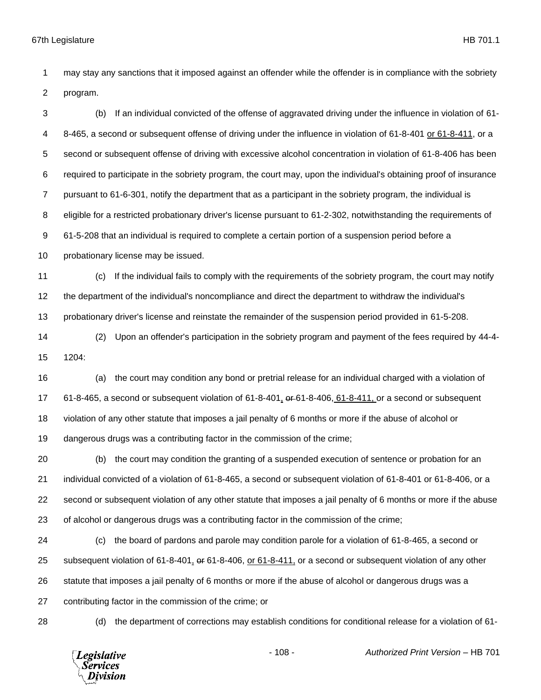may stay any sanctions that it imposed against an offender while the offender is in compliance with the sobriety program.

 (b) If an individual convicted of the offense of aggravated driving under the influence in violation of 61- 8-465, a second or subsequent offense of driving under the influence in violation of 61-8-401 or 61-8-411, or a second or subsequent offense of driving with excessive alcohol concentration in violation of 61-8-406 has been required to participate in the sobriety program, the court may, upon the individual's obtaining proof of insurance pursuant to 61-6-301, notify the department that as a participant in the sobriety program, the individual is eligible for a restricted probationary driver's license pursuant to 61-2-302, notwithstanding the requirements of 61-5-208 that an individual is required to complete a certain portion of a suspension period before a 10 probationary license may be issued.

 (c) If the individual fails to comply with the requirements of the sobriety program, the court may notify the department of the individual's noncompliance and direct the department to withdraw the individual's

probationary driver's license and reinstate the remainder of the suspension period provided in 61-5-208.

 (2) Upon an offender's participation in the sobriety program and payment of the fees required by 44-4- 1204:

 (a) the court may condition any bond or pretrial release for an individual charged with a violation of 17 61-8-465, a second or subsequent violation of 61-8-401,  $\omega$ -61-8-406, 61-8-411, or a second or subsequent violation of any other statute that imposes a jail penalty of 6 months or more if the abuse of alcohol or dangerous drugs was a contributing factor in the commission of the crime;

 (b) the court may condition the granting of a suspended execution of sentence or probation for an individual convicted of a violation of 61-8-465, a second or subsequent violation of 61-8-401 or 61-8-406, or a second or subsequent violation of any other statute that imposes a jail penalty of 6 months or more if the abuse of alcohol or dangerous drugs was a contributing factor in the commission of the crime;

 (c) the board of pardons and parole may condition parole for a violation of 61-8-465, a second or subsequent violation of 61-8-401, or 61-8-406, or 61-8-411, or a second or subsequent violation of any other statute that imposes a jail penalty of 6 months or more if the abuse of alcohol or dangerous drugs was a contributing factor in the commission of the crime; or

(d) the department of corrections may establish conditions for conditional release for a violation of 61-

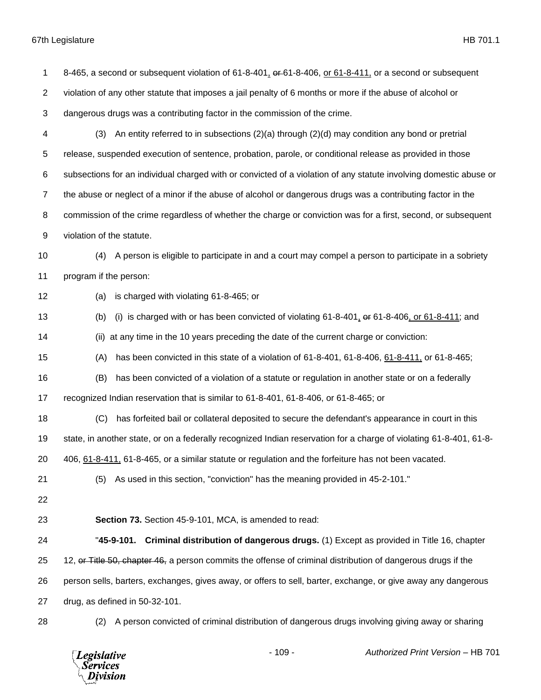| 1              | 8-465, a second or subsequent violation of 61-8-401, $\theta$ -61-8-406, or 61-8-411, or a second or subsequent    |
|----------------|--------------------------------------------------------------------------------------------------------------------|
| $\overline{2}$ | violation of any other statute that imposes a jail penalty of 6 months or more if the abuse of alcohol or          |
| 3              | dangerous drugs was a contributing factor in the commission of the crime.                                          |
| 4              | An entity referred to in subsections $(2)(a)$ through $(2)(d)$ may condition any bond or pretrial<br>(3)           |
| 5              | release, suspended execution of sentence, probation, parole, or conditional release as provided in those           |
| 6              | subsections for an individual charged with or convicted of a violation of any statute involving domestic abuse or  |
| $\overline{7}$ | the abuse or neglect of a minor if the abuse of alcohol or dangerous drugs was a contributing factor in the        |
| 8              | commission of the crime regardless of whether the charge or conviction was for a first, second, or subsequent      |
| 9              | violation of the statute.                                                                                          |
| 10             | A person is eligible to participate in and a court may compel a person to participate in a sobriety<br>(4)         |
| 11             | program if the person:                                                                                             |
| 12             | is charged with violating 61-8-465; or<br>(a)                                                                      |
| 13             | (i) is charged with or has been convicted of violating $61-8-401$ , $401-8-406$ , or $61-8-411$ ; and<br>(b)       |
| 14             | at any time in the 10 years preceding the date of the current charge or conviction:<br>(ii)                        |
| 15             | has been convicted in this state of a violation of 61-8-401, 61-8-406, 61-8-411, or 61-8-465;<br>(A)               |
| 16             | has been convicted of a violation of a statute or regulation in another state or on a federally<br>(B)             |
| 17             | recognized Indian reservation that is similar to 61-8-401, 61-8-406, or 61-8-465; or                               |
| 18             | has forfeited bail or collateral deposited to secure the defendant's appearance in court in this<br>(C)            |
| 19             | state, in another state, or on a federally recognized Indian reservation for a charge of violating 61-8-401, 61-8- |
| 20             | 406, 61-8-411, 61-8-465, or a similar statute or regulation and the forfeiture has not been vacated.               |
| 21             | As used in this section, "conviction" has the meaning provided in 45-2-101."<br>(5)                                |
| 22             |                                                                                                                    |
| 23             | Section 73. Section 45-9-101, MCA, is amended to read:                                                             |
| 24             | "45-9-101. Criminal distribution of dangerous drugs. (1) Except as provided in Title 16, chapter                   |
| 25             | 12, or Title 50, chapter 46, a person commits the offense of criminal distribution of dangerous drugs if the       |
| 26             | person sells, barters, exchanges, gives away, or offers to sell, barter, exchange, or give away any dangerous      |
| 27             | drug, as defined in 50-32-101.                                                                                     |
| 28             | A person convicted of criminal distribution of dangerous drugs involving giving away or sharing<br>(2)             |

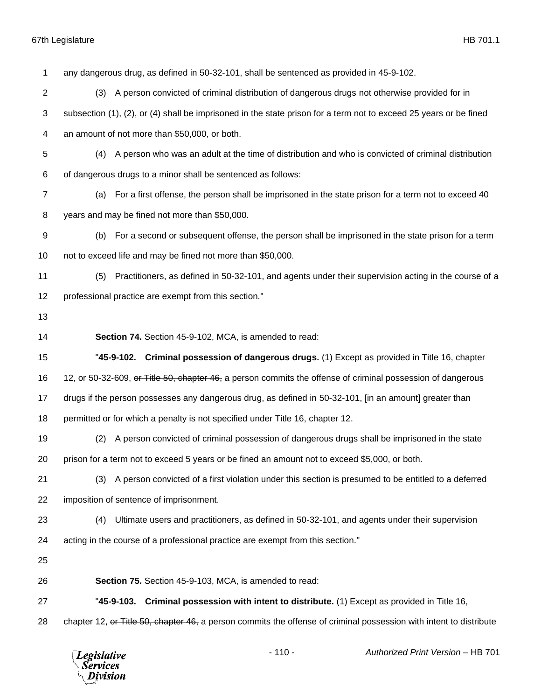| 1              | any dangerous drug, as defined in 50-32-101, shall be sentenced as provided in 45-9-102.                           |
|----------------|--------------------------------------------------------------------------------------------------------------------|
| $\overline{c}$ | (3) A person convicted of criminal distribution of dangerous drugs not otherwise provided for in                   |
| 3              | subsection (1), (2), or (4) shall be imprisoned in the state prison for a term not to exceed 25 years or be fined  |
| 4              | an amount of not more than \$50,000, or both.                                                                      |
| 5              | A person who was an adult at the time of distribution and who is convicted of criminal distribution<br>(4)         |
| 6              | of dangerous drugs to a minor shall be sentenced as follows:                                                       |
| $\overline{7}$ | For a first offense, the person shall be imprisoned in the state prison for a term not to exceed 40<br>(a)         |
| 8              | years and may be fined not more than \$50,000.                                                                     |
| 9              | For a second or subsequent offense, the person shall be imprisoned in the state prison for a term<br>(b)           |
| 10             | not to exceed life and may be fined not more than \$50,000.                                                        |
| 11             | Practitioners, as defined in 50-32-101, and agents under their supervision acting in the course of a<br>(5)        |
| 12             | professional practice are exempt from this section."                                                               |
| 13             |                                                                                                                    |
| 14             | Section 74. Section 45-9-102, MCA, is amended to read:                                                             |
| 15             | "45-9-102. Criminal possession of dangerous drugs. (1) Except as provided in Title 16, chapter                     |
| 16             | 12, or 50-32-609, or Title 50, chapter 46, a person commits the offense of criminal possession of dangerous        |
| 17             | drugs if the person possesses any dangerous drug, as defined in 50-32-101, [in an amount] greater than             |
| 18             | permitted or for which a penalty is not specified under Title 16, chapter 12.                                      |
| 19             | A person convicted of criminal possession of dangerous drugs shall be imprisoned in the state<br>(2)               |
| 20             | prison for a term not to exceed 5 years or be fined an amount not to exceed \$5,000, or both.                      |
| 21             | A person convicted of a first violation under this section is presumed to be entitled to a deferred<br>(3)         |
| 22             | imposition of sentence of imprisonment.                                                                            |
| 23             | Ultimate users and practitioners, as defined in 50-32-101, and agents under their supervision<br>(4)               |
| 24             | acting in the course of a professional practice are exempt from this section."                                     |
| 25             |                                                                                                                    |
| 26             | Section 75. Section 45-9-103, MCA, is amended to read:                                                             |
| 27             | "45-9-103. Criminal possession with intent to distribute. (1) Except as provided in Title 16,                      |
| 28             | chapter 12, or Title 50, chapter 46, a person commits the offense of criminal possession with intent to distribute |
|                | $-110-$<br>Authorized Print Version - HB 701<br><b>Legislative</b><br><b>Services</b><br>Division                  |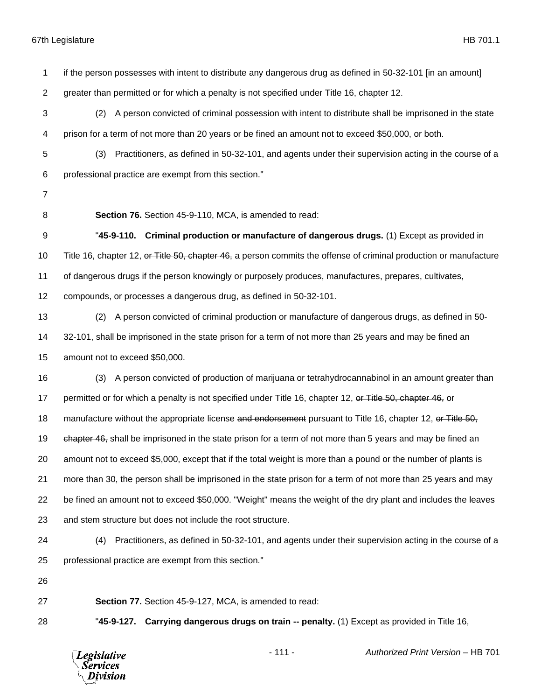| 1              | if the person possesses with intent to distribute any dangerous drug as defined in 50-32-101 [in an amount]       |
|----------------|-------------------------------------------------------------------------------------------------------------------|
| 2              | greater than permitted or for which a penalty is not specified under Title 16, chapter 12.                        |
| 3              | (2) A person convicted of criminal possession with intent to distribute shall be imprisoned in the state          |
| 4              | prison for a term of not more than 20 years or be fined an amount not to exceed \$50,000, or both.                |
| 5              | Practitioners, as defined in 50-32-101, and agents under their supervision acting in the course of a<br>(3)       |
| 6              | professional practice are exempt from this section."                                                              |
| $\overline{7}$ |                                                                                                                   |
| 8              | Section 76. Section 45-9-110, MCA, is amended to read:                                                            |
| 9              | "45-9-110. Criminal production or manufacture of dangerous drugs. (1) Except as provided in                       |
| 10             | Title 16, chapter 12, or Title 50, chapter 46, a person commits the offense of criminal production or manufacture |
| 11             | of dangerous drugs if the person knowingly or purposely produces, manufactures, prepares, cultivates,             |
| 12             | compounds, or processes a dangerous drug, as defined in 50-32-101.                                                |
| 13             | A person convicted of criminal production or manufacture of dangerous drugs, as defined in 50-<br>(2)             |
| 14             | 32-101, shall be imprisoned in the state prison for a term of not more than 25 years and may be fined an          |
| 15             | amount not to exceed \$50,000.                                                                                    |
| 16             | A person convicted of production of marijuana or tetrahydrocannabinol in an amount greater than<br>(3)            |
| 17             | permitted or for which a penalty is not specified under Title 16, chapter 12, or Title 50, chapter 46, or         |
| 18             | manufacture without the appropriate license and endorsement pursuant to Title 16, chapter 12, or Title 50,        |
| 19             | chapter 46, shall be imprisoned in the state prison for a term of not more than 5 years and may be fined an       |
| 20             | amount not to exceed \$5,000, except that if the total weight is more than a pound or the number of plants is     |
| 21             | more than 30, the person shall be imprisoned in the state prison for a term of not more than 25 years and may     |
| 22             | be fined an amount not to exceed \$50,000. "Weight" means the weight of the dry plant and includes the leaves     |
| 23             | and stem structure but does not include the root structure.                                                       |
| 24             | Practitioners, as defined in 50-32-101, and agents under their supervision acting in the course of a<br>(4)       |
| 25             | professional practice are exempt from this section."                                                              |
| 26             |                                                                                                                   |
| 27             | Section 77. Section 45-9-127, MCA, is amended to read:                                                            |
| 28             | "45-9-127. Carrying dangerous drugs on train -- penalty. (1) Except as provided in Title 16,                      |
|                |                                                                                                                   |

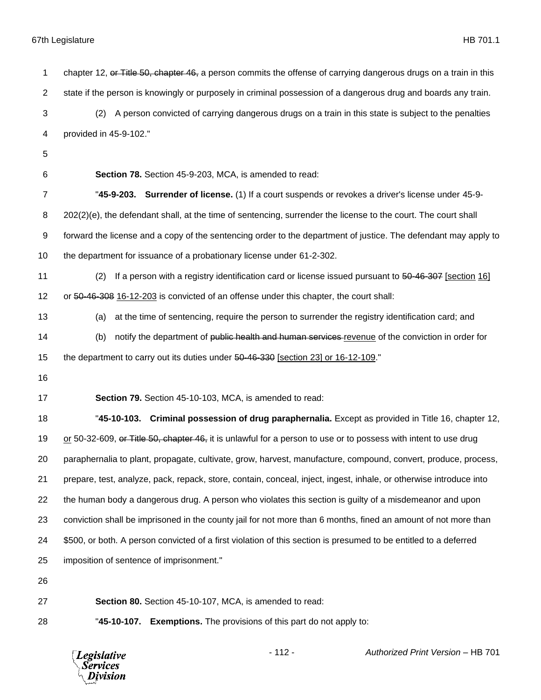| 1              | chapter 12, or Title 50, chapter 46, a person commits the offense of carrying dangerous drugs on a train in this   |
|----------------|--------------------------------------------------------------------------------------------------------------------|
| $\overline{c}$ | state if the person is knowingly or purposely in criminal possession of a dangerous drug and boards any train.     |
| 3              | A person convicted of carrying dangerous drugs on a train in this state is subject to the penalties<br>(2)         |
| 4              | provided in 45-9-102."                                                                                             |
| 5              |                                                                                                                    |
| 6              | Section 78. Section 45-9-203, MCA, is amended to read:                                                             |
| 7              | "45-9-203. Surrender of license. (1) If a court suspends or revokes a driver's license under 45-9-                 |
| 8              | 202(2)(e), the defendant shall, at the time of sentencing, surrender the license to the court. The court shall     |
| 9              | forward the license and a copy of the sentencing order to the department of justice. The defendant may apply to    |
| 10             | the department for issuance of a probationary license under 61-2-302.                                              |
| 11             | If a person with a registry identification card or license issued pursuant to 50-46-307 [section 16]<br>(2)        |
| 12             | or 50-46-308 16-12-203 is convicted of an offense under this chapter, the court shall:                             |
| 13             | at the time of sentencing, require the person to surrender the registry identification card; and<br>(a)            |
| 14             | notify the department of public health and human services-revenue of the conviction in order for<br>(b)            |
| 15             | the department to carry out its duties under 50-46-330 [section 23] or 16-12-109."                                 |
| 16             |                                                                                                                    |
| 17             | Section 79. Section 45-10-103, MCA, is amended to read:                                                            |
| 18             | "45-10-103. Criminal possession of drug paraphernalia. Except as provided in Title 16, chapter 12,                 |
| 19             | or 50-32-609, or Title 50, chapter 46, it is unlawful for a person to use or to possess with intent to use drug    |
| 20             | paraphernalia to plant, propagate, cultivate, grow, harvest, manufacture, compound, convert, produce, process,     |
| 21             | prepare, test, analyze, pack, repack, store, contain, conceal, inject, ingest, inhale, or otherwise introduce into |
| 22             | the human body a dangerous drug. A person who violates this section is guilty of a misdemeanor and upon            |
| 23             | conviction shall be imprisoned in the county jail for not more than 6 months, fined an amount of not more than     |
| 24             | \$500, or both. A person convicted of a first violation of this section is presumed to be entitled to a deferred   |
| 25             | imposition of sentence of imprisonment."                                                                           |
| 26             |                                                                                                                    |
| 27             | Section 80. Section 45-10-107, MCA, is amended to read:                                                            |

"**45-10-107. Exemptions.** The provisions of this part do not apply to:

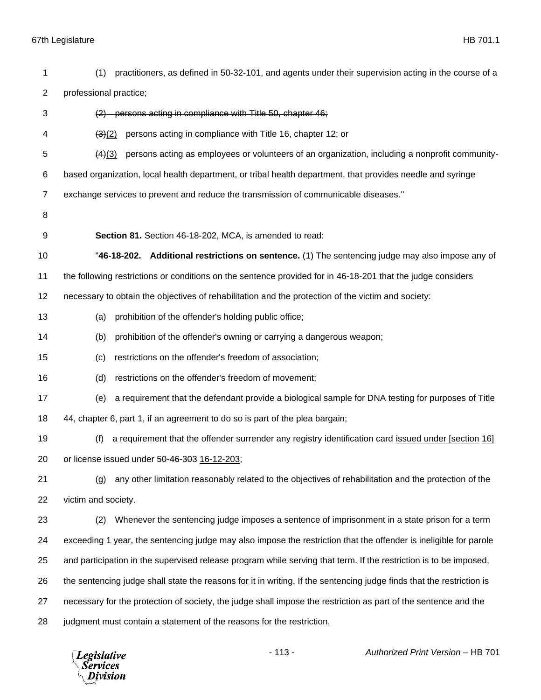(1) practitioners, as defined in 50-32-101, and agents under their supervision acting in the course of a professional practice; (2) persons acting in compliance with Title 50, chapter 46; (3)(2) persons acting in compliance with Title 16, chapter 12; or (4)(3) persons acting as employees or volunteers of an organization, including a nonprofit community- based organization, local health department, or tribal health department, that provides needle and syringe exchange services to prevent and reduce the transmission of communicable diseases." **Section 81.** Section 46-18-202, MCA, is amended to read: "**46-18-202. Additional restrictions on sentence.** (1) The sentencing judge may also impose any of the following restrictions or conditions on the sentence provided for in 46-18-201 that the judge considers necessary to obtain the objectives of rehabilitation and the protection of the victim and society: (a) prohibition of the offender's holding public office; (b) prohibition of the offender's owning or carrying a dangerous weapon; (c) restrictions on the offender's freedom of association; (d) restrictions on the offender's freedom of movement; (e) a requirement that the defendant provide a biological sample for DNA testing for purposes of Title 44, chapter 6, part 1, if an agreement to do so is part of the plea bargain; (f) a requirement that the offender surrender any registry identification card issued under [section 16] or license issued under 50-46-303 16-12-203; (g) any other limitation reasonably related to the objectives of rehabilitation and the protection of the victim and society. (2) Whenever the sentencing judge imposes a sentence of imprisonment in a state prison for a term exceeding 1 year, the sentencing judge may also impose the restriction that the offender is ineligible for parole and participation in the supervised release program while serving that term. If the restriction is to be imposed, the sentencing judge shall state the reasons for it in writing. If the sentencing judge finds that the restriction is necessary for the protection of society, the judge shall impose the restriction as part of the sentence and the judgment must contain a statement of the reasons for the restriction.

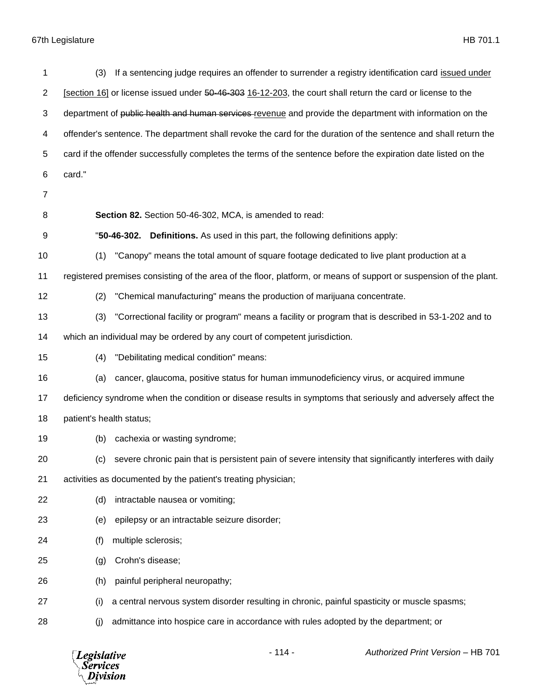| 1              | If a sentencing judge requires an offender to surrender a registry identification card issued under<br>(3)         |
|----------------|--------------------------------------------------------------------------------------------------------------------|
| $\overline{2}$ | [section 16] or license issued under 50-46-303 16-12-203, the court shall return the card or license to the        |
| 3              | department of public health and human services revenue and provide the department with information on the          |
| 4              | offender's sentence. The department shall revoke the card for the duration of the sentence and shall return the    |
| 5              | card if the offender successfully completes the terms of the sentence before the expiration date listed on the     |
| 6              | card."                                                                                                             |
| $\overline{7}$ |                                                                                                                    |
| 8              | Section 82. Section 50-46-302, MCA, is amended to read:                                                            |
| 9              | "50-46-302.<br><b>Definitions.</b> As used in this part, the following definitions apply:                          |
| 10             | "Canopy" means the total amount of square footage dedicated to live plant production at a<br>(1)                   |
| 11             | registered premises consisting of the area of the floor, platform, or means of support or suspension of the plant. |
| 12             | "Chemical manufacturing" means the production of marijuana concentrate.<br>(2)                                     |
| 13             | "Correctional facility or program" means a facility or program that is described in 53-1-202 and to<br>(3)         |
| 14             | which an individual may be ordered by any court of competent jurisdiction.                                         |
| 15             | "Debilitating medical condition" means:<br>(4)                                                                     |
| 16             | cancer, glaucoma, positive status for human immunodeficiency virus, or acquired immune<br>(a)                      |
| 17             | deficiency syndrome when the condition or disease results in symptoms that seriously and adversely affect the      |
| 18             | patient's health status;                                                                                           |
| 19             | cachexia or wasting syndrome;<br>(b)                                                                               |
| 20             | (c) severe chronic pain that is persistent pain of severe intensity that significantly interferes with daily       |
| 21             | activities as documented by the patient's treating physician;                                                      |
| 22             | (d)<br>intractable nausea or vomiting;                                                                             |
| 23             | epilepsy or an intractable seizure disorder;<br>(e)                                                                |
| 24             | multiple sclerosis;<br>(f)                                                                                         |
| 25             | Crohn's disease;<br>(g)                                                                                            |
| 26             | painful peripheral neuropathy;<br>(h)                                                                              |
| 27             | a central nervous system disorder resulting in chronic, painful spasticity or muscle spasms;<br>(i)                |
| 28             | admittance into hospice care in accordance with rules adopted by the department; or<br>(j)                         |

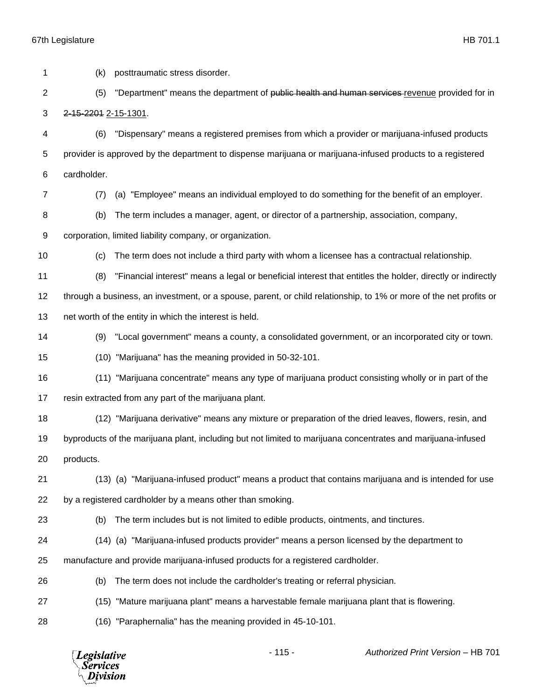**Legislative** *Services* Division

- 115 - *Authorized Print Version* – HB 701 (k) posttraumatic stress disorder. 2 (5) "Department" means the department of public health and human services revenue provided for in 2-15-2201 2-15-1301. (6) "Dispensary" means a registered premises from which a provider or marijuana-infused products provider is approved by the department to dispense marijuana or marijuana-infused products to a registered cardholder. (7) (a) "Employee" means an individual employed to do something for the benefit of an employer. (b) The term includes a manager, agent, or director of a partnership, association, company, corporation, limited liability company, or organization. (c) The term does not include a third party with whom a licensee has a contractual relationship. (8) "Financial interest" means a legal or beneficial interest that entitles the holder, directly or indirectly through a business, an investment, or a spouse, parent, or child relationship, to 1% or more of the net profits or net worth of the entity in which the interest is held. (9) "Local government" means a county, a consolidated government, or an incorporated city or town. (10) "Marijuana" has the meaning provided in 50-32-101. (11) "Marijuana concentrate" means any type of marijuana product consisting wholly or in part of the resin extracted from any part of the marijuana plant. (12) "Marijuana derivative" means any mixture or preparation of the dried leaves, flowers, resin, and byproducts of the marijuana plant, including but not limited to marijuana concentrates and marijuana-infused products. (13) (a) "Marijuana-infused product" means a product that contains marijuana and is intended for use by a registered cardholder by a means other than smoking. (b) The term includes but is not limited to edible products, ointments, and tinctures. (14) (a) "Marijuana-infused products provider" means a person licensed by the department to manufacture and provide marijuana-infused products for a registered cardholder. (b) The term does not include the cardholder's treating or referral physician. (15) "Mature marijuana plant" means a harvestable female marijuana plant that is flowering. (16) "Paraphernalia" has the meaning provided in 45-10-101.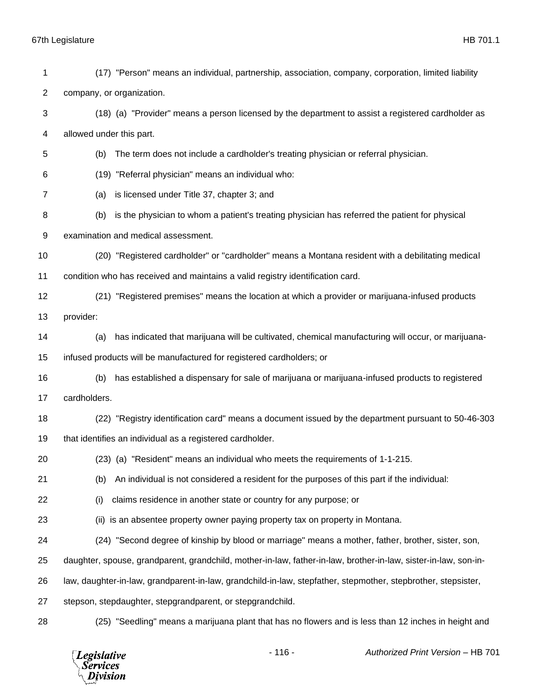(17) "Person" means an individual, partnership, association, company, corporation, limited liability company, or organization. (18) (a) "Provider" means a person licensed by the department to assist a registered cardholder as allowed under this part. (b) The term does not include a cardholder's treating physician or referral physician. (19) "Referral physician" means an individual who: (a) is licensed under Title 37, chapter 3; and (b) is the physician to whom a patient's treating physician has referred the patient for physical examination and medical assessment. (20) "Registered cardholder" or "cardholder" means a Montana resident with a debilitating medical condition who has received and maintains a valid registry identification card. (21) "Registered premises" means the location at which a provider or marijuana-infused products provider: (a) has indicated that marijuana will be cultivated, chemical manufacturing will occur, or marijuana- infused products will be manufactured for registered cardholders; or (b) has established a dispensary for sale of marijuana or marijuana-infused products to registered cardholders. (22) "Registry identification card" means a document issued by the department pursuant to 50-46-303 that identifies an individual as a registered cardholder. (23) (a) "Resident" means an individual who meets the requirements of 1-1-215. (b) An individual is not considered a resident for the purposes of this part if the individual: (i) claims residence in another state or country for any purpose; or (ii) is an absentee property owner paying property tax on property in Montana. (24) "Second degree of kinship by blood or marriage" means a mother, father, brother, sister, son, daughter, spouse, grandparent, grandchild, mother-in-law, father-in-law, brother-in-law, sister-in-law, son-in- law, daughter-in-law, grandparent-in-law, grandchild-in-law, stepfather, stepmother, stepbrother, stepsister, stepson, stepdaughter, stepgrandparent, or stepgrandchild. (25) "Seedling" means a marijuana plant that has no flowers and is less than 12 inches in height and

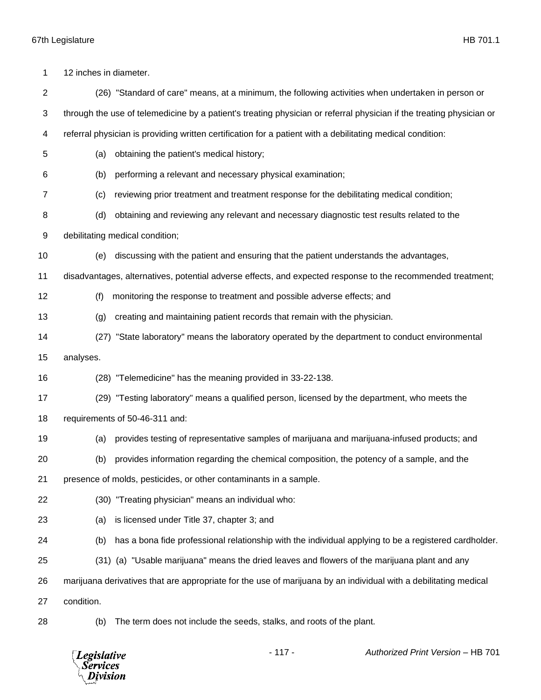12 inches in diameter. (26) "Standard of care" means, at a minimum, the following activities when undertaken in person or through the use of telemedicine by a patient's treating physician or referral physician if the treating physician or referral physician is providing written certification for a patient with a debilitating medical condition: (a) obtaining the patient's medical history; (b) performing a relevant and necessary physical examination; (c) reviewing prior treatment and treatment response for the debilitating medical condition; (d) obtaining and reviewing any relevant and necessary diagnostic test results related to the debilitating medical condition; (e) discussing with the patient and ensuring that the patient understands the advantages, disadvantages, alternatives, potential adverse effects, and expected response to the recommended treatment; (f) monitoring the response to treatment and possible adverse effects; and (g) creating and maintaining patient records that remain with the physician. (27) "State laboratory" means the laboratory operated by the department to conduct environmental analyses. (28) "Telemedicine" has the meaning provided in 33-22-138. (29) "Testing laboratory" means a qualified person, licensed by the department, who meets the requirements of 50-46-311 and: (a) provides testing of representative samples of marijuana and marijuana-infused products; and (b) provides information regarding the chemical composition, the potency of a sample, and the presence of molds, pesticides, or other contaminants in a sample. (30) "Treating physician" means an individual who: (a) is licensed under Title 37, chapter 3; and (b) has a bona fide professional relationship with the individual applying to be a registered cardholder. (31) (a) "Usable marijuana" means the dried leaves and flowers of the marijuana plant and any marijuana derivatives that are appropriate for the use of marijuana by an individual with a debilitating medical condition.

- 
- (b) The term does not include the seeds, stalks, and roots of the plant.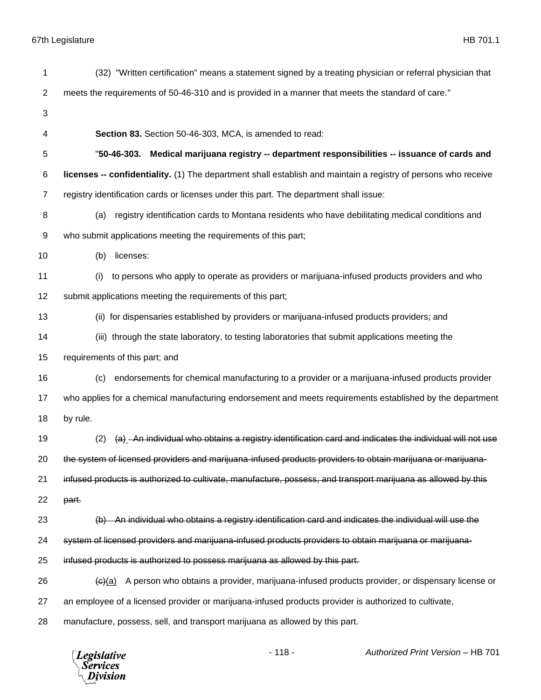| 1              | (32) "Written certification" means a statement signed by a treating physician or referral physician that       |
|----------------|----------------------------------------------------------------------------------------------------------------|
| 2              | meets the requirements of 50-46-310 and is provided in a manner that meets the standard of care."              |
| 3              |                                                                                                                |
| 4              | Section 83. Section 50-46-303, MCA, is amended to read:                                                        |
| 5              | "50-46-303. Medical marijuana registry -- department responsibilities -- issuance of cards and                 |
| 6              | licenses -- confidentiality. (1) The department shall establish and maintain a registry of persons who receive |
| $\overline{7}$ | registry identification cards or licenses under this part. The department shall issue:                         |
| 8              | registry identification cards to Montana residents who have debilitating medical conditions and<br>(a)         |
| 9              | who submit applications meeting the requirements of this part;                                                 |
| 10             | licenses:<br>(b)                                                                                               |
| 11             | to persons who apply to operate as providers or marijuana-infused products providers and who<br>(i)            |
| 12             | submit applications meeting the requirements of this part;                                                     |
| 13             | (ii) for dispensaries established by providers or marijuana-infused products providers; and                    |
| 14             | (iii) through the state laboratory, to testing laboratories that submit applications meeting the               |
| 15             | requirements of this part; and                                                                                 |
| 16             | endorsements for chemical manufacturing to a provider or a marijuana-infused products provider<br>(c)          |
| 17             | who applies for a chemical manufacturing endorsement and meets requirements established by the department      |
| 18             | by rule.                                                                                                       |
| 19             | (a) -An individual who obtains a registry identification card and indicates the individual will not use<br>(2) |
| 20             | the system of licensed providers and marijuana-infused products providers to obtain marijuana or marijuana-    |
| 21             | infused products is authorized to cultivate, manufacture, possess, and transport marijuana as allowed by this  |
| 22             | part.                                                                                                          |
| 23             | An individual who obtains a registry identification card and indicates the individual will use the             |
| 24             | system of licensed providers and marijuana-infused products providers to obtain marijuana or marijuana-        |
| 25             | infused products is authorized to possess marijuana as allowed by this part.                                   |
| 26             | A person who obtains a provider, marijuana-infused products provider, or dispensary license or<br>$\Theta(a)$  |
| 27             | an employee of a licensed provider or marijuana-infused products provider is authorized to cultivate,          |
| 28             | manufacture, possess, sell, and transport marijuana as allowed by this part.                                   |

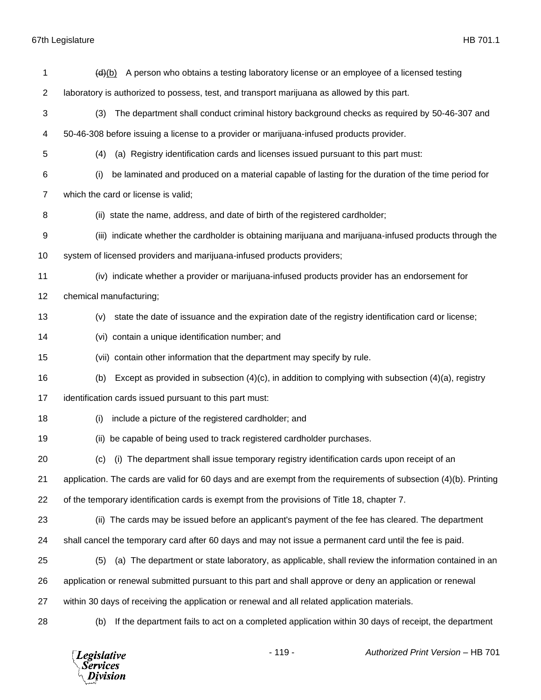*Legislative*<br>Services<br>*Division* 

| 1              | A person who obtains a testing laboratory license or an employee of a licensed testing<br>(d)(b)                 |
|----------------|------------------------------------------------------------------------------------------------------------------|
| $\overline{c}$ | laboratory is authorized to possess, test, and transport marijuana as allowed by this part.                      |
| 3              | The department shall conduct criminal history background checks as required by 50-46-307 and<br>(3)              |
| 4              | 50-46-308 before issuing a license to a provider or marijuana-infused products provider.                         |
| 5              | (a) Registry identification cards and licenses issued pursuant to this part must:<br>(4)                         |
| 6              | be laminated and produced on a material capable of lasting for the duration of the time period for<br>(i)        |
| 7              | which the card or license is valid;                                                                              |
| 8              | (ii) state the name, address, and date of birth of the registered cardholder;                                    |
| 9              | (iii) indicate whether the cardholder is obtaining marijuana and marijuana-infused products through the          |
| 10             | system of licensed providers and marijuana-infused products providers;                                           |
| 11             | (iv) indicate whether a provider or marijuana-infused products provider has an endorsement for                   |
| 12             | chemical manufacturing;                                                                                          |
| 13             | state the date of issuance and the expiration date of the registry identification card or license;<br>(v)        |
| 14             | (vi) contain a unique identification number; and                                                                 |
| 15             | (vii) contain other information that the department may specify by rule.                                         |
| 16             | Except as provided in subsection $(4)(c)$ , in addition to complying with subsection $(4)(a)$ , registry<br>(b)  |
| 17             | identification cards issued pursuant to this part must:                                                          |
| 18             | include a picture of the registered cardholder; and<br>(i)                                                       |
| 19             | be capable of being used to track registered cardholder purchases.<br>(ii)                                       |
| 20             | (i) The department shall issue temporary registry identification cards upon receipt of an<br>(c)                 |
| 21             | application. The cards are valid for 60 days and are exempt from the requirements of subsection (4)(b). Printing |
| 22             | of the temporary identification cards is exempt from the provisions of Title 18, chapter 7.                      |
| 23             | (ii) The cards may be issued before an applicant's payment of the fee has cleared. The department                |
| 24             | shall cancel the temporary card after 60 days and may not issue a permanent card until the fee is paid.          |
| 25             | (a) The department or state laboratory, as applicable, shall review the information contained in an<br>(5)       |
| 26             | application or renewal submitted pursuant to this part and shall approve or deny an application or renewal       |
| 27             | within 30 days of receiving the application or renewal and all related application materials.                    |
| 28             | If the department fails to act on a completed application within 30 days of receipt, the department<br>(b)       |
|                |                                                                                                                  |

- 119 - *Authorized Print Version* – HB 701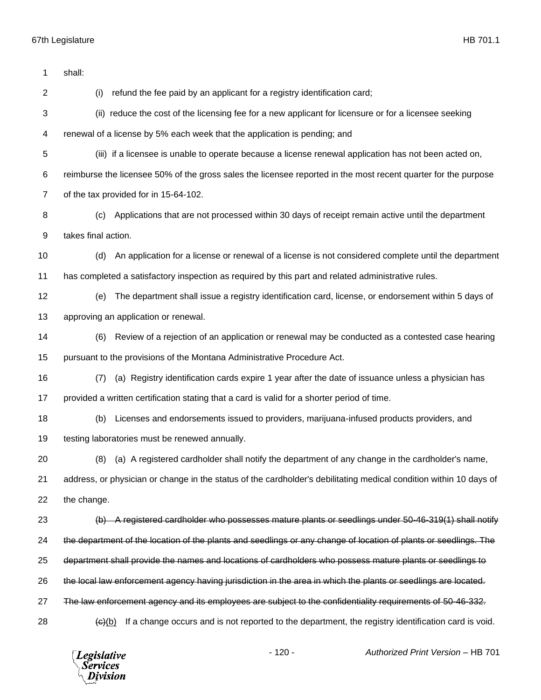shall: (i) refund the fee paid by an applicant for a registry identification card; (ii) reduce the cost of the licensing fee for a new applicant for licensure or for a licensee seeking renewal of a license by 5% each week that the application is pending; and (iii) if a licensee is unable to operate because a license renewal application has not been acted on, reimburse the licensee 50% of the gross sales the licensee reported in the most recent quarter for the purpose of the tax provided for in 15-64-102. (c) Applications that are not processed within 30 days of receipt remain active until the department takes final action. (d) An application for a license or renewal of a license is not considered complete until the department has completed a satisfactory inspection as required by this part and related administrative rules. (e) The department shall issue a registry identification card, license, or endorsement within 5 days of approving an application or renewal. (6) Review of a rejection of an application or renewal may be conducted as a contested case hearing pursuant to the provisions of the Montana Administrative Procedure Act. (7) (a) Registry identification cards expire 1 year after the date of issuance unless a physician has provided a written certification stating that a card is valid for a shorter period of time. (b) Licenses and endorsements issued to providers, marijuana-infused products providers, and 19 testing laboratories must be renewed annually. (8) (a) A registered cardholder shall notify the department of any change in the cardholder's name, address, or physician or change in the status of the cardholder's debilitating medical condition within 10 days of the change. (b) A registered cardholder who possesses mature plants or seedlings under 50-46-319(1) shall notify the department of the location of the plants and seedlings or any change of location of plants or seedlings. The department shall provide the names and locations of cardholders who possess mature plants or seedlings to the local law enforcement agency having jurisdiction in the area in which the plants or seedlings are located. The law enforcement agency and its employees are subject to the confidentiality requirements of 50-46-332.  $\leftarrow$  (e)(b) If a change occurs and is not reported to the department, the registry identification card is void.

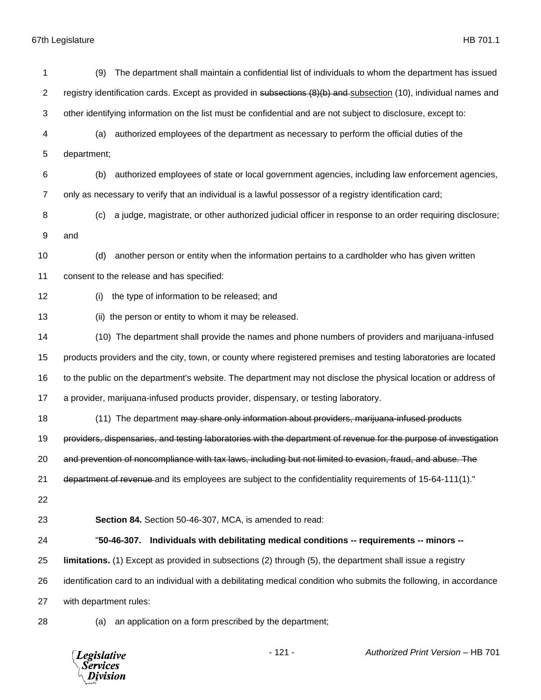| 1  | The department shall maintain a confidential list of individuals to whom the department has issued<br>(9)           |
|----|---------------------------------------------------------------------------------------------------------------------|
| 2  | registry identification cards. Except as provided in subsections (8)(b) and subsection (10), individual names and   |
| 3  | other identifying information on the list must be confidential and are not subject to disclosure, except to:        |
| 4  | authorized employees of the department as necessary to perform the official duties of the<br>(a)                    |
| 5  | department;                                                                                                         |
| 6  | authorized employees of state or local government agencies, including law enforcement agencies,<br>(b)              |
| 7  | only as necessary to verify that an individual is a lawful possessor of a registry identification card;             |
| 8  | a judge, magistrate, or other authorized judicial officer in response to an order requiring disclosure;<br>(c)      |
| 9  | and                                                                                                                 |
| 10 | another person or entity when the information pertains to a cardholder who has given written<br>(d)                 |
| 11 | consent to the release and has specified:                                                                           |
| 12 | the type of information to be released; and<br>(i)                                                                  |
| 13 | the person or entity to whom it may be released.<br>(ii)                                                            |
| 14 | (10) The department shall provide the names and phone numbers of providers and marijuana-infused                    |
| 15 | products providers and the city, town, or county where registered premises and testing laboratories are located     |
| 16 | to the public on the department's website. The department may not disclose the physical location or address of      |
| 17 | a provider, marijuana-infused products provider, dispensary, or testing laboratory.                                 |
| 18 | (11) The department may share only information about providers, marijuana infused products                          |
| 19 | providers, dispensaries, and testing laboratories with the department of revenue for the purpose of investigation   |
| 20 | and prevention of noncompliance with tax laws, including but not limited to evasion, fraud, and abuse. The          |
| 21 | department of revenue and its employees are subject to the confidentiality requirements of 15-64-111(1)."           |
| 22 |                                                                                                                     |
| 23 | Section 84. Section 50-46-307, MCA, is amended to read:                                                             |
| 24 | Individuals with debilitating medical conditions -- requirements -- minors --<br>"50-46-307.                        |
| 25 | limitations. (1) Except as provided in subsections (2) through (5), the department shall issue a registry           |
| 26 | identification card to an individual with a debilitating medical condition who submits the following, in accordance |
| 27 | with department rules:                                                                                              |
| 28 | an application on a form prescribed by the department;<br>(a)                                                       |

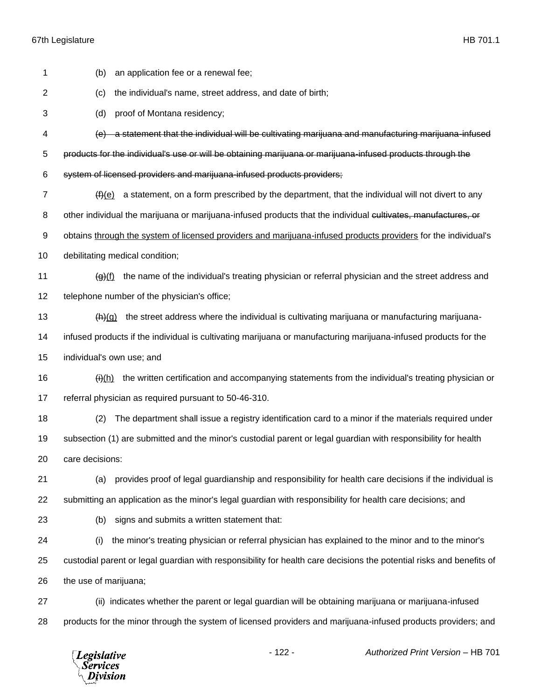| 1              | (b)<br>an application fee or a renewal fee;                                                                                               |
|----------------|-------------------------------------------------------------------------------------------------------------------------------------------|
| 2              | the individual's name, street address, and date of birth;<br>(c)                                                                          |
| 3              | (d)<br>proof of Montana residency;                                                                                                        |
| 4              | (e) a statement that the individual will be cultivating marijuana and manufacturing marijuana-infused                                     |
| 5              | products for the individual's use or will be obtaining marijuana or marijuana-infused products through the                                |
| 6              | system of licensed providers and marijuana-infused products providers;                                                                    |
| $\overline{7}$ | a statement, on a form prescribed by the department, that the individual will not divert to any<br>(f)(e)                                 |
| 8              | other individual the marijuana or marijuana-infused products that the individual cultivates, manufactures, or                             |
| 9              | obtains through the system of licensed providers and marijuana-infused products providers for the individual's                            |
| 10             | debilitating medical condition;                                                                                                           |
| 11             | the name of the individual's treating physician or referral physician and the street address and<br>$\left(\mathbf{g}\right)(\mathbf{f})$ |
| 12             | telephone number of the physician's office;                                                                                               |
| 13             | the street address where the individual is cultivating marijuana or manufacturing marijuana-<br>(h)(g)                                    |
| 14             | infused products if the individual is cultivating marijuana or manufacturing marijuana-infused products for the                           |
| 15             | individual's own use; and                                                                                                                 |
| 16             | the written certification and accompanying statements from the individual's treating physician or<br>$\theta(h)$                          |
| 17             | referral physician as required pursuant to 50-46-310.                                                                                     |
| 18             | The department shall issue a registry identification card to a minor if the materials required under<br>(2)                               |
| 19             | subsection (1) are submitted and the minor's custodial parent or legal guardian with responsibility for health                            |
| 20             | care decisions:                                                                                                                           |
| 21             | provides proof of legal guardianship and responsibility for health care decisions if the individual is<br>(a)                             |
| 22             | submitting an application as the minor's legal guardian with responsibility for health care decisions; and                                |
| 23             | signs and submits a written statement that:<br>(b)                                                                                        |
| 24             | the minor's treating physician or referral physician has explained to the minor and to the minor's<br>(i)                                 |
| 25             | custodial parent or legal guardian with responsibility for health care decisions the potential risks and benefits of                      |
| 26             | the use of marijuana;                                                                                                                     |
| 27             | (ii) indicates whether the parent or legal guardian will be obtaining marijuana or marijuana-infused                                      |
| 28             | products for the minor through the system of licensed providers and marijuana-infused products providers; and                             |
|                |                                                                                                                                           |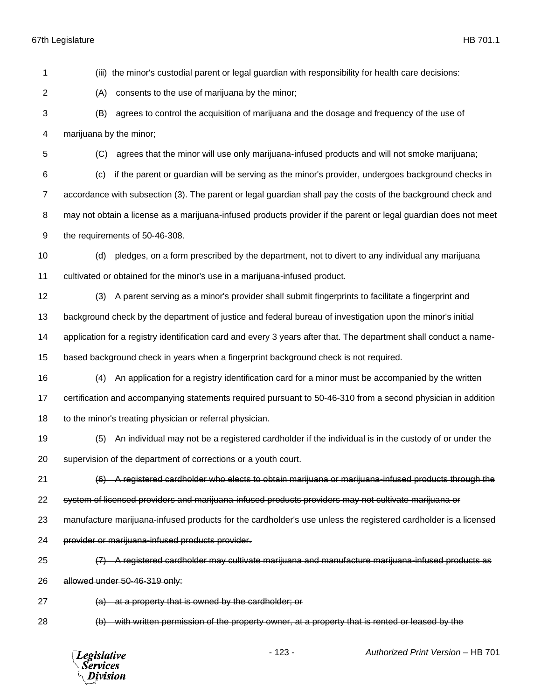**Services** Division

 (iii) the minor's custodial parent or legal guardian with responsibility for health care decisions: (A) consents to the use of marijuana by the minor; (B) agrees to control the acquisition of marijuana and the dosage and frequency of the use of marijuana by the minor; (C) agrees that the minor will use only marijuana-infused products and will not smoke marijuana; (c) if the parent or guardian will be serving as the minor's provider, undergoes background checks in accordance with subsection (3). The parent or legal guardian shall pay the costs of the background check and may not obtain a license as a marijuana-infused products provider if the parent or legal guardian does not meet the requirements of 50-46-308. (d) pledges, on a form prescribed by the department, not to divert to any individual any marijuana cultivated or obtained for the minor's use in a marijuana-infused product. (3) A parent serving as a minor's provider shall submit fingerprints to facilitate a fingerprint and background check by the department of justice and federal bureau of investigation upon the minor's initial application for a registry identification card and every 3 years after that. The department shall conduct a name- based background check in years when a fingerprint background check is not required. (4) An application for a registry identification card for a minor must be accompanied by the written certification and accompanying statements required pursuant to 50-46-310 from a second physician in addition 18 to the minor's treating physician or referral physician. (5) An individual may not be a registered cardholder if the individual is in the custody of or under the supervision of the department of corrections or a youth court. (6) A registered cardholder who elects to obtain marijuana or marijuana-infused products through the system of licensed providers and marijuana-infused products providers may not cultivate marijuana or manufacture marijuana-infused products for the cardholder's use unless the registered cardholder is a licensed provider or marijuana-infused products provider. (7) A registered cardholder may cultivate marijuana and manufacture marijuana-infused products as allowed under 50-46-319 only: (a) at a property that is owned by the cardholder; or (b) with written permission of the property owner, at a property that is rented or leased by the - 123 - *Authorized Print Version* – HB 701 **Legislative**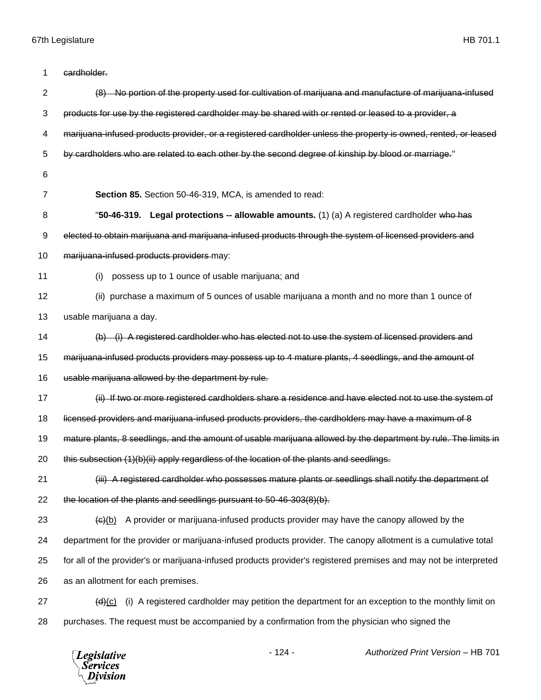| 1              | cardholder.                                                                                                       |
|----------------|-------------------------------------------------------------------------------------------------------------------|
| $\overline{2}$ | (8) No portion of the property used for cultivation of marijuana and manufacture of marijuana-infused             |
| 3              | products for use by the registered cardholder may be shared with or rented or leased to a provider, a             |
| 4              | marijuana-infused products provider, or a registered cardholder unless the property is owned, rented, or leased   |
| 5              | by cardholders who are related to each other by the second degree of kinship by blood or marriage."               |
| 6              |                                                                                                                   |
| $\overline{7}$ | Section 85. Section 50-46-319, MCA, is amended to read:                                                           |
| 8              | "50-46-319. Legal protections -- allowable amounts. (1) (a) A registered cardholder who has                       |
| 9              | elected to obtain marijuana and marijuana-infused products through the system of licensed providers and           |
| 10             | marijuana-infused products providers may:                                                                         |
| 11             | possess up to 1 ounce of usable marijuana; and<br>(i)                                                             |
| 12             | (ii) purchase a maximum of 5 ounces of usable marijuana a month and no more than 1 ounce of                       |
| 13             | usable marijuana a day.                                                                                           |
| 14             | (b) (i) A registered cardholder who has elected not to use the system of licensed providers and                   |
| 15             | marijuana-infused products providers may possess up to 4 mature plants, 4 seedlings, and the amount of            |
| 16             | usable marijuana allowed by the department by rule.                                                               |
| 17             | (ii) If two or more registered cardholders share a residence and have elected not to use the system of            |
| 18             | licensed providers and marijuana infused products providers, the cardholders may have a maximum of 8              |
| 19             | mature plants, 8 seedlings, and the amount of usable marijuana allowed by the department by rule. The limits in   |
| 20             | this subsection (1)(b)(ii) apply regardless of the location of the plants and seedlings.                          |
| 21             | (iii) A registered cardholder who possesses mature plants or seedlings shall notify the department of             |
| 22             | the location of the plants and seedlings pursuant to 50-46-303(8)(b).                                             |
| 23             | A provider or marijuana-infused products provider may have the canopy allowed by the<br>(e)(b)                    |
| 24             | department for the provider or marijuana-infused products provider. The canopy allotment is a cumulative total    |
| 25             | for all of the provider's or marijuana-infused products provider's registered premises and may not be interpreted |
| 26             | as an allotment for each premises.                                                                                |
| 27             | (i) A registered cardholder may petition the department for an exception to the monthly limit on<br>(d)(c)        |
| 28             | purchases. The request must be accompanied by a confirmation from the physician who signed the                    |
|                |                                                                                                                   |

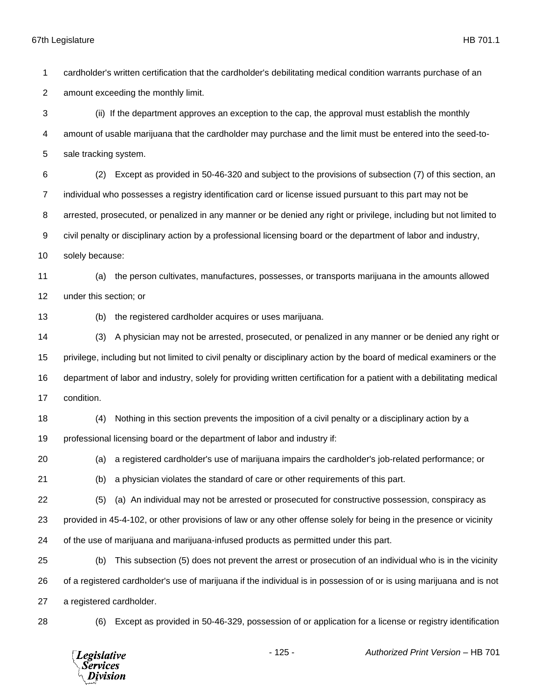cardholder's written certification that the cardholder's debilitating medical condition warrants purchase of an

amount exceeding the monthly limit.

 (ii) If the department approves an exception to the cap, the approval must establish the monthly amount of usable marijuana that the cardholder may purchase and the limit must be entered into the seed-to-sale tracking system.

 (2) Except as provided in 50-46-320 and subject to the provisions of subsection (7) of this section, an individual who possesses a registry identification card or license issued pursuant to this part may not be arrested, prosecuted, or penalized in any manner or be denied any right or privilege, including but not limited to civil penalty or disciplinary action by a professional licensing board or the department of labor and industry,

solely because:

 (a) the person cultivates, manufactures, possesses, or transports marijuana in the amounts allowed under this section; or

(b) the registered cardholder acquires or uses marijuana.

 (3) A physician may not be arrested, prosecuted, or penalized in any manner or be denied any right or privilege, including but not limited to civil penalty or disciplinary action by the board of medical examiners or the department of labor and industry, solely for providing written certification for a patient with a debilitating medical condition.

 (4) Nothing in this section prevents the imposition of a civil penalty or a disciplinary action by a professional licensing board or the department of labor and industry if:

(a) a registered cardholder's use of marijuana impairs the cardholder's job-related performance; or

(b) a physician violates the standard of care or other requirements of this part.

(5) (a) An individual may not be arrested or prosecuted for constructive possession, conspiracy as

provided in 45-4-102, or other provisions of law or any other offense solely for being in the presence or vicinity

of the use of marijuana and marijuana-infused products as permitted under this part.

 (b) This subsection (5) does not prevent the arrest or prosecution of an individual who is in the vicinity of a registered cardholder's use of marijuana if the individual is in possession of or is using marijuana and is not a registered cardholder.

(6) Except as provided in 50-46-329, possession of or application for a license or registry identification

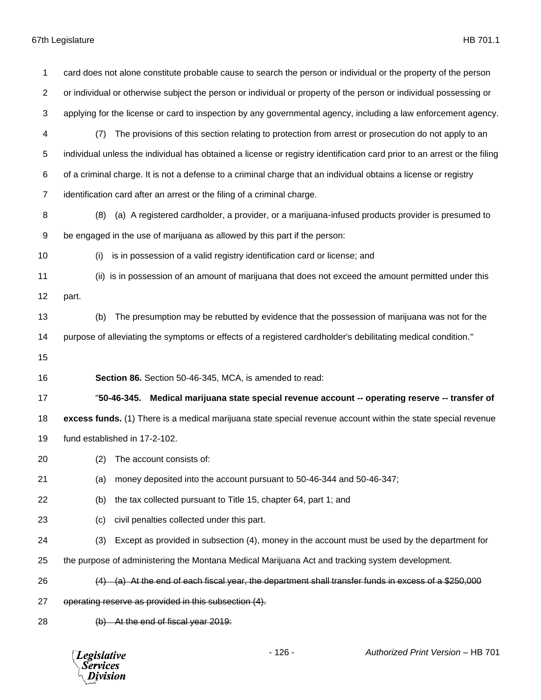| 1              | card does not alone constitute probable cause to search the person or individual or the property of the person           |
|----------------|--------------------------------------------------------------------------------------------------------------------------|
| $\overline{2}$ | or individual or otherwise subject the person or individual or property of the person or individual possessing or        |
| 3              | applying for the license or card to inspection by any governmental agency, including a law enforcement agency.           |
| 4              | The provisions of this section relating to protection from arrest or prosecution do not apply to an<br>(7)               |
| 5              | individual unless the individual has obtained a license or registry identification card prior to an arrest or the filing |
| 6              | of a criminal charge. It is not a defense to a criminal charge that an individual obtains a license or registry          |
| $\overline{7}$ | identification card after an arrest or the filing of a criminal charge.                                                  |
| 8              | (a) A registered cardholder, a provider, or a marijuana-infused products provider is presumed to<br>(8)                  |
| 9              | be engaged in the use of marijuana as allowed by this part if the person:                                                |
| 10             | is in possession of a valid registry identification card or license; and<br>(i)                                          |
| 11             | (ii) is in possession of an amount of marijuana that does not exceed the amount permitted under this                     |
| 12             | part.                                                                                                                    |
| 13             | The presumption may be rebutted by evidence that the possession of marijuana was not for the<br>(b)                      |
| 14             | purpose of alleviating the symptoms or effects of a registered cardholder's debilitating medical condition."             |
| 15             |                                                                                                                          |
| 16             | Section 86. Section 50-46-345, MCA, is amended to read:                                                                  |
| 17             | "50-46-345. Medical marijuana state special revenue account -- operating reserve -- transfer of                          |
| 18             | excess funds. (1) There is a medical marijuana state special revenue account within the state special revenue            |
| 19             | fund established in 17-2-102.                                                                                            |
| 20             | (2)<br>The account consists of:                                                                                          |
| 21             | money deposited into the account pursuant to 50-46-344 and 50-46-347;<br>(a)                                             |
| 22             | the tax collected pursuant to Title 15, chapter 64, part 1; and<br>(b)                                                   |
| 23             | civil penalties collected under this part.<br>(c)                                                                        |
| 24             | (3)<br>Except as provided in subsection (4), money in the account must be used by the department for                     |
| 25             | the purpose of administering the Montana Medical Marijuana Act and tracking system development.                          |
| 26             | (a) At the end of each fiscal year, the department shall transfer funds in excess of a \$250,000                         |
| 27             | operating reserve as provided in this subsection (4).                                                                    |
|                |                                                                                                                          |
| 28             | (b) At the end of fiscal year 2019:                                                                                      |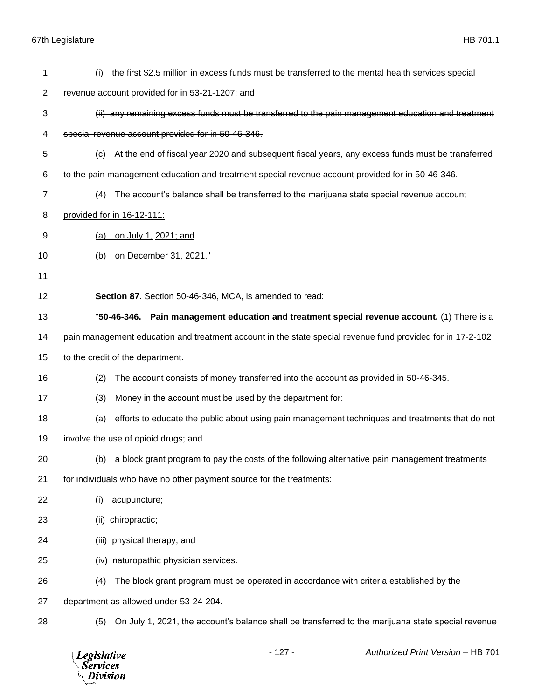| 1              | (i) the first \$2.5 million in excess funds must be transferred to the mental health services special      |
|----------------|------------------------------------------------------------------------------------------------------------|
| $\overline{c}$ | revenue account provided for in 53-21-1207; and                                                            |
|                |                                                                                                            |
| 3              | (ii) any remaining excess funds must be transferred to the pain management education and treatment         |
| 4              | special revenue account provided for in 50-46-346.                                                         |
| 5              | (c) At the end of fiscal year 2020 and subsequent fiscal years, any excess funds must be transferred       |
| 6              | to the pain management education and treatment special revenue account provided for in 50-46-346.          |
| 7              | The account's balance shall be transferred to the marijuana state special revenue account<br>(4)           |
| 8              | provided for in 16-12-111:                                                                                 |
| 9              | on July 1, 2021; and<br>(a)                                                                                |
| 10             | on December 31, 2021."<br>(b)                                                                              |
| 11             |                                                                                                            |
| 12             | Section 87. Section 50-46-346, MCA, is amended to read:                                                    |
| 13             | Pain management education and treatment special revenue account. (1) There is a<br>"50-46-346.             |
| 14             | pain management education and treatment account in the state special revenue fund provided for in 17-2-102 |
| 15             | to the credit of the department.                                                                           |
| 16             | The account consists of money transferred into the account as provided in 50-46-345.<br>(2)                |
| 17             | (3)<br>Money in the account must be used by the department for:                                            |
| 18             | efforts to educate the public about using pain management techniques and treatments that do not<br>(a)     |
| 19             | involve the use of opioid drugs; and                                                                       |
| 20             | a block grant program to pay the costs of the following alternative pain management treatments<br>(b)      |
| 21             | for individuals who have no other payment source for the treatments:                                       |
| 22             | acupuncture;<br>(i)                                                                                        |
| 23             | (ii) chiropractic;                                                                                         |
| 24             | (iii) physical therapy; and                                                                                |
| 25             | (iv) naturopathic physician services.                                                                      |
| 26             | The block grant program must be operated in accordance with criteria established by the<br>(4)             |
| 27             | department as allowed under 53-24-204.                                                                     |
| 28             | On July 1, 2021, the account's balance shall be transferred to the marijuana state special revenue<br>(5)  |
|                |                                                                                                            |

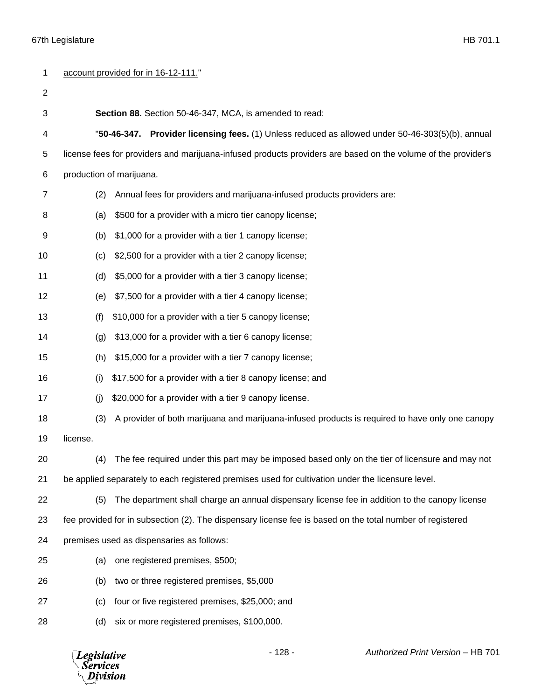|                | account provided for in 16-12-111."                                                                           |  |
|----------------|---------------------------------------------------------------------------------------------------------------|--|
| $\overline{2}$ |                                                                                                               |  |
| 3              | Section 88. Section 50-46-347, MCA, is amended to read:                                                       |  |
| 4              | "50-46-347. Provider licensing fees. (1) Unless reduced as allowed under 50-46-303(5)(b), annual              |  |
| 5              | license fees for providers and marijuana-infused products providers are based on the volume of the provider's |  |
| 6              | production of marijuana.                                                                                      |  |
| 7              | Annual fees for providers and marijuana-infused products providers are:<br>(2)                                |  |
| 8              | \$500 for a provider with a micro tier canopy license;<br>(a)                                                 |  |
| 9              | \$1,000 for a provider with a tier 1 canopy license;<br>(b)                                                   |  |
| 10             | \$2,500 for a provider with a tier 2 canopy license;<br>(c)                                                   |  |
| 11             | \$5,000 for a provider with a tier 3 canopy license;<br>(d)                                                   |  |
| 12             | \$7,500 for a provider with a tier 4 canopy license;<br>(e)                                                   |  |
| 13             | \$10,000 for a provider with a tier 5 canopy license;<br>(f)                                                  |  |
| 14             | \$13,000 for a provider with a tier 6 canopy license;<br>(g)                                                  |  |
| 15             | \$15,000 for a provider with a tier 7 canopy license;<br>(h)                                                  |  |
| 16             | \$17,500 for a provider with a tier 8 canopy license; and<br>(i)                                              |  |
| 17             | \$20,000 for a provider with a tier 9 canopy license.<br>(i)                                                  |  |
| 18             | (3)<br>A provider of both marijuana and marijuana-infused products is required to have only one canopy        |  |
| 19             | license.                                                                                                      |  |
| 20             | The fee required under this part may be imposed based only on the tier of licensure and may not<br>(4)        |  |
| 21             | be applied separately to each registered premises used for cultivation under the licensure level.             |  |
| 22             | The department shall charge an annual dispensary license fee in addition to the canopy license<br>(5)         |  |
| 23             | fee provided for in subsection (2). The dispensary license fee is based on the total number of registered     |  |
| 24             | premises used as dispensaries as follows:                                                                     |  |
| 25             | one registered premises, \$500;<br>(a)                                                                        |  |
| 26             | two or three registered premises, \$5,000<br>(b)                                                              |  |
| 27             | four or five registered premises, \$25,000; and<br>(c)                                                        |  |
| 28             | six or more registered premises, \$100,000.<br>(d)                                                            |  |

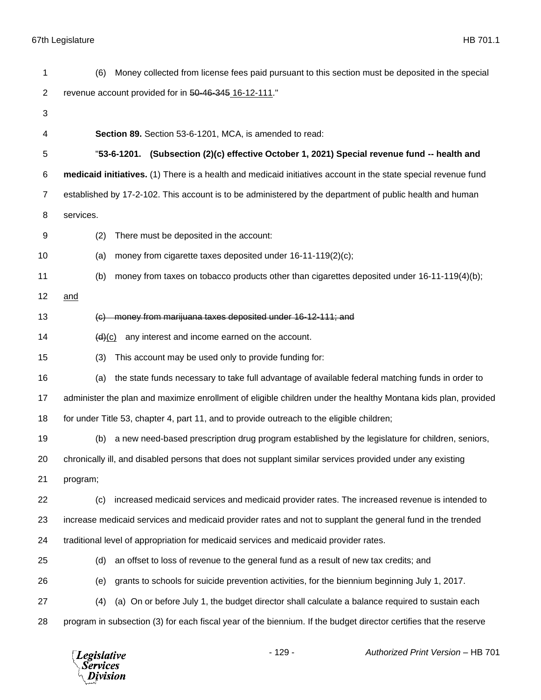| 1              | Money collected from license fees paid pursuant to this section must be deposited in the special<br>(6)           |  |  |
|----------------|-------------------------------------------------------------------------------------------------------------------|--|--|
| $\overline{c}$ | revenue account provided for in 50-46-345 16-12-111."                                                             |  |  |
| 3              |                                                                                                                   |  |  |
| 4              | Section 89. Section 53-6-1201, MCA, is amended to read:                                                           |  |  |
| 5              | "53-6-1201. (Subsection (2)(c) effective October 1, 2021) Special revenue fund -- health and                      |  |  |
| 6              | medicaid initiatives. (1) There is a health and medicaid initiatives account in the state special revenue fund    |  |  |
| $\overline{7}$ | established by 17-2-102. This account is to be administered by the department of public health and human          |  |  |
| 8              | services.                                                                                                         |  |  |
| 9              | (2)<br>There must be deposited in the account:                                                                    |  |  |
| 10             | money from cigarette taxes deposited under 16-11-119(2)(c);<br>(a)                                                |  |  |
| 11             | money from taxes on tobacco products other than cigarettes deposited under 16-11-119(4)(b);<br>(b)                |  |  |
| 12             | and                                                                                                               |  |  |
| 13             | (c) money from marijuana taxes deposited under 16-12-111; and                                                     |  |  |
| 14             | any interest and income earned on the account.<br>(d)(c)                                                          |  |  |
| 15             | This account may be used only to provide funding for:<br>(3)                                                      |  |  |
| 16             | the state funds necessary to take full advantage of available federal matching funds in order to<br>(a)           |  |  |
| 17             | administer the plan and maximize enrollment of eligible children under the healthy Montana kids plan, provided    |  |  |
| 18             | for under Title 53, chapter 4, part 11, and to provide outreach to the eligible children;                         |  |  |
| 19             | a new need-based prescription drug program established by the legislature for children, seniors,<br>(b)           |  |  |
| 20             | chronically ill, and disabled persons that does not supplant similar services provided under any existing         |  |  |
| 21             | program;                                                                                                          |  |  |
| 22             | increased medicaid services and medicaid provider rates. The increased revenue is intended to<br>(c)              |  |  |
| 23             | increase medicaid services and medicaid provider rates and not to supplant the general fund in the trended        |  |  |
| 24             | traditional level of appropriation for medicaid services and medicaid provider rates.                             |  |  |
| 25             | an offset to loss of revenue to the general fund as a result of new tax credits; and<br>(d)                       |  |  |
| 26             | grants to schools for suicide prevention activities, for the biennium beginning July 1, 2017.<br>(e)              |  |  |
| 27             | (a) On or before July 1, the budget director shall calculate a balance required to sustain each<br>(4)            |  |  |
| 28             | program in subsection (3) for each fiscal year of the biennium. If the budget director certifies that the reserve |  |  |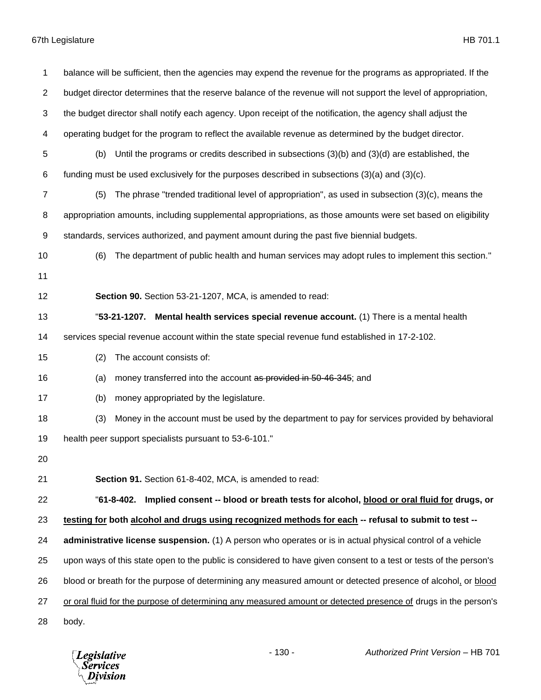| 1              | balance will be sufficient, then the agencies may expend the revenue for the programs as appropriated. If the     |  |  |
|----------------|-------------------------------------------------------------------------------------------------------------------|--|--|
| $\overline{c}$ | budget director determines that the reserve balance of the revenue will not support the level of appropriation,   |  |  |
| 3              | the budget director shall notify each agency. Upon receipt of the notification, the agency shall adjust the       |  |  |
| 4              | operating budget for the program to reflect the available revenue as determined by the budget director.           |  |  |
| 5              | Until the programs or credits described in subsections $(3)(b)$ and $(3)(d)$ are established, the<br>(b)          |  |  |
| 6              | funding must be used exclusively for the purposes described in subsections $(3)(a)$ and $(3)(c)$ .                |  |  |
| $\overline{7}$ | The phrase "trended traditional level of appropriation", as used in subsection (3)(c), means the<br>(5)           |  |  |
| 8              | appropriation amounts, including supplemental appropriations, as those amounts were set based on eligibility      |  |  |
| 9              | standards, services authorized, and payment amount during the past five biennial budgets.                         |  |  |
| 10             | The department of public health and human services may adopt rules to implement this section."<br>(6)             |  |  |
| 11             |                                                                                                                   |  |  |
| 12             | Section 90. Section 53-21-1207, MCA, is amended to read:                                                          |  |  |
| 13             | "53-21-1207. Mental health services special revenue account. (1) There is a mental health                         |  |  |
| 14             | services special revenue account within the state special revenue fund established in 17-2-102.                   |  |  |
| 15             | (2)<br>The account consists of:                                                                                   |  |  |
| 16             | money transferred into the account as provided in 50-46-345; and<br>(a)                                           |  |  |
| 17             | money appropriated by the legislature.<br>(b)                                                                     |  |  |
| 18             | Money in the account must be used by the department to pay for services provided by behavioral<br>(3)             |  |  |
| 19             | health peer support specialists pursuant to 53-6-101."                                                            |  |  |
| 20             |                                                                                                                   |  |  |
| 21             | Section 91. Section 61-8-402, MCA, is amended to read:                                                            |  |  |
| 22             | "61-8-402. Implied consent -- blood or breath tests for alcohol, blood or oral fluid for drugs, or                |  |  |
| 23             | testing for both alcohol and drugs using recognized methods for each -- refusal to submit to test --              |  |  |
| 24             | administrative license suspension. (1) A person who operates or is in actual physical control of a vehicle        |  |  |
| 25             | upon ways of this state open to the public is considered to have given consent to a test or tests of the person's |  |  |
| 26             | blood or breath for the purpose of determining any measured amount or detected presence of alcohol, or blood      |  |  |
| 27             | or oral fluid for the purpose of determining any measured amount or detected presence of drugs in the person's    |  |  |
| 28             | body.                                                                                                             |  |  |

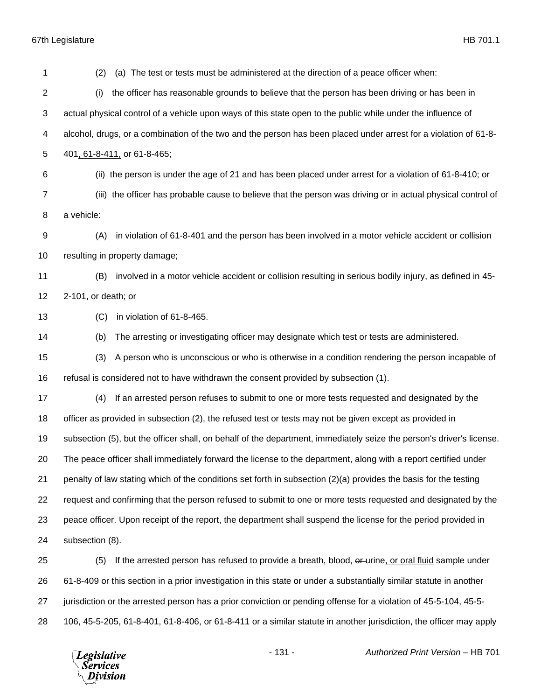| 1                       | (a) The test or tests must be administered at the direction of a peace officer when:<br>(2)                          |  |  |
|-------------------------|----------------------------------------------------------------------------------------------------------------------|--|--|
| $\overline{\mathbf{c}}$ | the officer has reasonable grounds to believe that the person has been driving or has been in<br>(i)                 |  |  |
| 3                       | actual physical control of a vehicle upon ways of this state open to the public while under the influence of         |  |  |
| 4                       | alcohol, drugs, or a combination of the two and the person has been placed under arrest for a violation of 61-8-     |  |  |
| 5                       | 401, 61-8-411, or 61-8-465;                                                                                          |  |  |
| 6                       | (ii) the person is under the age of 21 and has been placed under arrest for a violation of 61-8-410; or              |  |  |
| $\overline{7}$          | (iii) the officer has probable cause to believe that the person was driving or in actual physical control of         |  |  |
| 8                       | a vehicle:                                                                                                           |  |  |
| 9                       | in violation of 61-8-401 and the person has been involved in a motor vehicle accident or collision<br>(A)            |  |  |
| 10                      | resulting in property damage;                                                                                        |  |  |
| 11                      | involved in a motor vehicle accident or collision resulting in serious bodily injury, as defined in 45-<br>(B)       |  |  |
| 12                      | 2-101, or death; or                                                                                                  |  |  |
| 13                      | in violation of 61-8-465.<br>(C)                                                                                     |  |  |
| 14                      | (b)<br>The arresting or investigating officer may designate which test or tests are administered.                    |  |  |
| 15                      | (3)<br>A person who is unconscious or who is otherwise in a condition rendering the person incapable of              |  |  |
| 16                      | refusal is considered not to have withdrawn the consent provided by subsection (1).                                  |  |  |
| 17                      | If an arrested person refuses to submit to one or more tests requested and designated by the<br>(4)                  |  |  |
| 18                      | officer as provided in subsection (2), the refused test or tests may not be given except as provided in              |  |  |
| 19                      | subsection (5), but the officer shall, on behalf of the department, immediately seize the person's driver's license. |  |  |
| 20                      | The peace officer shall immediately forward the license to the department, along with a report certified under       |  |  |
| 21                      | penalty of law stating which of the conditions set forth in subsection (2)(a) provides the basis for the testing     |  |  |
| 22                      | request and confirming that the person refused to submit to one or more tests requested and designated by the        |  |  |
| 23                      | peace officer. Upon receipt of the report, the department shall suspend the license for the period provided in       |  |  |
| 24                      | subsection (8).                                                                                                      |  |  |
| 25                      | If the arrested person has refused to provide a breath, blood, of urine, or oral fluid sample under<br>(5)           |  |  |
| 26                      | 61-8-409 or this section in a prior investigation in this state or under a substantially similar statute in another  |  |  |
| 27                      | jurisdiction or the arrested person has a prior conviction or pending offense for a violation of 45-5-104, 45-5-     |  |  |
| 28                      | 106, 45-5-205, 61-8-401, 61-8-406, or 61-8-411 or a similar statute in another jurisdiction, the officer may apply   |  |  |
|                         |                                                                                                                      |  |  |

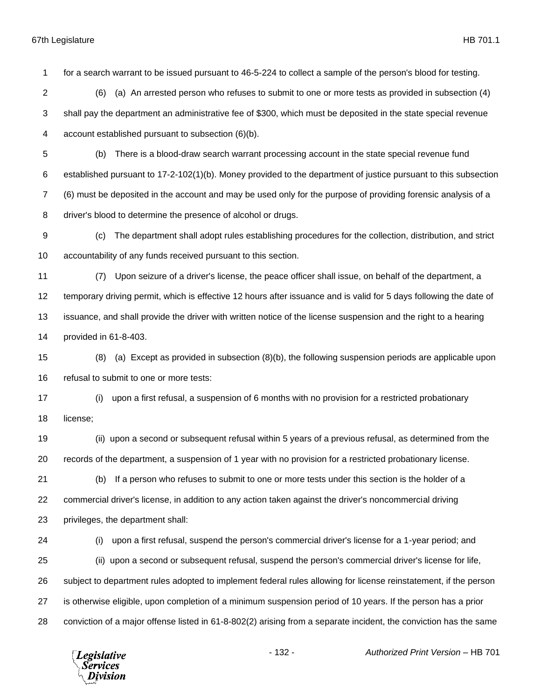for a search warrant to be issued pursuant to 46-5-224 to collect a sample of the person's blood for testing.

 (6) (a) An arrested person who refuses to submit to one or more tests as provided in subsection (4) shall pay the department an administrative fee of \$300, which must be deposited in the state special revenue

account established pursuant to subsection (6)(b).

- (b) There is a blood-draw search warrant processing account in the state special revenue fund established pursuant to 17-2-102(1)(b). Money provided to the department of justice pursuant to this subsection (6) must be deposited in the account and may be used only for the purpose of providing forensic analysis of a driver's blood to determine the presence of alcohol or drugs.
- (c) The department shall adopt rules establishing procedures for the collection, distribution, and strict accountability of any funds received pursuant to this section.
- (7) Upon seizure of a driver's license, the peace officer shall issue, on behalf of the department, a temporary driving permit, which is effective 12 hours after issuance and is valid for 5 days following the date of issuance, and shall provide the driver with written notice of the license suspension and the right to a hearing provided in 61-8-403.
- (8) (a) Except as provided in subsection (8)(b), the following suspension periods are applicable upon refusal to submit to one or more tests:
- (i) upon a first refusal, a suspension of 6 months with no provision for a restricted probationary license;
- (ii) upon a second or subsequent refusal within 5 years of a previous refusal, as determined from the records of the department, a suspension of 1 year with no provision for a restricted probationary license.
- (b) If a person who refuses to submit to one or more tests under this section is the holder of a commercial driver's license, in addition to any action taken against the driver's noncommercial driving privileges, the department shall:
- (i) upon a first refusal, suspend the person's commercial driver's license for a 1-year period; and (ii) upon a second or subsequent refusal, suspend the person's commercial driver's license for life, subject to department rules adopted to implement federal rules allowing for license reinstatement, if the person is otherwise eligible, upon completion of a minimum suspension period of 10 years. If the person has a prior conviction of a major offense listed in 61-8-802(2) arising from a separate incident, the conviction has the same

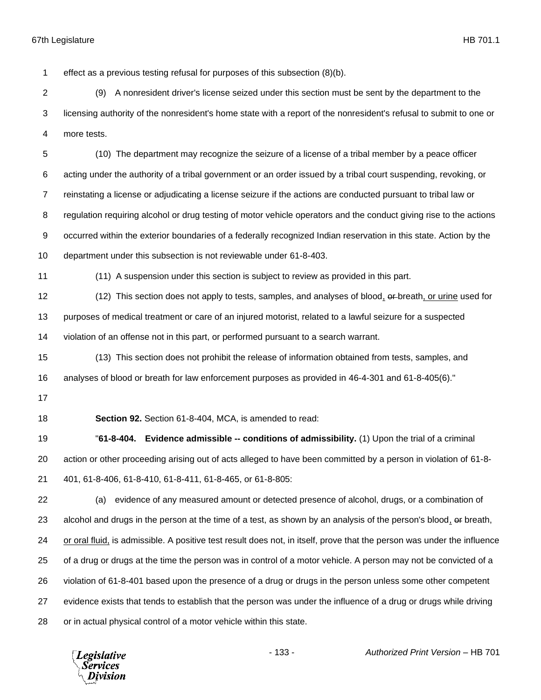effect as a previous testing refusal for purposes of this subsection (8)(b).

 (9) A nonresident driver's license seized under this section must be sent by the department to the licensing authority of the nonresident's home state with a report of the nonresident's refusal to submit to one or more tests.

 (10) The department may recognize the seizure of a license of a tribal member by a peace officer acting under the authority of a tribal government or an order issued by a tribal court suspending, revoking, or reinstating a license or adjudicating a license seizure if the actions are conducted pursuant to tribal law or regulation requiring alcohol or drug testing of motor vehicle operators and the conduct giving rise to the actions occurred within the exterior boundaries of a federally recognized Indian reservation in this state. Action by the department under this subsection is not reviewable under 61-8-403.

(11) A suspension under this section is subject to review as provided in this part.

12 (12) This section does not apply to tests, samples, and analyses of blood, or breath, or urine used for purposes of medical treatment or care of an injured motorist, related to a lawful seizure for a suspected violation of an offense not in this part, or performed pursuant to a search warrant.

 (13) This section does not prohibit the release of information obtained from tests, samples, and analyses of blood or breath for law enforcement purposes as provided in 46-4-301 and 61-8-405(6)."

**Section 92.** Section 61-8-404, MCA, is amended to read:

 "**61-8-404. Evidence admissible -- conditions of admissibility.** (1) Upon the trial of a criminal action or other proceeding arising out of acts alleged to have been committed by a person in violation of 61-8- 401, 61-8-406, 61-8-410, 61-8-411, 61-8-465, or 61-8-805:

 (a) evidence of any measured amount or detected presence of alcohol, drugs, or a combination of 23 alcohol and drugs in the person at the time of a test, as shown by an analysis of the person's blood, or breath, or oral fluid, is admissible. A positive test result does not, in itself, prove that the person was under the influence of a drug or drugs at the time the person was in control of a motor vehicle. A person may not be convicted of a violation of 61-8-401 based upon the presence of a drug or drugs in the person unless some other competent evidence exists that tends to establish that the person was under the influence of a drug or drugs while driving or in actual physical control of a motor vehicle within this state.

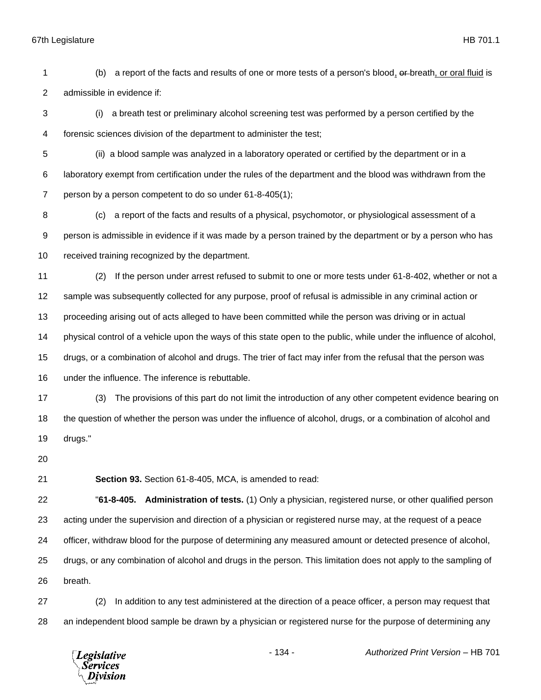(b) a report of the facts and results of one or more tests of a person's blood, or breath, or oral fluid is admissible in evidence if:

 (i) a breath test or preliminary alcohol screening test was performed by a person certified by the forensic sciences division of the department to administer the test;

 (ii) a blood sample was analyzed in a laboratory operated or certified by the department or in a laboratory exempt from certification under the rules of the department and the blood was withdrawn from the person by a person competent to do so under 61-8-405(1);

 (c) a report of the facts and results of a physical, psychomotor, or physiological assessment of a person is admissible in evidence if it was made by a person trained by the department or by a person who has received training recognized by the department.

 (2) If the person under arrest refused to submit to one or more tests under 61-8-402, whether or not a sample was subsequently collected for any purpose, proof of refusal is admissible in any criminal action or proceeding arising out of acts alleged to have been committed while the person was driving or in actual physical control of a vehicle upon the ways of this state open to the public, while under the influence of alcohol, drugs, or a combination of alcohol and drugs. The trier of fact may infer from the refusal that the person was under the influence. The inference is rebuttable.

 (3) The provisions of this part do not limit the introduction of any other competent evidence bearing on the question of whether the person was under the influence of alcohol, drugs, or a combination of alcohol and drugs."

**Section 93.** Section 61-8-405, MCA, is amended to read:

 "**61-8-405. Administration of tests.** (1) Only a physician, registered nurse, or other qualified person acting under the supervision and direction of a physician or registered nurse may, at the request of a peace officer, withdraw blood for the purpose of determining any measured amount or detected presence of alcohol, drugs, or any combination of alcohol and drugs in the person. This limitation does not apply to the sampling of breath.

 (2) In addition to any test administered at the direction of a peace officer, a person may request that an independent blood sample be drawn by a physician or registered nurse for the purpose of determining any

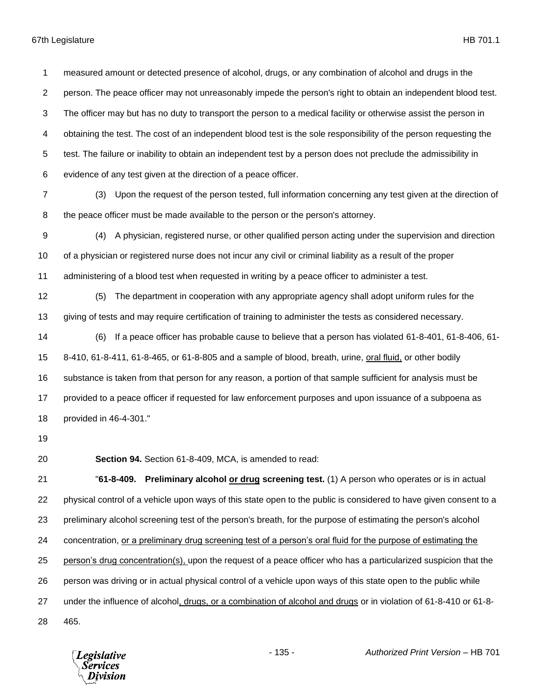measured amount or detected presence of alcohol, drugs, or any combination of alcohol and drugs in the person. The peace officer may not unreasonably impede the person's right to obtain an independent blood test. The officer may but has no duty to transport the person to a medical facility or otherwise assist the person in obtaining the test. The cost of an independent blood test is the sole responsibility of the person requesting the test. The failure or inability to obtain an independent test by a person does not preclude the admissibility in evidence of any test given at the direction of a peace officer.

- (3) Upon the request of the person tested, full information concerning any test given at the direction of the peace officer must be made available to the person or the person's attorney.
- (4) A physician, registered nurse, or other qualified person acting under the supervision and direction of a physician or registered nurse does not incur any civil or criminal liability as a result of the proper administering of a blood test when requested in writing by a peace officer to administer a test.
- (5) The department in cooperation with any appropriate agency shall adopt uniform rules for the giving of tests and may require certification of training to administer the tests as considered necessary.
- (6) If a peace officer has probable cause to believe that a person has violated 61-8-401, 61-8-406, 61- 8-410, 61-8-411, 61-8-465, or 61-8-805 and a sample of blood, breath, urine, oral fluid, or other bodily substance is taken from that person for any reason, a portion of that sample sufficient for analysis must be provided to a peace officer if requested for law enforcement purposes and upon issuance of a subpoena as provided in 46-4-301."
- 
- 

**Section 94.** Section 61-8-409, MCA, is amended to read:

 "**61-8-409. Preliminary alcohol or drug screening test.** (1) A person who operates or is in actual physical control of a vehicle upon ways of this state open to the public is considered to have given consent to a preliminary alcohol screening test of the person's breath, for the purpose of estimating the person's alcohol concentration, or a preliminary drug screening test of a person's oral fluid for the purpose of estimating the person's drug concentration(s), upon the request of a peace officer who has a particularized suspicion that the person was driving or in actual physical control of a vehicle upon ways of this state open to the public while under the influence of alcohol, drugs, or a combination of alcohol and drugs or in violation of 61-8-410 or 61-8- 465.

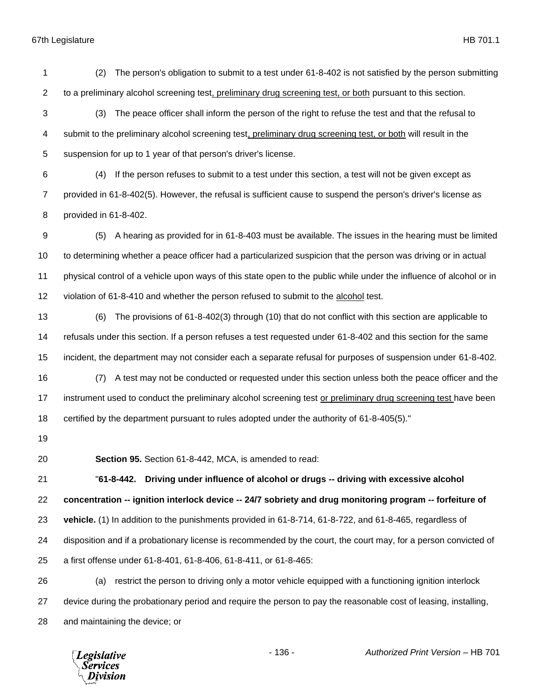(2) The person's obligation to submit to a test under 61-8-402 is not satisfied by the person submitting to a preliminary alcohol screening test, preliminary drug screening test, or both pursuant to this section.

- (3) The peace officer shall inform the person of the right to refuse the test and that the refusal to submit to the preliminary alcohol screening test, preliminary drug screening test, or both will result in the suspension for up to 1 year of that person's driver's license.
- (4) If the person refuses to submit to a test under this section, a test will not be given except as provided in 61-8-402(5). However, the refusal is sufficient cause to suspend the person's driver's license as provided in 61-8-402.
- (5) A hearing as provided for in 61-8-403 must be available. The issues in the hearing must be limited to determining whether a peace officer had a particularized suspicion that the person was driving or in actual physical control of a vehicle upon ways of this state open to the public while under the influence of alcohol or in violation of 61-8-410 and whether the person refused to submit to the alcohol test.
- (6) The provisions of 61-8-402(3) through (10) that do not conflict with this section are applicable to refusals under this section. If a person refuses a test requested under 61-8-402 and this section for the same incident, the department may not consider each a separate refusal for purposes of suspension under 61-8-402.
- (7) A test may not be conducted or requested under this section unless both the peace officer and the 17 instrument used to conduct the preliminary alcohol screening test or preliminary drug screening test have been certified by the department pursuant to rules adopted under the authority of 61-8-405(5)."
- 
- 

**Section 95.** Section 61-8-442, MCA, is amended to read:

 "**61-8-442. Driving under influence of alcohol or drugs -- driving with excessive alcohol concentration -- ignition interlock device -- 24/7 sobriety and drug monitoring program -- forfeiture of vehicle.** (1) In addition to the punishments provided in 61-8-714, 61-8-722, and 61-8-465, regardless of disposition and if a probationary license is recommended by the court, the court may, for a person convicted of a first offense under 61-8-401, 61-8-406, 61-8-411, or 61-8-465:

 (a) restrict the person to driving only a motor vehicle equipped with a functioning ignition interlock device during the probationary period and require the person to pay the reasonable cost of leasing, installing, and maintaining the device; or

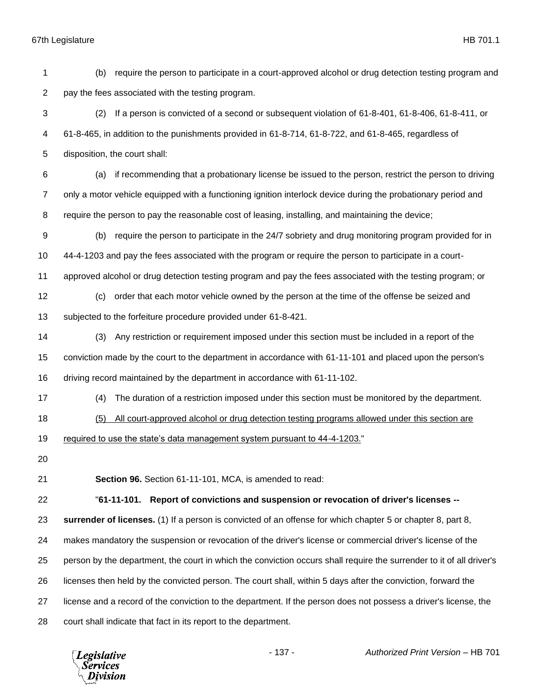(b) require the person to participate in a court-approved alcohol or drug detection testing program and pay the fees associated with the testing program. (2) If a person is convicted of a second or subsequent violation of 61-8-401, 61-8-406, 61-8-411, or 61-8-465, in addition to the punishments provided in 61-8-714, 61-8-722, and 61-8-465, regardless of disposition, the court shall: (a) if recommending that a probationary license be issued to the person, restrict the person to driving only a motor vehicle equipped with a functioning ignition interlock device during the probationary period and require the person to pay the reasonable cost of leasing, installing, and maintaining the device; (b) require the person to participate in the 24/7 sobriety and drug monitoring program provided for in 44-4-1203 and pay the fees associated with the program or require the person to participate in a court- approved alcohol or drug detection testing program and pay the fees associated with the testing program; or (c) order that each motor vehicle owned by the person at the time of the offense be seized and subjected to the forfeiture procedure provided under 61-8-421. (3) Any restriction or requirement imposed under this section must be included in a report of the conviction made by the court to the department in accordance with 61-11-101 and placed upon the person's driving record maintained by the department in accordance with 61-11-102. (4) The duration of a restriction imposed under this section must be monitored by the department. (5) All court-approved alcohol or drug detection testing programs allowed under this section are required to use the state's data management system pursuant to 44-4-1203." **Section 96.** Section 61-11-101, MCA, is amended to read: "**61-11-101. Report of convictions and suspension or revocation of driver's licenses -- surrender of licenses.** (1) If a person is convicted of an offense for which chapter 5 or chapter 8, part 8, makes mandatory the suspension or revocation of the driver's license or commercial driver's license of the person by the department, the court in which the conviction occurs shall require the surrender to it of all driver's licenses then held by the convicted person. The court shall, within 5 days after the conviction, forward the license and a record of the conviction to the department. If the person does not possess a driver's license, the court shall indicate that fact in its report to the department.

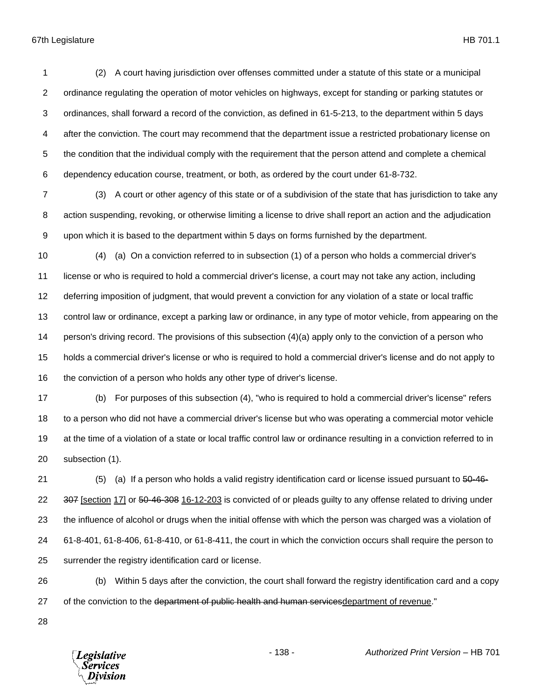(2) A court having jurisdiction over offenses committed under a statute of this state or a municipal ordinance regulating the operation of motor vehicles on highways, except for standing or parking statutes or ordinances, shall forward a record of the conviction, as defined in 61-5-213, to the department within 5 days after the conviction. The court may recommend that the department issue a restricted probationary license on the condition that the individual comply with the requirement that the person attend and complete a chemical dependency education course, treatment, or both, as ordered by the court under 61-8-732.

 (3) A court or other agency of this state or of a subdivision of the state that has jurisdiction to take any action suspending, revoking, or otherwise limiting a license to drive shall report an action and the adjudication upon which it is based to the department within 5 days on forms furnished by the department.

 (4) (a) On a conviction referred to in subsection (1) of a person who holds a commercial driver's license or who is required to hold a commercial driver's license, a court may not take any action, including deferring imposition of judgment, that would prevent a conviction for any violation of a state or local traffic control law or ordinance, except a parking law or ordinance, in any type of motor vehicle, from appearing on the person's driving record. The provisions of this subsection (4)(a) apply only to the conviction of a person who holds a commercial driver's license or who is required to hold a commercial driver's license and do not apply to the conviction of a person who holds any other type of driver's license.

 (b) For purposes of this subsection (4), "who is required to hold a commercial driver's license" refers to a person who did not have a commercial driver's license but who was operating a commercial motor vehicle at the time of a violation of a state or local traffic control law or ordinance resulting in a conviction referred to in subsection (1).

21 (5) (a) If a person who holds a valid registry identification card or license issued pursuant to  $50-46-$ 22 307 [section 17] or 50-46-308 16-12-203 is convicted of or pleads guilty to any offense related to driving under the influence of alcohol or drugs when the initial offense with which the person was charged was a violation of 61-8-401, 61-8-406, 61-8-410, or 61-8-411, the court in which the conviction occurs shall require the person to surrender the registry identification card or license.

 (b) Within 5 days after the conviction, the court shall forward the registry identification card and a copy 27 of the conviction to the department of public health and human services department of revenue."

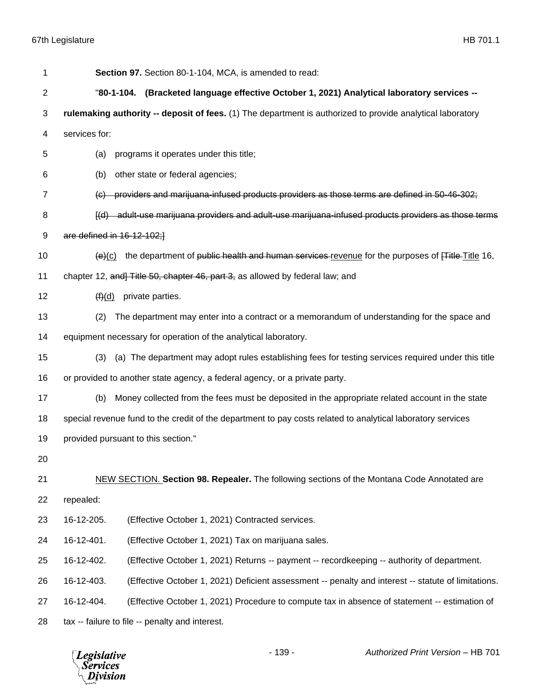| 1  | Section 97. Section 80-1-104, MCA, is amended to read:                                                            |
|----|-------------------------------------------------------------------------------------------------------------------|
| 2  | "80-1-104. (Bracketed language effective October 1, 2021) Analytical laboratory services --                       |
| 3  | rulemaking authority -- deposit of fees. (1) The department is authorized to provide analytical laboratory        |
| 4  | services for:                                                                                                     |
| 5  | programs it operates under this title;<br>(a)                                                                     |
| 6  | other state or federal agencies;<br>(b)                                                                           |
| 7  | providers and marijuana-infused products providers as those terms are defined in 50-46-302;<br>$\Theta$           |
| 8  | [(d) adult-use marijuana providers and adult-use marijuana-infused products providers as those terms              |
| 9  | are defined in 16-12-102;                                                                                         |
| 10 | $\frac{1}{2}$ the department of public health and human services revenue for the purposes of Fitle-Title 16,      |
| 11 | chapter 12, and Title 50, chapter 46, part 3, as allowed by federal law; and                                      |
| 12 | $(f)(d)$ private parties.                                                                                         |
| 13 | The department may enter into a contract or a memorandum of understanding for the space and<br>(2)                |
| 14 | equipment necessary for operation of the analytical laboratory.                                                   |
| 15 | (a) The department may adopt rules establishing fees for testing services required under this title<br>(3)        |
| 16 | or provided to another state agency, a federal agency, or a private party.                                        |
| 17 | Money collected from the fees must be deposited in the appropriate related account in the state<br>(b)            |
| 18 | special revenue fund to the credit of the department to pay costs related to analytical laboratory services       |
| 19 | provided pursuant to this section."                                                                               |
| 20 |                                                                                                                   |
| 21 | NEW SECTION. Section 98. Repealer. The following sections of the Montana Code Annotated are                       |
| 22 | repealed:                                                                                                         |
| 23 | 16-12-205.<br>(Effective October 1, 2021) Contracted services.                                                    |
| 24 | 16-12-401.<br>(Effective October 1, 2021) Tax on marijuana sales.                                                 |
| 25 | 16-12-402.<br>(Effective October 1, 2021) Returns -- payment -- recordkeeping -- authority of department.         |
| 26 | 16-12-403.<br>(Effective October 1, 2021) Deficient assessment -- penalty and interest -- statute of limitations. |
| 27 | 16-12-404.<br>(Effective October 1, 2021) Procedure to compute tax in absence of statement -- estimation of       |
| 28 | tax -- failure to file -- penalty and interest.                                                                   |

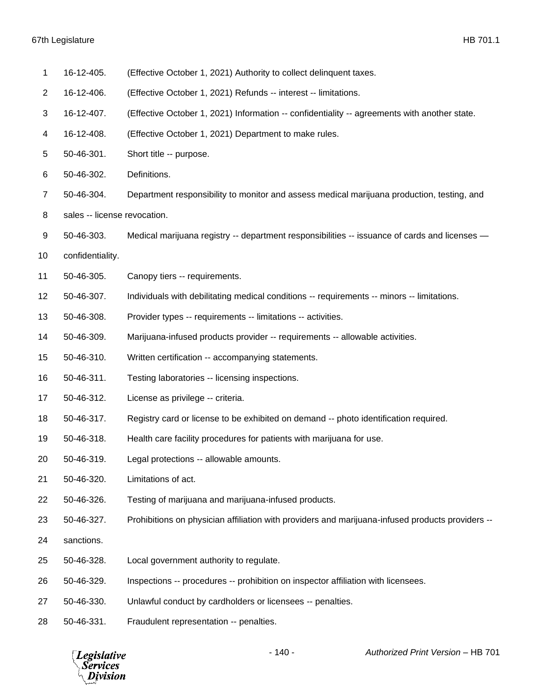| 1              | 16-12-405.                   | (Effective October 1, 2021) Authority to collect delinquent taxes.                               |
|----------------|------------------------------|--------------------------------------------------------------------------------------------------|
| $\overline{2}$ | 16-12-406.                   | (Effective October 1, 2021) Refunds -- interest -- limitations.                                  |
| 3              | 16-12-407.                   | (Effective October 1, 2021) Information -- confidentiality -- agreements with another state.     |
| 4              | 16-12-408.                   | (Effective October 1, 2021) Department to make rules.                                            |
| 5              | 50-46-301.                   | Short title -- purpose.                                                                          |
| 6              | 50-46-302.                   | Definitions.                                                                                     |
| 7              | 50-46-304.                   | Department responsibility to monitor and assess medical marijuana production, testing, and       |
| 8              | sales -- license revocation. |                                                                                                  |
| 9              | 50-46-303.                   | Medical marijuana registry -- department responsibilities -- issuance of cards and licenses -    |
| 10             | confidentiality.             |                                                                                                  |
| 11             | 50-46-305.                   | Canopy tiers -- requirements.                                                                    |
| 12             | 50-46-307.                   | Individuals with debilitating medical conditions -- requirements -- minors -- limitations.       |
| 13             | 50-46-308.                   | Provider types -- requirements -- limitations -- activities.                                     |
| 14             | 50-46-309.                   | Marijuana-infused products provider -- requirements -- allowable activities.                     |
| 15             | 50-46-310.                   | Written certification -- accompanying statements.                                                |
| 16             | 50-46-311.                   | Testing laboratories -- licensing inspections.                                                   |
| 17             | 50-46-312.                   | License as privilege -- criteria.                                                                |
| 18             | 50-46-317.                   | Registry card or license to be exhibited on demand -- photo identification required.             |
| 19             | 50-46-318.                   | Health care facility procedures for patients with marijuana for use.                             |
| 20             | 50-46-319.                   | Legal protections -- allowable amounts.                                                          |
| 21             | 50-46-320.                   | Limitations of act.                                                                              |
| 22             | 50-46-326.                   | Testing of marijuana and marijuana-infused products.                                             |
| 23             | 50-46-327.                   | Prohibitions on physician affiliation with providers and marijuana-infused products providers -- |
| 24             | sanctions.                   |                                                                                                  |
| 25             | 50-46-328.                   | Local government authority to regulate.                                                          |
| 26             | 50-46-329.                   | Inspections -- procedures -- prohibition on inspector affiliation with licensees.                |
| 27             | 50-46-330.                   | Unlawful conduct by cardholders or licensees -- penalties.                                       |
| 28             | 50-46-331.                   | Fraudulent representation -- penalties.                                                          |

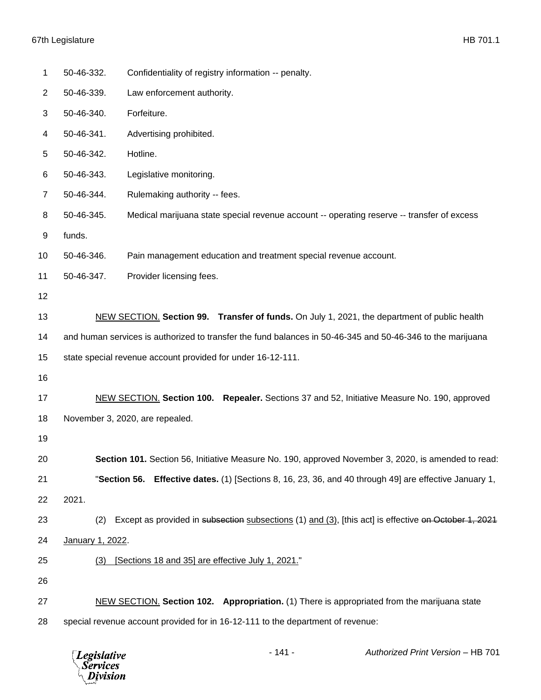| 1  | 50-46-332.                                                                                                 | Confidentiality of registry information -- penalty.                                                  |  |
|----|------------------------------------------------------------------------------------------------------------|------------------------------------------------------------------------------------------------------|--|
| 2  | 50-46-339.                                                                                                 | Law enforcement authority.                                                                           |  |
| 3  | 50-46-340.                                                                                                 | Forfeiture.                                                                                          |  |
| 4  | 50-46-341.                                                                                                 | Advertising prohibited.                                                                              |  |
| 5  | 50-46-342.                                                                                                 | Hotline.                                                                                             |  |
| 6  | 50-46-343.                                                                                                 | Legislative monitoring.                                                                              |  |
| 7  | 50-46-344.                                                                                                 | Rulemaking authority -- fees.                                                                        |  |
| 8  | 50-46-345.                                                                                                 | Medical marijuana state special revenue account -- operating reserve -- transfer of excess           |  |
| 9  | funds.                                                                                                     |                                                                                                      |  |
| 10 | 50-46-346.                                                                                                 | Pain management education and treatment special revenue account.                                     |  |
| 11 | 50-46-347.                                                                                                 | Provider licensing fees.                                                                             |  |
| 12 |                                                                                                            |                                                                                                      |  |
| 13 |                                                                                                            | NEW SECTION. Section 99. Transfer of funds. On July 1, 2021, the department of public health         |  |
| 14 | and human services is authorized to transfer the fund balances in 50-46-345 and 50-46-346 to the marijuana |                                                                                                      |  |
| 15 |                                                                                                            | state special revenue account provided for under 16-12-111.                                          |  |
| 16 |                                                                                                            |                                                                                                      |  |
| 17 |                                                                                                            | NEW SECTION. Section 100. Repealer. Sections 37 and 52, Initiative Measure No. 190, approved         |  |
| 18 |                                                                                                            | November 3, 2020, are repealed.                                                                      |  |
| 19 |                                                                                                            |                                                                                                      |  |
| 20 |                                                                                                            | Section 101. Section 56, Initiative Measure No. 190, approved November 3, 2020, is amended to read:  |  |
| 21 | "Section 56.                                                                                               | <b>Effective dates.</b> (1) [Sections 8, 16, 23, 36, and 40 through 49] are effective January 1,     |  |
| 22 | 2021.                                                                                                      |                                                                                                      |  |
| 23 | (2)                                                                                                        | Except as provided in subsection subsections (1) and (3), [this act] is effective on October 1, 2021 |  |
| 24 | January 1, 2022.                                                                                           |                                                                                                      |  |
| 25 | (3)                                                                                                        | [Sections 18 and 35] are effective July 1, 2021."                                                    |  |
| 26 |                                                                                                            |                                                                                                      |  |
| 27 |                                                                                                            | NEW SECTION. Section 102. Appropriation. (1) There is appropriated from the marijuana state          |  |
| 28 |                                                                                                            | special revenue account provided for in 16-12-111 to the department of revenue:                      |  |

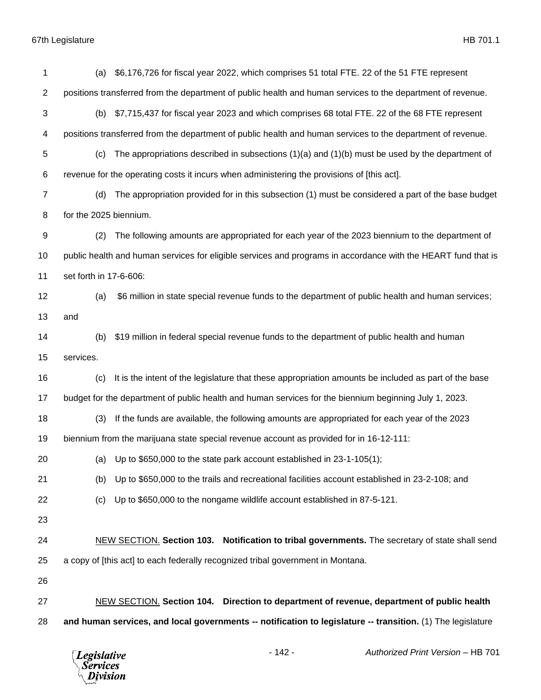| 1  | \$6,176,726 for fiscal year 2022, which comprises 51 total FTE. 22 of the 51 FTE represent<br>(a)             |  |
|----|---------------------------------------------------------------------------------------------------------------|--|
| 2  | positions transferred from the department of public health and human services to the department of revenue.   |  |
| 3  | \$7,715,437 for fiscal year 2023 and which comprises 68 total FTE. 22 of the 68 FTE represent<br>(b)          |  |
| 4  | positions transferred from the department of public health and human services to the department of revenue.   |  |
| 5  | The appropriations described in subsections $(1)(a)$ and $(1)(b)$ must be used by the department of<br>(c)    |  |
| 6  | revenue for the operating costs it incurs when administering the provisions of [this act].                    |  |
| 7  | The appropriation provided for in this subsection (1) must be considered a part of the base budget<br>(d)     |  |
| 8  | for the 2025 biennium.                                                                                        |  |
| 9  | The following amounts are appropriated for each year of the 2023 biennium to the department of<br>(2)         |  |
| 10 | public health and human services for eligible services and programs in accordance with the HEART fund that is |  |
| 11 | set forth in 17-6-606:                                                                                        |  |
| 12 | \$6 million in state special revenue funds to the department of public health and human services;<br>(a)      |  |
| 13 | and                                                                                                           |  |
| 14 | \$19 million in federal special revenue funds to the department of public health and human<br>(b)             |  |
| 15 | services.                                                                                                     |  |
| 16 | (c)<br>It is the intent of the legislature that these appropriation amounts be included as part of the base   |  |
| 17 | budget for the department of public health and human services for the biennium beginning July 1, 2023.        |  |
| 18 | If the funds are available, the following amounts are appropriated for each year of the 2023<br>(3)           |  |
| 19 | biennium from the marijuana state special revenue account as provided for in 16-12-111:                       |  |
| 20 | (a) Up to $$650,000$ to the state park account established in 23-1-105(1);                                    |  |
| 21 | Up to \$650,000 to the trails and recreational facilities account established in 23-2-108; and<br>(b)         |  |
| 22 | Up to \$650,000 to the nongame wildlife account established in 87-5-121.<br>(c)                               |  |
| 23 |                                                                                                               |  |
| 24 | NEW SECTION. Section 103. Notification to tribal governments. The secretary of state shall send               |  |
| 25 | a copy of [this act] to each federally recognized tribal government in Montana.                               |  |
| 26 |                                                                                                               |  |
| 27 | NEW SECTION. Section 104. Direction to department of revenue, department of public health                     |  |
| 28 | and human services, and local governments -- notification to legislature -- transition. (1) The legislature   |  |
|    |                                                                                                               |  |

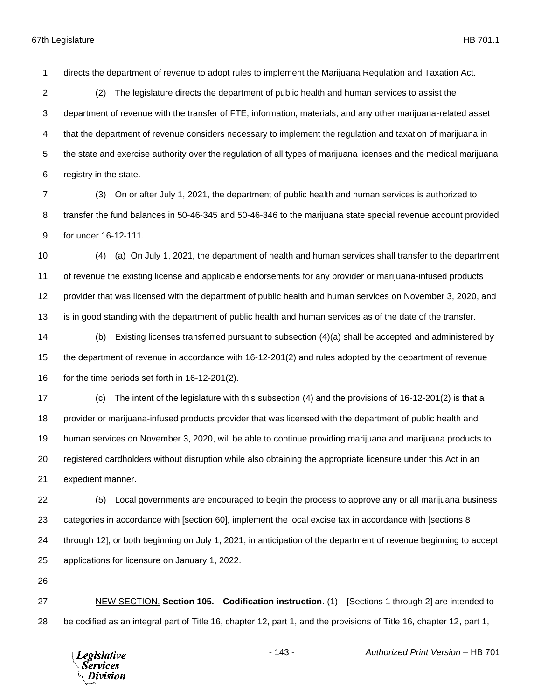directs the department of revenue to adopt rules to implement the Marijuana Regulation and Taxation Act.

 (2) The legislature directs the department of public health and human services to assist the department of revenue with the transfer of FTE, information, materials, and any other marijuana-related asset that the department of revenue considers necessary to implement the regulation and taxation of marijuana in the state and exercise authority over the regulation of all types of marijuana licenses and the medical marijuana registry in the state.

 (3) On or after July 1, 2021, the department of public health and human services is authorized to transfer the fund balances in 50-46-345 and 50-46-346 to the marijuana state special revenue account provided for under 16-12-111.

 (4) (a) On July 1, 2021, the department of health and human services shall transfer to the department of revenue the existing license and applicable endorsements for any provider or marijuana-infused products provider that was licensed with the department of public health and human services on November 3, 2020, and is in good standing with the department of public health and human services as of the date of the transfer.

 (b) Existing licenses transferred pursuant to subsection (4)(a) shall be accepted and administered by the department of revenue in accordance with 16-12-201(2) and rules adopted by the department of revenue 16 for the time periods set forth in 16-12-201(2).

 (c) The intent of the legislature with this subsection (4) and the provisions of 16-12-201(2) is that a provider or marijuana-infused products provider that was licensed with the department of public health and human services on November 3, 2020, will be able to continue providing marijuana and marijuana products to registered cardholders without disruption while also obtaining the appropriate licensure under this Act in an expedient manner.

 (5) Local governments are encouraged to begin the process to approve any or all marijuana business categories in accordance with [section 60], implement the local excise tax in accordance with [sections 8 through 12], or both beginning on July 1, 2021, in anticipation of the department of revenue beginning to accept applications for licensure on January 1, 2022.

 NEW SECTION. **Section 105. Codification instruction.** (1) [Sections 1 through 2] are intended to be codified as an integral part of Title 16, chapter 12, part 1, and the provisions of Title 16, chapter 12, part 1,